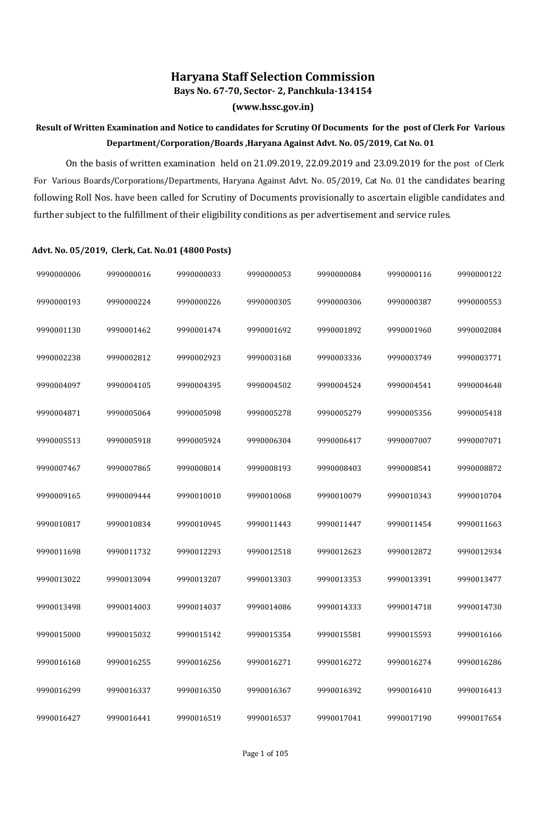## **Haryana Staff Selection Commission**

**Bays No. 67-70, Sector- 2, Panchkula-134154**

**(www.hssc.gov.in)**

## **Result of Written Examination and Notice to candidates for Scrutiny Of Documents for the post of Clerk For Various Department/Corporation/Boards ,Haryana Against Advt. No. 05/2019, Cat No. 01**

On the basis of written examination held on 21.09.2019, 22.09.2019 and 23.09.2019 for the post of Clerk For Various Boards/Corporations/Departments, Haryana Against Advt. No. 05/2019, Cat No. 01 the candidates bearing following Roll Nos. have been called for Scrutiny of Documents provisionally to ascertain eligible candidates and further subject to the fulfillment of their eligibility conditions as per advertisement and service rules.

## **Advt. No. 05/2019, Clerk, Cat. No.01 (4800 Posts)**

| 9990000006 | 9990000016 | 9990000033 | 9990000053 | 9990000084 | 9990000116 | 9990000122 |
|------------|------------|------------|------------|------------|------------|------------|
| 9990000193 | 9990000224 | 9990000226 | 9990000305 | 9990000306 | 9990000387 | 9990000553 |
| 9990001130 | 9990001462 | 9990001474 | 9990001692 | 9990001892 | 9990001960 | 9990002084 |
| 9990002238 | 9990002812 | 9990002923 | 9990003168 | 9990003336 | 9990003749 | 9990003771 |
| 9990004097 | 9990004105 | 9990004395 | 9990004502 | 9990004524 | 9990004541 | 9990004648 |
| 9990004871 | 9990005064 | 9990005098 | 9990005278 | 9990005279 | 9990005356 | 9990005418 |
| 9990005513 | 9990005918 | 9990005924 | 9990006304 | 9990006417 | 9990007007 | 9990007071 |
| 9990007467 | 9990007865 | 9990008014 | 9990008193 | 9990008403 | 9990008541 | 9990008872 |
| 9990009165 | 9990009444 | 9990010010 | 9990010068 | 9990010079 | 9990010343 | 9990010704 |
| 9990010817 | 9990010834 | 9990010945 | 9990011443 | 9990011447 | 9990011454 | 9990011663 |
| 9990011698 | 9990011732 | 9990012293 | 9990012518 | 9990012623 | 9990012872 | 9990012934 |
| 9990013022 | 9990013094 | 9990013207 | 9990013303 | 9990013353 | 9990013391 | 9990013477 |
| 9990013498 | 9990014003 | 9990014037 | 9990014086 | 9990014333 | 9990014718 | 9990014730 |
| 9990015000 | 9990015032 | 9990015142 | 9990015354 | 9990015581 | 9990015593 | 9990016166 |
| 9990016168 | 9990016255 | 9990016256 | 9990016271 | 9990016272 | 9990016274 | 9990016286 |
| 9990016299 | 9990016337 | 9990016350 | 9990016367 | 9990016392 | 9990016410 | 9990016413 |
| 9990016427 | 9990016441 | 9990016519 | 9990016537 | 9990017041 | 9990017190 | 9990017654 |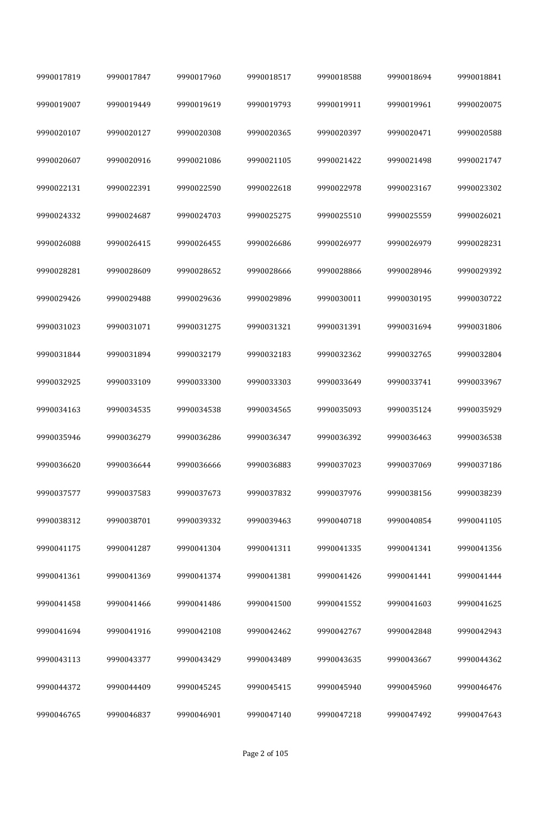| 9990017819 | 9990017847 | 9990017960 | 9990018517 | 9990018588 | 9990018694 | 9990018841 |
|------------|------------|------------|------------|------------|------------|------------|
| 9990019007 | 9990019449 | 9990019619 | 9990019793 | 9990019911 | 9990019961 | 9990020075 |
| 9990020107 | 9990020127 | 9990020308 | 9990020365 | 9990020397 | 9990020471 | 9990020588 |
| 9990020607 | 9990020916 | 9990021086 | 9990021105 | 9990021422 | 9990021498 | 9990021747 |
| 9990022131 | 9990022391 | 9990022590 | 9990022618 | 9990022978 | 9990023167 | 9990023302 |
| 9990024332 | 9990024687 | 9990024703 | 9990025275 | 9990025510 | 9990025559 | 9990026021 |
| 9990026088 | 9990026415 | 9990026455 | 9990026686 | 9990026977 | 9990026979 | 9990028231 |
| 9990028281 | 9990028609 | 9990028652 | 9990028666 | 9990028866 | 9990028946 | 9990029392 |
| 9990029426 | 9990029488 | 9990029636 | 9990029896 | 9990030011 | 9990030195 | 9990030722 |
| 9990031023 | 9990031071 | 9990031275 | 9990031321 | 9990031391 | 9990031694 | 9990031806 |
| 9990031844 | 9990031894 | 9990032179 | 9990032183 | 9990032362 | 9990032765 | 9990032804 |
| 9990032925 | 9990033109 | 9990033300 | 9990033303 | 9990033649 | 9990033741 | 9990033967 |
| 9990034163 | 9990034535 | 9990034538 | 9990034565 | 9990035093 | 9990035124 | 9990035929 |
| 9990035946 | 9990036279 | 9990036286 | 9990036347 | 9990036392 | 9990036463 | 9990036538 |
| 9990036620 | 9990036644 | 9990036666 | 9990036883 | 9990037023 | 9990037069 | 9990037186 |
| 9990037577 | 9990037583 | 9990037673 | 9990037832 | 9990037976 | 9990038156 | 9990038239 |
| 9990038312 | 9990038701 | 9990039332 | 9990039463 | 9990040718 | 9990040854 | 9990041105 |
| 9990041175 | 9990041287 | 9990041304 | 9990041311 | 9990041335 | 9990041341 | 9990041356 |
| 9990041361 | 9990041369 | 9990041374 | 9990041381 | 9990041426 | 9990041441 | 9990041444 |
| 9990041458 | 9990041466 | 9990041486 | 9990041500 | 9990041552 | 9990041603 | 9990041625 |
| 9990041694 | 9990041916 | 9990042108 | 9990042462 | 9990042767 | 9990042848 | 9990042943 |
| 9990043113 | 9990043377 | 9990043429 | 9990043489 | 9990043635 | 9990043667 | 9990044362 |
| 9990044372 | 9990044409 | 9990045245 | 9990045415 | 9990045940 | 9990045960 | 9990046476 |
| 9990046765 | 9990046837 | 9990046901 | 9990047140 | 9990047218 | 9990047492 | 9990047643 |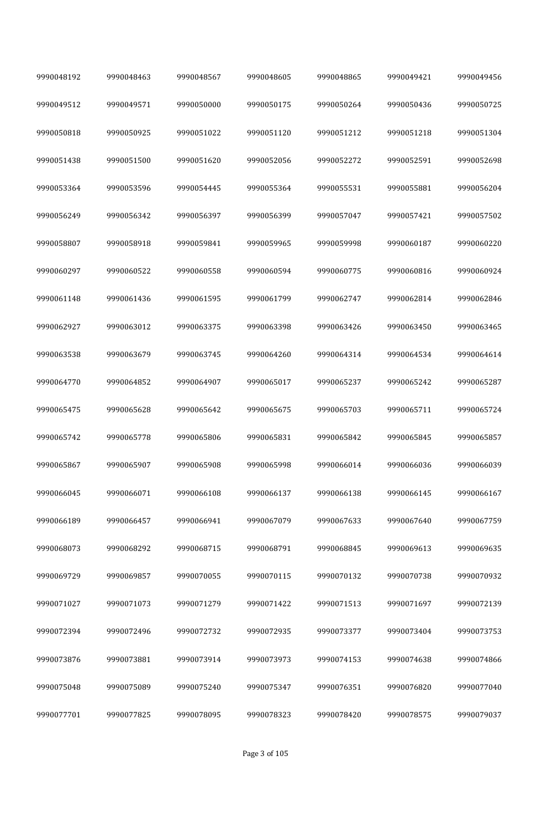| 9990048192 | 9990048463 | 9990048567 | 9990048605 | 9990048865 | 9990049421 | 9990049456 |
|------------|------------|------------|------------|------------|------------|------------|
| 9990049512 | 9990049571 | 9990050000 | 9990050175 | 9990050264 | 9990050436 | 9990050725 |
| 9990050818 | 9990050925 | 9990051022 | 9990051120 | 9990051212 | 9990051218 | 9990051304 |
| 9990051438 | 9990051500 | 9990051620 | 9990052056 | 9990052272 | 9990052591 | 9990052698 |
| 9990053364 | 9990053596 | 9990054445 | 9990055364 | 9990055531 | 9990055881 | 9990056204 |
| 9990056249 | 9990056342 | 9990056397 | 9990056399 | 9990057047 | 9990057421 | 9990057502 |
| 9990058807 | 9990058918 | 9990059841 | 9990059965 | 9990059998 | 9990060187 | 9990060220 |
| 9990060297 | 9990060522 | 9990060558 | 9990060594 | 9990060775 | 9990060816 | 9990060924 |
| 9990061148 | 9990061436 | 9990061595 | 9990061799 | 9990062747 | 9990062814 | 9990062846 |
| 9990062927 | 9990063012 | 9990063375 | 9990063398 | 9990063426 | 9990063450 | 9990063465 |
| 9990063538 | 9990063679 | 9990063745 | 9990064260 | 9990064314 | 9990064534 | 9990064614 |
| 9990064770 | 9990064852 | 9990064907 | 9990065017 | 9990065237 | 9990065242 | 9990065287 |
| 9990065475 | 9990065628 | 9990065642 | 9990065675 | 9990065703 | 9990065711 | 9990065724 |
| 9990065742 | 9990065778 | 9990065806 | 9990065831 | 9990065842 | 9990065845 | 9990065857 |
| 9990065867 | 9990065907 | 9990065908 | 9990065998 | 9990066014 | 9990066036 | 9990066039 |
| 9990066045 | 9990066071 | 9990066108 | 9990066137 | 9990066138 | 9990066145 | 9990066167 |
| 9990066189 | 9990066457 | 9990066941 | 9990067079 | 9990067633 | 9990067640 | 9990067759 |
| 9990068073 | 9990068292 | 9990068715 | 9990068791 | 9990068845 | 9990069613 | 9990069635 |
| 9990069729 | 9990069857 | 9990070055 | 9990070115 | 9990070132 | 9990070738 | 9990070932 |
| 9990071027 | 9990071073 | 9990071279 | 9990071422 | 9990071513 | 9990071697 | 9990072139 |
| 9990072394 | 9990072496 | 9990072732 | 9990072935 | 9990073377 | 9990073404 | 9990073753 |
| 9990073876 | 9990073881 | 9990073914 | 9990073973 | 9990074153 | 9990074638 | 9990074866 |
| 9990075048 | 9990075089 | 9990075240 | 9990075347 | 9990076351 | 9990076820 | 9990077040 |
| 9990077701 | 9990077825 | 9990078095 | 9990078323 | 9990078420 | 9990078575 | 9990079037 |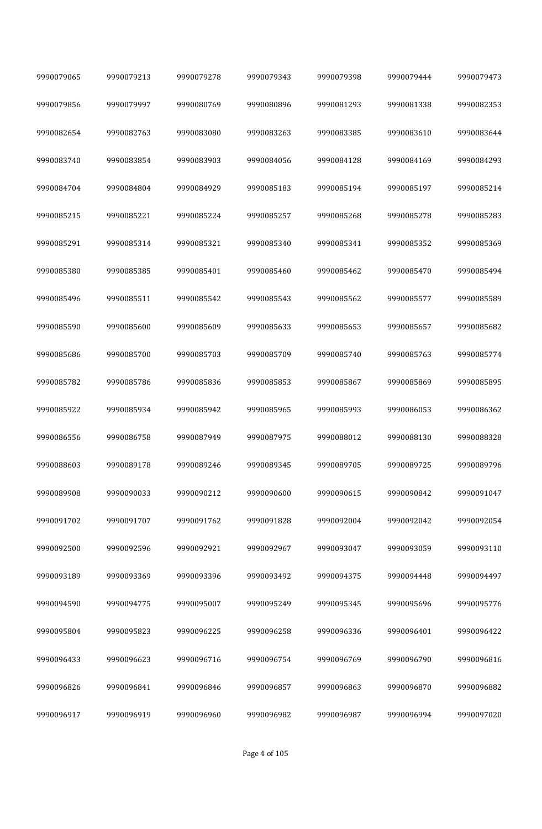| 9990079065 | 9990079213 | 9990079278 | 9990079343 | 9990079398 | 9990079444 | 9990079473 |
|------------|------------|------------|------------|------------|------------|------------|
| 9990079856 | 9990079997 | 9990080769 | 9990080896 | 9990081293 | 9990081338 | 9990082353 |
| 9990082654 | 9990082763 | 9990083080 | 9990083263 | 9990083385 | 9990083610 | 9990083644 |
| 9990083740 | 9990083854 | 9990083903 | 9990084056 | 9990084128 | 9990084169 | 9990084293 |
| 9990084704 | 9990084804 | 9990084929 | 9990085183 | 9990085194 | 9990085197 | 9990085214 |
| 9990085215 | 9990085221 | 9990085224 | 9990085257 | 9990085268 | 9990085278 | 9990085283 |
| 9990085291 | 9990085314 | 9990085321 | 9990085340 | 9990085341 | 9990085352 | 9990085369 |
| 9990085380 | 9990085385 | 9990085401 | 9990085460 | 9990085462 | 9990085470 | 9990085494 |
| 9990085496 | 9990085511 | 9990085542 | 9990085543 | 9990085562 | 9990085577 | 9990085589 |
| 9990085590 | 9990085600 | 9990085609 | 9990085633 | 9990085653 | 9990085657 | 9990085682 |
| 9990085686 | 9990085700 | 9990085703 | 9990085709 | 9990085740 | 9990085763 | 9990085774 |
| 9990085782 | 9990085786 | 9990085836 | 9990085853 | 9990085867 | 9990085869 | 9990085895 |
| 9990085922 | 9990085934 | 9990085942 | 9990085965 | 9990085993 | 9990086053 | 9990086362 |
| 9990086556 | 9990086758 | 9990087949 | 9990087975 | 9990088012 | 9990088130 | 9990088328 |
| 9990088603 | 9990089178 | 9990089246 | 9990089345 | 9990089705 | 9990089725 | 9990089796 |
| 9990089908 | 9990090033 | 9990090212 | 9990090600 | 9990090615 | 9990090842 | 9990091047 |
| 9990091702 | 9990091707 | 9990091762 | 9990091828 | 9990092004 | 9990092042 | 9990092054 |
| 9990092500 | 9990092596 | 9990092921 | 9990092967 | 9990093047 | 9990093059 | 9990093110 |
| 9990093189 | 9990093369 | 9990093396 | 9990093492 | 9990094375 | 9990094448 | 9990094497 |
| 9990094590 | 9990094775 | 9990095007 | 9990095249 | 9990095345 | 9990095696 | 9990095776 |
| 9990095804 | 9990095823 | 9990096225 | 9990096258 | 9990096336 | 9990096401 | 9990096422 |
| 9990096433 | 9990096623 | 9990096716 | 9990096754 | 9990096769 | 9990096790 | 9990096816 |
| 9990096826 | 9990096841 | 9990096846 | 9990096857 | 9990096863 | 9990096870 | 9990096882 |
| 9990096917 | 9990096919 | 9990096960 | 9990096982 | 9990096987 | 9990096994 | 9990097020 |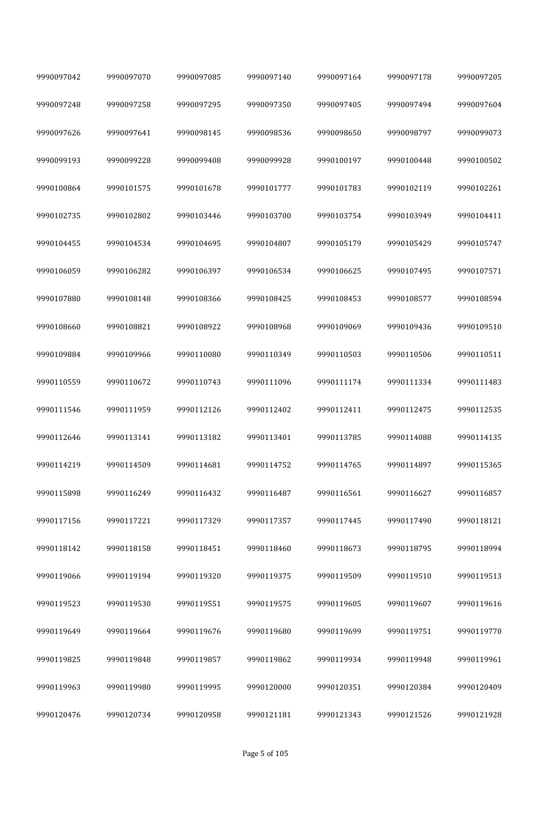| 9990097042 | 9990097070 | 9990097085 | 9990097140 | 9990097164 | 9990097178 | 9990097205 |
|------------|------------|------------|------------|------------|------------|------------|
| 9990097248 | 9990097258 | 9990097295 | 9990097350 | 9990097405 | 9990097494 | 9990097604 |
| 9990097626 | 9990097641 | 9990098145 | 9990098536 | 9990098650 | 9990098797 | 9990099073 |
| 9990099193 | 9990099228 | 9990099408 | 9990099928 | 9990100197 | 9990100448 | 9990100502 |
| 9990100864 | 9990101575 | 9990101678 | 9990101777 | 9990101783 | 9990102119 | 9990102261 |
| 9990102735 | 9990102802 | 9990103446 | 9990103700 | 9990103754 | 9990103949 | 9990104411 |
| 9990104455 | 9990104534 | 9990104695 | 9990104807 | 9990105179 | 9990105429 | 9990105747 |
| 9990106059 | 9990106282 | 9990106397 | 9990106534 | 9990106625 | 9990107495 | 9990107571 |
| 9990107880 | 9990108148 | 9990108366 | 9990108425 | 9990108453 | 9990108577 | 9990108594 |
| 9990108660 | 9990108821 | 9990108922 | 9990108968 | 9990109069 | 9990109436 | 9990109510 |
| 9990109884 | 9990109966 | 9990110080 | 9990110349 | 9990110503 | 9990110506 | 9990110511 |
| 9990110559 | 9990110672 | 9990110743 | 9990111096 | 9990111174 | 9990111334 | 9990111483 |
| 9990111546 | 9990111959 | 9990112126 | 9990112402 | 9990112411 | 9990112475 | 9990112535 |
| 9990112646 | 9990113141 | 9990113182 | 9990113401 | 9990113785 | 9990114088 | 9990114135 |
| 9990114219 | 9990114509 | 9990114681 | 9990114752 | 9990114765 | 9990114897 | 9990115365 |
| 9990115898 | 9990116249 | 9990116432 | 9990116487 | 9990116561 | 9990116627 | 9990116857 |
| 9990117156 | 9990117221 | 9990117329 | 9990117357 | 9990117445 | 9990117490 | 9990118121 |
| 9990118142 | 9990118158 | 9990118451 | 9990118460 | 9990118673 | 9990118795 | 9990118994 |
| 9990119066 | 9990119194 | 9990119320 | 9990119375 | 9990119509 | 9990119510 | 9990119513 |
| 9990119523 | 9990119530 | 9990119551 | 9990119575 | 9990119605 | 9990119607 | 9990119616 |
| 9990119649 | 9990119664 | 9990119676 | 9990119680 | 9990119699 | 9990119751 | 9990119770 |
| 9990119825 | 9990119848 | 9990119857 | 9990119862 | 9990119934 | 9990119948 | 9990119961 |
| 9990119963 | 9990119980 | 9990119995 | 9990120000 | 9990120351 | 9990120384 | 9990120409 |
| 9990120476 | 9990120734 | 9990120958 | 9990121181 | 9990121343 | 9990121526 | 9990121928 |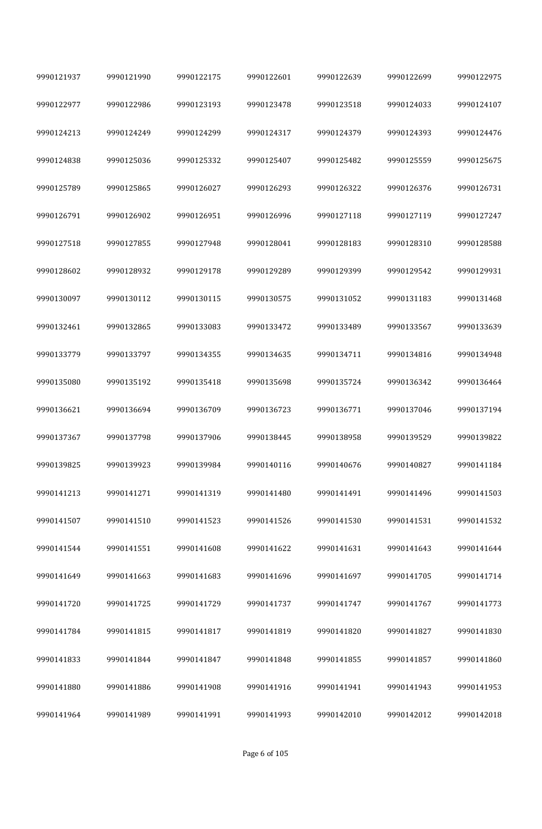| 9990121937 | 9990121990 | 9990122175 | 9990122601 | 9990122639 | 9990122699 | 9990122975 |
|------------|------------|------------|------------|------------|------------|------------|
| 9990122977 | 9990122986 | 9990123193 | 9990123478 | 9990123518 | 9990124033 | 9990124107 |
| 9990124213 | 9990124249 | 9990124299 | 9990124317 | 9990124379 | 9990124393 | 9990124476 |
| 9990124838 | 9990125036 | 9990125332 | 9990125407 | 9990125482 | 9990125559 | 9990125675 |
| 9990125789 | 9990125865 | 9990126027 | 9990126293 | 9990126322 | 9990126376 | 9990126731 |
| 9990126791 | 9990126902 | 9990126951 | 9990126996 | 9990127118 | 9990127119 | 9990127247 |
| 9990127518 | 9990127855 | 9990127948 | 9990128041 | 9990128183 | 9990128310 | 9990128588 |
| 9990128602 | 9990128932 | 9990129178 | 9990129289 | 9990129399 | 9990129542 | 9990129931 |
| 9990130097 | 9990130112 | 9990130115 | 9990130575 | 9990131052 | 9990131183 | 9990131468 |
| 9990132461 | 9990132865 | 9990133083 | 9990133472 | 9990133489 | 9990133567 | 9990133639 |
| 9990133779 | 9990133797 | 9990134355 | 9990134635 | 9990134711 | 9990134816 | 9990134948 |
| 9990135080 | 9990135192 | 9990135418 | 9990135698 | 9990135724 | 9990136342 | 9990136464 |
| 9990136621 | 9990136694 | 9990136709 | 9990136723 | 9990136771 | 9990137046 | 9990137194 |
| 9990137367 | 9990137798 | 9990137906 | 9990138445 | 9990138958 | 9990139529 | 9990139822 |
| 9990139825 | 9990139923 | 9990139984 | 9990140116 | 9990140676 | 9990140827 | 9990141184 |
| 9990141213 | 9990141271 | 9990141319 | 9990141480 | 9990141491 | 9990141496 | 9990141503 |
| 9990141507 | 9990141510 | 9990141523 | 9990141526 | 9990141530 | 9990141531 | 9990141532 |
| 9990141544 | 9990141551 | 9990141608 | 9990141622 | 9990141631 | 9990141643 | 9990141644 |
| 9990141649 | 9990141663 | 9990141683 | 9990141696 | 9990141697 | 9990141705 | 9990141714 |
| 9990141720 | 9990141725 | 9990141729 | 9990141737 | 9990141747 | 9990141767 | 9990141773 |
| 9990141784 | 9990141815 | 9990141817 | 9990141819 | 9990141820 | 9990141827 | 9990141830 |
| 9990141833 | 9990141844 | 9990141847 | 9990141848 | 9990141855 | 9990141857 | 9990141860 |
| 9990141880 | 9990141886 | 9990141908 | 9990141916 | 9990141941 | 9990141943 | 9990141953 |
| 9990141964 | 9990141989 | 9990141991 | 9990141993 | 9990142010 | 9990142012 | 9990142018 |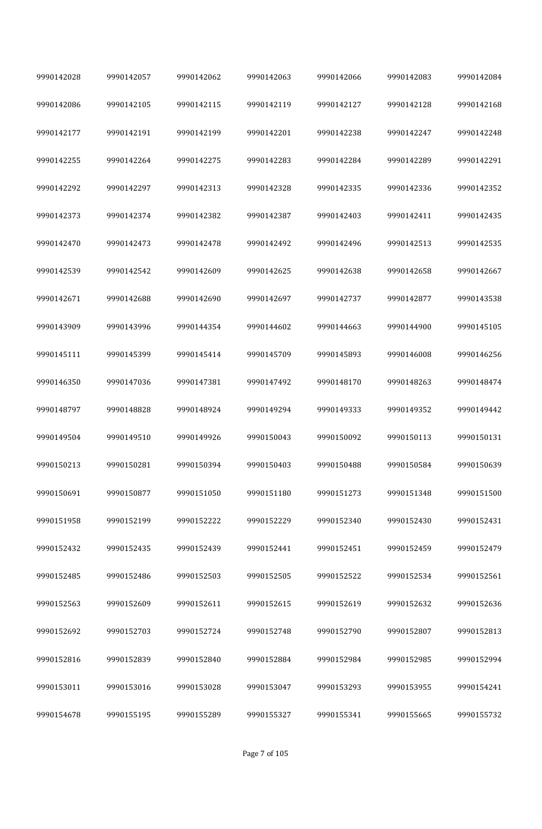| 9990142028 | 9990142057 | 9990142062 | 9990142063 | 9990142066 | 9990142083 | 9990142084 |
|------------|------------|------------|------------|------------|------------|------------|
| 9990142086 | 9990142105 | 9990142115 | 9990142119 | 9990142127 | 9990142128 | 9990142168 |
| 9990142177 | 9990142191 | 9990142199 | 9990142201 | 9990142238 | 9990142247 | 9990142248 |
| 9990142255 | 9990142264 | 9990142275 | 9990142283 | 9990142284 | 9990142289 | 9990142291 |
| 9990142292 | 9990142297 | 9990142313 | 9990142328 | 9990142335 | 9990142336 | 9990142352 |
| 9990142373 | 9990142374 | 9990142382 | 9990142387 | 9990142403 | 9990142411 | 9990142435 |
| 9990142470 | 9990142473 | 9990142478 | 9990142492 | 9990142496 | 9990142513 | 9990142535 |
| 9990142539 | 9990142542 | 9990142609 | 9990142625 | 9990142638 | 9990142658 | 9990142667 |
| 9990142671 | 9990142688 | 9990142690 | 9990142697 | 9990142737 | 9990142877 | 9990143538 |
| 9990143909 | 9990143996 | 9990144354 | 9990144602 | 9990144663 | 9990144900 | 9990145105 |
| 9990145111 | 9990145399 | 9990145414 | 9990145709 | 9990145893 | 9990146008 | 9990146256 |
| 9990146350 | 9990147036 | 9990147381 | 9990147492 | 9990148170 | 9990148263 | 9990148474 |
| 9990148797 | 9990148828 | 9990148924 | 9990149294 | 9990149333 | 9990149352 | 9990149442 |
| 9990149504 | 9990149510 | 9990149926 | 9990150043 | 9990150092 | 9990150113 | 9990150131 |
| 9990150213 | 9990150281 | 9990150394 | 9990150403 | 9990150488 | 9990150584 | 9990150639 |
| 9990150691 | 9990150877 | 9990151050 | 9990151180 | 9990151273 | 9990151348 | 9990151500 |
| 9990151958 | 9990152199 | 9990152222 | 9990152229 | 9990152340 | 9990152430 | 9990152431 |
| 9990152432 | 9990152435 | 9990152439 | 9990152441 | 9990152451 | 9990152459 | 9990152479 |
| 9990152485 | 9990152486 | 9990152503 | 9990152505 | 9990152522 | 9990152534 | 9990152561 |
| 9990152563 | 9990152609 | 9990152611 | 9990152615 | 9990152619 | 9990152632 | 9990152636 |
| 9990152692 | 9990152703 | 9990152724 | 9990152748 | 9990152790 | 9990152807 | 9990152813 |
| 9990152816 | 9990152839 | 9990152840 | 9990152884 | 9990152984 | 9990152985 | 9990152994 |
| 9990153011 | 9990153016 | 9990153028 | 9990153047 | 9990153293 | 9990153955 | 9990154241 |
| 9990154678 | 9990155195 | 9990155289 | 9990155327 | 9990155341 | 9990155665 | 9990155732 |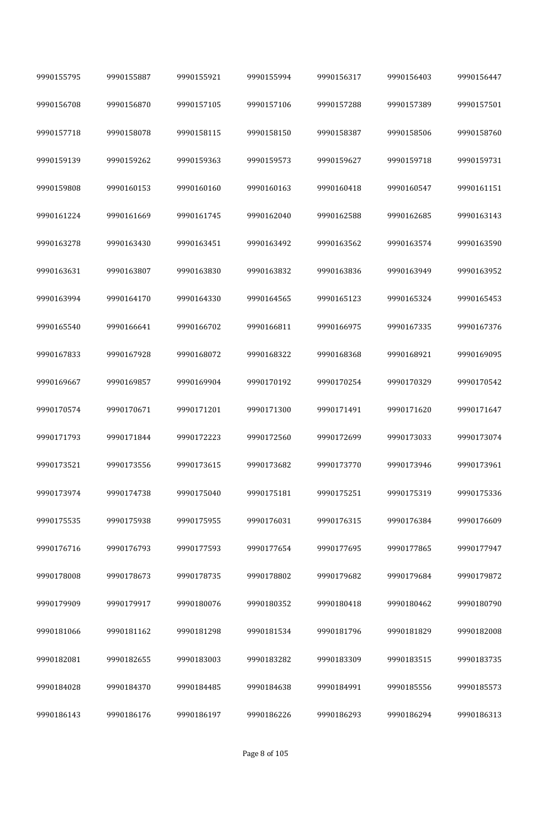| 9990155795 | 9990155887 | 9990155921 | 9990155994 | 9990156317 | 9990156403 | 9990156447 |
|------------|------------|------------|------------|------------|------------|------------|
| 9990156708 | 9990156870 | 9990157105 | 9990157106 | 9990157288 | 9990157389 | 9990157501 |
| 9990157718 | 9990158078 | 9990158115 | 9990158150 | 9990158387 | 9990158506 | 9990158760 |
| 9990159139 | 9990159262 | 9990159363 | 9990159573 | 9990159627 | 9990159718 | 9990159731 |
| 9990159808 | 9990160153 | 9990160160 | 9990160163 | 9990160418 | 9990160547 | 9990161151 |
| 9990161224 | 9990161669 | 9990161745 | 9990162040 | 9990162588 | 9990162685 | 9990163143 |
| 9990163278 | 9990163430 | 9990163451 | 9990163492 | 9990163562 | 9990163574 | 9990163590 |
| 9990163631 | 9990163807 | 9990163830 | 9990163832 | 9990163836 | 9990163949 | 9990163952 |
| 9990163994 | 9990164170 | 9990164330 | 9990164565 | 9990165123 | 9990165324 | 9990165453 |
| 9990165540 | 9990166641 | 9990166702 | 9990166811 | 9990166975 | 9990167335 | 9990167376 |
| 9990167833 | 9990167928 | 9990168072 | 9990168322 | 9990168368 | 9990168921 | 9990169095 |
| 9990169667 | 9990169857 | 9990169904 | 9990170192 | 9990170254 | 9990170329 | 9990170542 |
| 9990170574 | 9990170671 | 9990171201 | 9990171300 | 9990171491 | 9990171620 | 9990171647 |
| 9990171793 | 9990171844 | 9990172223 | 9990172560 | 9990172699 | 9990173033 | 9990173074 |
| 9990173521 | 9990173556 | 9990173615 | 9990173682 | 9990173770 | 9990173946 | 9990173961 |
| 9990173974 | 9990174738 | 9990175040 | 9990175181 | 9990175251 | 9990175319 | 9990175336 |
| 9990175535 | 9990175938 | 9990175955 | 9990176031 | 9990176315 | 9990176384 | 9990176609 |
| 9990176716 | 9990176793 | 9990177593 | 9990177654 | 9990177695 | 9990177865 | 9990177947 |
| 9990178008 | 9990178673 | 9990178735 | 9990178802 | 9990179682 | 9990179684 | 9990179872 |
| 9990179909 | 9990179917 | 9990180076 | 9990180352 | 9990180418 | 9990180462 | 9990180790 |
| 9990181066 | 9990181162 | 9990181298 | 9990181534 | 9990181796 | 9990181829 | 9990182008 |
| 9990182081 | 9990182655 | 9990183003 | 9990183282 | 9990183309 | 9990183515 | 9990183735 |
| 9990184028 | 9990184370 | 9990184485 | 9990184638 | 9990184991 | 9990185556 | 9990185573 |
| 9990186143 | 9990186176 | 9990186197 | 9990186226 | 9990186293 | 9990186294 | 9990186313 |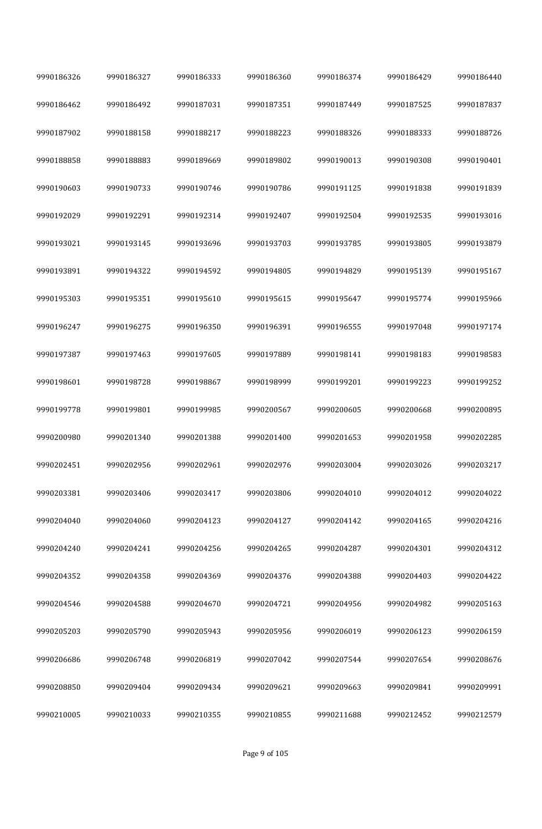| 9990186326 | 9990186327 | 9990186333 | 9990186360 | 9990186374 | 9990186429 | 9990186440 |
|------------|------------|------------|------------|------------|------------|------------|
| 9990186462 | 9990186492 | 9990187031 | 9990187351 | 9990187449 | 9990187525 | 9990187837 |
| 9990187902 | 9990188158 | 9990188217 | 9990188223 | 9990188326 | 9990188333 | 9990188726 |
| 9990188858 | 9990188883 | 9990189669 | 9990189802 | 9990190013 | 9990190308 | 9990190401 |
| 9990190603 | 9990190733 | 9990190746 | 9990190786 | 9990191125 | 9990191838 | 9990191839 |
| 9990192029 | 9990192291 | 9990192314 | 9990192407 | 9990192504 | 9990192535 | 9990193016 |
| 9990193021 | 9990193145 | 9990193696 | 9990193703 | 9990193785 | 9990193805 | 9990193879 |
| 9990193891 | 9990194322 | 9990194592 | 9990194805 | 9990194829 | 9990195139 | 9990195167 |
| 9990195303 | 9990195351 | 9990195610 | 9990195615 | 9990195647 | 9990195774 | 9990195966 |
| 9990196247 | 9990196275 | 9990196350 | 9990196391 | 9990196555 | 9990197048 | 9990197174 |
| 9990197387 | 9990197463 | 9990197605 | 9990197889 | 9990198141 | 9990198183 | 9990198583 |
| 9990198601 | 9990198728 | 9990198867 | 9990198999 | 9990199201 | 9990199223 | 9990199252 |
| 9990199778 | 9990199801 | 9990199985 | 9990200567 | 9990200605 | 9990200668 | 9990200895 |
| 9990200980 | 9990201340 | 9990201388 | 9990201400 | 9990201653 | 9990201958 | 9990202285 |
| 9990202451 | 9990202956 | 9990202961 | 9990202976 | 9990203004 | 9990203026 | 9990203217 |
| 9990203381 | 9990203406 | 9990203417 | 9990203806 | 9990204010 | 9990204012 | 9990204022 |
| 9990204040 | 9990204060 | 9990204123 | 9990204127 | 9990204142 | 9990204165 | 9990204216 |
| 9990204240 | 9990204241 | 9990204256 | 9990204265 | 9990204287 | 9990204301 | 9990204312 |
| 9990204352 | 9990204358 | 9990204369 | 9990204376 | 9990204388 | 9990204403 | 9990204422 |
| 9990204546 | 9990204588 | 9990204670 | 9990204721 | 9990204956 | 9990204982 | 9990205163 |
| 9990205203 | 9990205790 | 9990205943 | 9990205956 | 9990206019 | 9990206123 | 9990206159 |
| 9990206686 | 9990206748 | 9990206819 | 9990207042 | 9990207544 | 9990207654 | 9990208676 |
| 9990208850 | 9990209404 | 9990209434 | 9990209621 | 9990209663 | 9990209841 | 9990209991 |
| 9990210005 | 9990210033 | 9990210355 | 9990210855 | 9990211688 | 9990212452 | 9990212579 |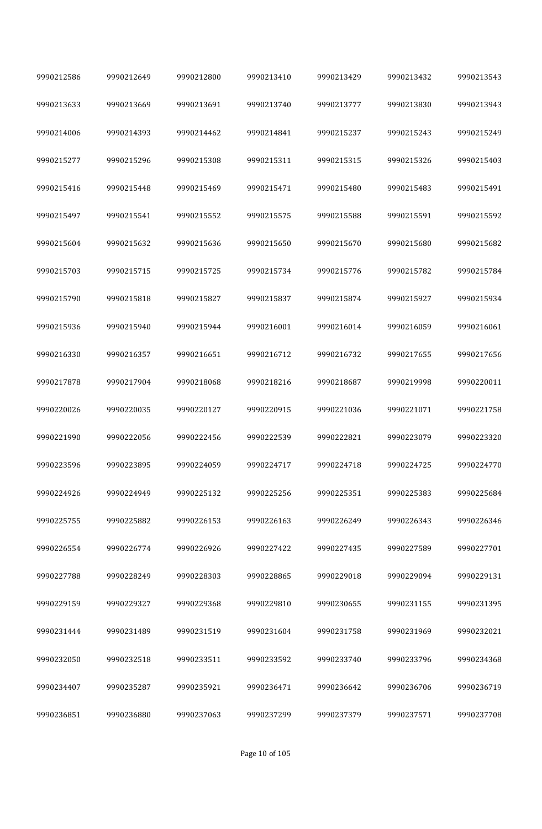| 9990212586 | 9990212649 | 9990212800 | 9990213410 | 9990213429 | 9990213432 | 9990213543 |
|------------|------------|------------|------------|------------|------------|------------|
| 9990213633 | 9990213669 | 9990213691 | 9990213740 | 9990213777 | 9990213830 | 9990213943 |
| 9990214006 | 9990214393 | 9990214462 | 9990214841 | 9990215237 | 9990215243 | 9990215249 |
| 9990215277 | 9990215296 | 9990215308 | 9990215311 | 9990215315 | 9990215326 | 9990215403 |
| 9990215416 | 9990215448 | 9990215469 | 9990215471 | 9990215480 | 9990215483 | 9990215491 |
| 9990215497 | 9990215541 | 9990215552 | 9990215575 | 9990215588 | 9990215591 | 9990215592 |
| 9990215604 | 9990215632 | 9990215636 | 9990215650 | 9990215670 | 9990215680 | 9990215682 |
| 9990215703 | 9990215715 | 9990215725 | 9990215734 | 9990215776 | 9990215782 | 9990215784 |
| 9990215790 | 9990215818 | 9990215827 | 9990215837 | 9990215874 | 9990215927 | 9990215934 |
| 9990215936 | 9990215940 | 9990215944 | 9990216001 | 9990216014 | 9990216059 | 9990216061 |
| 9990216330 | 9990216357 | 9990216651 | 9990216712 | 9990216732 | 9990217655 | 9990217656 |
| 9990217878 | 9990217904 | 9990218068 | 9990218216 | 9990218687 | 9990219998 | 9990220011 |
| 9990220026 | 9990220035 | 9990220127 | 9990220915 | 9990221036 | 9990221071 | 9990221758 |
| 9990221990 | 9990222056 | 9990222456 | 9990222539 | 9990222821 | 9990223079 | 9990223320 |
| 9990223596 | 9990223895 | 9990224059 | 9990224717 | 9990224718 | 9990224725 | 9990224770 |
| 9990224926 | 9990224949 | 9990225132 | 9990225256 | 9990225351 | 9990225383 | 9990225684 |
| 9990225755 | 9990225882 | 9990226153 | 9990226163 | 9990226249 | 9990226343 | 9990226346 |
| 9990226554 | 9990226774 | 9990226926 | 9990227422 | 9990227435 | 9990227589 | 9990227701 |
| 9990227788 | 9990228249 | 9990228303 | 9990228865 | 9990229018 | 9990229094 | 9990229131 |
| 9990229159 | 9990229327 | 9990229368 | 9990229810 | 9990230655 | 9990231155 | 9990231395 |
| 9990231444 | 9990231489 | 9990231519 | 9990231604 | 9990231758 | 9990231969 | 9990232021 |
| 9990232050 | 9990232518 | 9990233511 | 9990233592 | 9990233740 | 9990233796 | 9990234368 |
| 9990234407 | 9990235287 | 9990235921 | 9990236471 | 9990236642 | 9990236706 | 9990236719 |
| 9990236851 | 9990236880 | 9990237063 | 9990237299 | 9990237379 | 9990237571 | 9990237708 |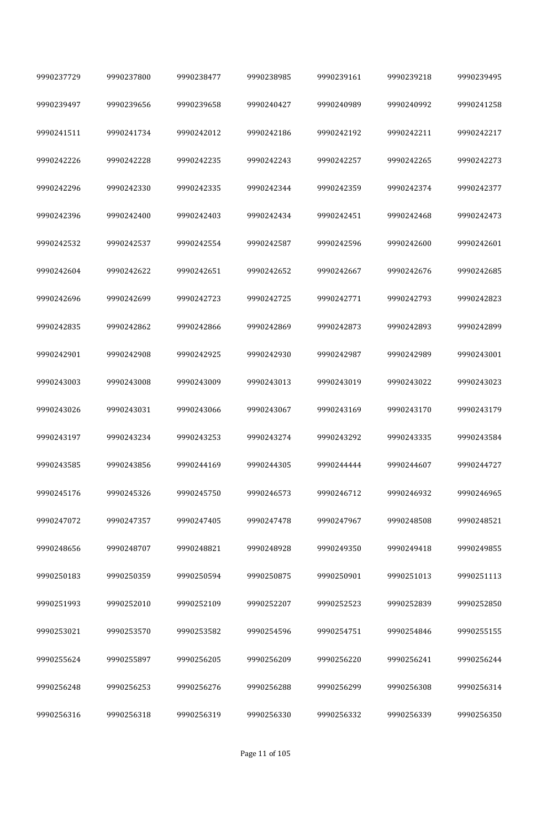| 9990237729 | 9990237800 | 9990238477 | 9990238985 | 9990239161 | 9990239218 | 9990239495 |
|------------|------------|------------|------------|------------|------------|------------|
| 9990239497 | 9990239656 | 9990239658 | 9990240427 | 9990240989 | 9990240992 | 9990241258 |
| 9990241511 | 9990241734 | 9990242012 | 9990242186 | 9990242192 | 9990242211 | 9990242217 |
| 9990242226 | 9990242228 | 9990242235 | 9990242243 | 9990242257 | 9990242265 | 9990242273 |
| 9990242296 | 9990242330 | 9990242335 | 9990242344 | 9990242359 | 9990242374 | 9990242377 |
| 9990242396 | 9990242400 | 9990242403 | 9990242434 | 9990242451 | 9990242468 | 9990242473 |
| 9990242532 | 9990242537 | 9990242554 | 9990242587 | 9990242596 | 9990242600 | 9990242601 |
| 9990242604 | 9990242622 | 9990242651 | 9990242652 | 9990242667 | 9990242676 | 9990242685 |
| 9990242696 | 9990242699 | 9990242723 | 9990242725 | 9990242771 | 9990242793 | 9990242823 |
| 9990242835 | 9990242862 | 9990242866 | 9990242869 | 9990242873 | 9990242893 | 9990242899 |
| 9990242901 | 9990242908 | 9990242925 | 9990242930 | 9990242987 | 9990242989 | 9990243001 |
| 9990243003 | 9990243008 | 9990243009 | 9990243013 | 9990243019 | 9990243022 | 9990243023 |
| 9990243026 | 9990243031 | 9990243066 | 9990243067 | 9990243169 | 9990243170 | 9990243179 |
| 9990243197 | 9990243234 | 9990243253 | 9990243274 | 9990243292 | 9990243335 | 9990243584 |
| 9990243585 | 9990243856 | 9990244169 | 9990244305 | 9990244444 | 9990244607 | 9990244727 |
| 9990245176 | 9990245326 | 9990245750 | 9990246573 | 9990246712 | 9990246932 | 9990246965 |
| 9990247072 | 9990247357 | 9990247405 | 9990247478 | 9990247967 | 9990248508 | 9990248521 |
| 9990248656 | 9990248707 | 9990248821 | 9990248928 | 9990249350 | 9990249418 | 9990249855 |
| 9990250183 | 9990250359 | 9990250594 | 9990250875 | 9990250901 | 9990251013 | 9990251113 |
| 9990251993 | 9990252010 | 9990252109 | 9990252207 | 9990252523 | 9990252839 | 9990252850 |
| 9990253021 | 9990253570 | 9990253582 | 9990254596 | 9990254751 | 9990254846 | 9990255155 |
| 9990255624 | 9990255897 | 9990256205 | 9990256209 | 9990256220 | 9990256241 | 9990256244 |
| 9990256248 | 9990256253 | 9990256276 | 9990256288 | 9990256299 | 9990256308 | 9990256314 |
| 9990256316 | 9990256318 | 9990256319 | 9990256330 | 9990256332 | 9990256339 | 9990256350 |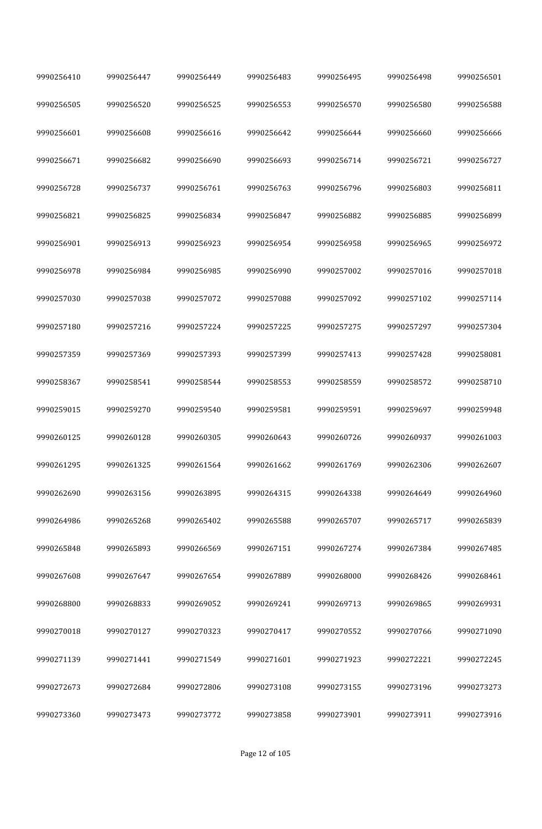| 9990256410 | 9990256447 | 9990256449 | 9990256483 | 9990256495 | 9990256498 | 9990256501 |
|------------|------------|------------|------------|------------|------------|------------|
| 9990256505 | 9990256520 | 9990256525 | 9990256553 | 9990256570 | 9990256580 | 9990256588 |
| 9990256601 | 9990256608 | 9990256616 | 9990256642 | 9990256644 | 9990256660 | 9990256666 |
| 9990256671 | 9990256682 | 9990256690 | 9990256693 | 9990256714 | 9990256721 | 9990256727 |
| 9990256728 | 9990256737 | 9990256761 | 9990256763 | 9990256796 | 9990256803 | 9990256811 |
| 9990256821 | 9990256825 | 9990256834 | 9990256847 | 9990256882 | 9990256885 | 9990256899 |
| 9990256901 | 9990256913 | 9990256923 | 9990256954 | 9990256958 | 9990256965 | 9990256972 |
| 9990256978 | 9990256984 | 9990256985 | 9990256990 | 9990257002 | 9990257016 | 9990257018 |
| 9990257030 | 9990257038 | 9990257072 | 9990257088 | 9990257092 | 9990257102 | 9990257114 |
| 9990257180 | 9990257216 | 9990257224 | 9990257225 | 9990257275 | 9990257297 | 9990257304 |
| 9990257359 | 9990257369 | 9990257393 | 9990257399 | 9990257413 | 9990257428 | 9990258081 |
| 9990258367 | 9990258541 | 9990258544 | 9990258553 | 9990258559 | 9990258572 | 9990258710 |
| 9990259015 | 9990259270 | 9990259540 | 9990259581 | 9990259591 | 9990259697 | 9990259948 |
| 9990260125 | 9990260128 | 9990260305 | 9990260643 | 9990260726 | 9990260937 | 9990261003 |
| 9990261295 | 9990261325 | 9990261564 | 9990261662 | 9990261769 | 9990262306 | 9990262607 |
| 9990262690 | 9990263156 | 9990263895 | 9990264315 | 9990264338 | 9990264649 | 9990264960 |
| 9990264986 | 9990265268 | 9990265402 | 9990265588 | 9990265707 | 9990265717 | 9990265839 |
| 9990265848 | 9990265893 | 9990266569 | 9990267151 | 9990267274 | 9990267384 | 9990267485 |
| 9990267608 | 9990267647 | 9990267654 | 9990267889 | 9990268000 | 9990268426 | 9990268461 |
| 9990268800 | 9990268833 | 9990269052 | 9990269241 | 9990269713 | 9990269865 | 9990269931 |
| 9990270018 | 9990270127 | 9990270323 | 9990270417 | 9990270552 | 9990270766 | 9990271090 |
| 9990271139 | 9990271441 | 9990271549 | 9990271601 | 9990271923 | 9990272221 | 9990272245 |
| 9990272673 | 9990272684 | 9990272806 | 9990273108 | 9990273155 | 9990273196 | 9990273273 |
| 9990273360 | 9990273473 | 9990273772 | 9990273858 | 9990273901 | 9990273911 | 9990273916 |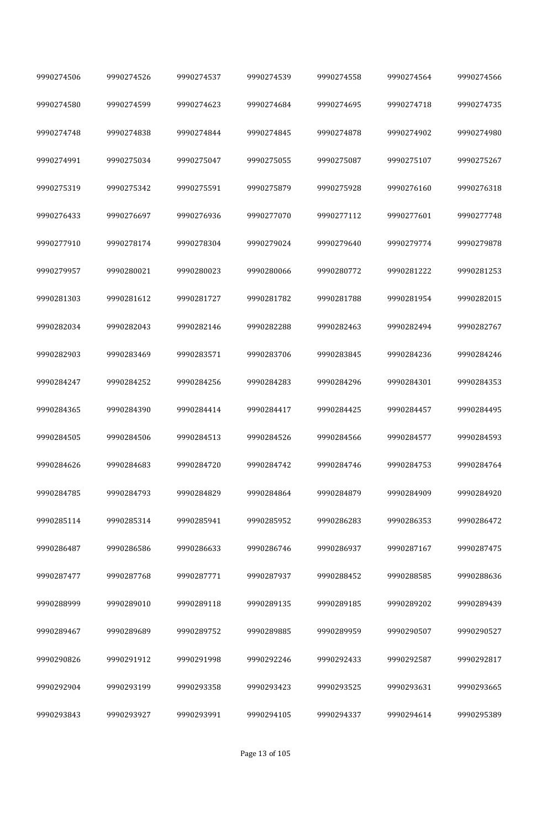| 9990274506 | 9990274526 | 9990274537 | 9990274539 | 9990274558 | 9990274564 | 9990274566 |
|------------|------------|------------|------------|------------|------------|------------|
| 9990274580 | 9990274599 | 9990274623 | 9990274684 | 9990274695 | 9990274718 | 9990274735 |
| 9990274748 | 9990274838 | 9990274844 | 9990274845 | 9990274878 | 9990274902 | 9990274980 |
| 9990274991 | 9990275034 | 9990275047 | 9990275055 | 9990275087 | 9990275107 | 9990275267 |
| 9990275319 | 9990275342 | 9990275591 | 9990275879 | 9990275928 | 9990276160 | 9990276318 |
| 9990276433 | 9990276697 | 9990276936 | 9990277070 | 9990277112 | 9990277601 | 9990277748 |
| 9990277910 | 9990278174 | 9990278304 | 9990279024 | 9990279640 | 9990279774 | 9990279878 |
| 9990279957 | 9990280021 | 9990280023 | 9990280066 | 9990280772 | 9990281222 | 9990281253 |
| 9990281303 | 9990281612 | 9990281727 | 9990281782 | 9990281788 | 9990281954 | 9990282015 |
| 9990282034 | 9990282043 | 9990282146 | 9990282288 | 9990282463 | 9990282494 | 9990282767 |
| 9990282903 | 9990283469 | 9990283571 | 9990283706 | 9990283845 | 9990284236 | 9990284246 |
| 9990284247 | 9990284252 | 9990284256 | 9990284283 | 9990284296 | 9990284301 | 9990284353 |
| 9990284365 | 9990284390 | 9990284414 | 9990284417 | 9990284425 | 9990284457 | 9990284495 |
| 9990284505 | 9990284506 | 9990284513 | 9990284526 | 9990284566 | 9990284577 | 9990284593 |
| 9990284626 | 9990284683 | 9990284720 | 9990284742 | 9990284746 | 9990284753 | 9990284764 |
| 9990284785 | 9990284793 | 9990284829 | 9990284864 | 9990284879 | 9990284909 | 9990284920 |
| 9990285114 | 9990285314 | 9990285941 | 9990285952 | 9990286283 | 9990286353 | 9990286472 |
| 9990286487 | 9990286586 | 9990286633 | 9990286746 | 9990286937 | 9990287167 | 9990287475 |
| 9990287477 | 9990287768 | 9990287771 | 9990287937 | 9990288452 | 9990288585 | 9990288636 |
| 9990288999 | 9990289010 | 9990289118 | 9990289135 | 9990289185 | 9990289202 | 9990289439 |
| 9990289467 | 9990289689 | 9990289752 | 9990289885 | 9990289959 | 9990290507 | 9990290527 |
| 9990290826 | 9990291912 | 9990291998 | 9990292246 | 9990292433 | 9990292587 | 9990292817 |
| 9990292904 | 9990293199 | 9990293358 | 9990293423 | 9990293525 | 9990293631 | 9990293665 |
| 9990293843 | 9990293927 | 9990293991 | 9990294105 | 9990294337 | 9990294614 | 9990295389 |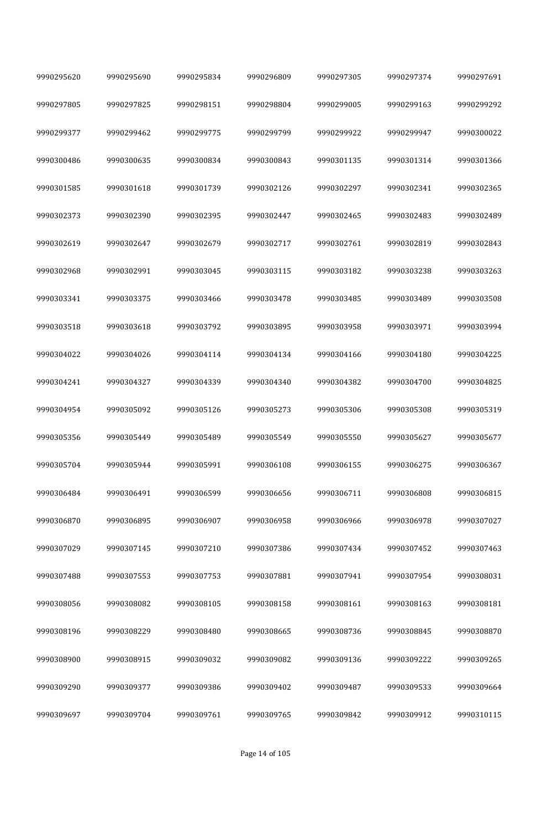| 9990295620 | 9990295690 | 9990295834 | 9990296809 | 9990297305 | 9990297374 | 9990297691 |
|------------|------------|------------|------------|------------|------------|------------|
| 9990297805 | 9990297825 | 9990298151 | 9990298804 | 9990299005 | 9990299163 | 9990299292 |
| 9990299377 | 9990299462 | 9990299775 | 9990299799 | 9990299922 | 9990299947 | 9990300022 |
| 9990300486 | 9990300635 | 9990300834 | 9990300843 | 9990301135 | 9990301314 | 9990301366 |
| 9990301585 | 9990301618 | 9990301739 | 9990302126 | 9990302297 | 9990302341 | 9990302365 |
| 9990302373 | 9990302390 | 9990302395 | 9990302447 | 9990302465 | 9990302483 | 9990302489 |
| 9990302619 | 9990302647 | 9990302679 | 9990302717 | 9990302761 | 9990302819 | 9990302843 |
| 9990302968 | 9990302991 | 9990303045 | 9990303115 | 9990303182 | 9990303238 | 9990303263 |
| 9990303341 | 9990303375 | 9990303466 | 9990303478 | 9990303485 | 9990303489 | 9990303508 |
| 9990303518 | 9990303618 | 9990303792 | 9990303895 | 9990303958 | 9990303971 | 9990303994 |
| 9990304022 | 9990304026 | 9990304114 | 9990304134 | 9990304166 | 9990304180 | 9990304225 |
| 9990304241 | 9990304327 | 9990304339 | 9990304340 | 9990304382 | 9990304700 | 9990304825 |
| 9990304954 | 9990305092 | 9990305126 | 9990305273 | 9990305306 | 9990305308 | 9990305319 |
| 9990305356 | 9990305449 | 9990305489 | 9990305549 | 9990305550 | 9990305627 | 9990305677 |
| 9990305704 | 9990305944 | 9990305991 | 9990306108 | 9990306155 | 9990306275 | 9990306367 |
| 9990306484 | 9990306491 | 9990306599 | 9990306656 | 9990306711 | 9990306808 | 9990306815 |
| 9990306870 | 9990306895 | 9990306907 | 9990306958 | 9990306966 | 9990306978 | 9990307027 |
| 9990307029 | 9990307145 | 9990307210 | 9990307386 | 9990307434 | 9990307452 | 9990307463 |
| 9990307488 | 9990307553 | 9990307753 | 9990307881 | 9990307941 | 9990307954 | 9990308031 |
| 9990308056 | 9990308082 | 9990308105 | 9990308158 | 9990308161 | 9990308163 | 9990308181 |
| 9990308196 | 9990308229 | 9990308480 | 9990308665 | 9990308736 | 9990308845 | 9990308870 |
| 9990308900 | 9990308915 | 9990309032 | 9990309082 | 9990309136 | 9990309222 | 9990309265 |
| 9990309290 | 9990309377 | 9990309386 | 9990309402 | 9990309487 | 9990309533 | 9990309664 |
| 9990309697 | 9990309704 | 9990309761 | 9990309765 | 9990309842 | 9990309912 | 9990310115 |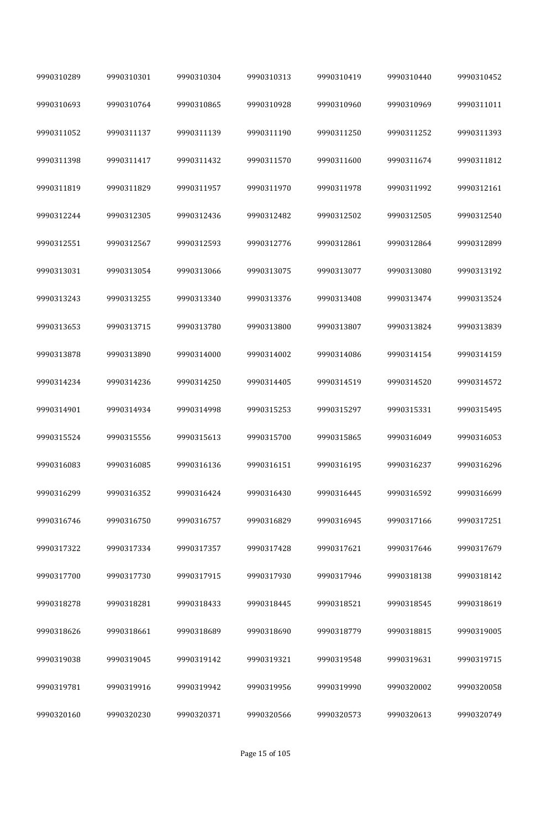| 9990310289 | 9990310301 | 9990310304 | 9990310313 | 9990310419 | 9990310440 | 9990310452 |
|------------|------------|------------|------------|------------|------------|------------|
| 9990310693 | 9990310764 | 9990310865 | 9990310928 | 9990310960 | 9990310969 | 9990311011 |
| 9990311052 | 9990311137 | 9990311139 | 9990311190 | 9990311250 | 9990311252 | 9990311393 |
| 9990311398 | 9990311417 | 9990311432 | 9990311570 | 9990311600 | 9990311674 | 9990311812 |
| 9990311819 | 9990311829 | 9990311957 | 9990311970 | 9990311978 | 9990311992 | 9990312161 |
| 9990312244 | 9990312305 | 9990312436 | 9990312482 | 9990312502 | 9990312505 | 9990312540 |
| 9990312551 | 9990312567 | 9990312593 | 9990312776 | 9990312861 | 9990312864 | 9990312899 |
| 9990313031 | 9990313054 | 9990313066 | 9990313075 | 9990313077 | 9990313080 | 9990313192 |
| 9990313243 | 9990313255 | 9990313340 | 9990313376 | 9990313408 | 9990313474 | 9990313524 |
| 9990313653 | 9990313715 | 9990313780 | 9990313800 | 9990313807 | 9990313824 | 9990313839 |
| 9990313878 | 9990313890 | 9990314000 | 9990314002 | 9990314086 | 9990314154 | 9990314159 |
| 9990314234 | 9990314236 | 9990314250 | 9990314405 | 9990314519 | 9990314520 | 9990314572 |
| 9990314901 | 9990314934 | 9990314998 | 9990315253 | 9990315297 | 9990315331 | 9990315495 |
| 9990315524 | 9990315556 | 9990315613 | 9990315700 | 9990315865 | 9990316049 | 9990316053 |
| 9990316083 | 9990316085 | 9990316136 | 9990316151 | 9990316195 | 9990316237 | 9990316296 |
| 9990316299 | 9990316352 | 9990316424 | 9990316430 | 9990316445 | 9990316592 | 9990316699 |
| 9990316746 | 9990316750 | 9990316757 | 9990316829 | 9990316945 | 9990317166 | 9990317251 |
| 9990317322 | 9990317334 | 9990317357 | 9990317428 | 9990317621 | 9990317646 | 9990317679 |
| 9990317700 | 9990317730 | 9990317915 | 9990317930 | 9990317946 | 9990318138 | 9990318142 |
| 9990318278 | 9990318281 | 9990318433 | 9990318445 | 9990318521 | 9990318545 | 9990318619 |
| 9990318626 | 9990318661 | 9990318689 | 9990318690 | 9990318779 | 9990318815 | 9990319005 |
| 9990319038 | 9990319045 | 9990319142 | 9990319321 | 9990319548 | 9990319631 | 9990319715 |
| 9990319781 | 9990319916 | 9990319942 | 9990319956 | 9990319990 | 9990320002 | 9990320058 |
| 9990320160 | 9990320230 | 9990320371 | 9990320566 | 9990320573 | 9990320613 | 9990320749 |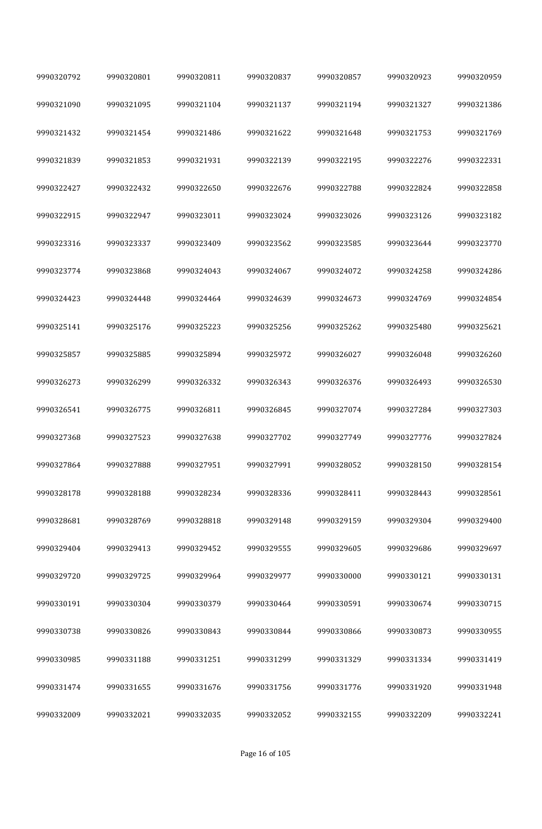| 9990320792 | 9990320801 | 9990320811 | 9990320837 | 9990320857 | 9990320923 | 9990320959 |
|------------|------------|------------|------------|------------|------------|------------|
| 9990321090 | 9990321095 | 9990321104 | 9990321137 | 9990321194 | 9990321327 | 9990321386 |
| 9990321432 | 9990321454 | 9990321486 | 9990321622 | 9990321648 | 9990321753 | 9990321769 |
| 9990321839 | 9990321853 | 9990321931 | 9990322139 | 9990322195 | 9990322276 | 9990322331 |
| 9990322427 | 9990322432 | 9990322650 | 9990322676 | 9990322788 | 9990322824 | 9990322858 |
| 9990322915 | 9990322947 | 9990323011 | 9990323024 | 9990323026 | 9990323126 | 9990323182 |
| 9990323316 | 9990323337 | 9990323409 | 9990323562 | 9990323585 | 9990323644 | 9990323770 |
| 9990323774 | 9990323868 | 9990324043 | 9990324067 | 9990324072 | 9990324258 | 9990324286 |
| 9990324423 | 9990324448 | 9990324464 | 9990324639 | 9990324673 | 9990324769 | 9990324854 |
| 9990325141 | 9990325176 | 9990325223 | 9990325256 | 9990325262 | 9990325480 | 9990325621 |
| 9990325857 | 9990325885 | 9990325894 | 9990325972 | 9990326027 | 9990326048 | 9990326260 |
| 9990326273 | 9990326299 | 9990326332 | 9990326343 | 9990326376 | 9990326493 | 9990326530 |
| 9990326541 | 9990326775 | 9990326811 | 9990326845 | 9990327074 | 9990327284 | 9990327303 |
| 9990327368 | 9990327523 | 9990327638 | 9990327702 | 9990327749 | 9990327776 | 9990327824 |
| 9990327864 | 9990327888 | 9990327951 | 9990327991 | 9990328052 | 9990328150 | 9990328154 |
| 9990328178 | 9990328188 | 9990328234 | 9990328336 | 9990328411 | 9990328443 | 9990328561 |
| 9990328681 | 9990328769 | 9990328818 | 9990329148 | 9990329159 | 9990329304 | 9990329400 |
| 9990329404 | 9990329413 | 9990329452 | 9990329555 | 9990329605 | 9990329686 | 9990329697 |
| 9990329720 | 9990329725 | 9990329964 | 9990329977 | 9990330000 | 9990330121 | 9990330131 |
| 9990330191 | 9990330304 | 9990330379 | 9990330464 | 9990330591 | 9990330674 | 9990330715 |
| 9990330738 | 9990330826 | 9990330843 | 9990330844 | 9990330866 | 9990330873 | 9990330955 |
| 9990330985 | 9990331188 | 9990331251 | 9990331299 | 9990331329 | 9990331334 | 9990331419 |
| 9990331474 | 9990331655 | 9990331676 | 9990331756 | 9990331776 | 9990331920 | 9990331948 |
| 9990332009 | 9990332021 | 9990332035 | 9990332052 | 9990332155 | 9990332209 | 9990332241 |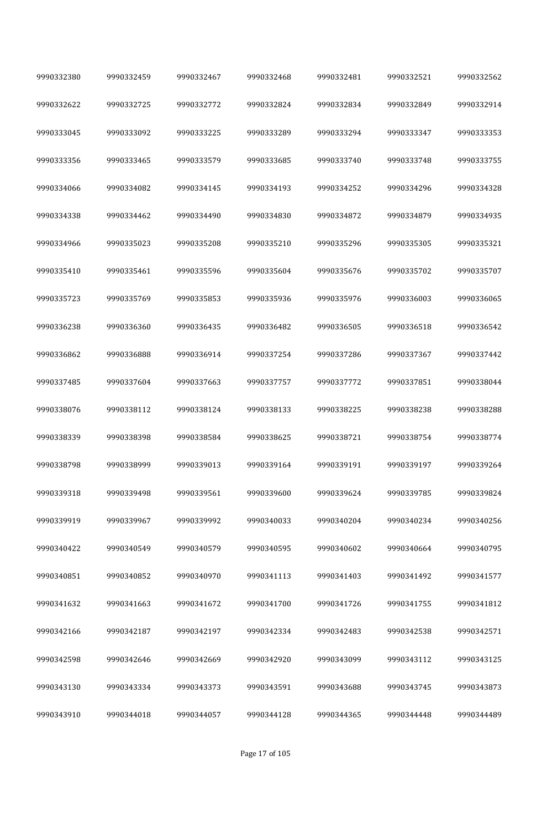| 9990332380 | 9990332459 | 9990332467 | 9990332468 | 9990332481 | 9990332521 | 9990332562 |  |
|------------|------------|------------|------------|------------|------------|------------|--|
| 9990332622 | 9990332725 | 9990332772 | 9990332824 | 9990332834 | 9990332849 | 9990332914 |  |
| 9990333045 | 9990333092 | 9990333225 | 9990333289 | 9990333294 | 9990333347 | 9990333353 |  |
| 9990333356 | 9990333465 | 9990333579 | 9990333685 | 9990333740 | 9990333748 | 9990333755 |  |
| 9990334066 | 9990334082 | 9990334145 | 9990334193 | 9990334252 | 9990334296 | 9990334328 |  |
| 9990334338 | 9990334462 | 9990334490 | 9990334830 | 9990334872 | 9990334879 | 9990334935 |  |
| 9990334966 | 9990335023 | 9990335208 | 9990335210 | 9990335296 | 9990335305 | 9990335321 |  |
| 9990335410 | 9990335461 | 9990335596 | 9990335604 | 9990335676 | 9990335702 | 9990335707 |  |
| 9990335723 | 9990335769 | 9990335853 | 9990335936 | 9990335976 | 9990336003 | 9990336065 |  |
| 9990336238 | 9990336360 | 9990336435 | 9990336482 | 9990336505 | 9990336518 | 9990336542 |  |
| 9990336862 | 9990336888 | 9990336914 | 9990337254 | 9990337286 | 9990337367 | 9990337442 |  |
| 9990337485 | 9990337604 | 9990337663 | 9990337757 | 9990337772 | 9990337851 | 9990338044 |  |
| 9990338076 | 9990338112 | 9990338124 | 9990338133 | 9990338225 | 9990338238 | 9990338288 |  |
| 9990338339 | 9990338398 | 9990338584 | 9990338625 | 9990338721 | 9990338754 | 9990338774 |  |
| 9990338798 | 9990338999 | 9990339013 | 9990339164 | 9990339191 | 9990339197 | 9990339264 |  |
| 9990339318 | 9990339498 | 9990339561 | 9990339600 | 9990339624 | 9990339785 | 9990339824 |  |
| 9990339919 | 9990339967 | 9990339992 | 9990340033 | 9990340204 | 9990340234 | 9990340256 |  |
| 9990340422 | 9990340549 | 9990340579 | 9990340595 | 9990340602 | 9990340664 | 9990340795 |  |
| 9990340851 | 9990340852 | 9990340970 | 9990341113 | 9990341403 | 9990341492 | 9990341577 |  |
| 9990341632 | 9990341663 | 9990341672 | 9990341700 | 9990341726 | 9990341755 | 9990341812 |  |
| 9990342166 | 9990342187 | 9990342197 | 9990342334 | 9990342483 | 9990342538 | 9990342571 |  |
| 9990342598 | 9990342646 | 9990342669 | 9990342920 | 9990343099 | 9990343112 | 9990343125 |  |
| 9990343130 | 9990343334 | 9990343373 | 9990343591 | 9990343688 | 9990343745 | 9990343873 |  |
| 9990343910 | 9990344018 | 9990344057 | 9990344128 | 9990344365 | 9990344448 | 9990344489 |  |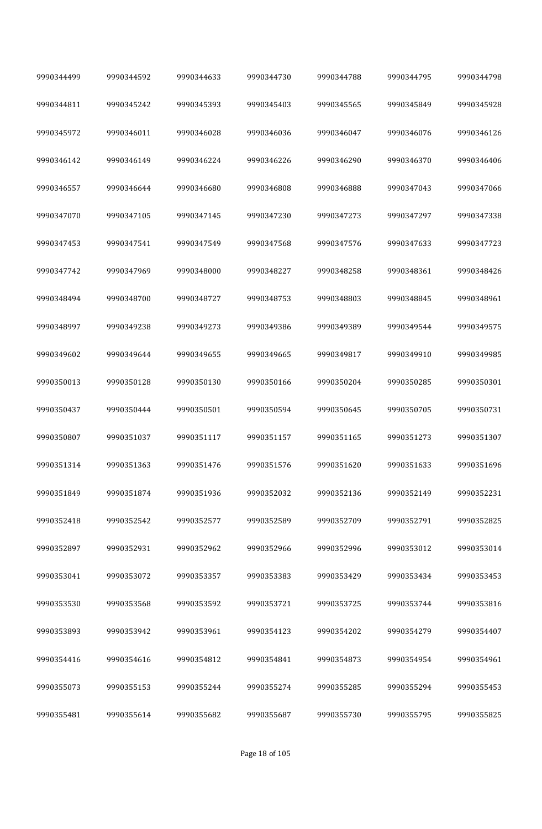| 9990344499 | 9990344592 | 9990344633 | 9990344730 | 9990344788 | 9990344795 | 9990344798 |
|------------|------------|------------|------------|------------|------------|------------|
| 9990344811 | 9990345242 | 9990345393 | 9990345403 | 9990345565 | 9990345849 | 9990345928 |
| 9990345972 | 9990346011 | 9990346028 | 9990346036 | 9990346047 | 9990346076 | 9990346126 |
| 9990346142 | 9990346149 | 9990346224 | 9990346226 | 9990346290 | 9990346370 | 9990346406 |
| 9990346557 | 9990346644 | 9990346680 | 9990346808 | 9990346888 | 9990347043 | 9990347066 |
| 9990347070 | 9990347105 | 9990347145 | 9990347230 | 9990347273 | 9990347297 | 9990347338 |
| 9990347453 | 9990347541 | 9990347549 | 9990347568 | 9990347576 | 9990347633 | 9990347723 |
| 9990347742 | 9990347969 | 9990348000 | 9990348227 | 9990348258 | 9990348361 | 9990348426 |
| 9990348494 | 9990348700 | 9990348727 | 9990348753 | 9990348803 | 9990348845 | 9990348961 |
| 9990348997 | 9990349238 | 9990349273 | 9990349386 | 9990349389 | 9990349544 | 9990349575 |
| 9990349602 | 9990349644 | 9990349655 | 9990349665 | 9990349817 | 9990349910 | 9990349985 |
| 9990350013 | 9990350128 | 9990350130 | 9990350166 | 9990350204 | 9990350285 | 9990350301 |
| 9990350437 | 9990350444 | 9990350501 | 9990350594 | 9990350645 | 9990350705 | 9990350731 |
| 9990350807 | 9990351037 | 9990351117 | 9990351157 | 9990351165 | 9990351273 | 9990351307 |
| 9990351314 | 9990351363 | 9990351476 | 9990351576 | 9990351620 | 9990351633 | 9990351696 |
| 9990351849 | 9990351874 | 9990351936 | 9990352032 | 9990352136 | 9990352149 | 9990352231 |
| 9990352418 | 9990352542 | 9990352577 | 9990352589 | 9990352709 | 9990352791 | 9990352825 |
| 9990352897 | 9990352931 | 9990352962 | 9990352966 | 9990352996 | 9990353012 | 9990353014 |
| 9990353041 | 9990353072 | 9990353357 | 9990353383 | 9990353429 | 9990353434 | 9990353453 |
| 9990353530 | 9990353568 | 9990353592 | 9990353721 | 9990353725 | 9990353744 | 9990353816 |
| 9990353893 | 9990353942 | 9990353961 | 9990354123 | 9990354202 | 9990354279 | 9990354407 |
| 9990354416 | 9990354616 | 9990354812 | 9990354841 | 9990354873 | 9990354954 | 9990354961 |
| 9990355073 | 9990355153 | 9990355244 | 9990355274 | 9990355285 | 9990355294 | 9990355453 |
| 9990355481 | 9990355614 | 9990355682 | 9990355687 | 9990355730 | 9990355795 | 9990355825 |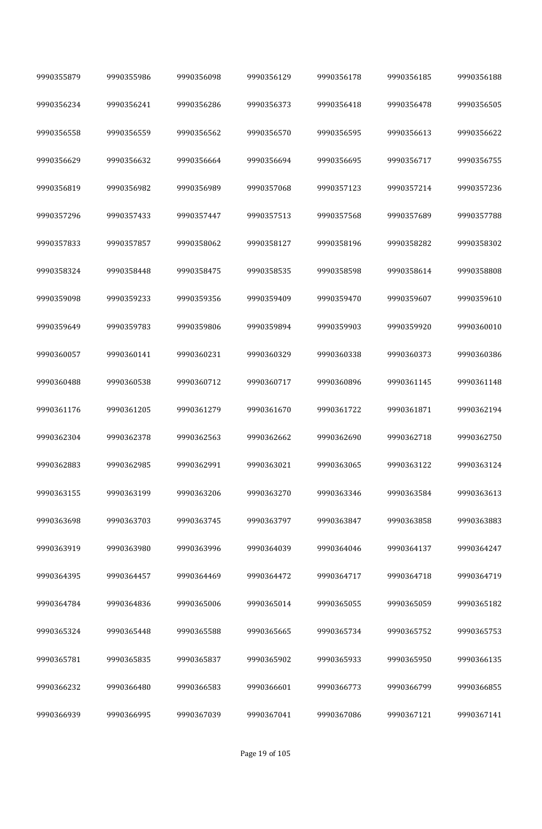| 9990355879 | 9990355986 | 9990356098 | 9990356129 | 9990356178 | 9990356185 | 9990356188 |
|------------|------------|------------|------------|------------|------------|------------|
| 9990356234 | 9990356241 | 9990356286 | 9990356373 | 9990356418 | 9990356478 | 9990356505 |
| 9990356558 | 9990356559 | 9990356562 | 9990356570 | 9990356595 | 9990356613 | 9990356622 |
| 9990356629 | 9990356632 | 9990356664 | 9990356694 | 9990356695 | 9990356717 | 9990356755 |
| 9990356819 | 9990356982 | 9990356989 | 9990357068 | 9990357123 | 9990357214 | 9990357236 |
| 9990357296 | 9990357433 | 9990357447 | 9990357513 | 9990357568 | 9990357689 | 9990357788 |
| 9990357833 | 9990357857 | 9990358062 | 9990358127 | 9990358196 | 9990358282 | 9990358302 |
| 9990358324 | 9990358448 | 9990358475 | 9990358535 | 9990358598 | 9990358614 | 9990358808 |
| 9990359098 | 9990359233 | 9990359356 | 9990359409 | 9990359470 | 9990359607 | 9990359610 |
| 9990359649 | 9990359783 | 9990359806 | 9990359894 | 9990359903 | 9990359920 | 9990360010 |
| 9990360057 | 9990360141 | 9990360231 | 9990360329 | 9990360338 | 9990360373 | 9990360386 |
| 9990360488 | 9990360538 | 9990360712 | 9990360717 | 9990360896 | 9990361145 | 9990361148 |
| 9990361176 | 9990361205 | 9990361279 | 9990361670 | 9990361722 | 9990361871 | 9990362194 |
| 9990362304 | 9990362378 | 9990362563 | 9990362662 | 9990362690 | 9990362718 | 9990362750 |
| 9990362883 | 9990362985 | 9990362991 | 9990363021 | 9990363065 | 9990363122 | 9990363124 |
| 9990363155 | 9990363199 | 9990363206 | 9990363270 | 9990363346 | 9990363584 | 9990363613 |
| 9990363698 | 9990363703 | 9990363745 | 9990363797 | 9990363847 | 9990363858 | 9990363883 |
| 9990363919 | 9990363980 | 9990363996 | 9990364039 | 9990364046 | 9990364137 | 9990364247 |
| 9990364395 | 9990364457 | 9990364469 | 9990364472 | 9990364717 | 9990364718 | 9990364719 |
| 9990364784 | 9990364836 | 9990365006 | 9990365014 | 9990365055 | 9990365059 | 9990365182 |
| 9990365324 | 9990365448 | 9990365588 | 9990365665 | 9990365734 | 9990365752 | 9990365753 |
| 9990365781 | 9990365835 | 9990365837 | 9990365902 | 9990365933 | 9990365950 | 9990366135 |
| 9990366232 | 9990366480 | 9990366583 | 9990366601 | 9990366773 | 9990366799 | 9990366855 |
| 9990366939 | 9990366995 | 9990367039 | 9990367041 | 9990367086 | 9990367121 | 9990367141 |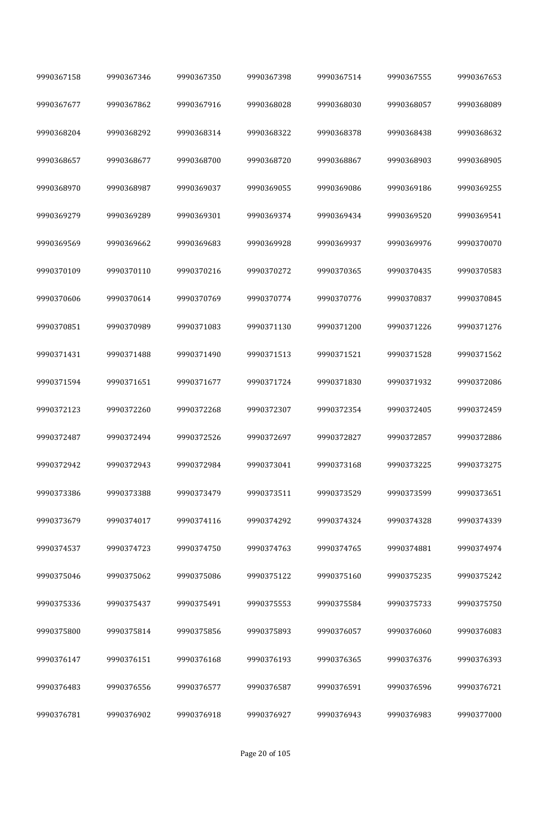| 9990367158 | 9990367346 | 9990367350 | 9990367398 | 9990367514 | 9990367555 | 9990367653 |
|------------|------------|------------|------------|------------|------------|------------|
| 9990367677 | 9990367862 | 9990367916 | 9990368028 | 9990368030 | 9990368057 | 9990368089 |
| 9990368204 | 9990368292 | 9990368314 | 9990368322 | 9990368378 | 9990368438 | 9990368632 |
| 9990368657 | 9990368677 | 9990368700 | 9990368720 | 9990368867 | 9990368903 | 9990368905 |
| 9990368970 | 9990368987 | 9990369037 | 9990369055 | 9990369086 | 9990369186 | 9990369255 |
| 9990369279 | 9990369289 | 9990369301 | 9990369374 | 9990369434 | 9990369520 | 9990369541 |
| 9990369569 | 9990369662 | 9990369683 | 9990369928 | 9990369937 | 9990369976 | 9990370070 |
| 9990370109 | 9990370110 | 9990370216 | 9990370272 | 9990370365 | 9990370435 | 9990370583 |
| 9990370606 | 9990370614 | 9990370769 | 9990370774 | 9990370776 | 9990370837 | 9990370845 |
| 9990370851 | 9990370989 | 9990371083 | 9990371130 | 9990371200 | 9990371226 | 9990371276 |
| 9990371431 | 9990371488 | 9990371490 | 9990371513 | 9990371521 | 9990371528 | 9990371562 |
| 9990371594 | 9990371651 | 9990371677 | 9990371724 | 9990371830 | 9990371932 | 9990372086 |
| 9990372123 | 9990372260 | 9990372268 | 9990372307 | 9990372354 | 9990372405 | 9990372459 |
| 9990372487 | 9990372494 | 9990372526 | 9990372697 | 9990372827 | 9990372857 | 9990372886 |
| 9990372942 | 9990372943 | 9990372984 | 9990373041 | 9990373168 | 9990373225 | 9990373275 |
| 9990373386 | 9990373388 | 9990373479 | 9990373511 | 9990373529 | 9990373599 | 9990373651 |
| 9990373679 | 9990374017 | 9990374116 | 9990374292 | 9990374324 | 9990374328 | 9990374339 |
| 9990374537 | 9990374723 | 9990374750 | 9990374763 | 9990374765 | 9990374881 | 9990374974 |
| 9990375046 | 9990375062 | 9990375086 | 9990375122 | 9990375160 | 9990375235 | 9990375242 |
| 9990375336 | 9990375437 | 9990375491 | 9990375553 | 9990375584 | 9990375733 | 9990375750 |
| 9990375800 | 9990375814 | 9990375856 | 9990375893 | 9990376057 | 9990376060 | 9990376083 |
| 9990376147 | 9990376151 | 9990376168 | 9990376193 | 9990376365 | 9990376376 | 9990376393 |
| 9990376483 | 9990376556 | 9990376577 | 9990376587 | 9990376591 | 9990376596 | 9990376721 |
| 9990376781 | 9990376902 | 9990376918 | 9990376927 | 9990376943 | 9990376983 | 9990377000 |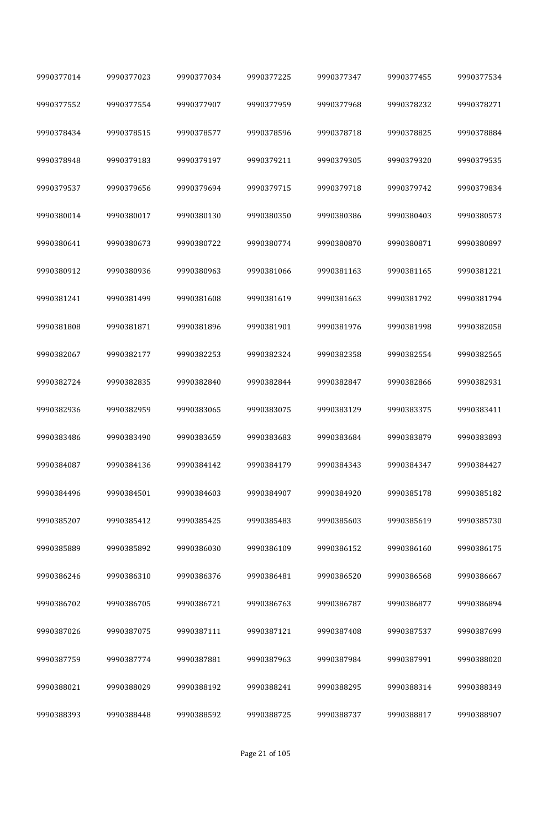| 9990377014 | 9990377023 | 9990377034 | 9990377225 | 9990377347 | 9990377455 | 9990377534 |
|------------|------------|------------|------------|------------|------------|------------|
| 9990377552 | 9990377554 | 9990377907 | 9990377959 | 9990377968 | 9990378232 | 9990378271 |
| 9990378434 | 9990378515 | 9990378577 | 9990378596 | 9990378718 | 9990378825 | 9990378884 |
| 9990378948 | 9990379183 | 9990379197 | 9990379211 | 9990379305 | 9990379320 | 9990379535 |
| 9990379537 | 9990379656 | 9990379694 | 9990379715 | 9990379718 | 9990379742 | 9990379834 |
| 9990380014 | 9990380017 | 9990380130 | 9990380350 | 9990380386 | 9990380403 | 9990380573 |
| 9990380641 | 9990380673 | 9990380722 | 9990380774 | 9990380870 | 9990380871 | 9990380897 |
| 9990380912 | 9990380936 | 9990380963 | 9990381066 | 9990381163 | 9990381165 | 9990381221 |
| 9990381241 | 9990381499 | 9990381608 | 9990381619 | 9990381663 | 9990381792 | 9990381794 |
| 9990381808 | 9990381871 | 9990381896 | 9990381901 | 9990381976 | 9990381998 | 9990382058 |
| 9990382067 | 9990382177 | 9990382253 | 9990382324 | 9990382358 | 9990382554 | 9990382565 |
| 9990382724 | 9990382835 | 9990382840 | 9990382844 | 9990382847 | 9990382866 | 9990382931 |
| 9990382936 | 9990382959 | 9990383065 | 9990383075 | 9990383129 | 9990383375 | 9990383411 |
| 9990383486 | 9990383490 | 9990383659 | 9990383683 | 9990383684 | 9990383879 | 9990383893 |
| 9990384087 | 9990384136 | 9990384142 | 9990384179 | 9990384343 | 9990384347 | 9990384427 |
| 9990384496 | 9990384501 | 9990384603 | 9990384907 | 9990384920 | 9990385178 | 9990385182 |
| 9990385207 | 9990385412 | 9990385425 | 9990385483 | 9990385603 | 9990385619 | 9990385730 |
| 9990385889 | 9990385892 | 9990386030 | 9990386109 | 9990386152 | 9990386160 | 9990386175 |
| 9990386246 | 9990386310 | 9990386376 | 9990386481 | 9990386520 | 9990386568 | 9990386667 |
| 9990386702 | 9990386705 | 9990386721 | 9990386763 | 9990386787 | 9990386877 | 9990386894 |
| 9990387026 | 9990387075 | 9990387111 | 9990387121 | 9990387408 | 9990387537 | 9990387699 |
| 9990387759 | 9990387774 | 9990387881 | 9990387963 | 9990387984 | 9990387991 | 9990388020 |
| 9990388021 | 9990388029 | 9990388192 | 9990388241 | 9990388295 | 9990388314 | 9990388349 |
| 9990388393 | 9990388448 | 9990388592 | 9990388725 | 9990388737 | 9990388817 | 9990388907 |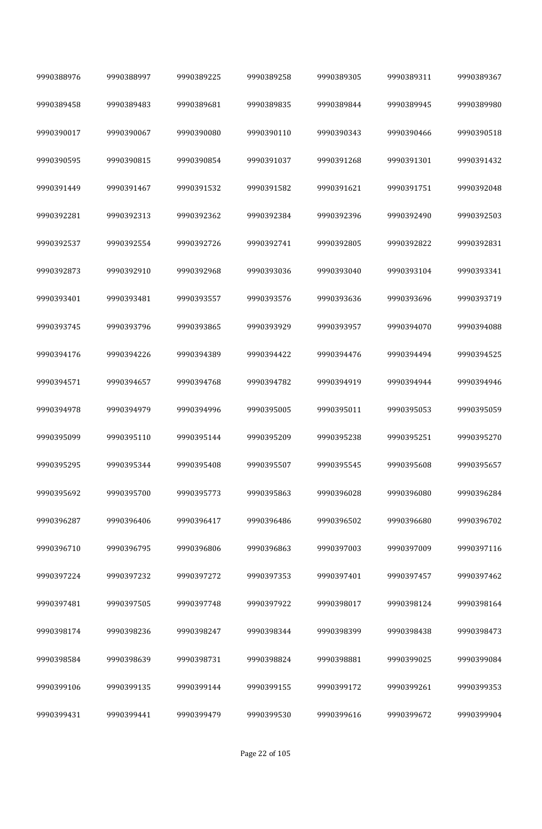| 9990388976 | 9990388997 | 9990389225 | 9990389258 | 9990389305 | 9990389311 | 9990389367 |
|------------|------------|------------|------------|------------|------------|------------|
| 9990389458 | 9990389483 | 9990389681 | 9990389835 | 9990389844 | 9990389945 | 9990389980 |
| 9990390017 | 9990390067 | 9990390080 | 9990390110 | 9990390343 | 9990390466 | 9990390518 |
| 9990390595 | 9990390815 | 9990390854 | 9990391037 | 9990391268 | 9990391301 | 9990391432 |
| 9990391449 | 9990391467 | 9990391532 | 9990391582 | 9990391621 | 9990391751 | 9990392048 |
| 9990392281 | 9990392313 | 9990392362 | 9990392384 | 9990392396 | 9990392490 | 9990392503 |
| 9990392537 | 9990392554 | 9990392726 | 9990392741 | 9990392805 | 9990392822 | 9990392831 |
| 9990392873 | 9990392910 | 9990392968 | 9990393036 | 9990393040 | 9990393104 | 9990393341 |
| 9990393401 | 9990393481 | 9990393557 | 9990393576 | 9990393636 | 9990393696 | 9990393719 |
| 9990393745 | 9990393796 | 9990393865 | 9990393929 | 9990393957 | 9990394070 | 9990394088 |
| 9990394176 | 9990394226 | 9990394389 | 9990394422 | 9990394476 | 9990394494 | 9990394525 |
| 9990394571 | 9990394657 | 9990394768 | 9990394782 | 9990394919 | 9990394944 | 9990394946 |
| 9990394978 | 9990394979 | 9990394996 | 9990395005 | 9990395011 | 9990395053 | 9990395059 |
| 9990395099 | 9990395110 | 9990395144 | 9990395209 | 9990395238 | 9990395251 | 9990395270 |
| 9990395295 | 9990395344 | 9990395408 | 9990395507 | 9990395545 | 9990395608 | 9990395657 |
| 9990395692 | 9990395700 | 9990395773 | 9990395863 | 9990396028 | 9990396080 | 9990396284 |
| 9990396287 | 9990396406 | 9990396417 | 9990396486 | 9990396502 | 9990396680 | 9990396702 |
| 9990396710 | 9990396795 | 9990396806 | 9990396863 | 9990397003 | 9990397009 | 9990397116 |
| 9990397224 | 9990397232 | 9990397272 | 9990397353 | 9990397401 | 9990397457 | 9990397462 |
| 9990397481 | 9990397505 | 9990397748 | 9990397922 | 9990398017 | 9990398124 | 9990398164 |
| 9990398174 | 9990398236 | 9990398247 | 9990398344 | 9990398399 | 9990398438 | 9990398473 |
| 9990398584 | 9990398639 | 9990398731 | 9990398824 | 9990398881 | 9990399025 | 9990399084 |
| 9990399106 | 9990399135 | 9990399144 | 9990399155 | 9990399172 | 9990399261 | 9990399353 |
| 9990399431 | 9990399441 | 9990399479 | 9990399530 | 9990399616 | 9990399672 | 9990399904 |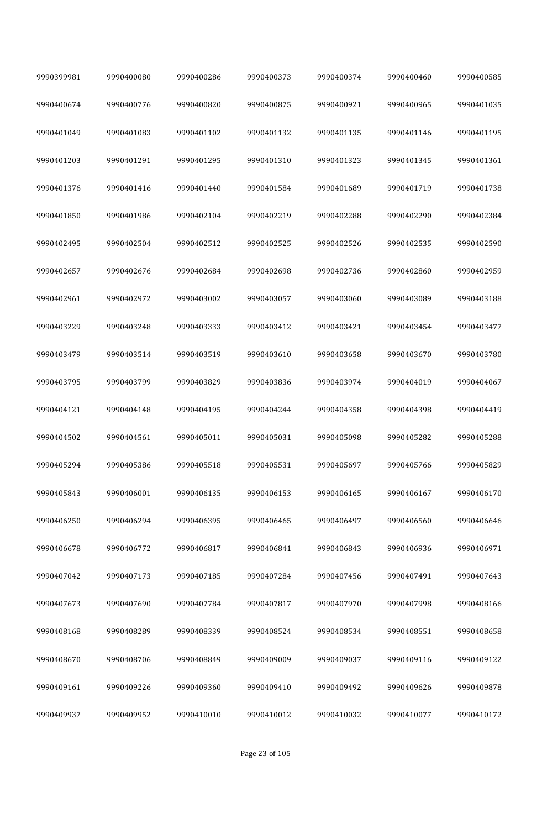| 9990399981 | 9990400080 | 9990400286 | 9990400373 | 9990400374 | 9990400460 | 9990400585 |
|------------|------------|------------|------------|------------|------------|------------|
| 9990400674 | 9990400776 | 9990400820 | 9990400875 | 9990400921 | 9990400965 | 9990401035 |
| 9990401049 | 9990401083 | 9990401102 | 9990401132 | 9990401135 | 9990401146 | 9990401195 |
| 9990401203 | 9990401291 | 9990401295 | 9990401310 | 9990401323 | 9990401345 | 9990401361 |
| 9990401376 | 9990401416 | 9990401440 | 9990401584 | 9990401689 | 9990401719 | 9990401738 |
| 9990401850 | 9990401986 | 9990402104 | 9990402219 | 9990402288 | 9990402290 | 9990402384 |
| 9990402495 | 9990402504 | 9990402512 | 9990402525 | 9990402526 | 9990402535 | 9990402590 |
| 9990402657 | 9990402676 | 9990402684 | 9990402698 | 9990402736 | 9990402860 | 9990402959 |
| 9990402961 | 9990402972 | 9990403002 | 9990403057 | 9990403060 | 9990403089 | 9990403188 |
| 9990403229 | 9990403248 | 9990403333 | 9990403412 | 9990403421 | 9990403454 | 9990403477 |
| 9990403479 | 9990403514 | 9990403519 | 9990403610 | 9990403658 | 9990403670 | 9990403780 |
| 9990403795 | 9990403799 | 9990403829 | 9990403836 | 9990403974 | 9990404019 | 9990404067 |
| 9990404121 | 9990404148 | 9990404195 | 9990404244 | 9990404358 | 9990404398 | 9990404419 |
| 9990404502 | 9990404561 | 9990405011 | 9990405031 | 9990405098 | 9990405282 | 9990405288 |
| 9990405294 | 9990405386 | 9990405518 | 9990405531 | 9990405697 | 9990405766 | 9990405829 |
| 9990405843 | 9990406001 | 9990406135 | 9990406153 | 9990406165 | 9990406167 | 9990406170 |
| 9990406250 | 9990406294 | 9990406395 | 9990406465 | 9990406497 | 9990406560 | 9990406646 |
| 9990406678 | 9990406772 | 9990406817 | 9990406841 | 9990406843 | 9990406936 | 9990406971 |
| 9990407042 | 9990407173 | 9990407185 | 9990407284 | 9990407456 | 9990407491 | 9990407643 |
| 9990407673 | 9990407690 | 9990407784 | 9990407817 | 9990407970 | 9990407998 | 9990408166 |
| 9990408168 | 9990408289 | 9990408339 | 9990408524 | 9990408534 | 9990408551 | 9990408658 |
| 9990408670 | 9990408706 | 9990408849 | 9990409009 | 9990409037 | 9990409116 | 9990409122 |
| 9990409161 | 9990409226 | 9990409360 | 9990409410 | 9990409492 | 9990409626 | 9990409878 |
| 9990409937 | 9990409952 | 9990410010 | 9990410012 | 9990410032 | 9990410077 | 9990410172 |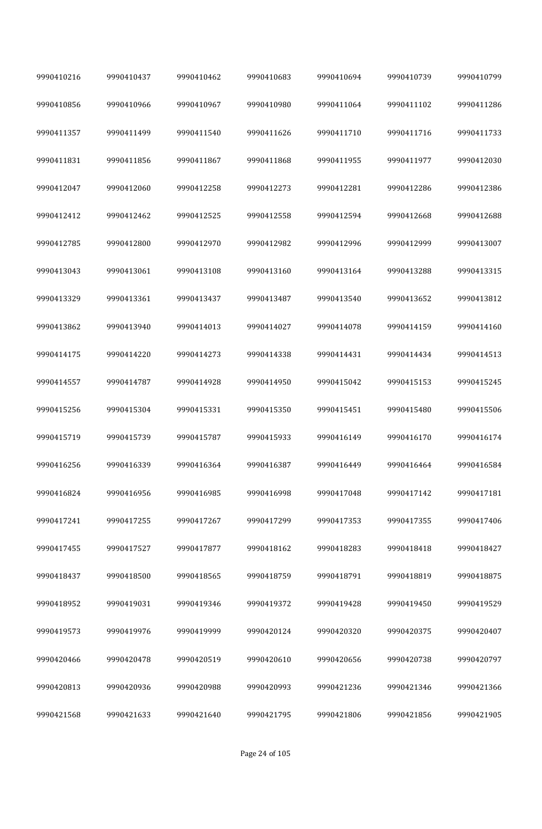| 9990410216 | 9990410437 | 9990410462 | 9990410683 | 9990410694 | 9990410739 | 9990410799 |
|------------|------------|------------|------------|------------|------------|------------|
| 9990410856 | 9990410966 | 9990410967 | 9990410980 | 9990411064 | 9990411102 | 9990411286 |
| 9990411357 | 9990411499 | 9990411540 | 9990411626 | 9990411710 | 9990411716 | 9990411733 |
| 9990411831 | 9990411856 | 9990411867 | 9990411868 | 9990411955 | 9990411977 | 9990412030 |
| 9990412047 | 9990412060 | 9990412258 | 9990412273 | 9990412281 | 9990412286 | 9990412386 |
| 9990412412 | 9990412462 | 9990412525 | 9990412558 | 9990412594 | 9990412668 | 9990412688 |
| 9990412785 | 9990412800 | 9990412970 | 9990412982 | 9990412996 | 9990412999 | 9990413007 |
| 9990413043 | 9990413061 | 9990413108 | 9990413160 | 9990413164 | 9990413288 | 9990413315 |
| 9990413329 | 9990413361 | 9990413437 | 9990413487 | 9990413540 | 9990413652 | 9990413812 |
| 9990413862 | 9990413940 | 9990414013 | 9990414027 | 9990414078 | 9990414159 | 9990414160 |
| 9990414175 | 9990414220 | 9990414273 | 9990414338 | 9990414431 | 9990414434 | 9990414513 |
| 9990414557 | 9990414787 | 9990414928 | 9990414950 | 9990415042 | 9990415153 | 9990415245 |
| 9990415256 | 9990415304 | 9990415331 | 9990415350 | 9990415451 | 9990415480 | 9990415506 |
| 9990415719 | 9990415739 | 9990415787 | 9990415933 | 9990416149 | 9990416170 | 9990416174 |
| 9990416256 | 9990416339 | 9990416364 | 9990416387 | 9990416449 | 9990416464 | 9990416584 |
| 9990416824 | 9990416956 | 9990416985 | 9990416998 | 9990417048 | 9990417142 | 9990417181 |
| 9990417241 | 9990417255 | 9990417267 | 9990417299 | 9990417353 | 9990417355 | 9990417406 |
| 9990417455 | 9990417527 | 9990417877 | 9990418162 | 9990418283 | 9990418418 | 9990418427 |
| 9990418437 | 9990418500 | 9990418565 | 9990418759 | 9990418791 | 9990418819 | 9990418875 |
| 9990418952 | 9990419031 | 9990419346 | 9990419372 | 9990419428 | 9990419450 | 9990419529 |
| 9990419573 | 9990419976 | 9990419999 | 9990420124 | 9990420320 | 9990420375 | 9990420407 |
| 9990420466 | 9990420478 | 9990420519 | 9990420610 | 9990420656 | 9990420738 | 9990420797 |
| 9990420813 | 9990420936 | 9990420988 | 9990420993 | 9990421236 | 9990421346 | 9990421366 |
| 9990421568 | 9990421633 | 9990421640 | 9990421795 | 9990421806 | 9990421856 | 9990421905 |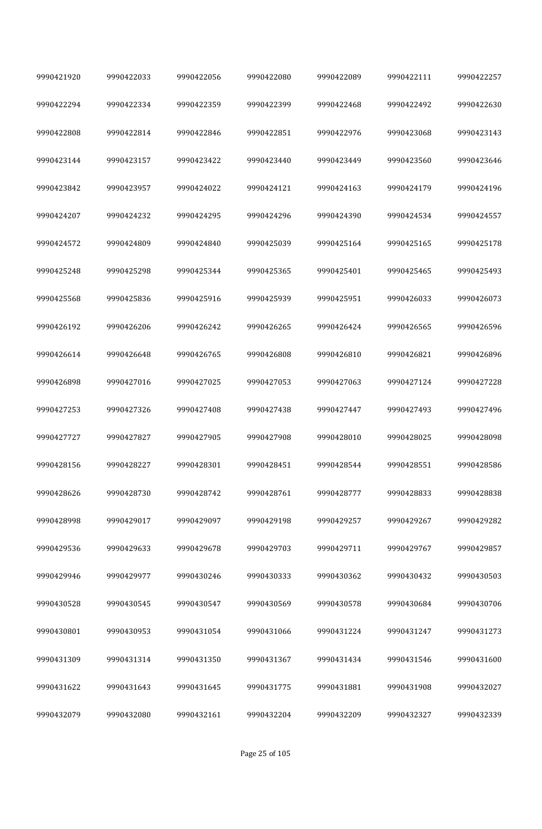| 9990421920 | 9990422033 | 9990422056 | 9990422080 | 9990422089 | 9990422111 | 9990422257 |
|------------|------------|------------|------------|------------|------------|------------|
| 9990422294 | 9990422334 | 9990422359 | 9990422399 | 9990422468 | 9990422492 | 9990422630 |
| 9990422808 | 9990422814 | 9990422846 | 9990422851 | 9990422976 | 9990423068 | 9990423143 |
| 9990423144 | 9990423157 | 9990423422 | 9990423440 | 9990423449 | 9990423560 | 9990423646 |
| 9990423842 | 9990423957 | 9990424022 | 9990424121 | 9990424163 | 9990424179 | 9990424196 |
| 9990424207 | 9990424232 | 9990424295 | 9990424296 | 9990424390 | 9990424534 | 9990424557 |
| 9990424572 | 9990424809 | 9990424840 | 9990425039 | 9990425164 | 9990425165 | 9990425178 |
| 9990425248 | 9990425298 | 9990425344 | 9990425365 | 9990425401 | 9990425465 | 9990425493 |
| 9990425568 | 9990425836 | 9990425916 | 9990425939 | 9990425951 | 9990426033 | 9990426073 |
| 9990426192 | 9990426206 | 9990426242 | 9990426265 | 9990426424 | 9990426565 | 9990426596 |
| 9990426614 | 9990426648 | 9990426765 | 9990426808 | 9990426810 | 9990426821 | 9990426896 |
| 9990426898 | 9990427016 | 9990427025 | 9990427053 | 9990427063 | 9990427124 | 9990427228 |
| 9990427253 | 9990427326 | 9990427408 | 9990427438 | 9990427447 | 9990427493 | 9990427496 |
| 9990427727 | 9990427827 | 9990427905 | 9990427908 | 9990428010 | 9990428025 | 9990428098 |
| 9990428156 | 9990428227 | 9990428301 | 9990428451 | 9990428544 | 9990428551 | 9990428586 |
| 9990428626 | 9990428730 | 9990428742 | 9990428761 | 9990428777 | 9990428833 | 9990428838 |
| 9990428998 | 9990429017 | 9990429097 | 9990429198 | 9990429257 | 9990429267 | 9990429282 |
| 9990429536 | 9990429633 | 9990429678 | 9990429703 | 9990429711 | 9990429767 | 9990429857 |
| 9990429946 | 9990429977 | 9990430246 | 9990430333 | 9990430362 | 9990430432 | 9990430503 |
| 9990430528 | 9990430545 | 9990430547 | 9990430569 | 9990430578 | 9990430684 | 9990430706 |
| 9990430801 | 9990430953 | 9990431054 | 9990431066 | 9990431224 | 9990431247 | 9990431273 |
| 9990431309 | 9990431314 | 9990431350 | 9990431367 | 9990431434 | 9990431546 | 9990431600 |
| 9990431622 | 9990431643 | 9990431645 | 9990431775 | 9990431881 | 9990431908 | 9990432027 |
| 9990432079 | 9990432080 | 9990432161 | 9990432204 | 9990432209 | 9990432327 | 9990432339 |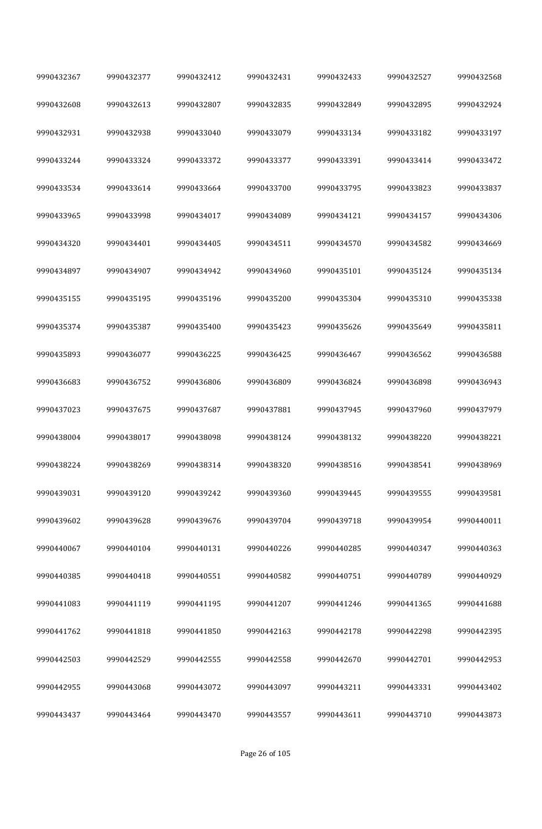| 9990432367 | 9990432377 | 9990432412 | 9990432431 | 9990432433 | 9990432527 | 9990432568 |
|------------|------------|------------|------------|------------|------------|------------|
| 9990432608 | 9990432613 | 9990432807 | 9990432835 | 9990432849 | 9990432895 | 9990432924 |
| 9990432931 | 9990432938 | 9990433040 | 9990433079 | 9990433134 | 9990433182 | 9990433197 |
| 9990433244 | 9990433324 | 9990433372 | 9990433377 | 9990433391 | 9990433414 | 9990433472 |
| 9990433534 | 9990433614 | 9990433664 | 9990433700 | 9990433795 | 9990433823 | 9990433837 |
| 9990433965 | 9990433998 | 9990434017 | 9990434089 | 9990434121 | 9990434157 | 9990434306 |
| 9990434320 | 9990434401 | 9990434405 | 9990434511 | 9990434570 | 9990434582 | 9990434669 |
| 9990434897 | 9990434907 | 9990434942 | 9990434960 | 9990435101 | 9990435124 | 9990435134 |
| 9990435155 | 9990435195 | 9990435196 | 9990435200 | 9990435304 | 9990435310 | 9990435338 |
| 9990435374 | 9990435387 | 9990435400 | 9990435423 | 9990435626 | 9990435649 | 9990435811 |
| 9990435893 | 9990436077 | 9990436225 | 9990436425 | 9990436467 | 9990436562 | 9990436588 |
| 9990436683 | 9990436752 | 9990436806 | 9990436809 | 9990436824 | 9990436898 | 9990436943 |
| 9990437023 | 9990437675 | 9990437687 | 9990437881 | 9990437945 | 9990437960 | 9990437979 |
| 9990438004 | 9990438017 | 9990438098 | 9990438124 | 9990438132 | 9990438220 | 9990438221 |
| 9990438224 | 9990438269 | 9990438314 | 9990438320 | 9990438516 | 9990438541 | 9990438969 |
| 9990439031 | 9990439120 | 9990439242 | 9990439360 | 9990439445 | 9990439555 | 9990439581 |
| 9990439602 | 9990439628 | 9990439676 | 9990439704 | 9990439718 | 9990439954 | 9990440011 |
| 9990440067 | 9990440104 | 9990440131 | 9990440226 | 9990440285 | 9990440347 | 9990440363 |
| 9990440385 | 9990440418 | 9990440551 | 9990440582 | 9990440751 | 9990440789 | 9990440929 |
| 9990441083 | 9990441119 | 9990441195 | 9990441207 | 9990441246 | 9990441365 | 9990441688 |
| 9990441762 | 9990441818 | 9990441850 | 9990442163 | 9990442178 | 9990442298 | 9990442395 |
| 9990442503 | 9990442529 | 9990442555 | 9990442558 | 9990442670 | 9990442701 | 9990442953 |
| 9990442955 | 9990443068 | 9990443072 | 9990443097 | 9990443211 | 9990443331 | 9990443402 |
| 9990443437 | 9990443464 | 9990443470 | 9990443557 | 9990443611 | 9990443710 | 9990443873 |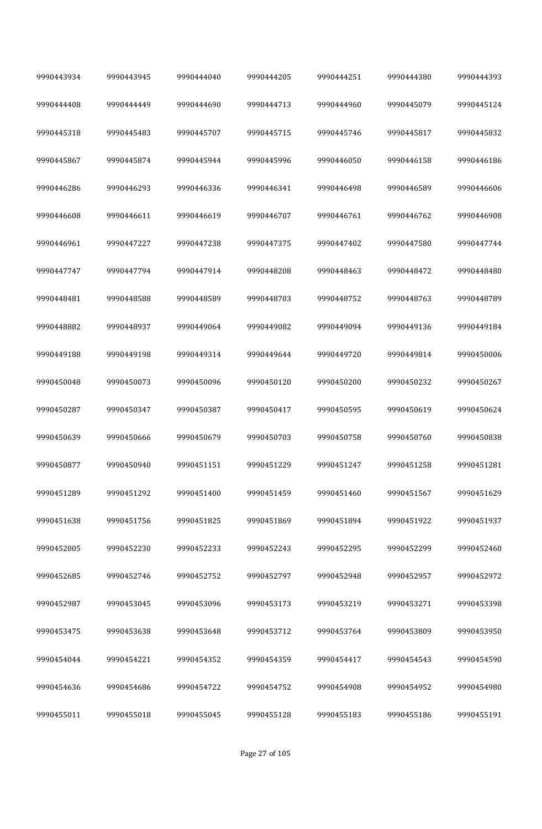| 9990443934 | 9990443945 | 9990444040 | 9990444205 | 9990444251 | 9990444380 | 9990444393 |
|------------|------------|------------|------------|------------|------------|------------|
| 9990444408 | 9990444449 | 9990444690 | 9990444713 | 9990444960 | 9990445079 | 9990445124 |
| 9990445318 | 9990445483 | 9990445707 | 9990445715 | 9990445746 | 9990445817 | 9990445832 |
| 9990445867 | 9990445874 | 9990445944 | 9990445996 | 9990446050 | 9990446158 | 9990446186 |
| 9990446286 | 9990446293 | 9990446336 | 9990446341 | 9990446498 | 9990446589 | 9990446606 |
| 9990446608 | 9990446611 | 9990446619 | 9990446707 | 9990446761 | 9990446762 | 9990446908 |
| 9990446961 | 9990447227 | 9990447238 | 9990447375 | 9990447402 | 9990447580 | 9990447744 |
| 9990447747 | 9990447794 | 9990447914 | 9990448208 | 9990448463 | 9990448472 | 9990448480 |
| 9990448481 | 9990448588 | 9990448589 | 9990448703 | 9990448752 | 9990448763 | 9990448789 |
| 9990448882 | 9990448937 | 9990449064 | 9990449082 | 9990449094 | 9990449136 | 9990449184 |
| 9990449188 | 9990449198 | 9990449314 | 9990449644 | 9990449720 | 9990449814 | 9990450006 |
| 9990450048 | 9990450073 | 9990450096 | 9990450120 | 9990450200 | 9990450232 | 9990450267 |
| 9990450287 | 9990450347 | 9990450387 | 9990450417 | 9990450595 | 9990450619 | 9990450624 |
| 9990450639 | 9990450666 | 9990450679 | 9990450703 | 9990450758 | 9990450760 | 9990450838 |
| 9990450877 | 9990450940 | 9990451151 | 9990451229 | 9990451247 | 9990451258 | 9990451281 |
| 9990451289 | 9990451292 | 9990451400 | 9990451459 | 9990451460 | 9990451567 | 9990451629 |
| 9990451638 | 9990451756 | 9990451825 | 9990451869 | 9990451894 | 9990451922 | 9990451937 |
| 9990452005 | 9990452230 | 9990452233 | 9990452243 | 9990452295 | 9990452299 | 9990452460 |
| 9990452685 | 9990452746 | 9990452752 | 9990452797 | 9990452948 | 9990452957 | 9990452972 |
| 9990452987 | 9990453045 | 9990453096 | 9990453173 | 9990453219 | 9990453271 | 9990453398 |
| 9990453475 | 9990453638 | 9990453648 | 9990453712 | 9990453764 | 9990453809 | 9990453950 |
| 9990454044 | 9990454221 | 9990454352 | 9990454359 | 9990454417 | 9990454543 | 9990454590 |
| 9990454636 | 9990454686 | 9990454722 | 9990454752 | 9990454908 | 9990454952 | 9990454980 |
| 9990455011 | 9990455018 | 9990455045 | 9990455128 | 9990455183 | 9990455186 | 9990455191 |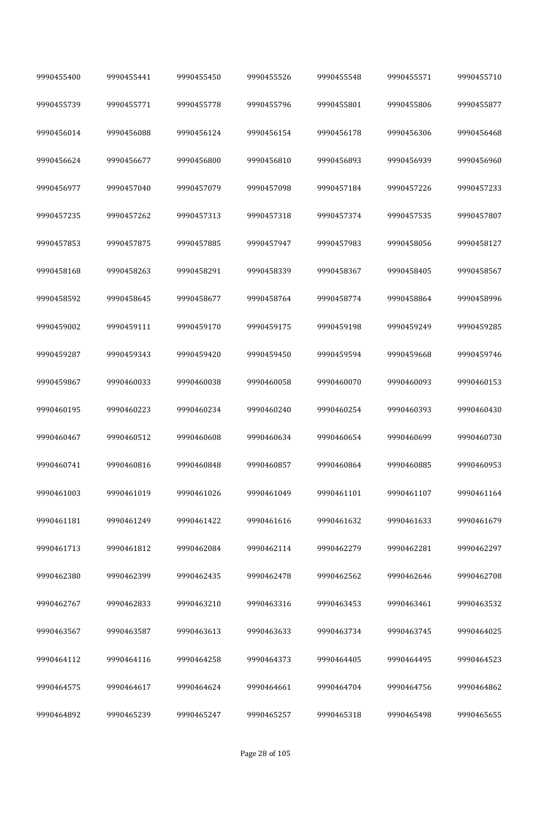| 9990455400 | 9990455441 | 9990455450 | 9990455526 | 9990455548 | 9990455571 | 9990455710 |
|------------|------------|------------|------------|------------|------------|------------|
| 9990455739 | 9990455771 | 9990455778 | 9990455796 | 9990455801 | 9990455806 | 9990455877 |
| 9990456014 | 9990456088 | 9990456124 | 9990456154 | 9990456178 | 9990456306 | 9990456468 |
| 9990456624 | 9990456677 | 9990456800 | 9990456810 | 9990456893 | 9990456939 | 9990456960 |
| 9990456977 | 9990457040 | 9990457079 | 9990457098 | 9990457184 | 9990457226 | 9990457233 |
| 9990457235 | 9990457262 | 9990457313 | 9990457318 | 9990457374 | 9990457535 | 9990457807 |
| 9990457853 | 9990457875 | 9990457885 | 9990457947 | 9990457983 | 9990458056 | 9990458127 |
| 9990458168 | 9990458263 | 9990458291 | 9990458339 | 9990458367 | 9990458405 | 9990458567 |
| 9990458592 | 9990458645 | 9990458677 | 9990458764 | 9990458774 | 9990458864 | 9990458996 |
| 9990459002 | 9990459111 | 9990459170 | 9990459175 | 9990459198 | 9990459249 | 9990459285 |
| 9990459287 | 9990459343 | 9990459420 | 9990459450 | 9990459594 | 9990459668 | 9990459746 |
| 9990459867 | 9990460033 | 9990460038 | 9990460058 | 9990460070 | 9990460093 | 9990460153 |
| 9990460195 | 9990460223 | 9990460234 | 9990460240 | 9990460254 | 9990460393 | 9990460430 |
| 9990460467 | 9990460512 | 9990460608 | 9990460634 | 9990460654 | 9990460699 | 9990460730 |
| 9990460741 | 9990460816 | 9990460848 | 9990460857 | 9990460864 | 9990460885 | 9990460953 |
| 9990461003 | 9990461019 | 9990461026 | 9990461049 | 9990461101 | 9990461107 | 9990461164 |
| 9990461181 | 9990461249 | 9990461422 | 9990461616 | 9990461632 | 9990461633 | 9990461679 |
| 9990461713 | 9990461812 | 9990462084 | 9990462114 | 9990462279 | 9990462281 | 9990462297 |
| 9990462380 | 9990462399 | 9990462435 | 9990462478 | 9990462562 | 9990462646 | 9990462708 |
| 9990462767 | 9990462833 | 9990463210 | 9990463316 | 9990463453 | 9990463461 | 9990463532 |
| 9990463567 | 9990463587 | 9990463613 | 9990463633 | 9990463734 | 9990463745 | 9990464025 |
| 9990464112 | 9990464116 | 9990464258 | 9990464373 | 9990464405 | 9990464495 | 9990464523 |
| 9990464575 | 9990464617 | 9990464624 | 9990464661 | 9990464704 | 9990464756 | 9990464862 |
| 9990464892 | 9990465239 | 9990465247 | 9990465257 | 9990465318 | 9990465498 | 9990465655 |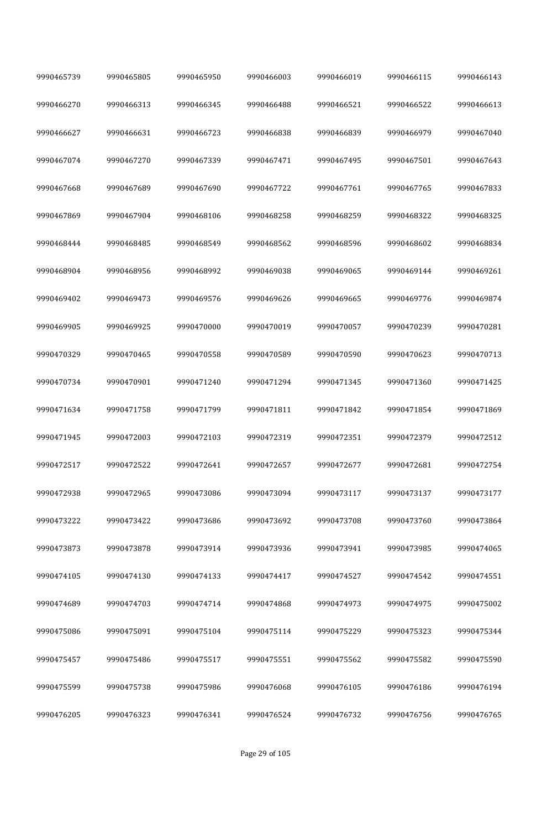| 9990465739 | 9990465805 | 9990465950 | 9990466003 | 9990466019 | 9990466115 | 9990466143 |
|------------|------------|------------|------------|------------|------------|------------|
| 9990466270 | 9990466313 | 9990466345 | 9990466488 | 9990466521 | 9990466522 | 9990466613 |
| 9990466627 | 9990466631 | 9990466723 | 9990466838 | 9990466839 | 9990466979 | 9990467040 |
| 9990467074 | 9990467270 | 9990467339 | 9990467471 | 9990467495 | 9990467501 | 9990467643 |
| 9990467668 | 9990467689 | 9990467690 | 9990467722 | 9990467761 | 9990467765 | 9990467833 |
| 9990467869 | 9990467904 | 9990468106 | 9990468258 | 9990468259 | 9990468322 | 9990468325 |
| 9990468444 | 9990468485 | 9990468549 | 9990468562 | 9990468596 | 9990468602 | 9990468834 |
| 9990468904 | 9990468956 | 9990468992 | 9990469038 | 9990469065 | 9990469144 | 9990469261 |
| 9990469402 | 9990469473 | 9990469576 | 9990469626 | 9990469665 | 9990469776 | 9990469874 |
| 9990469905 | 9990469925 | 9990470000 | 9990470019 | 9990470057 | 9990470239 | 9990470281 |
| 9990470329 | 9990470465 | 9990470558 | 9990470589 | 9990470590 | 9990470623 | 9990470713 |
| 9990470734 | 9990470901 | 9990471240 | 9990471294 | 9990471345 | 9990471360 | 9990471425 |
| 9990471634 | 9990471758 | 9990471799 | 9990471811 | 9990471842 | 9990471854 | 9990471869 |
| 9990471945 | 9990472003 | 9990472103 | 9990472319 | 9990472351 | 9990472379 | 9990472512 |
| 9990472517 | 9990472522 | 9990472641 | 9990472657 | 9990472677 | 9990472681 | 9990472754 |
| 9990472938 | 9990472965 | 9990473086 | 9990473094 | 9990473117 | 9990473137 | 9990473177 |
| 9990473222 | 9990473422 | 9990473686 | 9990473692 | 9990473708 | 9990473760 | 9990473864 |
| 9990473873 | 9990473878 | 9990473914 | 9990473936 | 9990473941 | 9990473985 | 9990474065 |
| 9990474105 | 9990474130 | 9990474133 | 9990474417 | 9990474527 | 9990474542 | 9990474551 |
| 9990474689 | 9990474703 | 9990474714 | 9990474868 | 9990474973 | 9990474975 | 9990475002 |
| 9990475086 | 9990475091 | 9990475104 | 9990475114 | 9990475229 | 9990475323 | 9990475344 |
| 9990475457 | 9990475486 | 9990475517 | 9990475551 | 9990475562 | 9990475582 | 9990475590 |
| 9990475599 | 9990475738 | 9990475986 | 9990476068 | 9990476105 | 9990476186 | 9990476194 |
| 9990476205 | 9990476323 | 9990476341 | 9990476524 | 9990476732 | 9990476756 | 9990476765 |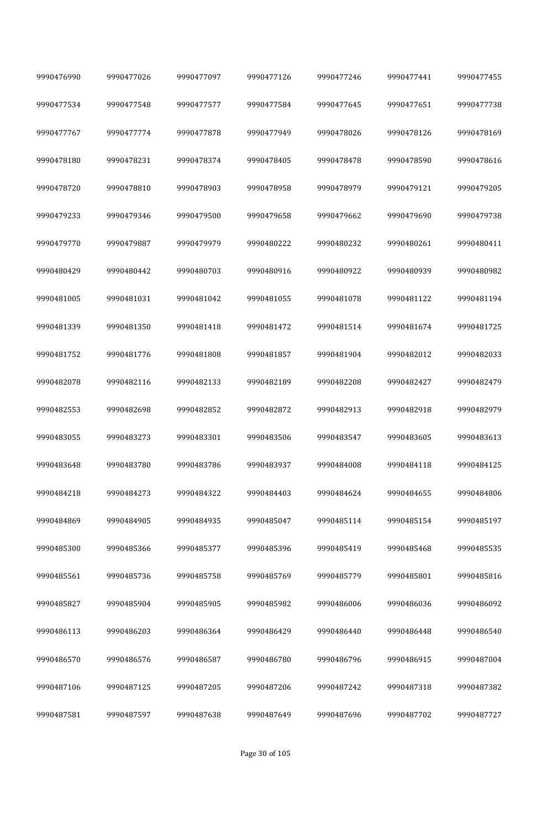| 9990476990 | 9990477026 | 9990477097 | 9990477126 | 9990477246 | 9990477441 | 9990477455 |
|------------|------------|------------|------------|------------|------------|------------|
| 9990477534 | 9990477548 | 9990477577 | 9990477584 | 9990477645 | 9990477651 | 9990477738 |
| 9990477767 | 9990477774 | 9990477878 | 9990477949 | 9990478026 | 9990478126 | 9990478169 |
| 9990478180 | 9990478231 | 9990478374 | 9990478405 | 9990478478 | 9990478590 | 9990478616 |
| 9990478720 | 9990478810 | 9990478903 | 9990478958 | 9990478979 | 9990479121 | 9990479205 |
| 9990479233 | 9990479346 | 9990479500 | 9990479658 | 9990479662 | 9990479690 | 9990479738 |
| 9990479770 | 9990479887 | 9990479979 | 9990480222 | 9990480232 | 9990480261 | 9990480411 |
| 9990480429 | 9990480442 | 9990480703 | 9990480916 | 9990480922 | 9990480939 | 9990480982 |
| 9990481005 | 9990481031 | 9990481042 | 9990481055 | 9990481078 | 9990481122 | 9990481194 |
| 9990481339 | 9990481350 | 9990481418 | 9990481472 | 9990481514 | 9990481674 | 9990481725 |
| 9990481752 | 9990481776 | 9990481808 | 9990481857 | 9990481904 | 9990482012 | 9990482033 |
| 9990482078 | 9990482116 | 9990482133 | 9990482189 | 9990482208 | 9990482427 | 9990482479 |
| 9990482553 | 9990482698 | 9990482852 | 9990482872 | 9990482913 | 9990482918 | 9990482979 |
| 9990483055 | 9990483273 | 9990483301 | 9990483506 | 9990483547 | 9990483605 | 9990483613 |
| 9990483648 | 9990483780 | 9990483786 | 9990483937 | 9990484008 | 9990484118 | 9990484125 |
| 9990484218 | 9990484273 | 9990484322 | 9990484403 | 9990484624 | 9990484655 | 9990484806 |
| 9990484869 | 9990484905 | 9990484935 | 9990485047 | 9990485114 | 9990485154 | 9990485197 |
| 9990485300 | 9990485366 | 9990485377 | 9990485396 | 9990485419 | 9990485468 | 9990485535 |
| 9990485561 | 9990485736 | 9990485758 | 9990485769 | 9990485779 | 9990485801 | 9990485816 |
| 9990485827 | 9990485904 | 9990485905 | 9990485982 | 9990486006 | 9990486036 | 9990486092 |
| 9990486113 | 9990486203 | 9990486364 | 9990486429 | 9990486440 | 9990486448 | 9990486540 |
| 9990486570 | 9990486576 | 9990486587 | 9990486780 | 9990486796 | 9990486915 | 9990487004 |
| 9990487106 | 9990487125 | 9990487205 | 9990487206 | 9990487242 | 9990487318 | 9990487382 |
| 9990487581 | 9990487597 | 9990487638 | 9990487649 | 9990487696 | 9990487702 | 9990487727 |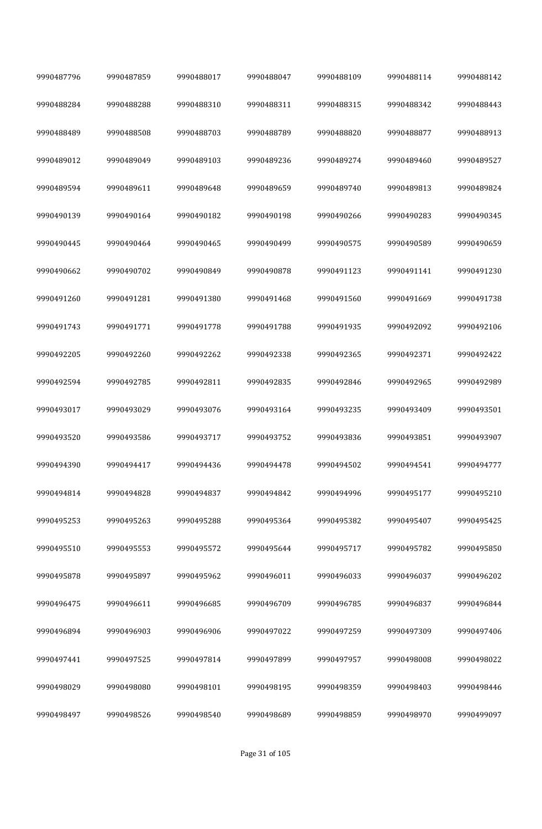| 9990487796 | 9990487859 | 9990488017 | 9990488047 | 9990488109 | 9990488114 | 9990488142 |
|------------|------------|------------|------------|------------|------------|------------|
| 9990488284 | 9990488288 | 9990488310 | 9990488311 | 9990488315 | 9990488342 | 9990488443 |
| 9990488489 | 9990488508 | 9990488703 | 9990488789 | 9990488820 | 9990488877 | 9990488913 |
| 9990489012 | 9990489049 | 9990489103 | 9990489236 | 9990489274 | 9990489460 | 9990489527 |
| 9990489594 | 9990489611 | 9990489648 | 9990489659 | 9990489740 | 9990489813 | 9990489824 |
| 9990490139 | 9990490164 | 9990490182 | 9990490198 | 9990490266 | 9990490283 | 9990490345 |
| 9990490445 | 9990490464 | 9990490465 | 9990490499 | 9990490575 | 9990490589 | 9990490659 |
| 9990490662 | 9990490702 | 9990490849 | 9990490878 | 9990491123 | 9990491141 | 9990491230 |
| 9990491260 | 9990491281 | 9990491380 | 9990491468 | 9990491560 | 9990491669 | 9990491738 |
| 9990491743 | 9990491771 | 9990491778 | 9990491788 | 9990491935 | 9990492092 | 9990492106 |
| 9990492205 | 9990492260 | 9990492262 | 9990492338 | 9990492365 | 9990492371 | 9990492422 |
| 9990492594 | 9990492785 | 9990492811 | 9990492835 | 9990492846 | 9990492965 | 9990492989 |
| 9990493017 | 9990493029 | 9990493076 | 9990493164 | 9990493235 | 9990493409 | 9990493501 |
| 9990493520 | 9990493586 | 9990493717 | 9990493752 | 9990493836 | 9990493851 | 9990493907 |
| 9990494390 | 9990494417 | 9990494436 | 9990494478 | 9990494502 | 9990494541 | 9990494777 |
| 9990494814 | 9990494828 | 9990494837 | 9990494842 | 9990494996 | 9990495177 | 9990495210 |
| 9990495253 | 9990495263 | 9990495288 | 9990495364 | 9990495382 | 9990495407 | 9990495425 |
| 9990495510 | 9990495553 | 9990495572 | 9990495644 | 9990495717 | 9990495782 | 9990495850 |
| 9990495878 | 9990495897 | 9990495962 | 9990496011 | 9990496033 | 9990496037 | 9990496202 |
| 9990496475 | 9990496611 | 9990496685 | 9990496709 | 9990496785 | 9990496837 | 9990496844 |
| 9990496894 | 9990496903 | 9990496906 | 9990497022 | 9990497259 | 9990497309 | 9990497406 |
| 9990497441 | 9990497525 | 9990497814 | 9990497899 | 9990497957 | 9990498008 | 9990498022 |
| 9990498029 | 9990498080 | 9990498101 | 9990498195 | 9990498359 | 9990498403 | 9990498446 |
| 9990498497 | 9990498526 | 9990498540 | 9990498689 | 9990498859 | 9990498970 | 9990499097 |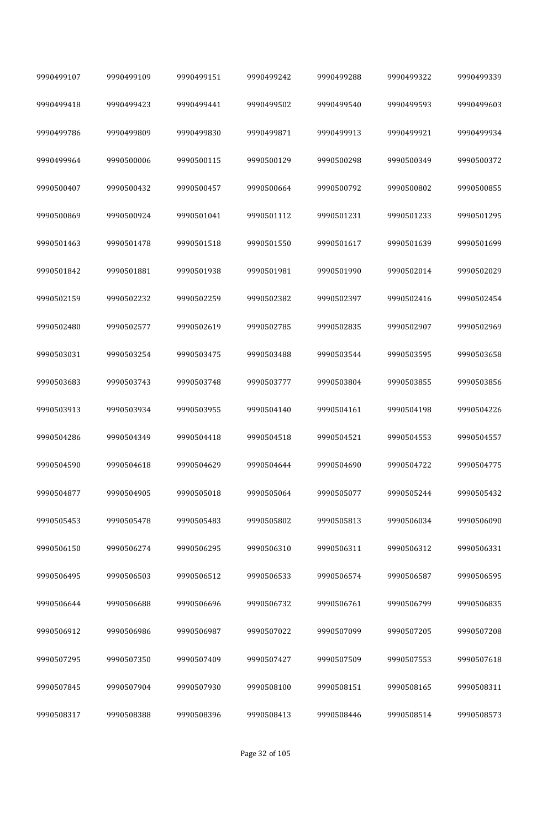| 9990499107 | 9990499109 | 9990499151 | 9990499242 | 9990499288 | 9990499322 | 9990499339 |
|------------|------------|------------|------------|------------|------------|------------|
| 9990499418 | 9990499423 | 9990499441 | 9990499502 | 9990499540 | 9990499593 | 9990499603 |
| 9990499786 | 9990499809 | 9990499830 | 9990499871 | 9990499913 | 9990499921 | 9990499934 |
| 9990499964 | 9990500006 | 9990500115 | 9990500129 | 9990500298 | 9990500349 | 9990500372 |
| 9990500407 | 9990500432 | 9990500457 | 9990500664 | 9990500792 | 9990500802 | 9990500855 |
| 9990500869 | 9990500924 | 9990501041 | 9990501112 | 9990501231 | 9990501233 | 9990501295 |
| 9990501463 | 9990501478 | 9990501518 | 9990501550 | 9990501617 | 9990501639 | 9990501699 |
| 9990501842 | 9990501881 | 9990501938 | 9990501981 | 9990501990 | 9990502014 | 9990502029 |
| 9990502159 | 9990502232 | 9990502259 | 9990502382 | 9990502397 | 9990502416 | 9990502454 |
| 9990502480 | 9990502577 | 9990502619 | 9990502785 | 9990502835 | 9990502907 | 9990502969 |
| 9990503031 | 9990503254 | 9990503475 | 9990503488 | 9990503544 | 9990503595 | 9990503658 |
| 9990503683 | 9990503743 | 9990503748 | 9990503777 | 9990503804 | 9990503855 | 9990503856 |
| 9990503913 | 9990503934 | 9990503955 | 9990504140 | 9990504161 | 9990504198 | 9990504226 |
| 9990504286 | 9990504349 | 9990504418 | 9990504518 | 9990504521 | 9990504553 | 9990504557 |
| 9990504590 | 9990504618 | 9990504629 | 9990504644 | 9990504690 | 9990504722 | 9990504775 |
| 9990504877 | 9990504905 | 9990505018 | 9990505064 | 9990505077 | 9990505244 | 9990505432 |
| 9990505453 | 9990505478 | 9990505483 | 9990505802 | 9990505813 | 9990506034 | 9990506090 |
| 9990506150 | 9990506274 | 9990506295 | 9990506310 | 9990506311 | 9990506312 | 9990506331 |
| 9990506495 | 9990506503 | 9990506512 | 9990506533 | 9990506574 | 9990506587 | 9990506595 |
| 9990506644 | 9990506688 | 9990506696 | 9990506732 | 9990506761 | 9990506799 | 9990506835 |
| 9990506912 | 9990506986 | 9990506987 | 9990507022 | 9990507099 | 9990507205 | 9990507208 |
| 9990507295 | 9990507350 | 9990507409 | 9990507427 | 9990507509 | 9990507553 | 9990507618 |
| 9990507845 | 9990507904 | 9990507930 | 9990508100 | 9990508151 | 9990508165 | 9990508311 |
| 9990508317 | 9990508388 | 9990508396 | 9990508413 | 9990508446 | 9990508514 | 9990508573 |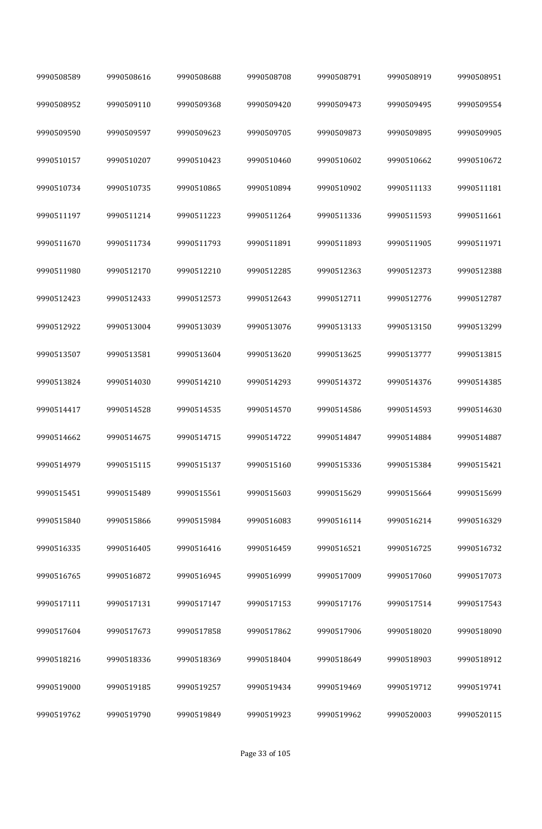| 9990508589 | 9990508616 | 9990508688 | 9990508708 | 9990508791 | 9990508919 | 9990508951 |
|------------|------------|------------|------------|------------|------------|------------|
| 9990508952 | 9990509110 | 9990509368 | 9990509420 | 9990509473 | 9990509495 | 9990509554 |
| 9990509590 | 9990509597 | 9990509623 | 9990509705 | 9990509873 | 9990509895 | 9990509905 |
| 9990510157 | 9990510207 | 9990510423 | 9990510460 | 9990510602 | 9990510662 | 9990510672 |
| 9990510734 | 9990510735 | 9990510865 | 9990510894 | 9990510902 | 9990511133 | 9990511181 |
| 9990511197 | 9990511214 | 9990511223 | 9990511264 | 9990511336 | 9990511593 | 9990511661 |
| 9990511670 | 9990511734 | 9990511793 | 9990511891 | 9990511893 | 9990511905 | 9990511971 |
| 9990511980 | 9990512170 | 9990512210 | 9990512285 | 9990512363 | 9990512373 | 9990512388 |
| 9990512423 | 9990512433 | 9990512573 | 9990512643 | 9990512711 | 9990512776 | 9990512787 |
| 9990512922 | 9990513004 | 9990513039 | 9990513076 | 9990513133 | 9990513150 | 9990513299 |
| 9990513507 | 9990513581 | 9990513604 | 9990513620 | 9990513625 | 9990513777 | 9990513815 |
| 9990513824 | 9990514030 | 9990514210 | 9990514293 | 9990514372 | 9990514376 | 9990514385 |
| 9990514417 | 9990514528 | 9990514535 | 9990514570 | 9990514586 | 9990514593 | 9990514630 |
| 9990514662 | 9990514675 | 9990514715 | 9990514722 | 9990514847 | 9990514884 | 9990514887 |
| 9990514979 | 9990515115 | 9990515137 | 9990515160 | 9990515336 | 9990515384 | 9990515421 |
| 9990515451 | 9990515489 | 9990515561 | 9990515603 | 9990515629 | 9990515664 | 9990515699 |
| 9990515840 | 9990515866 | 9990515984 | 9990516083 | 9990516114 | 9990516214 | 9990516329 |
| 9990516335 | 9990516405 | 9990516416 | 9990516459 | 9990516521 | 9990516725 | 9990516732 |
| 9990516765 | 9990516872 | 9990516945 | 9990516999 | 9990517009 | 9990517060 | 9990517073 |
| 9990517111 | 9990517131 | 9990517147 | 9990517153 | 9990517176 | 9990517514 | 9990517543 |
| 9990517604 | 9990517673 | 9990517858 | 9990517862 | 9990517906 | 9990518020 | 9990518090 |
| 9990518216 | 9990518336 | 9990518369 | 9990518404 | 9990518649 | 9990518903 | 9990518912 |
| 9990519000 | 9990519185 | 9990519257 | 9990519434 | 9990519469 | 9990519712 | 9990519741 |
| 9990519762 | 9990519790 | 9990519849 | 9990519923 | 9990519962 | 9990520003 | 9990520115 |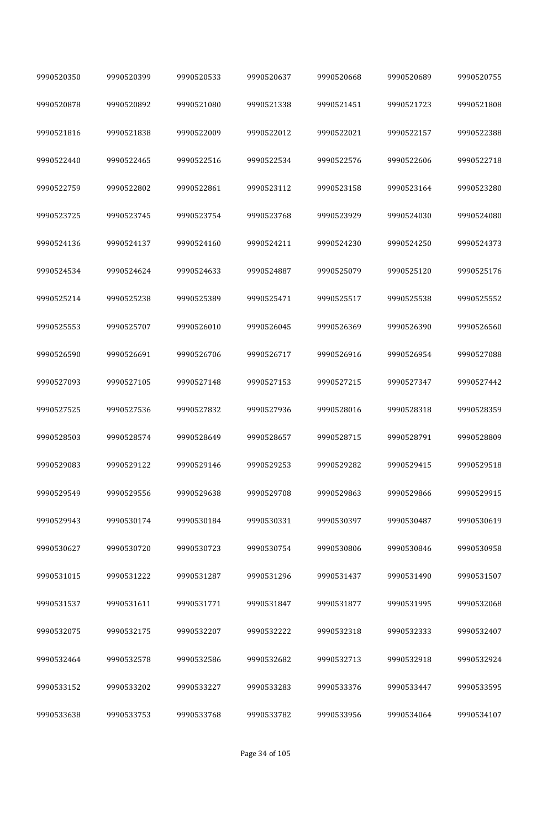| 9990520350 | 9990520399 | 9990520533 | 9990520637 | 9990520668 | 9990520689 | 9990520755 |
|------------|------------|------------|------------|------------|------------|------------|
| 9990520878 | 9990520892 | 9990521080 | 9990521338 | 9990521451 | 9990521723 | 9990521808 |
| 9990521816 | 9990521838 | 9990522009 | 9990522012 | 9990522021 | 9990522157 | 9990522388 |
| 9990522440 | 9990522465 | 9990522516 | 9990522534 | 9990522576 | 9990522606 | 9990522718 |
| 9990522759 | 9990522802 | 9990522861 | 9990523112 | 9990523158 | 9990523164 | 9990523280 |
| 9990523725 | 9990523745 | 9990523754 | 9990523768 | 9990523929 | 9990524030 | 9990524080 |
| 9990524136 | 9990524137 | 9990524160 | 9990524211 | 9990524230 | 9990524250 | 9990524373 |
| 9990524534 | 9990524624 | 9990524633 | 9990524887 | 9990525079 | 9990525120 | 9990525176 |
| 9990525214 | 9990525238 | 9990525389 | 9990525471 | 9990525517 | 9990525538 | 9990525552 |
| 9990525553 | 9990525707 | 9990526010 | 9990526045 | 9990526369 | 9990526390 | 9990526560 |
| 9990526590 | 9990526691 | 9990526706 | 9990526717 | 9990526916 | 9990526954 | 9990527088 |
| 9990527093 | 9990527105 | 9990527148 | 9990527153 | 9990527215 | 9990527347 | 9990527442 |
| 9990527525 | 9990527536 | 9990527832 | 9990527936 | 9990528016 | 9990528318 | 9990528359 |
| 9990528503 | 9990528574 | 9990528649 | 9990528657 | 9990528715 | 9990528791 | 9990528809 |
| 9990529083 | 9990529122 | 9990529146 | 9990529253 | 9990529282 | 9990529415 | 9990529518 |
| 9990529549 | 9990529556 | 9990529638 | 9990529708 | 9990529863 | 9990529866 | 9990529915 |
| 9990529943 | 9990530174 | 9990530184 | 9990530331 | 9990530397 | 9990530487 | 9990530619 |
| 9990530627 | 9990530720 | 9990530723 | 9990530754 | 9990530806 | 9990530846 | 9990530958 |
| 9990531015 | 9990531222 | 9990531287 | 9990531296 | 9990531437 | 9990531490 | 9990531507 |
| 9990531537 | 9990531611 | 9990531771 | 9990531847 | 9990531877 | 9990531995 | 9990532068 |
| 9990532075 | 9990532175 | 9990532207 | 9990532222 | 9990532318 | 9990532333 | 9990532407 |
| 9990532464 | 9990532578 | 9990532586 | 9990532682 | 9990532713 | 9990532918 | 9990532924 |
| 9990533152 | 9990533202 | 9990533227 | 9990533283 | 9990533376 | 9990533447 | 9990533595 |
| 9990533638 | 9990533753 | 9990533768 | 9990533782 | 9990533956 | 9990534064 | 9990534107 |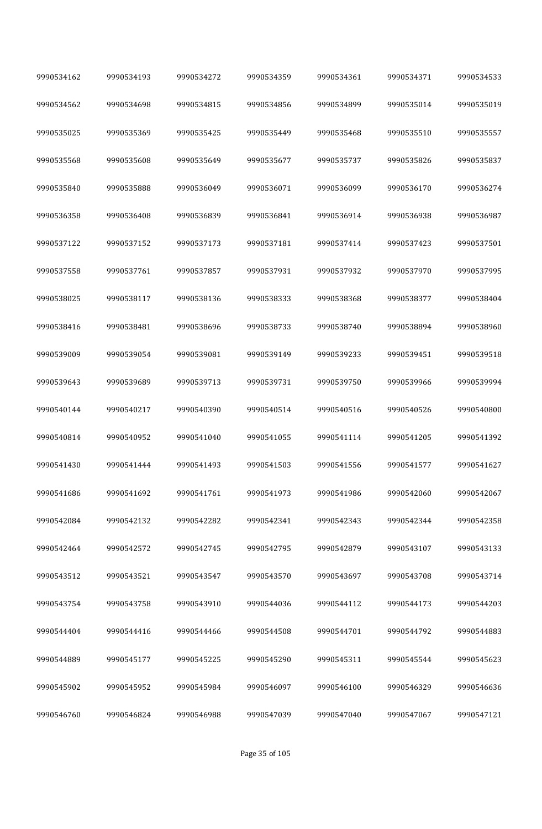| 9990534162 | 9990534193 | 9990534272 | 9990534359 | 9990534361 | 9990534371 | 9990534533 |
|------------|------------|------------|------------|------------|------------|------------|
| 9990534562 | 9990534698 | 9990534815 | 9990534856 | 9990534899 | 9990535014 | 9990535019 |
| 9990535025 | 9990535369 | 9990535425 | 9990535449 | 9990535468 | 9990535510 | 9990535557 |
| 9990535568 | 9990535608 | 9990535649 | 9990535677 | 9990535737 | 9990535826 | 9990535837 |
| 9990535840 | 9990535888 | 9990536049 | 9990536071 | 9990536099 | 9990536170 | 9990536274 |
| 9990536358 | 9990536408 | 9990536839 | 9990536841 | 9990536914 | 9990536938 | 9990536987 |
| 9990537122 | 9990537152 | 9990537173 | 9990537181 | 9990537414 | 9990537423 | 9990537501 |
| 9990537558 | 9990537761 | 9990537857 | 9990537931 | 9990537932 | 9990537970 | 9990537995 |
| 9990538025 | 9990538117 | 9990538136 | 9990538333 | 9990538368 | 9990538377 | 9990538404 |
| 9990538416 | 9990538481 | 9990538696 | 9990538733 | 9990538740 | 9990538894 | 9990538960 |
| 9990539009 | 9990539054 | 9990539081 | 9990539149 | 9990539233 | 9990539451 | 9990539518 |
| 9990539643 | 9990539689 | 9990539713 | 9990539731 | 9990539750 | 9990539966 | 9990539994 |
| 9990540144 | 9990540217 | 9990540390 | 9990540514 | 9990540516 | 9990540526 | 9990540800 |
| 9990540814 | 9990540952 | 9990541040 | 9990541055 | 9990541114 | 9990541205 | 9990541392 |
| 9990541430 | 9990541444 | 9990541493 | 9990541503 | 9990541556 | 9990541577 | 9990541627 |
| 9990541686 | 9990541692 | 9990541761 | 9990541973 | 9990541986 | 9990542060 | 9990542067 |
| 9990542084 | 9990542132 | 9990542282 | 9990542341 | 9990542343 | 9990542344 | 9990542358 |
| 9990542464 | 9990542572 | 9990542745 | 9990542795 | 9990542879 | 9990543107 | 9990543133 |
| 9990543512 | 9990543521 | 9990543547 | 9990543570 | 9990543697 | 9990543708 | 9990543714 |
| 9990543754 | 9990543758 | 9990543910 | 9990544036 | 9990544112 | 9990544173 | 9990544203 |
| 9990544404 | 9990544416 | 9990544466 | 9990544508 | 9990544701 | 9990544792 | 9990544883 |
| 9990544889 | 9990545177 | 9990545225 | 9990545290 | 9990545311 | 9990545544 | 9990545623 |
| 9990545902 | 9990545952 | 9990545984 | 9990546097 | 9990546100 | 9990546329 | 9990546636 |
| 9990546760 | 9990546824 | 9990546988 | 9990547039 | 9990547040 | 9990547067 | 9990547121 |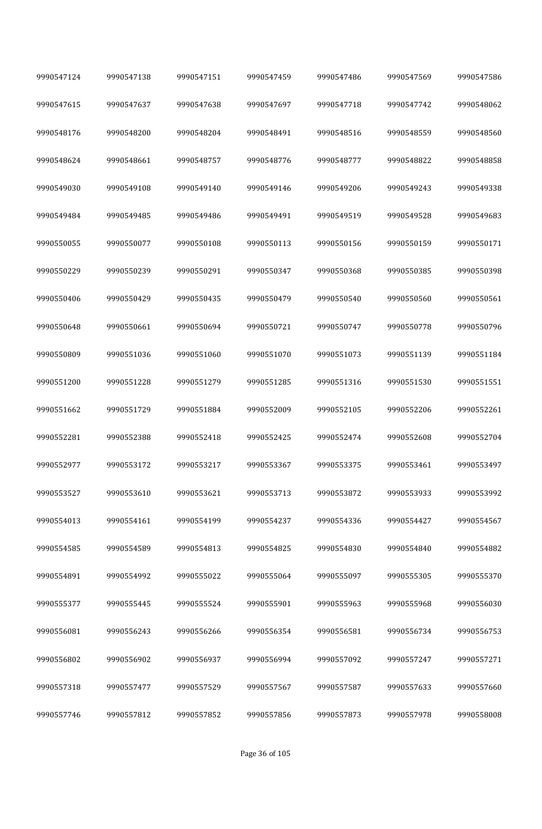| 9990547124 | 9990547138 | 9990547151 | 9990547459 | 9990547486 | 9990547569 | 9990547586 |
|------------|------------|------------|------------|------------|------------|------------|
| 9990547615 | 9990547637 | 9990547638 | 9990547697 | 9990547718 | 9990547742 | 9990548062 |
| 9990548176 | 9990548200 | 9990548204 | 9990548491 | 9990548516 | 9990548559 | 9990548560 |
| 9990548624 | 9990548661 | 9990548757 | 9990548776 | 9990548777 | 9990548822 | 9990548858 |
| 9990549030 | 9990549108 | 9990549140 | 9990549146 | 9990549206 | 9990549243 | 9990549338 |
| 9990549484 | 9990549485 | 9990549486 | 9990549491 | 9990549519 | 9990549528 | 9990549683 |
| 9990550055 | 9990550077 | 9990550108 | 9990550113 | 9990550156 | 9990550159 | 9990550171 |
| 9990550229 | 9990550239 | 9990550291 | 9990550347 | 9990550368 | 9990550385 | 9990550398 |
| 9990550406 | 9990550429 | 9990550435 | 9990550479 | 9990550540 | 9990550560 | 9990550561 |
| 9990550648 | 9990550661 | 9990550694 | 9990550721 | 9990550747 | 9990550778 | 9990550796 |
| 9990550809 | 9990551036 | 9990551060 | 9990551070 | 9990551073 | 9990551139 | 9990551184 |
| 9990551200 | 9990551228 | 9990551279 | 9990551285 | 9990551316 | 9990551530 | 9990551551 |
| 9990551662 | 9990551729 | 9990551884 | 9990552009 | 9990552105 | 9990552206 | 9990552261 |
| 9990552281 | 9990552388 | 9990552418 | 9990552425 | 9990552474 | 9990552608 | 9990552704 |
| 9990552977 | 9990553172 | 9990553217 | 9990553367 | 9990553375 | 9990553461 | 9990553497 |
| 9990553527 | 9990553610 | 9990553621 | 9990553713 | 9990553872 | 9990553933 | 9990553992 |
| 9990554013 | 9990554161 | 9990554199 | 9990554237 | 9990554336 | 9990554427 | 9990554567 |
| 9990554585 | 9990554589 | 9990554813 | 9990554825 | 9990554830 | 9990554840 | 9990554882 |
| 9990554891 | 9990554992 | 9990555022 | 9990555064 | 9990555097 | 9990555305 | 9990555370 |
| 9990555377 | 9990555445 | 9990555524 | 9990555901 | 9990555963 | 9990555968 | 9990556030 |
| 9990556081 | 9990556243 | 9990556266 | 9990556354 | 9990556581 | 9990556734 | 9990556753 |
| 9990556802 | 9990556902 | 9990556937 | 9990556994 | 9990557092 | 9990557247 | 9990557271 |
| 9990557318 | 9990557477 | 9990557529 | 9990557567 | 9990557587 | 9990557633 | 9990557660 |
| 9990557746 | 9990557812 | 9990557852 | 9990557856 | 9990557873 | 9990557978 | 9990558008 |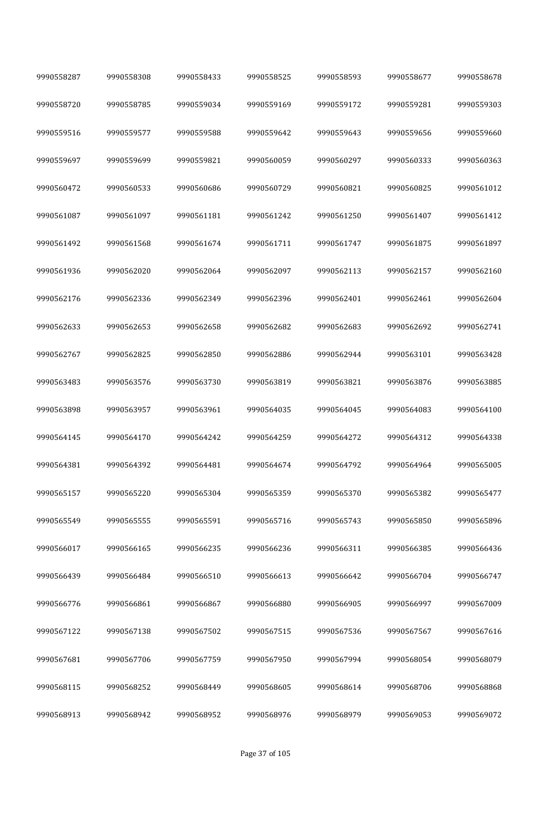| 9990558287 | 9990558308 | 9990558433 | 9990558525 | 9990558593 | 9990558677 | 9990558678 |
|------------|------------|------------|------------|------------|------------|------------|
| 9990558720 | 9990558785 | 9990559034 | 9990559169 | 9990559172 | 9990559281 | 9990559303 |
| 9990559516 | 9990559577 | 9990559588 | 9990559642 | 9990559643 | 9990559656 | 9990559660 |
| 9990559697 | 9990559699 | 9990559821 | 9990560059 | 9990560297 | 9990560333 | 9990560363 |
| 9990560472 | 9990560533 | 9990560686 | 9990560729 | 9990560821 | 9990560825 | 9990561012 |
| 9990561087 | 9990561097 | 9990561181 | 9990561242 | 9990561250 | 9990561407 | 9990561412 |
| 9990561492 | 9990561568 | 9990561674 | 9990561711 | 9990561747 | 9990561875 | 9990561897 |
| 9990561936 | 9990562020 | 9990562064 | 9990562097 | 9990562113 | 9990562157 | 9990562160 |
| 9990562176 | 9990562336 | 9990562349 | 9990562396 | 9990562401 | 9990562461 | 9990562604 |
| 9990562633 | 9990562653 | 9990562658 | 9990562682 | 9990562683 | 9990562692 | 9990562741 |
| 9990562767 | 9990562825 | 9990562850 | 9990562886 | 9990562944 | 9990563101 | 9990563428 |
| 9990563483 | 9990563576 | 9990563730 | 9990563819 | 9990563821 | 9990563876 | 9990563885 |
| 9990563898 | 9990563957 | 9990563961 | 9990564035 | 9990564045 | 9990564083 | 9990564100 |
| 9990564145 | 9990564170 | 9990564242 | 9990564259 | 9990564272 | 9990564312 | 9990564338 |
| 9990564381 | 9990564392 | 9990564481 | 9990564674 | 9990564792 | 9990564964 | 9990565005 |
| 9990565157 | 9990565220 | 9990565304 | 9990565359 | 9990565370 | 9990565382 | 9990565477 |
| 9990565549 | 9990565555 | 9990565591 | 9990565716 | 9990565743 | 9990565850 | 9990565896 |
| 9990566017 | 9990566165 | 9990566235 | 9990566236 | 9990566311 | 9990566385 | 9990566436 |
| 9990566439 | 9990566484 | 9990566510 | 9990566613 | 9990566642 | 9990566704 | 9990566747 |
| 9990566776 | 9990566861 | 9990566867 | 9990566880 | 9990566905 | 9990566997 | 9990567009 |
| 9990567122 | 9990567138 | 9990567502 | 9990567515 | 9990567536 | 9990567567 | 9990567616 |
| 9990567681 | 9990567706 | 9990567759 | 9990567950 | 9990567994 | 9990568054 | 9990568079 |
| 9990568115 | 9990568252 | 9990568449 | 9990568605 | 9990568614 | 9990568706 | 9990568868 |
| 9990568913 | 9990568942 | 9990568952 | 9990568976 | 9990568979 | 9990569053 | 9990569072 |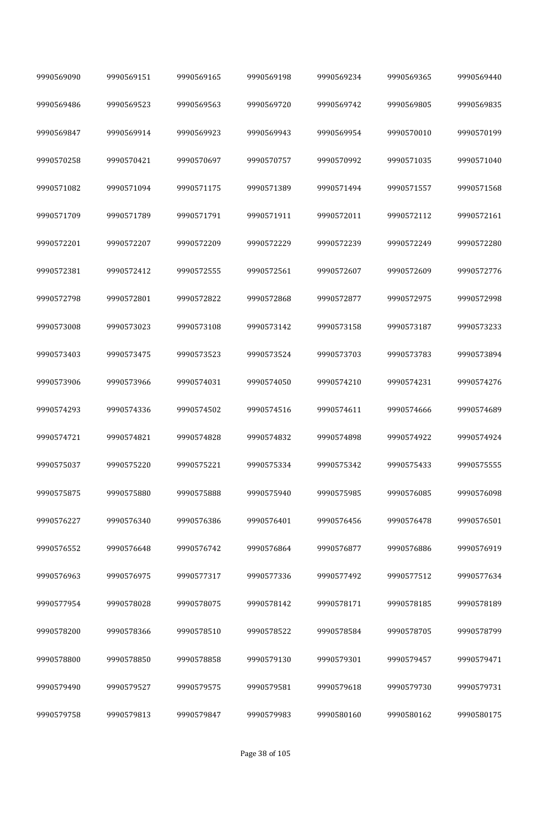| 9990569090 | 9990569151 | 9990569165 | 9990569198 | 9990569234 | 9990569365 | 9990569440 |
|------------|------------|------------|------------|------------|------------|------------|
| 9990569486 | 9990569523 | 9990569563 | 9990569720 | 9990569742 | 9990569805 | 9990569835 |
| 9990569847 | 9990569914 | 9990569923 | 9990569943 | 9990569954 | 9990570010 | 9990570199 |
| 9990570258 | 9990570421 | 9990570697 | 9990570757 | 9990570992 | 9990571035 | 9990571040 |
| 9990571082 | 9990571094 | 9990571175 | 9990571389 | 9990571494 | 9990571557 | 9990571568 |
| 9990571709 | 9990571789 | 9990571791 | 9990571911 | 9990572011 | 9990572112 | 9990572161 |
| 9990572201 | 9990572207 | 9990572209 | 9990572229 | 9990572239 | 9990572249 | 9990572280 |
| 9990572381 | 9990572412 | 9990572555 | 9990572561 | 9990572607 | 9990572609 | 9990572776 |
| 9990572798 | 9990572801 | 9990572822 | 9990572868 | 9990572877 | 9990572975 | 9990572998 |
| 9990573008 | 9990573023 | 9990573108 | 9990573142 | 9990573158 | 9990573187 | 9990573233 |
| 9990573403 | 9990573475 | 9990573523 | 9990573524 | 9990573703 | 9990573783 | 9990573894 |
| 9990573906 | 9990573966 | 9990574031 | 9990574050 | 9990574210 | 9990574231 | 9990574276 |
| 9990574293 | 9990574336 | 9990574502 | 9990574516 | 9990574611 | 9990574666 | 9990574689 |
| 9990574721 | 9990574821 | 9990574828 | 9990574832 | 9990574898 | 9990574922 | 9990574924 |
| 9990575037 | 9990575220 | 9990575221 | 9990575334 | 9990575342 | 9990575433 | 9990575555 |
| 9990575875 | 9990575880 | 9990575888 | 9990575940 | 9990575985 | 9990576085 | 9990576098 |
| 9990576227 | 9990576340 | 9990576386 | 9990576401 | 9990576456 | 9990576478 | 9990576501 |
| 9990576552 | 9990576648 | 9990576742 | 9990576864 | 9990576877 | 9990576886 | 9990576919 |
| 9990576963 | 9990576975 | 9990577317 | 9990577336 | 9990577492 | 9990577512 | 9990577634 |
| 9990577954 | 9990578028 | 9990578075 | 9990578142 | 9990578171 | 9990578185 | 9990578189 |
| 9990578200 | 9990578366 | 9990578510 | 9990578522 | 9990578584 | 9990578705 | 9990578799 |
| 9990578800 | 9990578850 | 9990578858 | 9990579130 | 9990579301 | 9990579457 | 9990579471 |
| 9990579490 | 9990579527 | 9990579575 | 9990579581 | 9990579618 | 9990579730 | 9990579731 |
| 9990579758 | 9990579813 | 9990579847 | 9990579983 | 9990580160 | 9990580162 | 9990580175 |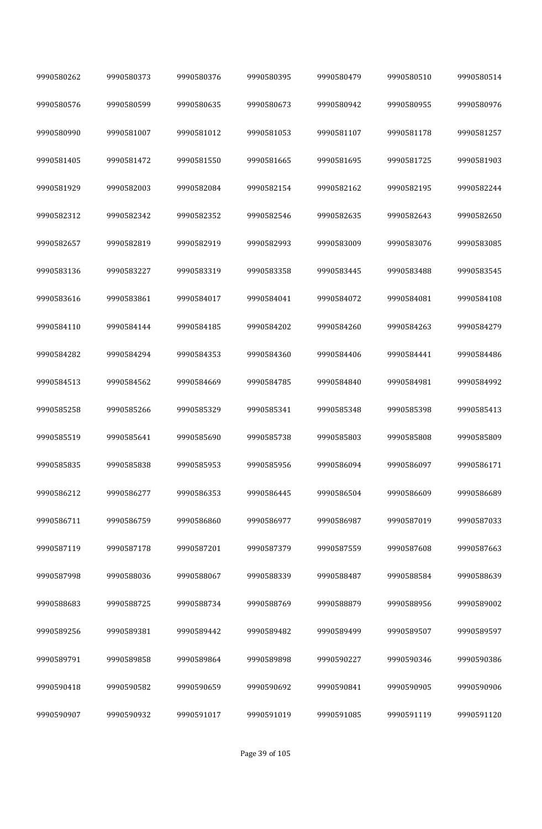| 9990580262 | 9990580373 | 9990580376 | 9990580395 | 9990580479 | 9990580510 | 9990580514 |
|------------|------------|------------|------------|------------|------------|------------|
| 9990580576 | 9990580599 | 9990580635 | 9990580673 | 9990580942 | 9990580955 | 9990580976 |
| 9990580990 | 9990581007 | 9990581012 | 9990581053 | 9990581107 | 9990581178 | 9990581257 |
| 9990581405 | 9990581472 | 9990581550 | 9990581665 | 9990581695 | 9990581725 | 9990581903 |
| 9990581929 | 9990582003 | 9990582084 | 9990582154 | 9990582162 | 9990582195 | 9990582244 |
| 9990582312 | 9990582342 | 9990582352 | 9990582546 | 9990582635 | 9990582643 | 9990582650 |
| 9990582657 | 9990582819 | 9990582919 | 9990582993 | 9990583009 | 9990583076 | 9990583085 |
| 9990583136 | 9990583227 | 9990583319 | 9990583358 | 9990583445 | 9990583488 | 9990583545 |
| 9990583616 | 9990583861 | 9990584017 | 9990584041 | 9990584072 | 9990584081 | 9990584108 |
| 9990584110 | 9990584144 | 9990584185 | 9990584202 | 9990584260 | 9990584263 | 9990584279 |
| 9990584282 | 9990584294 | 9990584353 | 9990584360 | 9990584406 | 9990584441 | 9990584486 |
| 9990584513 | 9990584562 | 9990584669 | 9990584785 | 9990584840 | 9990584981 | 9990584992 |
| 9990585258 | 9990585266 | 9990585329 | 9990585341 | 9990585348 | 9990585398 | 9990585413 |
| 9990585519 | 9990585641 | 9990585690 | 9990585738 | 9990585803 | 9990585808 | 9990585809 |
| 9990585835 | 9990585838 | 9990585953 | 9990585956 | 9990586094 | 9990586097 | 9990586171 |
| 9990586212 | 9990586277 | 9990586353 | 9990586445 | 9990586504 | 9990586609 | 9990586689 |
| 9990586711 | 9990586759 | 9990586860 | 9990586977 | 9990586987 | 9990587019 | 9990587033 |
| 9990587119 | 9990587178 | 9990587201 | 9990587379 | 9990587559 | 9990587608 | 9990587663 |
| 9990587998 | 9990588036 | 9990588067 | 9990588339 | 9990588487 | 9990588584 | 9990588639 |
| 9990588683 | 9990588725 | 9990588734 | 9990588769 | 9990588879 | 9990588956 | 9990589002 |
| 9990589256 | 9990589381 | 9990589442 | 9990589482 | 9990589499 | 9990589507 | 9990589597 |
| 9990589791 | 9990589858 | 9990589864 | 9990589898 | 9990590227 | 9990590346 | 9990590386 |
| 9990590418 | 9990590582 | 9990590659 | 9990590692 | 9990590841 | 9990590905 | 9990590906 |
| 9990590907 | 9990590932 | 9990591017 | 9990591019 | 9990591085 | 9990591119 | 9990591120 |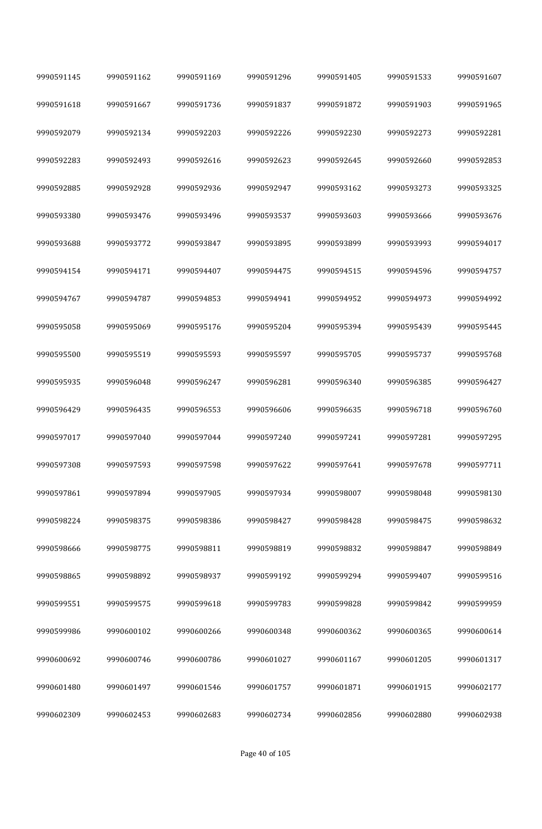| 9990591145 | 9990591162 | 9990591169 | 9990591296 | 9990591405 | 9990591533 | 9990591607 |
|------------|------------|------------|------------|------------|------------|------------|
| 9990591618 | 9990591667 | 9990591736 | 9990591837 | 9990591872 | 9990591903 | 9990591965 |
| 9990592079 | 9990592134 | 9990592203 | 9990592226 | 9990592230 | 9990592273 | 9990592281 |
| 9990592283 | 9990592493 | 9990592616 | 9990592623 | 9990592645 | 9990592660 | 9990592853 |
| 9990592885 | 9990592928 | 9990592936 | 9990592947 | 9990593162 | 9990593273 | 9990593325 |
| 9990593380 | 9990593476 | 9990593496 | 9990593537 | 9990593603 | 9990593666 | 9990593676 |
| 9990593688 | 9990593772 | 9990593847 | 9990593895 | 9990593899 | 9990593993 | 9990594017 |
| 9990594154 | 9990594171 | 9990594407 | 9990594475 | 9990594515 | 9990594596 | 9990594757 |
| 9990594767 | 9990594787 | 9990594853 | 9990594941 | 9990594952 | 9990594973 | 9990594992 |
| 9990595058 | 9990595069 | 9990595176 | 9990595204 | 9990595394 | 9990595439 | 9990595445 |
| 9990595500 | 9990595519 | 9990595593 | 9990595597 | 9990595705 | 9990595737 | 9990595768 |
| 9990595935 | 9990596048 | 9990596247 | 9990596281 | 9990596340 | 9990596385 | 9990596427 |
| 9990596429 | 9990596435 | 9990596553 | 9990596606 | 9990596635 | 9990596718 | 9990596760 |
| 9990597017 | 9990597040 | 9990597044 | 9990597240 | 9990597241 | 9990597281 | 9990597295 |
| 9990597308 | 9990597593 | 9990597598 | 9990597622 | 9990597641 | 9990597678 | 9990597711 |
| 9990597861 | 9990597894 | 9990597905 | 9990597934 | 9990598007 | 9990598048 | 9990598130 |
| 9990598224 | 9990598375 | 9990598386 | 9990598427 | 9990598428 | 9990598475 | 9990598632 |
| 9990598666 | 9990598775 | 9990598811 | 9990598819 | 9990598832 | 9990598847 | 9990598849 |
| 9990598865 | 9990598892 | 9990598937 | 9990599192 | 9990599294 | 9990599407 | 9990599516 |
| 9990599551 | 9990599575 | 9990599618 | 9990599783 | 9990599828 | 9990599842 | 9990599959 |
| 9990599986 | 9990600102 | 9990600266 | 9990600348 | 9990600362 | 9990600365 | 9990600614 |
| 9990600692 | 9990600746 | 9990600786 | 9990601027 | 9990601167 | 9990601205 | 9990601317 |
| 9990601480 | 9990601497 | 9990601546 | 9990601757 | 9990601871 | 9990601915 | 9990602177 |
| 9990602309 | 9990602453 | 9990602683 | 9990602734 | 9990602856 | 9990602880 | 9990602938 |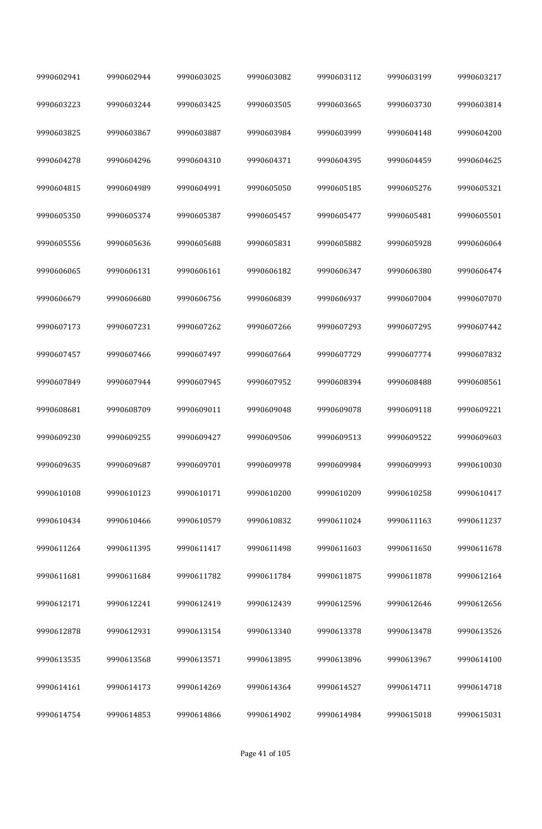| 9990602941 | 9990602944 | 9990603025 | 9990603082 | 9990603112 | 9990603199 | 9990603217 |
|------------|------------|------------|------------|------------|------------|------------|
| 9990603223 | 9990603244 | 9990603425 | 9990603505 | 9990603665 | 9990603730 | 9990603814 |
| 9990603825 | 9990603867 | 9990603887 | 9990603984 | 9990603999 | 9990604148 | 9990604200 |
| 9990604278 | 9990604296 | 9990604310 | 9990604371 | 9990604395 | 9990604459 | 9990604625 |
| 9990604815 | 9990604989 | 9990604991 | 9990605050 | 9990605185 | 9990605276 | 9990605321 |
| 9990605350 | 9990605374 | 9990605387 | 9990605457 | 9990605477 | 9990605481 | 9990605501 |
| 9990605556 | 9990605636 | 9990605688 | 9990605831 | 9990605882 | 9990605928 | 9990606064 |
| 9990606065 | 9990606131 | 9990606161 | 9990606182 | 9990606347 | 9990606380 | 9990606474 |
| 9990606679 | 9990606680 | 9990606756 | 9990606839 | 9990606937 | 9990607004 | 9990607070 |
| 9990607173 | 9990607231 | 9990607262 | 9990607266 | 9990607293 | 9990607295 | 9990607442 |
| 9990607457 | 9990607466 | 9990607497 | 9990607664 | 9990607729 | 9990607774 | 9990607832 |
| 9990607849 | 9990607944 | 9990607945 | 9990607952 | 9990608394 | 9990608488 | 9990608561 |
| 9990608681 | 9990608709 | 9990609011 | 9990609048 | 9990609078 | 9990609118 | 9990609221 |
| 9990609230 | 9990609255 | 9990609427 | 9990609506 | 9990609513 | 9990609522 | 9990609603 |
| 9990609635 | 9990609687 | 9990609701 | 9990609978 | 9990609984 | 9990609993 | 9990610030 |
| 9990610108 | 9990610123 | 9990610171 | 9990610200 | 9990610209 | 9990610258 | 9990610417 |
| 9990610434 | 9990610466 | 9990610579 | 9990610832 | 9990611024 | 9990611163 | 9990611237 |
| 9990611264 | 9990611395 | 9990611417 | 9990611498 | 9990611603 | 9990611650 | 9990611678 |
| 9990611681 | 9990611684 | 9990611782 | 9990611784 | 9990611875 | 9990611878 | 9990612164 |
| 9990612171 | 9990612241 | 9990612419 | 9990612439 | 9990612596 | 9990612646 | 9990612656 |
| 9990612878 | 9990612931 | 9990613154 | 9990613340 | 9990613378 | 9990613478 | 9990613526 |
| 9990613535 | 9990613568 | 9990613571 | 9990613895 | 9990613896 | 9990613967 | 9990614100 |
| 9990614161 | 9990614173 | 9990614269 | 9990614364 | 9990614527 | 9990614711 | 9990614718 |
| 9990614754 | 9990614853 | 9990614866 | 9990614902 | 9990614984 | 9990615018 | 9990615031 |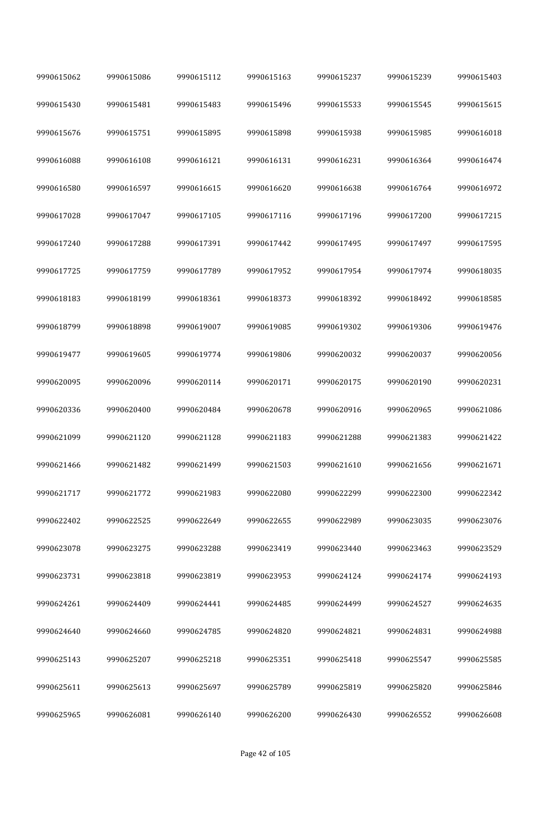| 9990615062 | 9990615086 | 9990615112 | 9990615163 | 9990615237 | 9990615239 | 9990615403 |
|------------|------------|------------|------------|------------|------------|------------|
| 9990615430 | 9990615481 | 9990615483 | 9990615496 | 9990615533 | 9990615545 | 9990615615 |
| 9990615676 | 9990615751 | 9990615895 | 9990615898 | 9990615938 | 9990615985 | 9990616018 |
| 9990616088 | 9990616108 | 9990616121 | 9990616131 | 9990616231 | 9990616364 | 9990616474 |
| 9990616580 | 9990616597 | 9990616615 | 9990616620 | 9990616638 | 9990616764 | 9990616972 |
| 9990617028 | 9990617047 | 9990617105 | 9990617116 | 9990617196 | 9990617200 | 9990617215 |
| 9990617240 | 9990617288 | 9990617391 | 9990617442 | 9990617495 | 9990617497 | 9990617595 |
| 9990617725 | 9990617759 | 9990617789 | 9990617952 | 9990617954 | 9990617974 | 9990618035 |
| 9990618183 | 9990618199 | 9990618361 | 9990618373 | 9990618392 | 9990618492 | 9990618585 |
| 9990618799 | 9990618898 | 9990619007 | 9990619085 | 9990619302 | 9990619306 | 9990619476 |
| 9990619477 | 9990619605 | 9990619774 | 9990619806 | 9990620032 | 9990620037 | 9990620056 |
| 9990620095 | 9990620096 | 9990620114 | 9990620171 | 9990620175 | 9990620190 | 9990620231 |
| 9990620336 | 9990620400 | 9990620484 | 9990620678 | 9990620916 | 9990620965 | 9990621086 |
| 9990621099 | 9990621120 | 9990621128 | 9990621183 | 9990621288 | 9990621383 | 9990621422 |
| 9990621466 | 9990621482 | 9990621499 | 9990621503 | 9990621610 | 9990621656 | 9990621671 |
| 9990621717 | 9990621772 | 9990621983 | 9990622080 | 9990622299 | 9990622300 | 9990622342 |
| 9990622402 | 9990622525 | 9990622649 | 9990622655 | 9990622989 | 9990623035 | 9990623076 |
| 9990623078 | 9990623275 | 9990623288 | 9990623419 | 9990623440 | 9990623463 | 9990623529 |
| 9990623731 | 9990623818 | 9990623819 | 9990623953 | 9990624124 | 9990624174 | 9990624193 |
| 9990624261 | 9990624409 | 9990624441 | 9990624485 | 9990624499 | 9990624527 | 9990624635 |
| 9990624640 | 9990624660 | 9990624785 | 9990624820 | 9990624821 | 9990624831 | 9990624988 |
| 9990625143 | 9990625207 | 9990625218 | 9990625351 | 9990625418 | 9990625547 | 9990625585 |
| 9990625611 | 9990625613 | 9990625697 | 9990625789 | 9990625819 | 9990625820 | 9990625846 |
| 9990625965 | 9990626081 | 9990626140 | 9990626200 | 9990626430 | 9990626552 | 9990626608 |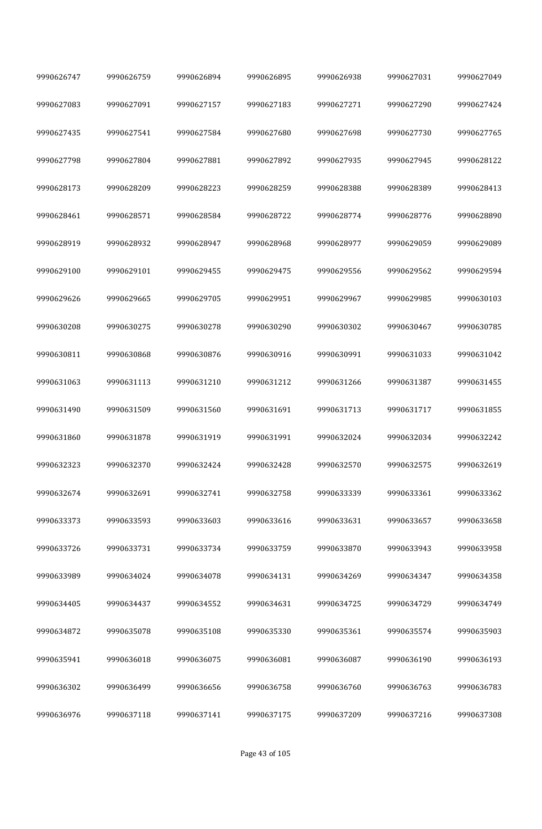| 9990626747 | 9990626759 | 9990626894 | 9990626895 | 9990626938 | 9990627031 | 9990627049 |
|------------|------------|------------|------------|------------|------------|------------|
| 9990627083 | 9990627091 | 9990627157 | 9990627183 | 9990627271 | 9990627290 | 9990627424 |
| 9990627435 | 9990627541 | 9990627584 | 9990627680 | 9990627698 | 9990627730 | 9990627765 |
| 9990627798 | 9990627804 | 9990627881 | 9990627892 | 9990627935 | 9990627945 | 9990628122 |
| 9990628173 | 9990628209 | 9990628223 | 9990628259 | 9990628388 | 9990628389 | 9990628413 |
| 9990628461 | 9990628571 | 9990628584 | 9990628722 | 9990628774 | 9990628776 | 9990628890 |
| 9990628919 | 9990628932 | 9990628947 | 9990628968 | 9990628977 | 9990629059 | 9990629089 |
| 9990629100 | 9990629101 | 9990629455 | 9990629475 | 9990629556 | 9990629562 | 9990629594 |
| 9990629626 | 9990629665 | 9990629705 | 9990629951 | 9990629967 | 9990629985 | 9990630103 |
| 9990630208 | 9990630275 | 9990630278 | 9990630290 | 9990630302 | 9990630467 | 9990630785 |
| 9990630811 | 9990630868 | 9990630876 | 9990630916 | 9990630991 | 9990631033 | 9990631042 |
| 9990631063 | 9990631113 | 9990631210 | 9990631212 | 9990631266 | 9990631387 | 9990631455 |
| 9990631490 | 9990631509 | 9990631560 | 9990631691 | 9990631713 | 9990631717 | 9990631855 |
| 9990631860 | 9990631878 | 9990631919 | 9990631991 | 9990632024 | 9990632034 | 9990632242 |
| 9990632323 | 9990632370 | 9990632424 | 9990632428 | 9990632570 | 9990632575 | 9990632619 |
| 9990632674 | 9990632691 | 9990632741 | 9990632758 | 9990633339 | 9990633361 | 9990633362 |
| 9990633373 | 9990633593 | 9990633603 | 9990633616 | 9990633631 | 9990633657 | 9990633658 |
| 9990633726 | 9990633731 | 9990633734 | 9990633759 | 9990633870 | 9990633943 | 9990633958 |
| 9990633989 | 9990634024 | 9990634078 | 9990634131 | 9990634269 | 9990634347 | 9990634358 |
| 9990634405 | 9990634437 | 9990634552 | 9990634631 | 9990634725 | 9990634729 | 9990634749 |
| 9990634872 | 9990635078 | 9990635108 | 9990635330 | 9990635361 | 9990635574 | 9990635903 |
| 9990635941 | 9990636018 | 9990636075 | 9990636081 | 9990636087 | 9990636190 | 9990636193 |
| 9990636302 | 9990636499 | 9990636656 | 9990636758 | 9990636760 | 9990636763 | 9990636783 |
| 9990636976 | 9990637118 | 9990637141 | 9990637175 | 9990637209 | 9990637216 | 9990637308 |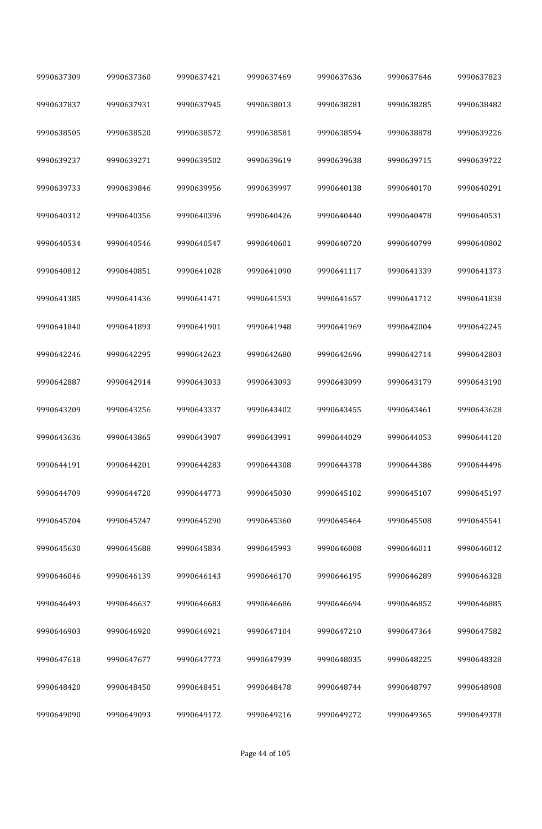| 9990637309 | 9990637360 | 9990637421 | 9990637469 | 9990637636 | 9990637646 | 9990637823 |
|------------|------------|------------|------------|------------|------------|------------|
| 9990637837 | 9990637931 | 9990637945 | 9990638013 | 9990638281 | 9990638285 | 9990638482 |
| 9990638505 | 9990638520 | 9990638572 | 9990638581 | 9990638594 | 9990638878 | 9990639226 |
| 9990639237 | 9990639271 | 9990639502 | 9990639619 | 9990639638 | 9990639715 | 9990639722 |
| 9990639733 | 9990639846 | 9990639956 | 9990639997 | 9990640138 | 9990640170 | 9990640291 |
| 9990640312 | 9990640356 | 9990640396 | 9990640426 | 9990640440 | 9990640478 | 9990640531 |
| 9990640534 | 9990640546 | 9990640547 | 9990640601 | 9990640720 | 9990640799 | 9990640802 |
| 9990640812 | 9990640851 | 9990641028 | 9990641090 | 9990641117 | 9990641339 | 9990641373 |
| 9990641385 | 9990641436 | 9990641471 | 9990641593 | 9990641657 | 9990641712 | 9990641838 |
| 9990641840 | 9990641893 | 9990641901 | 9990641948 | 9990641969 | 9990642004 | 9990642245 |
| 9990642246 | 9990642295 | 9990642623 | 9990642680 | 9990642696 | 9990642714 | 9990642803 |
| 9990642887 | 9990642914 | 9990643033 | 9990643093 | 9990643099 | 9990643179 | 9990643190 |
| 9990643209 | 9990643256 | 9990643337 | 9990643402 | 9990643455 | 9990643461 | 9990643628 |
| 9990643636 | 9990643865 | 9990643907 | 9990643991 | 9990644029 | 9990644053 | 9990644120 |
| 9990644191 | 9990644201 | 9990644283 | 9990644308 | 9990644378 | 9990644386 | 9990644496 |
| 9990644709 | 9990644720 | 9990644773 | 9990645030 | 9990645102 | 9990645107 | 9990645197 |
| 9990645204 | 9990645247 | 9990645290 | 9990645360 | 9990645464 | 9990645508 | 9990645541 |
| 9990645630 | 9990645688 | 9990645834 | 9990645993 | 9990646008 | 9990646011 | 9990646012 |
| 9990646046 | 9990646139 | 9990646143 | 9990646170 | 9990646195 | 9990646289 | 9990646328 |
| 9990646493 | 9990646637 | 9990646683 | 9990646686 | 9990646694 | 9990646852 | 9990646885 |
| 9990646903 | 9990646920 | 9990646921 | 9990647104 | 9990647210 | 9990647364 | 9990647582 |
| 9990647618 | 9990647677 | 9990647773 | 9990647939 | 9990648035 | 9990648225 | 9990648328 |
| 9990648420 | 9990648450 | 9990648451 | 9990648478 | 9990648744 | 9990648797 | 9990648908 |
| 9990649090 | 9990649093 | 9990649172 | 9990649216 | 9990649272 | 9990649365 | 9990649378 |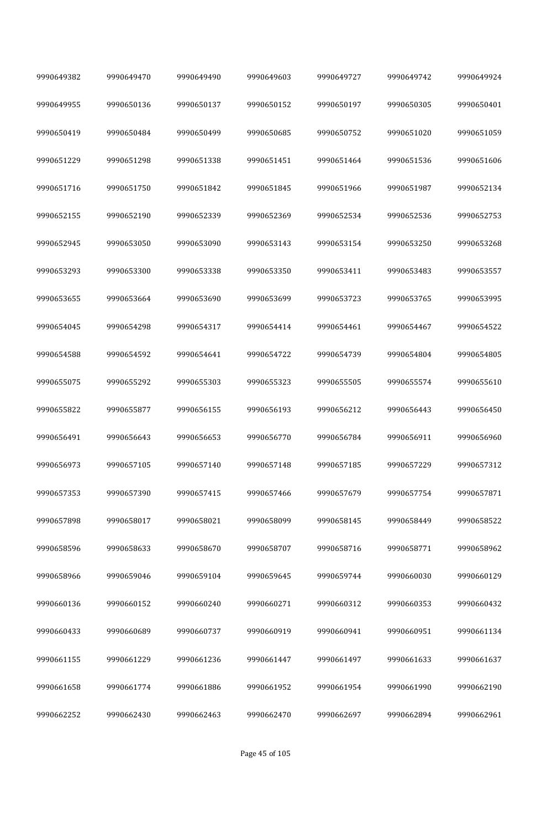| 9990649382 | 9990649470 | 9990649490 | 9990649603 | 9990649727 | 9990649742 | 9990649924 |
|------------|------------|------------|------------|------------|------------|------------|
| 9990649955 | 9990650136 | 9990650137 | 9990650152 | 9990650197 | 9990650305 | 9990650401 |
| 9990650419 | 9990650484 | 9990650499 | 9990650685 | 9990650752 | 9990651020 | 9990651059 |
| 9990651229 | 9990651298 | 9990651338 | 9990651451 | 9990651464 | 9990651536 | 9990651606 |
| 9990651716 | 9990651750 | 9990651842 | 9990651845 | 9990651966 | 9990651987 | 9990652134 |
| 9990652155 | 9990652190 | 9990652339 | 9990652369 | 9990652534 | 9990652536 | 9990652753 |
| 9990652945 | 9990653050 | 9990653090 | 9990653143 | 9990653154 | 9990653250 | 9990653268 |
| 9990653293 | 9990653300 | 9990653338 | 9990653350 | 9990653411 | 9990653483 | 9990653557 |
| 9990653655 | 9990653664 | 9990653690 | 9990653699 | 9990653723 | 9990653765 | 9990653995 |
| 9990654045 | 9990654298 | 9990654317 | 9990654414 | 9990654461 | 9990654467 | 9990654522 |
| 9990654588 | 9990654592 | 9990654641 | 9990654722 | 9990654739 | 9990654804 | 9990654805 |
| 9990655075 | 9990655292 | 9990655303 | 9990655323 | 9990655505 | 9990655574 | 9990655610 |
| 9990655822 | 9990655877 | 9990656155 | 9990656193 | 9990656212 | 9990656443 | 9990656450 |
| 9990656491 | 9990656643 | 9990656653 | 9990656770 | 9990656784 | 9990656911 | 9990656960 |
| 9990656973 | 9990657105 | 9990657140 | 9990657148 | 9990657185 | 9990657229 | 9990657312 |
| 9990657353 | 9990657390 | 9990657415 | 9990657466 | 9990657679 | 9990657754 | 9990657871 |
| 9990657898 | 9990658017 | 9990658021 | 9990658099 | 9990658145 | 9990658449 | 9990658522 |
| 9990658596 | 9990658633 | 9990658670 | 9990658707 | 9990658716 | 9990658771 | 9990658962 |
| 9990658966 | 9990659046 | 9990659104 | 9990659645 | 9990659744 | 9990660030 | 9990660129 |
| 9990660136 | 9990660152 | 9990660240 | 9990660271 | 9990660312 | 9990660353 | 9990660432 |
| 9990660433 | 9990660689 | 9990660737 | 9990660919 | 9990660941 | 9990660951 | 9990661134 |
| 9990661155 | 9990661229 | 9990661236 | 9990661447 | 9990661497 | 9990661633 | 9990661637 |
| 9990661658 | 9990661774 | 9990661886 | 9990661952 | 9990661954 | 9990661990 | 9990662190 |
| 9990662252 | 9990662430 | 9990662463 | 9990662470 | 9990662697 | 9990662894 | 9990662961 |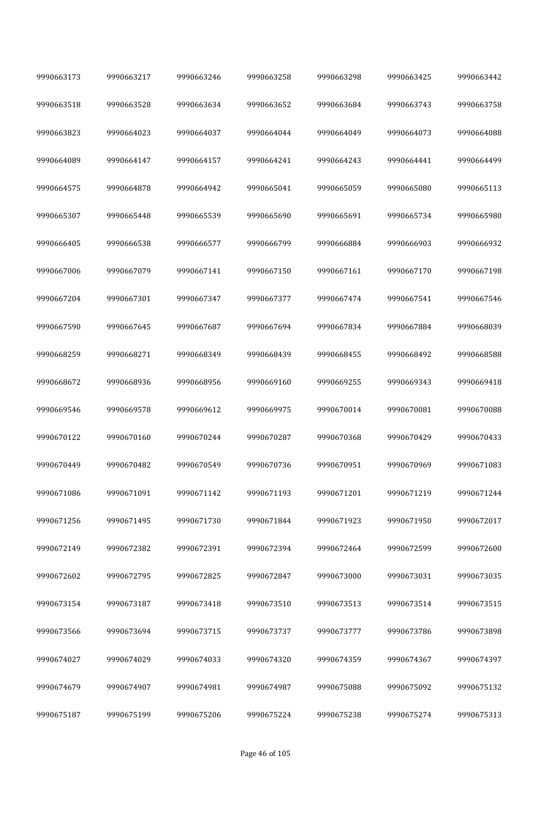| 9990663173 | 9990663217 | 9990663246 | 9990663258 | 9990663298 | 9990663425 | 9990663442 |
|------------|------------|------------|------------|------------|------------|------------|
| 9990663518 | 9990663528 | 9990663634 | 9990663652 | 9990663684 | 9990663743 | 9990663758 |
| 9990663823 | 9990664023 | 9990664037 | 9990664044 | 9990664049 | 9990664073 | 9990664088 |
| 9990664089 | 9990664147 | 9990664157 | 9990664241 | 9990664243 | 9990664441 | 9990664499 |
| 9990664575 | 9990664878 | 9990664942 | 9990665041 | 9990665059 | 9990665080 | 9990665113 |
| 9990665307 | 9990665448 | 9990665539 | 9990665690 | 9990665691 | 9990665734 | 9990665980 |
| 9990666405 | 9990666538 | 9990666577 | 9990666799 | 9990666884 | 9990666903 | 9990666932 |
| 9990667006 | 9990667079 | 9990667141 | 9990667150 | 9990667161 | 9990667170 | 9990667198 |
| 9990667204 | 9990667301 | 9990667347 | 9990667377 | 9990667474 | 9990667541 | 9990667546 |
| 9990667590 | 9990667645 | 9990667687 | 9990667694 | 9990667834 | 9990667884 | 9990668039 |
| 9990668259 | 9990668271 | 9990668349 | 9990668439 | 9990668455 | 9990668492 | 9990668588 |
| 9990668672 | 9990668936 | 9990668956 | 9990669160 | 9990669255 | 9990669343 | 9990669418 |
| 9990669546 | 9990669578 | 9990669612 | 9990669975 | 9990670014 | 9990670081 | 9990670088 |
| 9990670122 | 9990670160 | 9990670244 | 9990670287 | 9990670368 | 9990670429 | 9990670433 |
| 9990670449 | 9990670482 | 9990670549 | 9990670736 | 9990670951 | 9990670969 | 9990671083 |
| 9990671086 | 9990671091 | 9990671142 | 9990671193 | 9990671201 | 9990671219 | 9990671244 |
| 9990671256 | 9990671495 | 9990671730 | 9990671844 | 9990671923 | 9990671950 | 9990672017 |
| 9990672149 | 9990672382 | 9990672391 | 9990672394 | 9990672464 | 9990672599 | 9990672600 |
| 9990672602 | 9990672795 | 9990672825 | 9990672847 | 9990673000 | 9990673031 | 9990673035 |
| 9990673154 | 9990673187 | 9990673418 | 9990673510 | 9990673513 | 9990673514 | 9990673515 |
| 9990673566 | 9990673694 | 9990673715 | 9990673737 | 9990673777 | 9990673786 | 9990673898 |
| 9990674027 | 9990674029 | 9990674033 | 9990674320 | 9990674359 | 9990674367 | 9990674397 |
| 9990674679 | 9990674907 | 9990674981 | 9990674987 | 9990675088 | 9990675092 | 9990675132 |
| 9990675187 | 9990675199 | 9990675206 | 9990675224 | 9990675238 | 9990675274 | 9990675313 |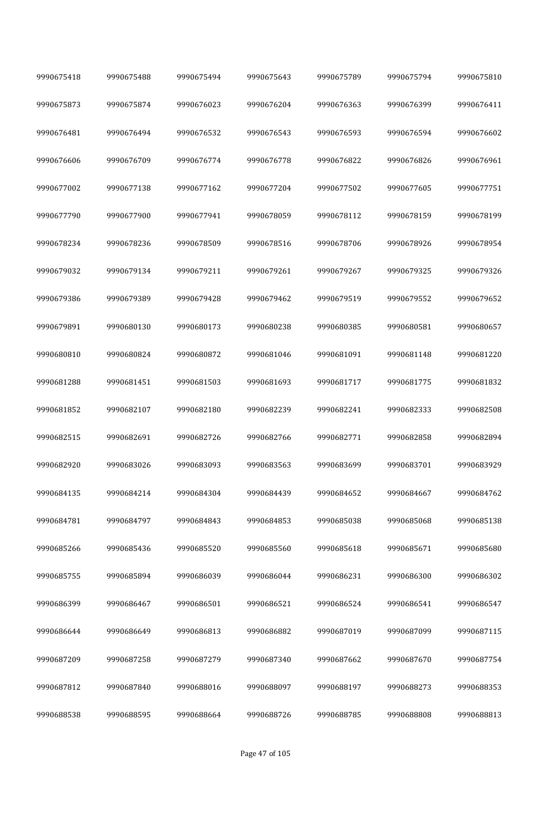| 9990675418 | 9990675488 | 9990675494 | 9990675643 | 9990675789 | 9990675794 | 9990675810 |
|------------|------------|------------|------------|------------|------------|------------|
| 9990675873 | 9990675874 | 9990676023 | 9990676204 | 9990676363 | 9990676399 | 9990676411 |
| 9990676481 | 9990676494 | 9990676532 | 9990676543 | 9990676593 | 9990676594 | 9990676602 |
| 9990676606 | 9990676709 | 9990676774 | 9990676778 | 9990676822 | 9990676826 | 9990676961 |
| 9990677002 | 9990677138 | 9990677162 | 9990677204 | 9990677502 | 9990677605 | 9990677751 |
| 9990677790 | 9990677900 | 9990677941 | 9990678059 | 9990678112 | 9990678159 | 9990678199 |
| 9990678234 | 9990678236 | 9990678509 | 9990678516 | 9990678706 | 9990678926 | 9990678954 |
| 9990679032 | 9990679134 | 9990679211 | 9990679261 | 9990679267 | 9990679325 | 9990679326 |
| 9990679386 | 9990679389 | 9990679428 | 9990679462 | 9990679519 | 9990679552 | 9990679652 |
| 9990679891 | 9990680130 | 9990680173 | 9990680238 | 9990680385 | 9990680581 | 9990680657 |
| 9990680810 | 9990680824 | 9990680872 | 9990681046 | 9990681091 | 9990681148 | 9990681220 |
| 9990681288 | 9990681451 | 9990681503 | 9990681693 | 9990681717 | 9990681775 | 9990681832 |
| 9990681852 | 9990682107 | 9990682180 | 9990682239 | 9990682241 | 9990682333 | 9990682508 |
| 9990682515 | 9990682691 | 9990682726 | 9990682766 | 9990682771 | 9990682858 | 9990682894 |
| 9990682920 | 9990683026 | 9990683093 | 9990683563 | 9990683699 | 9990683701 | 9990683929 |
| 9990684135 | 9990684214 | 9990684304 | 9990684439 | 9990684652 | 9990684667 | 9990684762 |
| 9990684781 | 9990684797 | 9990684843 | 9990684853 | 9990685038 | 9990685068 | 9990685138 |
| 9990685266 | 9990685436 | 9990685520 | 9990685560 | 9990685618 | 9990685671 | 9990685680 |
| 9990685755 | 9990685894 | 9990686039 | 9990686044 | 9990686231 | 9990686300 | 9990686302 |
| 9990686399 | 9990686467 | 9990686501 | 9990686521 | 9990686524 | 9990686541 | 9990686547 |
| 9990686644 | 9990686649 | 9990686813 | 9990686882 | 9990687019 | 9990687099 | 9990687115 |
| 9990687209 | 9990687258 | 9990687279 | 9990687340 | 9990687662 | 9990687670 | 9990687754 |
| 9990687812 | 9990687840 | 9990688016 | 9990688097 | 9990688197 | 9990688273 | 9990688353 |
| 9990688538 | 9990688595 | 9990688664 | 9990688726 | 9990688785 | 9990688808 | 9990688813 |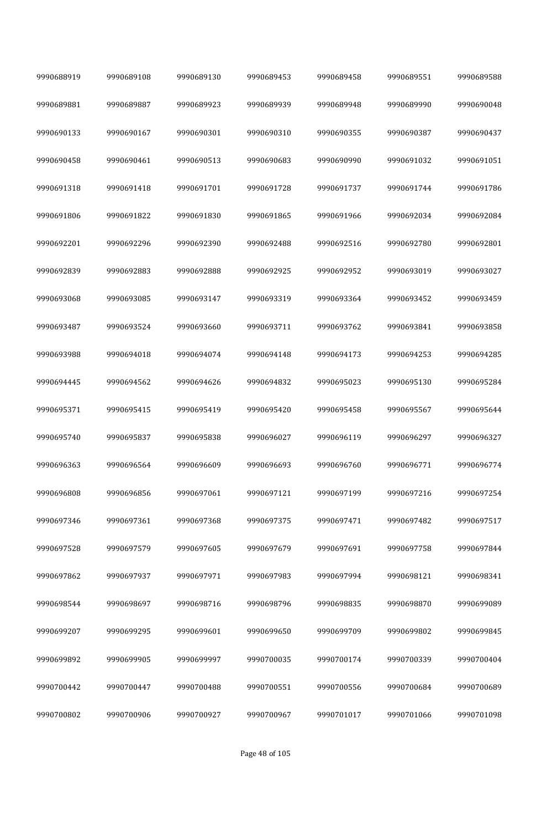| 9990688919 | 9990689108 | 9990689130 | 9990689453 | 9990689458 | 9990689551 | 9990689588 |
|------------|------------|------------|------------|------------|------------|------------|
| 9990689881 | 9990689887 | 9990689923 | 9990689939 | 9990689948 | 9990689990 | 9990690048 |
| 9990690133 | 9990690167 | 9990690301 | 9990690310 | 9990690355 | 9990690387 | 9990690437 |
| 9990690458 | 9990690461 | 9990690513 | 9990690683 | 9990690990 | 9990691032 | 9990691051 |
| 9990691318 | 9990691418 | 9990691701 | 9990691728 | 9990691737 | 9990691744 | 9990691786 |
| 9990691806 | 9990691822 | 9990691830 | 9990691865 | 9990691966 | 9990692034 | 9990692084 |
| 9990692201 | 9990692296 | 9990692390 | 9990692488 | 9990692516 | 9990692780 | 9990692801 |
| 9990692839 | 9990692883 | 9990692888 | 9990692925 | 9990692952 | 9990693019 | 9990693027 |
| 9990693068 | 9990693085 | 9990693147 | 9990693319 | 9990693364 | 9990693452 | 9990693459 |
| 9990693487 | 9990693524 | 9990693660 | 9990693711 | 9990693762 | 9990693841 | 9990693858 |
| 9990693988 | 9990694018 | 9990694074 | 9990694148 | 9990694173 | 9990694253 | 9990694285 |
| 9990694445 | 9990694562 | 9990694626 | 9990694832 | 9990695023 | 9990695130 | 9990695284 |
| 9990695371 | 9990695415 | 9990695419 | 9990695420 | 9990695458 | 9990695567 | 9990695644 |
| 9990695740 | 9990695837 | 9990695838 | 9990696027 | 9990696119 | 9990696297 | 9990696327 |
| 9990696363 | 9990696564 | 9990696609 | 9990696693 | 9990696760 | 9990696771 | 9990696774 |
| 9990696808 | 9990696856 | 9990697061 | 9990697121 | 9990697199 | 9990697216 | 9990697254 |
| 9990697346 | 9990697361 | 9990697368 | 9990697375 | 9990697471 | 9990697482 | 9990697517 |
| 9990697528 | 9990697579 | 9990697605 | 9990697679 | 9990697691 | 9990697758 | 9990697844 |
| 9990697862 | 9990697937 | 9990697971 | 9990697983 | 9990697994 | 9990698121 | 9990698341 |
| 9990698544 | 9990698697 | 9990698716 | 9990698796 | 9990698835 | 9990698870 | 9990699089 |
| 9990699207 | 9990699295 | 9990699601 | 9990699650 | 9990699709 | 9990699802 | 9990699845 |
| 9990699892 | 9990699905 | 9990699997 | 9990700035 | 9990700174 | 9990700339 | 9990700404 |
| 9990700442 | 9990700447 | 9990700488 | 9990700551 | 9990700556 | 9990700684 | 9990700689 |
| 9990700802 | 9990700906 | 9990700927 | 9990700967 | 9990701017 | 9990701066 | 9990701098 |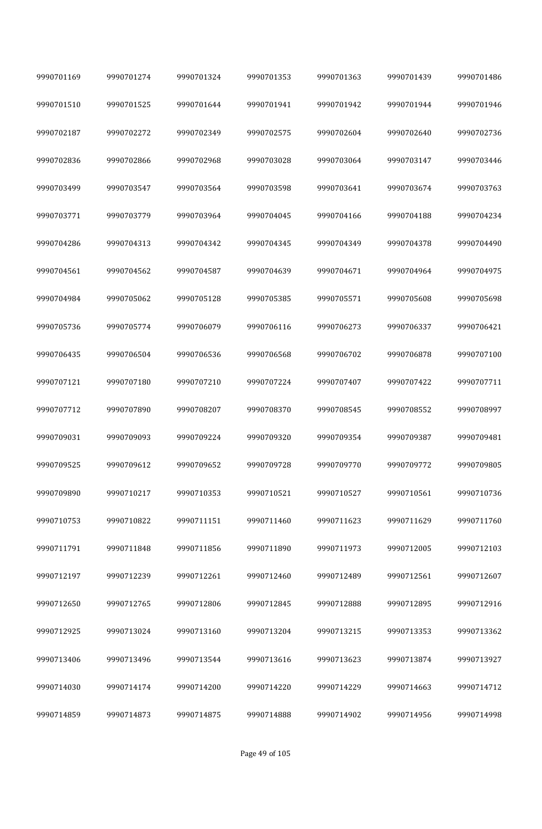| 9990701169 | 9990701274 | 9990701324 | 9990701353 | 9990701363 | 9990701439 | 9990701486 |
|------------|------------|------------|------------|------------|------------|------------|
| 9990701510 | 9990701525 | 9990701644 | 9990701941 | 9990701942 | 9990701944 | 9990701946 |
| 9990702187 | 9990702272 | 9990702349 | 9990702575 | 9990702604 | 9990702640 | 9990702736 |
| 9990702836 | 9990702866 | 9990702968 | 9990703028 | 9990703064 | 9990703147 | 9990703446 |
| 9990703499 | 9990703547 | 9990703564 | 9990703598 | 9990703641 | 9990703674 | 9990703763 |
| 9990703771 | 9990703779 | 9990703964 | 9990704045 | 9990704166 | 9990704188 | 9990704234 |
| 9990704286 | 9990704313 | 9990704342 | 9990704345 | 9990704349 | 9990704378 | 9990704490 |
| 9990704561 | 9990704562 | 9990704587 | 9990704639 | 9990704671 | 9990704964 | 9990704975 |
| 9990704984 | 9990705062 | 9990705128 | 9990705385 | 9990705571 | 9990705608 | 9990705698 |
| 9990705736 | 9990705774 | 9990706079 | 9990706116 | 9990706273 | 9990706337 | 9990706421 |
| 9990706435 | 9990706504 | 9990706536 | 9990706568 | 9990706702 | 9990706878 | 9990707100 |
| 9990707121 | 9990707180 | 9990707210 | 9990707224 | 9990707407 | 9990707422 | 9990707711 |
| 9990707712 | 9990707890 | 9990708207 | 9990708370 | 9990708545 | 9990708552 | 9990708997 |
| 9990709031 | 9990709093 | 9990709224 | 9990709320 | 9990709354 | 9990709387 | 9990709481 |
| 9990709525 | 9990709612 | 9990709652 | 9990709728 | 9990709770 | 9990709772 | 9990709805 |
| 9990709890 | 9990710217 | 9990710353 | 9990710521 | 9990710527 | 9990710561 | 9990710736 |
| 9990710753 | 9990710822 | 9990711151 | 9990711460 | 9990711623 | 9990711629 | 9990711760 |
| 9990711791 | 9990711848 | 9990711856 | 9990711890 | 9990711973 | 9990712005 | 9990712103 |
| 9990712197 | 9990712239 | 9990712261 | 9990712460 | 9990712489 | 9990712561 | 9990712607 |
| 9990712650 | 9990712765 | 9990712806 | 9990712845 | 9990712888 | 9990712895 | 9990712916 |
| 9990712925 | 9990713024 | 9990713160 | 9990713204 | 9990713215 | 9990713353 | 9990713362 |
| 9990713406 | 9990713496 | 9990713544 | 9990713616 | 9990713623 | 9990713874 | 9990713927 |
| 9990714030 | 9990714174 | 9990714200 | 9990714220 | 9990714229 | 9990714663 | 9990714712 |
| 9990714859 | 9990714873 | 9990714875 | 9990714888 | 9990714902 | 9990714956 | 9990714998 |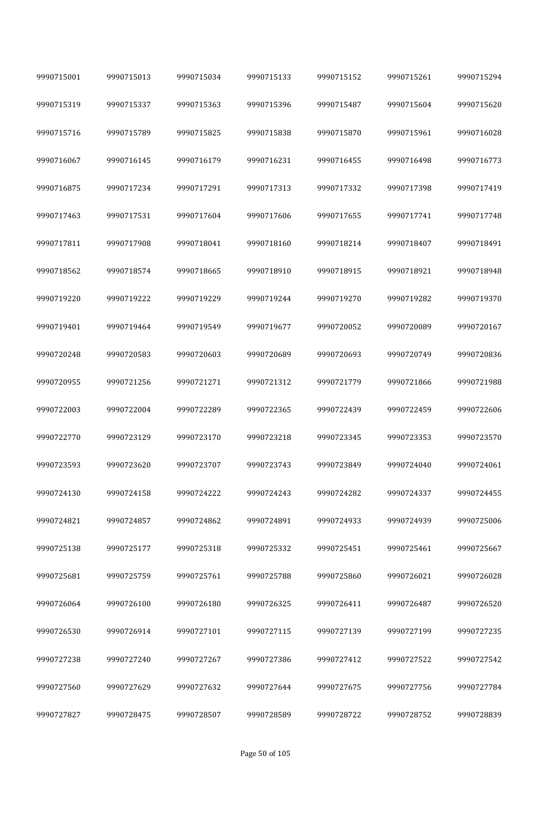| 9990715001 | 9990715013 | 9990715034 | 9990715133 | 9990715152 | 9990715261 | 9990715294 |
|------------|------------|------------|------------|------------|------------|------------|
| 9990715319 | 9990715337 | 9990715363 | 9990715396 | 9990715487 | 9990715604 | 9990715620 |
| 9990715716 | 9990715789 | 9990715825 | 9990715838 | 9990715870 | 9990715961 | 9990716028 |
| 9990716067 | 9990716145 | 9990716179 | 9990716231 | 9990716455 | 9990716498 | 9990716773 |
| 9990716875 | 9990717234 | 9990717291 | 9990717313 | 9990717332 | 9990717398 | 9990717419 |
| 9990717463 | 9990717531 | 9990717604 | 9990717606 | 9990717655 | 9990717741 | 9990717748 |
| 9990717811 | 9990717908 | 9990718041 | 9990718160 | 9990718214 | 9990718407 | 9990718491 |
| 9990718562 | 9990718574 | 9990718665 | 9990718910 | 9990718915 | 9990718921 | 9990718948 |
| 9990719220 | 9990719222 | 9990719229 | 9990719244 | 9990719270 | 9990719282 | 9990719370 |
| 9990719401 | 9990719464 | 9990719549 | 9990719677 | 9990720052 | 9990720089 | 9990720167 |
| 9990720248 | 9990720583 | 9990720603 | 9990720689 | 9990720693 | 9990720749 | 9990720836 |
| 9990720955 | 9990721256 | 9990721271 | 9990721312 | 9990721779 | 9990721866 | 9990721988 |
| 9990722003 | 9990722004 | 9990722289 | 9990722365 | 9990722439 | 9990722459 | 9990722606 |
| 9990722770 | 9990723129 | 9990723170 | 9990723218 | 9990723345 | 9990723353 | 9990723570 |
| 9990723593 | 9990723620 | 9990723707 | 9990723743 | 9990723849 | 9990724040 | 9990724061 |
| 9990724130 | 9990724158 | 9990724222 | 9990724243 | 9990724282 | 9990724337 | 9990724455 |
| 9990724821 | 9990724857 | 9990724862 | 9990724891 | 9990724933 | 9990724939 | 9990725006 |
| 9990725138 | 9990725177 | 9990725318 | 9990725332 | 9990725451 | 9990725461 | 9990725667 |
| 9990725681 | 9990725759 | 9990725761 | 9990725788 | 9990725860 | 9990726021 | 9990726028 |
| 9990726064 | 9990726100 | 9990726180 | 9990726325 | 9990726411 | 9990726487 | 9990726520 |
| 9990726530 | 9990726914 | 9990727101 | 9990727115 | 9990727139 | 9990727199 | 9990727235 |
| 9990727238 | 9990727240 | 9990727267 | 9990727386 | 9990727412 | 9990727522 | 9990727542 |
| 9990727560 | 9990727629 | 9990727632 | 9990727644 | 9990727675 | 9990727756 | 9990727784 |
| 9990727827 | 9990728475 | 9990728507 | 9990728589 | 9990728722 | 9990728752 | 9990728839 |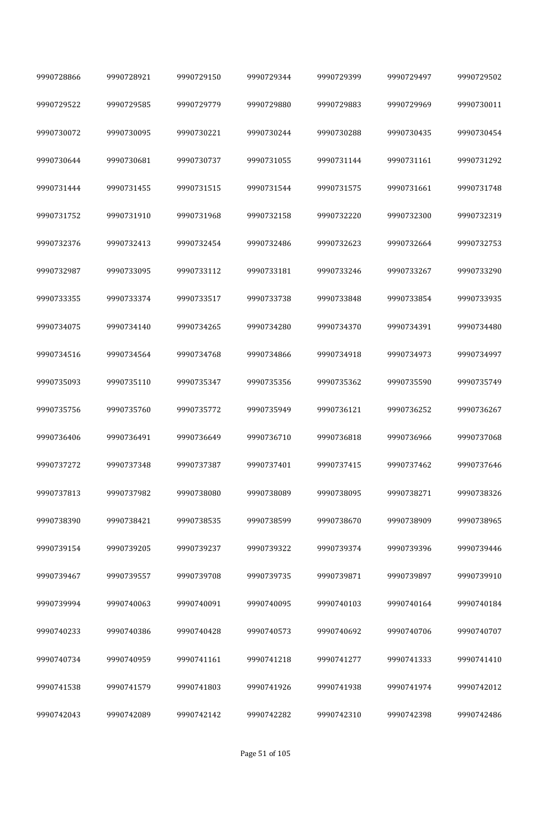| 9990728866 | 9990728921 | 9990729150 | 9990729344 | 9990729399 | 9990729497 | 9990729502 |
|------------|------------|------------|------------|------------|------------|------------|
| 9990729522 | 9990729585 | 9990729779 | 9990729880 | 9990729883 | 9990729969 | 9990730011 |
| 9990730072 | 9990730095 | 9990730221 | 9990730244 | 9990730288 | 9990730435 | 9990730454 |
| 9990730644 | 9990730681 | 9990730737 | 9990731055 | 9990731144 | 9990731161 | 9990731292 |
| 9990731444 | 9990731455 | 9990731515 | 9990731544 | 9990731575 | 9990731661 | 9990731748 |
| 9990731752 | 9990731910 | 9990731968 | 9990732158 | 9990732220 | 9990732300 | 9990732319 |
| 9990732376 | 9990732413 | 9990732454 | 9990732486 | 9990732623 | 9990732664 | 9990732753 |
| 9990732987 | 9990733095 | 9990733112 | 9990733181 | 9990733246 | 9990733267 | 9990733290 |
| 9990733355 | 9990733374 | 9990733517 | 9990733738 | 9990733848 | 9990733854 | 9990733935 |
| 9990734075 | 9990734140 | 9990734265 | 9990734280 | 9990734370 | 9990734391 | 9990734480 |
| 9990734516 | 9990734564 | 9990734768 | 9990734866 | 9990734918 | 9990734973 | 9990734997 |
| 9990735093 | 9990735110 | 9990735347 | 9990735356 | 9990735362 | 9990735590 | 9990735749 |
| 9990735756 | 9990735760 | 9990735772 | 9990735949 | 9990736121 | 9990736252 | 9990736267 |
| 9990736406 | 9990736491 | 9990736649 | 9990736710 | 9990736818 | 9990736966 | 9990737068 |
| 9990737272 | 9990737348 | 9990737387 | 9990737401 | 9990737415 | 9990737462 | 9990737646 |
| 9990737813 | 9990737982 | 9990738080 | 9990738089 | 9990738095 | 9990738271 | 9990738326 |
| 9990738390 | 9990738421 | 9990738535 | 9990738599 | 9990738670 | 9990738909 | 9990738965 |
| 9990739154 | 9990739205 | 9990739237 | 9990739322 | 9990739374 | 9990739396 | 9990739446 |
| 9990739467 | 9990739557 | 9990739708 | 9990739735 | 9990739871 | 9990739897 | 9990739910 |
| 9990739994 | 9990740063 | 9990740091 | 9990740095 | 9990740103 | 9990740164 | 9990740184 |
| 9990740233 | 9990740386 | 9990740428 | 9990740573 | 9990740692 | 9990740706 | 9990740707 |
| 9990740734 | 9990740959 | 9990741161 | 9990741218 | 9990741277 | 9990741333 | 9990741410 |
| 9990741538 | 9990741579 | 9990741803 | 9990741926 | 9990741938 | 9990741974 | 9990742012 |
| 9990742043 | 9990742089 | 9990742142 | 9990742282 | 9990742310 | 9990742398 | 9990742486 |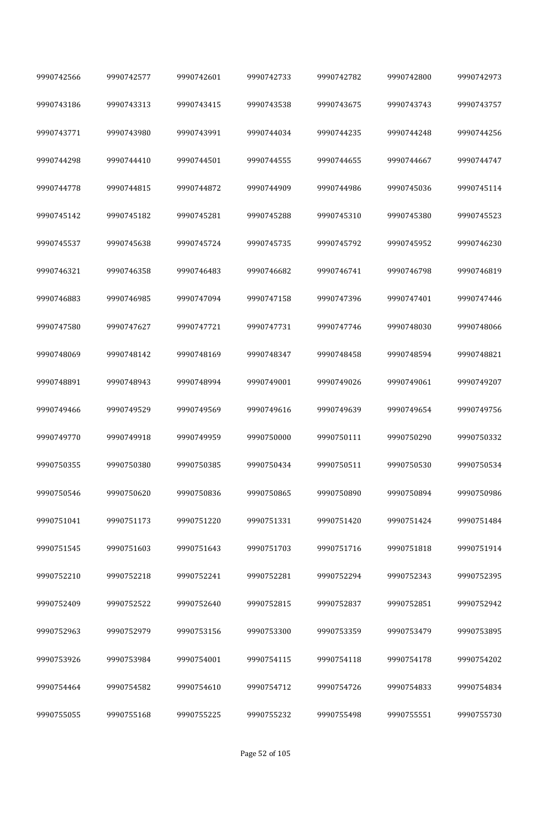| 9990742566 | 9990742577 | 9990742601 | 9990742733 | 9990742782 | 9990742800 | 9990742973 |
|------------|------------|------------|------------|------------|------------|------------|
| 9990743186 | 9990743313 | 9990743415 | 9990743538 | 9990743675 | 9990743743 | 9990743757 |
| 9990743771 | 9990743980 | 9990743991 | 9990744034 | 9990744235 | 9990744248 | 9990744256 |
| 9990744298 | 9990744410 | 9990744501 | 9990744555 | 9990744655 | 9990744667 | 9990744747 |
| 9990744778 | 9990744815 | 9990744872 | 9990744909 | 9990744986 | 9990745036 | 9990745114 |
| 9990745142 | 9990745182 | 9990745281 | 9990745288 | 9990745310 | 9990745380 | 9990745523 |
| 9990745537 | 9990745638 | 9990745724 | 9990745735 | 9990745792 | 9990745952 | 9990746230 |
| 9990746321 | 9990746358 | 9990746483 | 9990746682 | 9990746741 | 9990746798 | 9990746819 |
| 9990746883 | 9990746985 | 9990747094 | 9990747158 | 9990747396 | 9990747401 | 9990747446 |
| 9990747580 | 9990747627 | 9990747721 | 9990747731 | 9990747746 | 9990748030 | 9990748066 |
| 9990748069 | 9990748142 | 9990748169 | 9990748347 | 9990748458 | 9990748594 | 9990748821 |
| 9990748891 | 9990748943 | 9990748994 | 9990749001 | 9990749026 | 9990749061 | 9990749207 |
| 9990749466 | 9990749529 | 9990749569 | 9990749616 | 9990749639 | 9990749654 | 9990749756 |
| 9990749770 | 9990749918 | 9990749959 | 9990750000 | 9990750111 | 9990750290 | 9990750332 |
| 9990750355 | 9990750380 | 9990750385 | 9990750434 | 9990750511 | 9990750530 | 9990750534 |
| 9990750546 | 9990750620 | 9990750836 | 9990750865 | 9990750890 | 9990750894 | 9990750986 |
| 9990751041 | 9990751173 | 9990751220 | 9990751331 | 9990751420 | 9990751424 | 9990751484 |
| 9990751545 | 9990751603 | 9990751643 | 9990751703 | 9990751716 | 9990751818 | 9990751914 |
| 9990752210 | 9990752218 | 9990752241 | 9990752281 | 9990752294 | 9990752343 | 9990752395 |
| 9990752409 | 9990752522 | 9990752640 | 9990752815 | 9990752837 | 9990752851 | 9990752942 |
| 9990752963 | 9990752979 | 9990753156 | 9990753300 | 9990753359 | 9990753479 | 9990753895 |
| 9990753926 | 9990753984 | 9990754001 | 9990754115 | 9990754118 | 9990754178 | 9990754202 |
| 9990754464 | 9990754582 | 9990754610 | 9990754712 | 9990754726 | 9990754833 | 9990754834 |
| 9990755055 | 9990755168 | 9990755225 | 9990755232 | 9990755498 | 9990755551 | 9990755730 |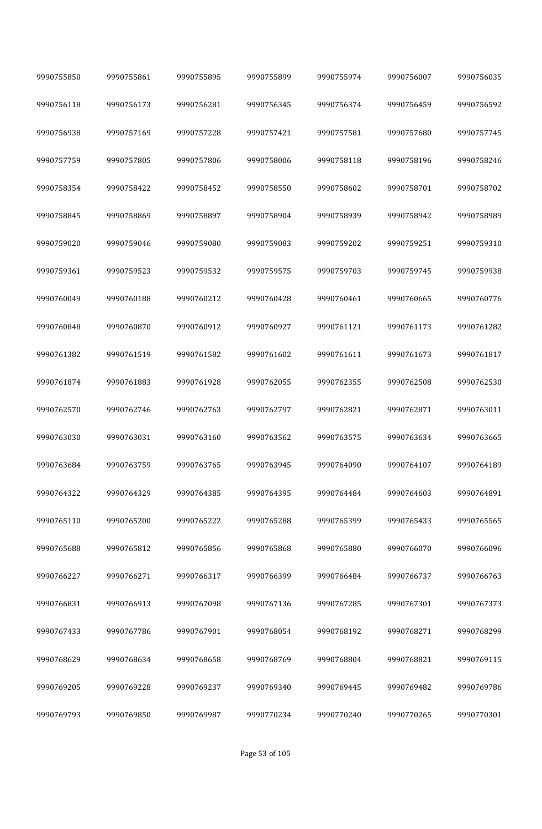| 9990755850 | 9990755861 | 9990755895 | 9990755899 | 9990755974 | 9990756007 | 9990756035 |
|------------|------------|------------|------------|------------|------------|------------|
| 9990756118 | 9990756173 | 9990756281 | 9990756345 | 9990756374 | 9990756459 | 9990756592 |
| 9990756938 | 9990757169 | 9990757228 | 9990757421 | 9990757581 | 9990757680 | 9990757745 |
| 9990757759 | 9990757805 | 9990757806 | 9990758006 | 9990758118 | 9990758196 | 9990758246 |
| 9990758354 | 9990758422 | 9990758452 | 9990758550 | 9990758602 | 9990758701 | 9990758702 |
| 9990758845 | 9990758869 | 9990758897 | 9990758904 | 9990758939 | 9990758942 | 9990758989 |
| 9990759020 | 9990759046 | 9990759080 | 9990759083 | 9990759202 | 9990759251 | 9990759310 |
| 9990759361 | 9990759523 | 9990759532 | 9990759575 | 9990759703 | 9990759745 | 9990759938 |
| 9990760049 | 9990760188 | 9990760212 | 9990760428 | 9990760461 | 9990760665 | 9990760776 |
| 9990760848 | 9990760870 | 9990760912 | 9990760927 | 9990761121 | 9990761173 | 9990761282 |
| 9990761382 | 9990761519 | 9990761582 | 9990761602 | 9990761611 | 9990761673 | 9990761817 |
| 9990761874 | 9990761883 | 9990761928 | 9990762055 | 9990762355 | 9990762508 | 9990762530 |
| 9990762570 | 9990762746 | 9990762763 | 9990762797 | 9990762821 | 9990762871 | 9990763011 |
| 9990763030 | 9990763031 | 9990763160 | 9990763562 | 9990763575 | 9990763634 | 9990763665 |
| 9990763684 | 9990763759 | 9990763765 | 9990763945 | 9990764090 | 9990764107 | 9990764189 |
| 9990764322 | 9990764329 | 9990764385 | 9990764395 | 9990764484 | 9990764603 | 9990764891 |
| 9990765110 | 9990765200 | 9990765222 | 9990765288 | 9990765399 | 9990765433 | 9990765565 |
| 9990765688 | 9990765812 | 9990765856 | 9990765868 | 9990765880 | 9990766070 | 9990766096 |
| 9990766227 | 9990766271 | 9990766317 | 9990766399 | 9990766484 | 9990766737 | 9990766763 |
| 9990766831 | 9990766913 | 9990767098 | 9990767136 | 9990767285 | 9990767301 | 9990767373 |
| 9990767433 | 9990767786 | 9990767901 | 9990768054 | 9990768192 | 9990768271 | 9990768299 |
| 9990768629 | 9990768634 | 9990768658 | 9990768769 | 9990768804 | 9990768821 | 9990769115 |
| 9990769205 | 9990769228 | 9990769237 | 9990769340 | 9990769445 | 9990769482 | 9990769786 |
| 9990769793 | 9990769850 | 9990769987 | 9990770234 | 9990770240 | 9990770265 | 9990770301 |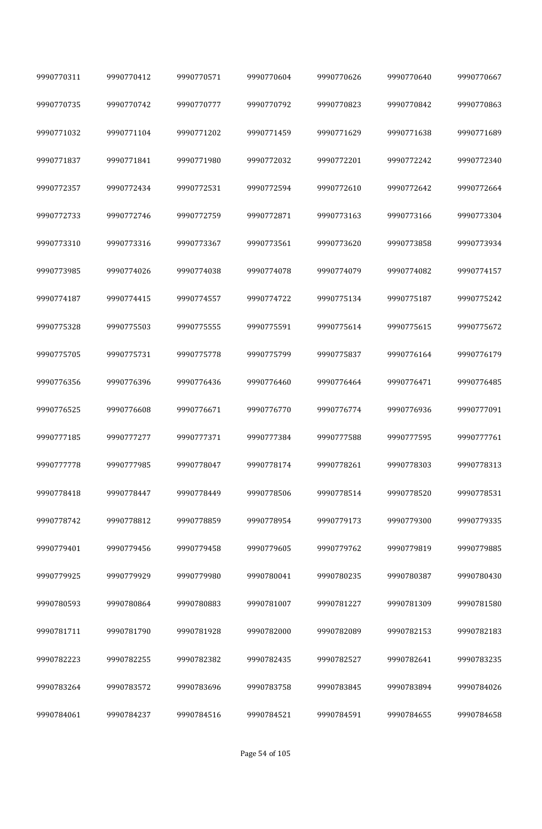| 9990770311 | 9990770412 | 9990770571 | 9990770604 | 9990770626 | 9990770640 | 9990770667 |
|------------|------------|------------|------------|------------|------------|------------|
| 9990770735 | 9990770742 | 9990770777 | 9990770792 | 9990770823 | 9990770842 | 9990770863 |
| 9990771032 | 9990771104 | 9990771202 | 9990771459 | 9990771629 | 9990771638 | 9990771689 |
| 9990771837 | 9990771841 | 9990771980 | 9990772032 | 9990772201 | 9990772242 | 9990772340 |
| 9990772357 | 9990772434 | 9990772531 | 9990772594 | 9990772610 | 9990772642 | 9990772664 |
| 9990772733 | 9990772746 | 9990772759 | 9990772871 | 9990773163 | 9990773166 | 9990773304 |
| 9990773310 | 9990773316 | 9990773367 | 9990773561 | 9990773620 | 9990773858 | 9990773934 |
| 9990773985 | 9990774026 | 9990774038 | 9990774078 | 9990774079 | 9990774082 | 9990774157 |
| 9990774187 | 9990774415 | 9990774557 | 9990774722 | 9990775134 | 9990775187 | 9990775242 |
| 9990775328 | 9990775503 | 9990775555 | 9990775591 | 9990775614 | 9990775615 | 9990775672 |
| 9990775705 | 9990775731 | 9990775778 | 9990775799 | 9990775837 | 9990776164 | 9990776179 |
| 9990776356 | 9990776396 | 9990776436 | 9990776460 | 9990776464 | 9990776471 | 9990776485 |
| 9990776525 | 9990776608 | 9990776671 | 9990776770 | 9990776774 | 9990776936 | 9990777091 |
| 9990777185 | 9990777277 | 9990777371 | 9990777384 | 9990777588 | 9990777595 | 9990777761 |
| 9990777778 | 9990777985 | 9990778047 | 9990778174 | 9990778261 | 9990778303 | 9990778313 |
| 9990778418 | 9990778447 | 9990778449 | 9990778506 | 9990778514 | 9990778520 | 9990778531 |
| 9990778742 | 9990778812 | 9990778859 | 9990778954 | 9990779173 | 9990779300 | 9990779335 |
| 9990779401 | 9990779456 | 9990779458 | 9990779605 | 9990779762 | 9990779819 | 9990779885 |
| 9990779925 | 9990779929 | 9990779980 | 9990780041 | 9990780235 | 9990780387 | 9990780430 |
| 9990780593 | 9990780864 | 9990780883 | 9990781007 | 9990781227 | 9990781309 | 9990781580 |
| 9990781711 | 9990781790 | 9990781928 | 9990782000 | 9990782089 | 9990782153 | 9990782183 |
| 9990782223 | 9990782255 | 9990782382 | 9990782435 | 9990782527 | 9990782641 | 9990783235 |
| 9990783264 | 9990783572 | 9990783696 | 9990783758 | 9990783845 | 9990783894 | 9990784026 |
| 9990784061 | 9990784237 | 9990784516 | 9990784521 | 9990784591 | 9990784655 | 9990784658 |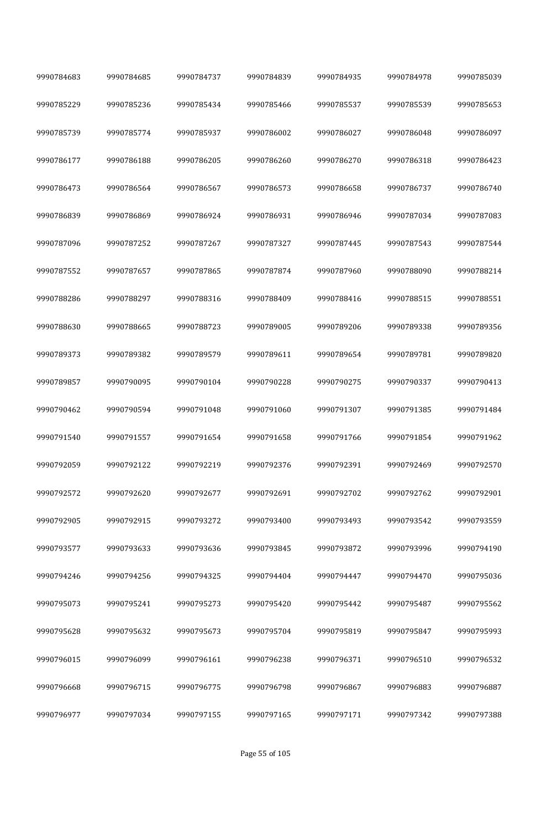| 9990784683 | 9990784685 | 9990784737 | 9990784839 | 9990784935 | 9990784978 | 9990785039 |
|------------|------------|------------|------------|------------|------------|------------|
| 9990785229 | 9990785236 | 9990785434 | 9990785466 | 9990785537 | 9990785539 | 9990785653 |
| 9990785739 | 9990785774 | 9990785937 | 9990786002 | 9990786027 | 9990786048 | 9990786097 |
| 9990786177 | 9990786188 | 9990786205 | 9990786260 | 9990786270 | 9990786318 | 9990786423 |
| 9990786473 | 9990786564 | 9990786567 | 9990786573 | 9990786658 | 9990786737 | 9990786740 |
| 9990786839 | 9990786869 | 9990786924 | 9990786931 | 9990786946 | 9990787034 | 9990787083 |
| 9990787096 | 9990787252 | 9990787267 | 9990787327 | 9990787445 | 9990787543 | 9990787544 |
| 9990787552 | 9990787657 | 9990787865 | 9990787874 | 9990787960 | 9990788090 | 9990788214 |
| 9990788286 | 9990788297 | 9990788316 | 9990788409 | 9990788416 | 9990788515 | 9990788551 |
| 9990788630 | 9990788665 | 9990788723 | 9990789005 | 9990789206 | 9990789338 | 9990789356 |
| 9990789373 | 9990789382 | 9990789579 | 9990789611 | 9990789654 | 9990789781 | 9990789820 |
| 9990789857 | 9990790095 | 9990790104 | 9990790228 | 9990790275 | 9990790337 | 9990790413 |
| 9990790462 | 9990790594 | 9990791048 | 9990791060 | 9990791307 | 9990791385 | 9990791484 |
| 9990791540 | 9990791557 | 9990791654 | 9990791658 | 9990791766 | 9990791854 | 9990791962 |
| 9990792059 | 9990792122 | 9990792219 | 9990792376 | 9990792391 | 9990792469 | 9990792570 |
| 9990792572 | 9990792620 | 9990792677 | 9990792691 | 9990792702 | 9990792762 | 9990792901 |
| 9990792905 | 9990792915 | 9990793272 | 9990793400 | 9990793493 | 9990793542 | 9990793559 |
| 9990793577 | 9990793633 | 9990793636 | 9990793845 | 9990793872 | 9990793996 | 9990794190 |
| 9990794246 | 9990794256 | 9990794325 | 9990794404 | 9990794447 | 9990794470 | 9990795036 |
| 9990795073 | 9990795241 | 9990795273 | 9990795420 | 9990795442 | 9990795487 | 9990795562 |
| 9990795628 | 9990795632 | 9990795673 | 9990795704 | 9990795819 | 9990795847 | 9990795993 |
| 9990796015 | 9990796099 | 9990796161 | 9990796238 | 9990796371 | 9990796510 | 9990796532 |
| 9990796668 | 9990796715 | 9990796775 | 9990796798 | 9990796867 | 9990796883 | 9990796887 |
| 9990796977 | 9990797034 | 9990797155 | 9990797165 | 9990797171 | 9990797342 | 9990797388 |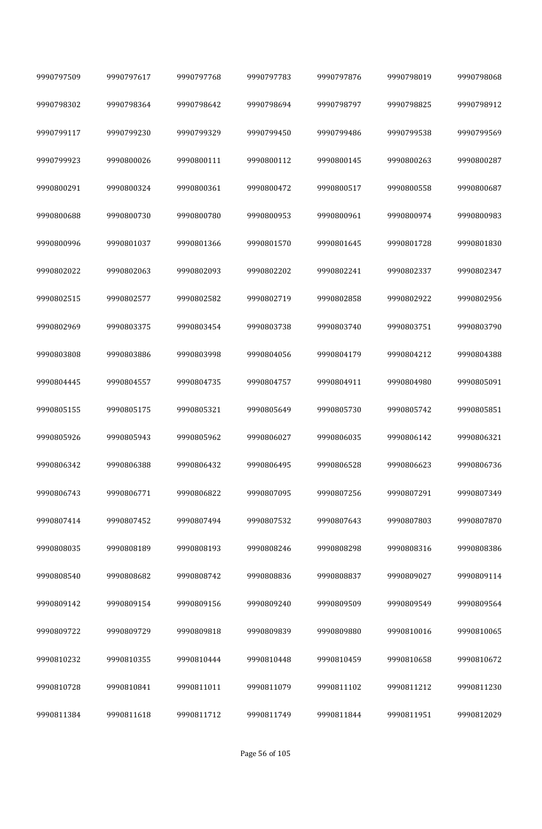| 9990797509 | 9990797617 | 9990797768 | 9990797783 | 9990797876 | 9990798019 | 9990798068 |
|------------|------------|------------|------------|------------|------------|------------|
| 9990798302 | 9990798364 | 9990798642 | 9990798694 | 9990798797 | 9990798825 | 9990798912 |
| 9990799117 | 9990799230 | 9990799329 | 9990799450 | 9990799486 | 9990799538 | 9990799569 |
| 9990799923 | 9990800026 | 9990800111 | 9990800112 | 9990800145 | 9990800263 | 9990800287 |
| 9990800291 | 9990800324 | 9990800361 | 9990800472 | 9990800517 | 9990800558 | 9990800687 |
| 9990800688 | 9990800730 | 9990800780 | 9990800953 | 9990800961 | 9990800974 | 9990800983 |
| 9990800996 | 9990801037 | 9990801366 | 9990801570 | 9990801645 | 9990801728 | 9990801830 |
| 9990802022 | 9990802063 | 9990802093 | 9990802202 | 9990802241 | 9990802337 | 9990802347 |
| 9990802515 | 9990802577 | 9990802582 | 9990802719 | 9990802858 | 9990802922 | 9990802956 |
| 9990802969 | 9990803375 | 9990803454 | 9990803738 | 9990803740 | 9990803751 | 9990803790 |
| 9990803808 | 9990803886 | 9990803998 | 9990804056 | 9990804179 | 9990804212 | 9990804388 |
| 9990804445 | 9990804557 | 9990804735 | 9990804757 | 9990804911 | 9990804980 | 9990805091 |
| 9990805155 | 9990805175 | 9990805321 | 9990805649 | 9990805730 | 9990805742 | 9990805851 |
| 9990805926 | 9990805943 | 9990805962 | 9990806027 | 9990806035 | 9990806142 | 9990806321 |
| 9990806342 | 9990806388 | 9990806432 | 9990806495 | 9990806528 | 9990806623 | 9990806736 |
| 9990806743 | 9990806771 | 9990806822 | 9990807095 | 9990807256 | 9990807291 | 9990807349 |
| 9990807414 | 9990807452 | 9990807494 | 9990807532 | 9990807643 | 9990807803 | 9990807870 |
| 9990808035 | 9990808189 | 9990808193 | 9990808246 | 9990808298 | 9990808316 | 9990808386 |
| 9990808540 | 9990808682 | 9990808742 | 9990808836 | 9990808837 | 9990809027 | 9990809114 |
| 9990809142 | 9990809154 | 9990809156 | 9990809240 | 9990809509 | 9990809549 | 9990809564 |
| 9990809722 | 9990809729 | 9990809818 | 9990809839 | 9990809880 | 9990810016 | 9990810065 |
| 9990810232 | 9990810355 | 9990810444 | 9990810448 | 9990810459 | 9990810658 | 9990810672 |
| 9990810728 | 9990810841 | 9990811011 | 9990811079 | 9990811102 | 9990811212 | 9990811230 |
| 9990811384 | 9990811618 | 9990811712 | 9990811749 | 9990811844 | 9990811951 | 9990812029 |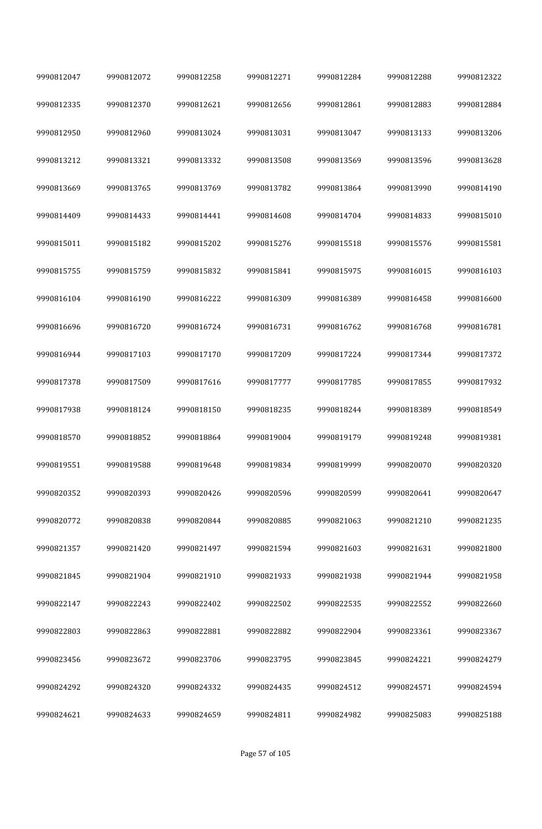| 9990812047 | 9990812072 | 9990812258 | 9990812271 | 9990812284 | 9990812288 | 9990812322 |
|------------|------------|------------|------------|------------|------------|------------|
| 9990812335 | 9990812370 | 9990812621 | 9990812656 | 9990812861 | 9990812883 | 9990812884 |
| 9990812950 | 9990812960 | 9990813024 | 9990813031 | 9990813047 | 9990813133 | 9990813206 |
| 9990813212 | 9990813321 | 9990813332 | 9990813508 | 9990813569 | 9990813596 | 9990813628 |
| 9990813669 | 9990813765 | 9990813769 | 9990813782 | 9990813864 | 9990813990 | 9990814190 |
| 9990814409 | 9990814433 | 9990814441 | 9990814608 | 9990814704 | 9990814833 | 9990815010 |
| 9990815011 | 9990815182 | 9990815202 | 9990815276 | 9990815518 | 9990815576 | 9990815581 |
| 9990815755 | 9990815759 | 9990815832 | 9990815841 | 9990815975 | 9990816015 | 9990816103 |
| 9990816104 | 9990816190 | 9990816222 | 9990816309 | 9990816389 | 9990816458 | 9990816600 |
| 9990816696 | 9990816720 | 9990816724 | 9990816731 | 9990816762 | 9990816768 | 9990816781 |
| 9990816944 | 9990817103 | 9990817170 | 9990817209 | 9990817224 | 9990817344 | 9990817372 |
| 9990817378 | 9990817509 | 9990817616 | 9990817777 | 9990817785 | 9990817855 | 9990817932 |
| 9990817938 | 9990818124 | 9990818150 | 9990818235 | 9990818244 | 9990818389 | 9990818549 |
| 9990818570 | 9990818852 | 9990818864 | 9990819004 | 9990819179 | 9990819248 | 9990819381 |
| 9990819551 | 9990819588 | 9990819648 | 9990819834 | 9990819999 | 9990820070 | 9990820320 |
| 9990820352 | 9990820393 | 9990820426 | 9990820596 | 9990820599 | 9990820641 | 9990820647 |
| 9990820772 | 9990820838 | 9990820844 | 9990820885 | 9990821063 | 9990821210 | 9990821235 |
| 9990821357 | 9990821420 | 9990821497 | 9990821594 | 9990821603 | 9990821631 | 9990821800 |
| 9990821845 | 9990821904 | 9990821910 | 9990821933 | 9990821938 | 9990821944 | 9990821958 |
| 9990822147 | 9990822243 | 9990822402 | 9990822502 | 9990822535 | 9990822552 | 9990822660 |
| 9990822803 | 9990822863 | 9990822881 | 9990822882 | 9990822904 | 9990823361 | 9990823367 |
| 9990823456 | 9990823672 | 9990823706 | 9990823795 | 9990823845 | 9990824221 | 9990824279 |
| 9990824292 | 9990824320 | 9990824332 | 9990824435 | 9990824512 | 9990824571 | 9990824594 |
| 9990824621 | 9990824633 | 9990824659 | 9990824811 | 9990824982 | 9990825083 | 9990825188 |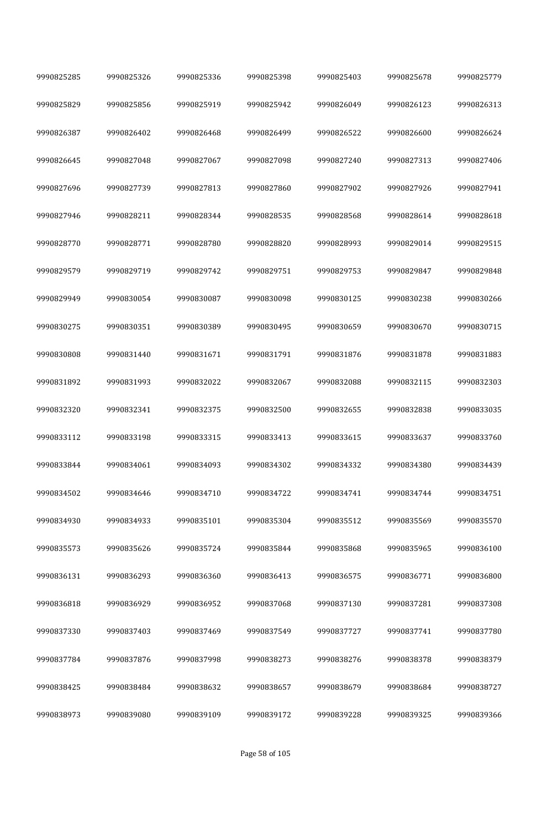| 9990825285 | 9990825326 | 9990825336 | 9990825398 | 9990825403 | 9990825678 | 9990825779 |
|------------|------------|------------|------------|------------|------------|------------|
| 9990825829 | 9990825856 | 9990825919 | 9990825942 | 9990826049 | 9990826123 | 9990826313 |
| 9990826387 | 9990826402 | 9990826468 | 9990826499 | 9990826522 | 9990826600 | 9990826624 |
| 9990826645 | 9990827048 | 9990827067 | 9990827098 | 9990827240 | 9990827313 | 9990827406 |
| 9990827696 | 9990827739 | 9990827813 | 9990827860 | 9990827902 | 9990827926 | 9990827941 |
| 9990827946 | 9990828211 | 9990828344 | 9990828535 | 9990828568 | 9990828614 | 9990828618 |
| 9990828770 | 9990828771 | 9990828780 | 9990828820 | 9990828993 | 9990829014 | 9990829515 |
| 9990829579 | 9990829719 | 9990829742 | 9990829751 | 9990829753 | 9990829847 | 9990829848 |
| 9990829949 | 9990830054 | 9990830087 | 9990830098 | 9990830125 | 9990830238 | 9990830266 |
| 9990830275 | 9990830351 | 9990830389 | 9990830495 | 9990830659 | 9990830670 | 9990830715 |
| 9990830808 | 9990831440 | 9990831671 | 9990831791 | 9990831876 | 9990831878 | 9990831883 |
| 9990831892 | 9990831993 | 9990832022 | 9990832067 | 9990832088 | 9990832115 | 9990832303 |
| 9990832320 | 9990832341 | 9990832375 | 9990832500 | 9990832655 | 9990832838 | 9990833035 |
| 9990833112 | 9990833198 | 9990833315 | 9990833413 | 9990833615 | 9990833637 | 9990833760 |
| 9990833844 | 9990834061 | 9990834093 | 9990834302 | 9990834332 | 9990834380 | 9990834439 |
| 9990834502 | 9990834646 | 9990834710 | 9990834722 | 9990834741 | 9990834744 | 9990834751 |
| 9990834930 | 9990834933 | 9990835101 | 9990835304 | 9990835512 | 9990835569 | 9990835570 |
| 9990835573 | 9990835626 | 9990835724 | 9990835844 | 9990835868 | 9990835965 | 9990836100 |
| 9990836131 | 9990836293 | 9990836360 | 9990836413 | 9990836575 | 9990836771 | 9990836800 |
| 9990836818 | 9990836929 | 9990836952 | 9990837068 | 9990837130 | 9990837281 | 9990837308 |
| 9990837330 | 9990837403 | 9990837469 | 9990837549 | 9990837727 | 9990837741 | 9990837780 |
| 9990837784 | 9990837876 | 9990837998 | 9990838273 | 9990838276 | 9990838378 | 9990838379 |
| 9990838425 | 9990838484 | 9990838632 | 9990838657 | 9990838679 | 9990838684 | 9990838727 |
| 9990838973 | 9990839080 | 9990839109 | 9990839172 | 9990839228 | 9990839325 | 9990839366 |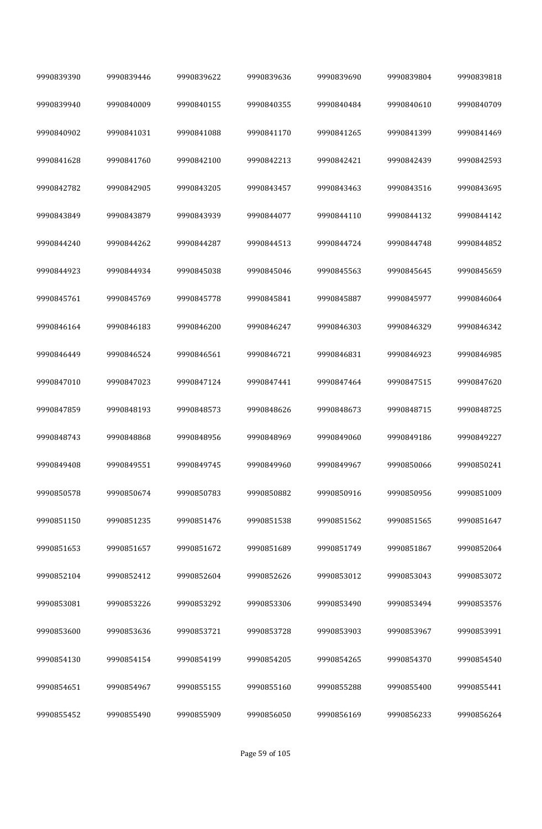| 9990839390 | 9990839446 | 9990839622 | 9990839636 | 9990839690 | 9990839804 | 9990839818 |
|------------|------------|------------|------------|------------|------------|------------|
| 9990839940 | 9990840009 | 9990840155 | 9990840355 | 9990840484 | 9990840610 | 9990840709 |
| 9990840902 | 9990841031 | 9990841088 | 9990841170 | 9990841265 | 9990841399 | 9990841469 |
| 9990841628 | 9990841760 | 9990842100 | 9990842213 | 9990842421 | 9990842439 | 9990842593 |
| 9990842782 | 9990842905 | 9990843205 | 9990843457 | 9990843463 | 9990843516 | 9990843695 |
| 9990843849 | 9990843879 | 9990843939 | 9990844077 | 9990844110 | 9990844132 | 9990844142 |
| 9990844240 | 9990844262 | 9990844287 | 9990844513 | 9990844724 | 9990844748 | 9990844852 |
| 9990844923 | 9990844934 | 9990845038 | 9990845046 | 9990845563 | 9990845645 | 9990845659 |
| 9990845761 | 9990845769 | 9990845778 | 9990845841 | 9990845887 | 9990845977 | 9990846064 |
| 9990846164 | 9990846183 | 9990846200 | 9990846247 | 9990846303 | 9990846329 | 9990846342 |
| 9990846449 | 9990846524 | 9990846561 | 9990846721 | 9990846831 | 9990846923 | 9990846985 |
| 9990847010 | 9990847023 | 9990847124 | 9990847441 | 9990847464 | 9990847515 | 9990847620 |
| 9990847859 | 9990848193 | 9990848573 | 9990848626 | 9990848673 | 9990848715 | 9990848725 |
| 9990848743 | 9990848868 | 9990848956 | 9990848969 | 9990849060 | 9990849186 | 9990849227 |
| 9990849408 | 9990849551 | 9990849745 | 9990849960 | 9990849967 | 9990850066 | 9990850241 |
| 9990850578 | 9990850674 | 9990850783 | 9990850882 | 9990850916 | 9990850956 | 9990851009 |
| 9990851150 | 9990851235 | 9990851476 | 9990851538 | 9990851562 | 9990851565 | 9990851647 |
| 9990851653 | 9990851657 | 9990851672 | 9990851689 | 9990851749 | 9990851867 | 9990852064 |
| 9990852104 | 9990852412 | 9990852604 | 9990852626 | 9990853012 | 9990853043 | 9990853072 |
| 9990853081 | 9990853226 | 9990853292 | 9990853306 | 9990853490 | 9990853494 | 9990853576 |
| 9990853600 | 9990853636 | 9990853721 | 9990853728 | 9990853903 | 9990853967 | 9990853991 |
| 9990854130 | 9990854154 | 9990854199 | 9990854205 | 9990854265 | 9990854370 | 9990854540 |
| 9990854651 | 9990854967 | 9990855155 | 9990855160 | 9990855288 | 9990855400 | 9990855441 |
| 9990855452 | 9990855490 | 9990855909 | 9990856050 | 9990856169 | 9990856233 | 9990856264 |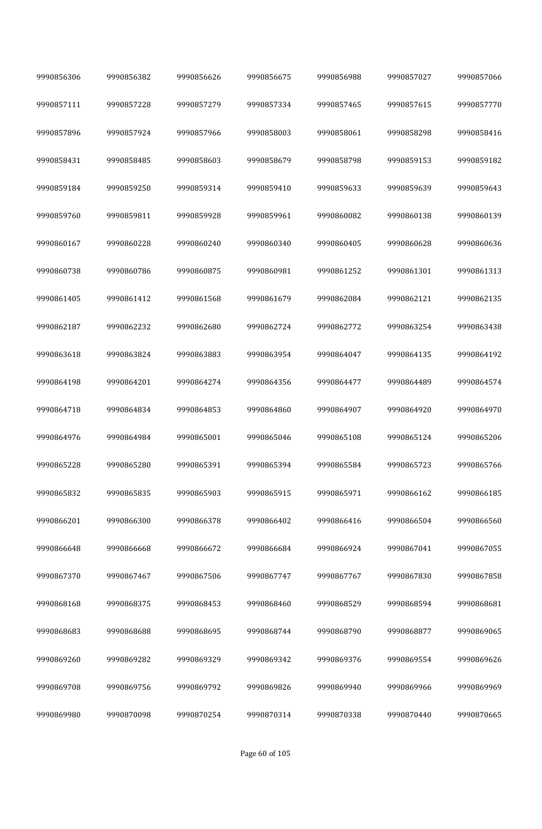| 9990856306 | 9990856382 | 9990856626 | 9990856675 | 9990856988 | 9990857027 | 9990857066 |
|------------|------------|------------|------------|------------|------------|------------|
| 9990857111 | 9990857228 | 9990857279 | 9990857334 | 9990857465 | 9990857615 | 9990857770 |
| 9990857896 | 9990857924 | 9990857966 | 9990858003 | 9990858061 | 9990858298 | 9990858416 |
| 9990858431 | 9990858485 | 9990858603 | 9990858679 | 9990858798 | 9990859153 | 9990859182 |
| 9990859184 | 9990859250 | 9990859314 | 9990859410 | 9990859633 | 9990859639 | 9990859643 |
| 9990859760 | 9990859811 | 9990859928 | 9990859961 | 9990860082 | 9990860138 | 9990860139 |
| 9990860167 | 9990860228 | 9990860240 | 9990860340 | 9990860405 | 9990860628 | 9990860636 |
| 9990860738 | 9990860786 | 9990860875 | 9990860981 | 9990861252 | 9990861301 | 9990861313 |
| 9990861405 | 9990861412 | 9990861568 | 9990861679 | 9990862084 | 9990862121 | 9990862135 |
| 9990862187 | 9990862232 | 9990862680 | 9990862724 | 9990862772 | 9990863254 | 9990863438 |
| 9990863618 | 9990863824 | 9990863883 | 9990863954 | 9990864047 | 9990864135 | 9990864192 |
| 9990864198 | 9990864201 | 9990864274 | 9990864356 | 9990864477 | 9990864489 | 9990864574 |
| 9990864718 | 9990864834 | 9990864853 | 9990864860 | 9990864907 | 9990864920 | 9990864970 |
| 9990864976 | 9990864984 | 9990865001 | 9990865046 | 9990865108 | 9990865124 | 9990865206 |
| 9990865228 | 9990865280 | 9990865391 | 9990865394 | 9990865584 | 9990865723 | 9990865766 |
| 9990865832 | 9990865835 | 9990865903 | 9990865915 | 9990865971 | 9990866162 | 9990866185 |
| 9990866201 | 9990866300 | 9990866378 | 9990866402 | 9990866416 | 9990866504 | 9990866560 |
| 9990866648 | 9990866668 | 9990866672 | 9990866684 | 9990866924 | 9990867041 | 9990867055 |
| 9990867370 | 9990867467 | 9990867506 | 9990867747 | 9990867767 | 9990867830 | 9990867858 |
| 9990868168 | 9990868375 | 9990868453 | 9990868460 | 9990868529 | 9990868594 | 9990868681 |
| 9990868683 | 9990868688 | 9990868695 | 9990868744 | 9990868790 | 9990868877 | 9990869065 |
| 9990869260 | 9990869282 | 9990869329 | 9990869342 | 9990869376 | 9990869554 | 9990869626 |
| 9990869708 | 9990869756 | 9990869792 | 9990869826 | 9990869940 | 9990869966 | 9990869969 |
| 9990869980 | 9990870098 | 9990870254 | 9990870314 | 9990870338 | 9990870440 | 9990870665 |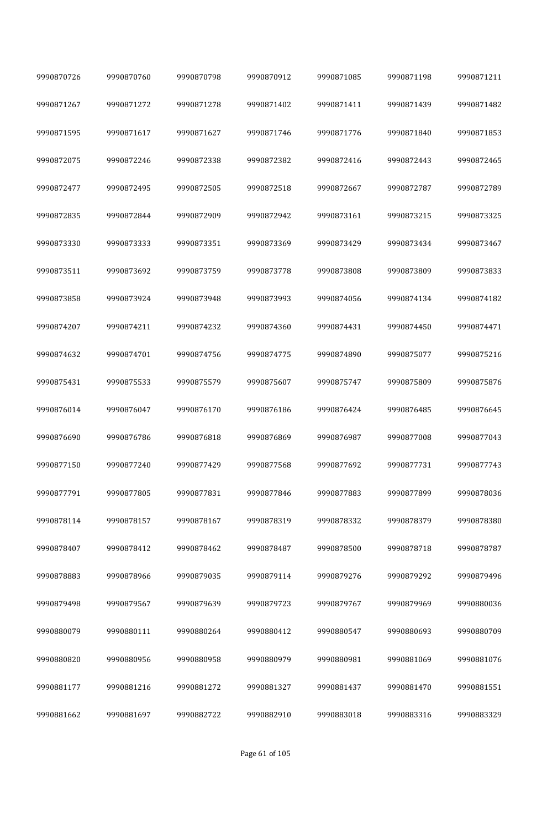| 9990870726 | 9990870760 | 9990870798 | 9990870912 | 9990871085 | 9990871198 | 9990871211 |
|------------|------------|------------|------------|------------|------------|------------|
| 9990871267 | 9990871272 | 9990871278 | 9990871402 | 9990871411 | 9990871439 | 9990871482 |
| 9990871595 | 9990871617 | 9990871627 | 9990871746 | 9990871776 | 9990871840 | 9990871853 |
| 9990872075 | 9990872246 | 9990872338 | 9990872382 | 9990872416 | 9990872443 | 9990872465 |
| 9990872477 | 9990872495 | 9990872505 | 9990872518 | 9990872667 | 9990872787 | 9990872789 |
| 9990872835 | 9990872844 | 9990872909 | 9990872942 | 9990873161 | 9990873215 | 9990873325 |
| 9990873330 | 9990873333 | 9990873351 | 9990873369 | 9990873429 | 9990873434 | 9990873467 |
| 9990873511 | 9990873692 | 9990873759 | 9990873778 | 9990873808 | 9990873809 | 9990873833 |
| 9990873858 | 9990873924 | 9990873948 | 9990873993 | 9990874056 | 9990874134 | 9990874182 |
| 9990874207 | 9990874211 | 9990874232 | 9990874360 | 9990874431 | 9990874450 | 9990874471 |
| 9990874632 | 9990874701 | 9990874756 | 9990874775 | 9990874890 | 9990875077 | 9990875216 |
| 9990875431 | 9990875533 | 9990875579 | 9990875607 | 9990875747 | 9990875809 | 9990875876 |
| 9990876014 | 9990876047 | 9990876170 | 9990876186 | 9990876424 | 9990876485 | 9990876645 |
| 9990876690 | 9990876786 | 9990876818 | 9990876869 | 9990876987 | 9990877008 | 9990877043 |
| 9990877150 | 9990877240 | 9990877429 | 9990877568 | 9990877692 | 9990877731 | 9990877743 |
| 9990877791 | 9990877805 | 9990877831 | 9990877846 | 9990877883 | 9990877899 | 9990878036 |
| 9990878114 | 9990878157 | 9990878167 | 9990878319 | 9990878332 | 9990878379 | 9990878380 |
| 9990878407 | 9990878412 | 9990878462 | 9990878487 | 9990878500 | 9990878718 | 9990878787 |
| 9990878883 | 9990878966 | 9990879035 | 9990879114 | 9990879276 | 9990879292 | 9990879496 |
| 9990879498 | 9990879567 | 9990879639 | 9990879723 | 9990879767 | 9990879969 | 9990880036 |
| 9990880079 | 9990880111 | 9990880264 | 9990880412 | 9990880547 | 9990880693 | 9990880709 |
| 9990880820 | 9990880956 | 9990880958 | 9990880979 | 9990880981 | 9990881069 | 9990881076 |
| 9990881177 | 9990881216 | 9990881272 | 9990881327 | 9990881437 | 9990881470 | 9990881551 |
| 9990881662 | 9990881697 | 9990882722 | 9990882910 | 9990883018 | 9990883316 | 9990883329 |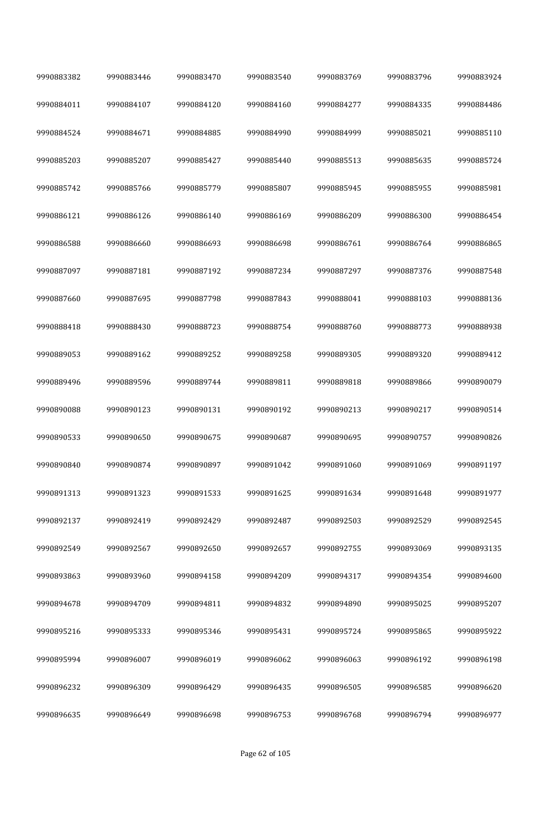| 9990883382 | 9990883446 | 9990883470 | 9990883540 | 9990883769 | 9990883796 | 9990883924 |
|------------|------------|------------|------------|------------|------------|------------|
| 9990884011 | 9990884107 | 9990884120 | 9990884160 | 9990884277 | 9990884335 | 9990884486 |
| 9990884524 | 9990884671 | 9990884885 | 9990884990 | 9990884999 | 9990885021 | 9990885110 |
| 9990885203 | 9990885207 | 9990885427 | 9990885440 | 9990885513 | 9990885635 | 9990885724 |
| 9990885742 | 9990885766 | 9990885779 | 9990885807 | 9990885945 | 9990885955 | 9990885981 |
| 9990886121 | 9990886126 | 9990886140 | 9990886169 | 9990886209 | 9990886300 | 9990886454 |
| 9990886588 | 9990886660 | 9990886693 | 9990886698 | 9990886761 | 9990886764 | 9990886865 |
| 9990887097 | 9990887181 | 9990887192 | 9990887234 | 9990887297 | 9990887376 | 9990887548 |
| 9990887660 | 9990887695 | 9990887798 | 9990887843 | 9990888041 | 9990888103 | 9990888136 |
| 9990888418 | 9990888430 | 9990888723 | 9990888754 | 9990888760 | 9990888773 | 9990888938 |
| 9990889053 | 9990889162 | 9990889252 | 9990889258 | 9990889305 | 9990889320 | 9990889412 |
| 9990889496 | 9990889596 | 9990889744 | 9990889811 | 9990889818 | 9990889866 | 9990890079 |
| 9990890088 | 9990890123 | 9990890131 | 9990890192 | 9990890213 | 9990890217 | 9990890514 |
| 9990890533 | 9990890650 | 9990890675 | 9990890687 | 9990890695 | 9990890757 | 9990890826 |
| 9990890840 | 9990890874 | 9990890897 | 9990891042 | 9990891060 | 9990891069 | 9990891197 |
| 9990891313 | 9990891323 | 9990891533 | 9990891625 | 9990891634 | 9990891648 | 9990891977 |
| 9990892137 | 9990892419 | 9990892429 | 9990892487 | 9990892503 | 9990892529 | 9990892545 |
| 9990892549 | 9990892567 | 9990892650 | 9990892657 | 9990892755 | 9990893069 | 9990893135 |
| 9990893863 | 9990893960 | 9990894158 | 9990894209 | 9990894317 | 9990894354 | 9990894600 |
| 9990894678 | 9990894709 | 9990894811 | 9990894832 | 9990894890 | 9990895025 | 9990895207 |
| 9990895216 | 9990895333 | 9990895346 | 9990895431 | 9990895724 | 9990895865 | 9990895922 |
| 9990895994 | 9990896007 | 9990896019 | 9990896062 | 9990896063 | 9990896192 | 9990896198 |
| 9990896232 | 9990896309 | 9990896429 | 9990896435 | 9990896505 | 9990896585 | 9990896620 |
| 9990896635 | 9990896649 | 9990896698 | 9990896753 | 9990896768 | 9990896794 | 9990896977 |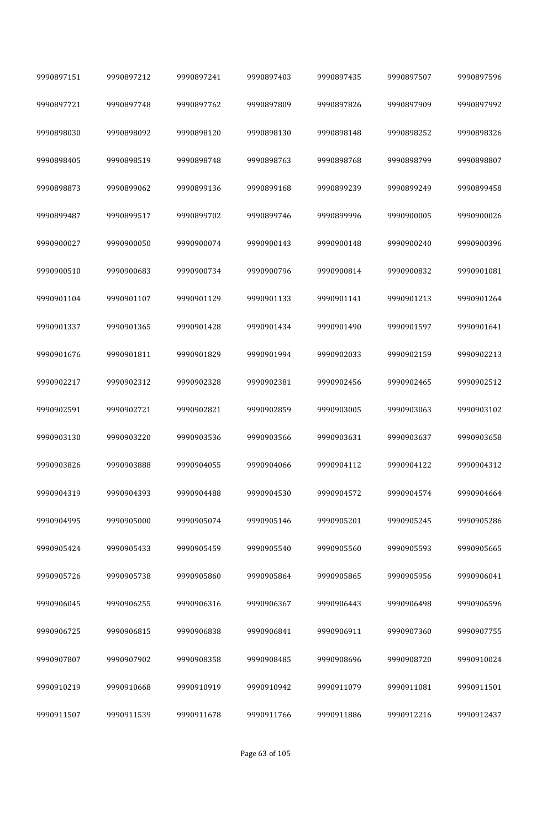| 9990897151 | 9990897212 | 9990897241 | 9990897403 | 9990897435 | 9990897507 | 9990897596 |
|------------|------------|------------|------------|------------|------------|------------|
| 9990897721 | 9990897748 | 9990897762 | 9990897809 | 9990897826 | 9990897909 | 9990897992 |
| 9990898030 | 9990898092 | 9990898120 | 9990898130 | 9990898148 | 9990898252 | 9990898326 |
| 9990898405 | 9990898519 | 9990898748 | 9990898763 | 9990898768 | 9990898799 | 9990898807 |
| 9990898873 | 9990899062 | 9990899136 | 9990899168 | 9990899239 | 9990899249 | 9990899458 |
| 9990899487 | 9990899517 | 9990899702 | 9990899746 | 9990899996 | 9990900005 | 9990900026 |
| 9990900027 | 9990900050 | 9990900074 | 9990900143 | 9990900148 | 9990900240 | 9990900396 |
| 9990900510 | 9990900683 | 9990900734 | 9990900796 | 9990900814 | 9990900832 | 9990901081 |
| 9990901104 | 9990901107 | 9990901129 | 9990901133 | 9990901141 | 9990901213 | 9990901264 |
| 9990901337 | 9990901365 | 9990901428 | 9990901434 | 9990901490 | 9990901597 | 9990901641 |
| 9990901676 | 9990901811 | 9990901829 | 9990901994 | 9990902033 | 9990902159 | 9990902213 |
| 9990902217 | 9990902312 | 9990902328 | 9990902381 | 9990902456 | 9990902465 | 9990902512 |
| 9990902591 | 9990902721 | 9990902821 | 9990902859 | 9990903005 | 9990903063 | 9990903102 |
| 9990903130 | 9990903220 | 9990903536 | 9990903566 | 9990903631 | 9990903637 | 9990903658 |
| 9990903826 | 9990903888 | 9990904055 | 9990904066 | 9990904112 | 9990904122 | 9990904312 |
| 9990904319 | 9990904393 | 9990904488 | 9990904530 | 9990904572 | 9990904574 | 9990904664 |
| 9990904995 | 9990905000 | 9990905074 | 9990905146 | 9990905201 | 9990905245 | 9990905286 |
| 9990905424 | 9990905433 | 9990905459 | 9990905540 | 9990905560 | 9990905593 | 9990905665 |
| 9990905726 | 9990905738 | 9990905860 | 9990905864 | 9990905865 | 9990905956 | 9990906041 |
| 9990906045 | 9990906255 | 9990906316 | 9990906367 | 9990906443 | 9990906498 | 9990906596 |
| 9990906725 | 9990906815 | 9990906838 | 9990906841 | 9990906911 | 9990907360 | 9990907755 |
| 9990907807 | 9990907902 | 9990908358 | 9990908485 | 9990908696 | 9990908720 | 9990910024 |
| 9990910219 | 9990910668 | 9990910919 | 9990910942 | 9990911079 | 9990911081 | 9990911501 |
| 9990911507 | 9990911539 | 9990911678 | 9990911766 | 9990911886 | 9990912216 | 9990912437 |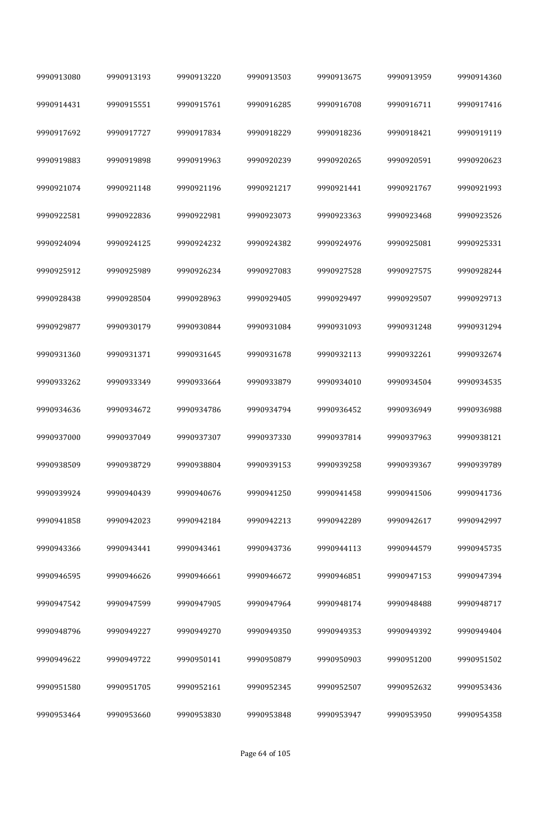| 9990913080 | 9990913193 | 9990913220 | 9990913503 | 9990913675 | 9990913959 | 9990914360 |
|------------|------------|------------|------------|------------|------------|------------|
| 9990914431 | 9990915551 | 9990915761 | 9990916285 | 9990916708 | 9990916711 | 9990917416 |
| 9990917692 | 9990917727 | 9990917834 | 9990918229 | 9990918236 | 9990918421 | 9990919119 |
| 9990919883 | 9990919898 | 9990919963 | 9990920239 | 9990920265 | 9990920591 | 9990920623 |
| 9990921074 | 9990921148 | 9990921196 | 9990921217 | 9990921441 | 9990921767 | 9990921993 |
| 9990922581 | 9990922836 | 9990922981 | 9990923073 | 9990923363 | 9990923468 | 9990923526 |
| 9990924094 | 9990924125 | 9990924232 | 9990924382 | 9990924976 | 9990925081 | 9990925331 |
| 9990925912 | 9990925989 | 9990926234 | 9990927083 | 9990927528 | 9990927575 | 9990928244 |
| 9990928438 | 9990928504 | 9990928963 | 9990929405 | 9990929497 | 9990929507 | 9990929713 |
| 9990929877 | 9990930179 | 9990930844 | 9990931084 | 9990931093 | 9990931248 | 9990931294 |
| 9990931360 | 9990931371 | 9990931645 | 9990931678 | 9990932113 | 9990932261 | 9990932674 |
| 9990933262 | 9990933349 | 9990933664 | 9990933879 | 9990934010 | 9990934504 | 9990934535 |
| 9990934636 | 9990934672 | 9990934786 | 9990934794 | 9990936452 | 9990936949 | 9990936988 |
| 9990937000 | 9990937049 | 9990937307 | 9990937330 | 9990937814 | 9990937963 | 9990938121 |
| 9990938509 | 9990938729 | 9990938804 | 9990939153 | 9990939258 | 9990939367 | 9990939789 |
| 9990939924 | 9990940439 | 9990940676 | 9990941250 | 9990941458 | 9990941506 | 9990941736 |
| 9990941858 | 9990942023 | 9990942184 | 9990942213 | 9990942289 | 9990942617 | 9990942997 |
| 9990943366 | 9990943441 | 9990943461 | 9990943736 | 9990944113 | 9990944579 | 9990945735 |
| 9990946595 | 9990946626 | 9990946661 | 9990946672 | 9990946851 | 9990947153 | 9990947394 |
| 9990947542 | 9990947599 | 9990947905 | 9990947964 | 9990948174 | 9990948488 | 9990948717 |
| 9990948796 | 9990949227 | 9990949270 | 9990949350 | 9990949353 | 9990949392 | 9990949404 |
| 9990949622 | 9990949722 | 9990950141 | 9990950879 | 9990950903 | 9990951200 | 9990951502 |
| 9990951580 | 9990951705 | 9990952161 | 9990952345 | 9990952507 | 9990952632 | 9990953436 |
| 9990953464 | 9990953660 | 9990953830 | 9990953848 | 9990953947 | 9990953950 | 9990954358 |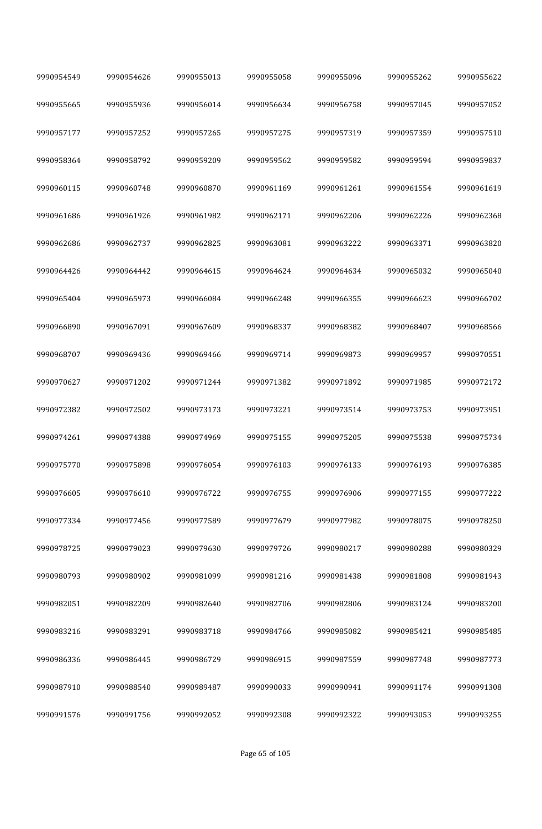| 9990954549 | 9990954626 | 9990955013 | 9990955058 | 9990955096 | 9990955262 | 9990955622 |
|------------|------------|------------|------------|------------|------------|------------|
| 9990955665 | 9990955936 | 9990956014 | 9990956634 | 9990956758 | 9990957045 | 9990957052 |
| 9990957177 | 9990957252 | 9990957265 | 9990957275 | 9990957319 | 9990957359 | 9990957510 |
| 9990958364 | 9990958792 | 9990959209 | 9990959562 | 9990959582 | 9990959594 | 9990959837 |
| 9990960115 | 9990960748 | 9990960870 | 9990961169 | 9990961261 | 9990961554 | 9990961619 |
| 9990961686 | 9990961926 | 9990961982 | 9990962171 | 9990962206 | 9990962226 | 9990962368 |
| 9990962686 | 9990962737 | 9990962825 | 9990963081 | 9990963222 | 9990963371 | 9990963820 |
| 9990964426 | 9990964442 | 9990964615 | 9990964624 | 9990964634 | 9990965032 | 9990965040 |
| 9990965404 | 9990965973 | 9990966084 | 9990966248 | 9990966355 | 9990966623 | 9990966702 |
| 9990966890 | 9990967091 | 9990967609 | 9990968337 | 9990968382 | 9990968407 | 9990968566 |
| 9990968707 | 9990969436 | 9990969466 | 9990969714 | 9990969873 | 9990969957 | 9990970551 |
| 9990970627 | 9990971202 | 9990971244 | 9990971382 | 9990971892 | 9990971985 | 9990972172 |
| 9990972382 | 9990972502 | 9990973173 | 9990973221 | 9990973514 | 9990973753 | 9990973951 |
| 9990974261 | 9990974388 | 9990974969 | 9990975155 | 9990975205 | 9990975538 | 9990975734 |
| 9990975770 | 9990975898 | 9990976054 | 9990976103 | 9990976133 | 9990976193 | 9990976385 |
| 9990976605 | 9990976610 | 9990976722 | 9990976755 | 9990976906 | 9990977155 | 9990977222 |
| 9990977334 | 9990977456 | 9990977589 | 9990977679 | 9990977982 | 9990978075 | 9990978250 |
| 9990978725 | 9990979023 | 9990979630 | 9990979726 | 9990980217 | 9990980288 | 9990980329 |
| 9990980793 | 9990980902 | 9990981099 | 9990981216 | 9990981438 | 9990981808 | 9990981943 |
| 9990982051 | 9990982209 | 9990982640 | 9990982706 | 9990982806 | 9990983124 | 9990983200 |
| 9990983216 | 9990983291 | 9990983718 | 9990984766 | 9990985082 | 9990985421 | 9990985485 |
| 9990986336 | 9990986445 | 9990986729 | 9990986915 | 9990987559 | 9990987748 | 9990987773 |
| 9990987910 | 9990988540 | 9990989487 | 9990990033 | 9990990941 | 9990991174 | 9990991308 |
| 9990991576 | 9990991756 | 9990992052 | 9990992308 | 9990992322 | 9990993053 | 9990993255 |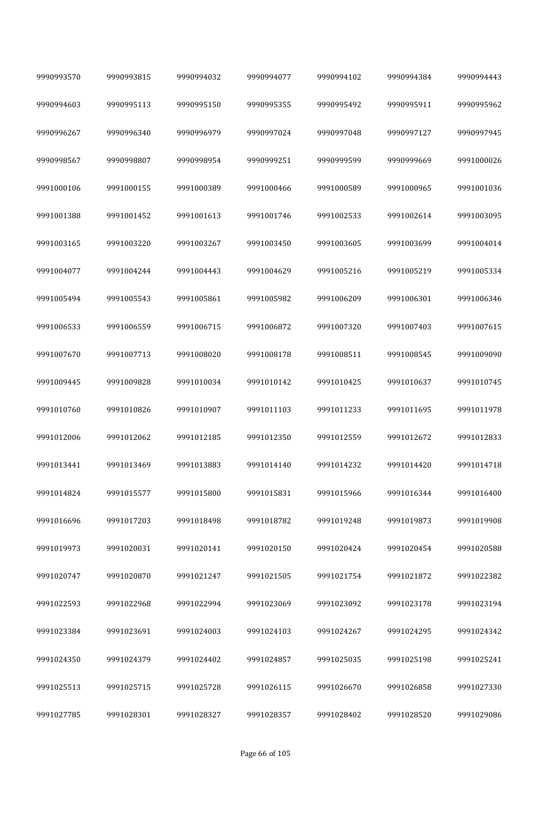| 9990993570 | 9990993815 | 9990994032 | 9990994077 | 9990994102 | 9990994384 | 9990994443 |
|------------|------------|------------|------------|------------|------------|------------|
| 9990994603 | 9990995113 | 9990995150 | 9990995355 | 9990995492 | 9990995911 | 9990995962 |
| 9990996267 | 9990996340 | 9990996979 | 9990997024 | 9990997048 | 9990997127 | 9990997945 |
| 9990998567 | 9990998807 | 9990998954 | 9990999251 | 9990999599 | 9990999669 | 9991000026 |
| 9991000106 | 9991000155 | 9991000389 | 9991000466 | 9991000589 | 9991000965 | 9991001036 |
| 9991001388 | 9991001452 | 9991001613 | 9991001746 | 9991002533 | 9991002614 | 9991003095 |
| 9991003165 | 9991003220 | 9991003267 | 9991003450 | 9991003605 | 9991003699 | 9991004014 |
| 9991004077 | 9991004244 | 9991004443 | 9991004629 | 9991005216 | 9991005219 | 9991005334 |
| 9991005494 | 9991005543 | 9991005861 | 9991005982 | 9991006209 | 9991006301 | 9991006346 |
| 9991006533 | 9991006559 | 9991006715 | 9991006872 | 9991007320 | 9991007403 | 9991007615 |
| 9991007670 | 9991007713 | 9991008020 | 9991008178 | 9991008511 | 9991008545 | 9991009090 |
| 9991009445 | 9991009828 | 9991010034 | 9991010142 | 9991010425 | 9991010637 | 9991010745 |
| 9991010760 | 9991010826 | 9991010907 | 9991011103 | 9991011233 | 9991011695 | 9991011978 |
| 9991012006 | 9991012062 | 9991012185 | 9991012350 | 9991012559 | 9991012672 | 9991012833 |
| 9991013441 | 9991013469 | 9991013883 | 9991014140 | 9991014232 | 9991014420 | 9991014718 |
| 9991014824 | 9991015577 | 9991015800 | 9991015831 | 9991015966 | 9991016344 | 9991016400 |
| 9991016696 | 9991017203 | 9991018498 | 9991018782 | 9991019248 | 9991019873 | 9991019908 |
| 9991019973 | 9991020031 | 9991020141 | 9991020150 | 9991020424 | 9991020454 | 9991020588 |
| 9991020747 | 9991020870 | 9991021247 | 9991021505 | 9991021754 | 9991021872 | 9991022382 |
| 9991022593 | 9991022968 | 9991022994 | 9991023069 | 9991023092 | 9991023178 | 9991023194 |
| 9991023384 | 9991023691 | 9991024003 | 9991024103 | 9991024267 | 9991024295 | 9991024342 |
| 9991024350 | 9991024379 | 9991024402 | 9991024857 | 9991025035 | 9991025198 | 9991025241 |
| 9991025513 | 9991025715 | 9991025728 | 9991026115 | 9991026670 | 9991026858 | 9991027330 |
| 9991027785 | 9991028301 | 9991028327 | 9991028357 | 9991028402 | 9991028520 | 9991029086 |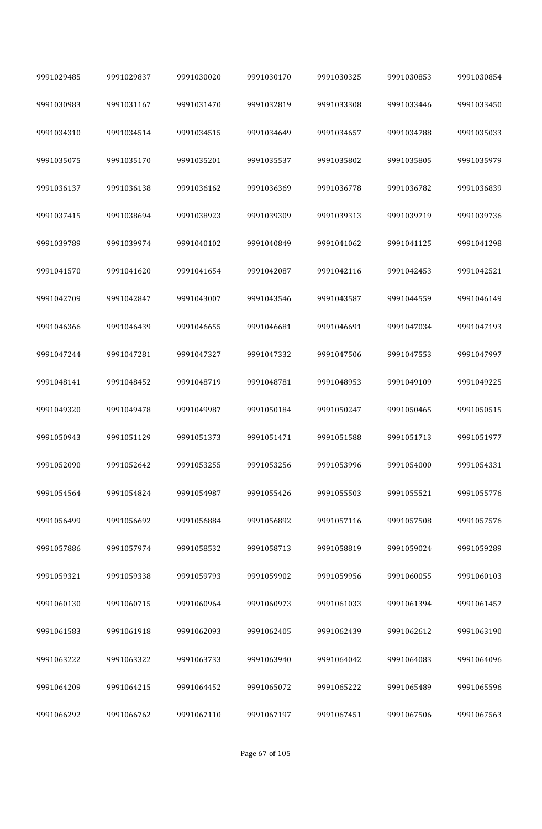| 9991029485 | 9991029837 | 9991030020 | 9991030170 | 9991030325 | 9991030853 | 9991030854 |
|------------|------------|------------|------------|------------|------------|------------|
| 9991030983 | 9991031167 | 9991031470 | 9991032819 | 9991033308 | 9991033446 | 9991033450 |
| 9991034310 | 9991034514 | 9991034515 | 9991034649 | 9991034657 | 9991034788 | 9991035033 |
| 9991035075 | 9991035170 | 9991035201 | 9991035537 | 9991035802 | 9991035805 | 9991035979 |
| 9991036137 | 9991036138 | 9991036162 | 9991036369 | 9991036778 | 9991036782 | 9991036839 |
| 9991037415 | 9991038694 | 9991038923 | 9991039309 | 9991039313 | 9991039719 | 9991039736 |
| 9991039789 | 9991039974 | 9991040102 | 9991040849 | 9991041062 | 9991041125 | 9991041298 |
| 9991041570 | 9991041620 | 9991041654 | 9991042087 | 9991042116 | 9991042453 | 9991042521 |
| 9991042709 | 9991042847 | 9991043007 | 9991043546 | 9991043587 | 9991044559 | 9991046149 |
| 9991046366 | 9991046439 | 9991046655 | 9991046681 | 9991046691 | 9991047034 | 9991047193 |
| 9991047244 | 9991047281 | 9991047327 | 9991047332 | 9991047506 | 9991047553 | 9991047997 |
| 9991048141 | 9991048452 | 9991048719 | 9991048781 | 9991048953 | 9991049109 | 9991049225 |
| 9991049320 | 9991049478 | 9991049987 | 9991050184 | 9991050247 | 9991050465 | 9991050515 |
| 9991050943 | 9991051129 | 9991051373 | 9991051471 | 9991051588 | 9991051713 | 9991051977 |
| 9991052090 | 9991052642 | 9991053255 | 9991053256 | 9991053996 | 9991054000 | 9991054331 |
| 9991054564 | 9991054824 | 9991054987 | 9991055426 | 9991055503 | 9991055521 | 9991055776 |
| 9991056499 | 9991056692 | 9991056884 | 9991056892 | 9991057116 | 9991057508 | 9991057576 |
| 9991057886 | 9991057974 | 9991058532 | 9991058713 | 9991058819 | 9991059024 | 9991059289 |
| 9991059321 | 9991059338 | 9991059793 | 9991059902 | 9991059956 | 9991060055 | 9991060103 |
| 9991060130 | 9991060715 | 9991060964 | 9991060973 | 9991061033 | 9991061394 | 9991061457 |
| 9991061583 | 9991061918 | 9991062093 | 9991062405 | 9991062439 | 9991062612 | 9991063190 |
| 9991063222 | 9991063322 | 9991063733 | 9991063940 | 9991064042 | 9991064083 | 9991064096 |
| 9991064209 | 9991064215 | 9991064452 | 9991065072 | 9991065222 | 9991065489 | 9991065596 |
| 9991066292 | 9991066762 | 9991067110 | 9991067197 | 9991067451 | 9991067506 | 9991067563 |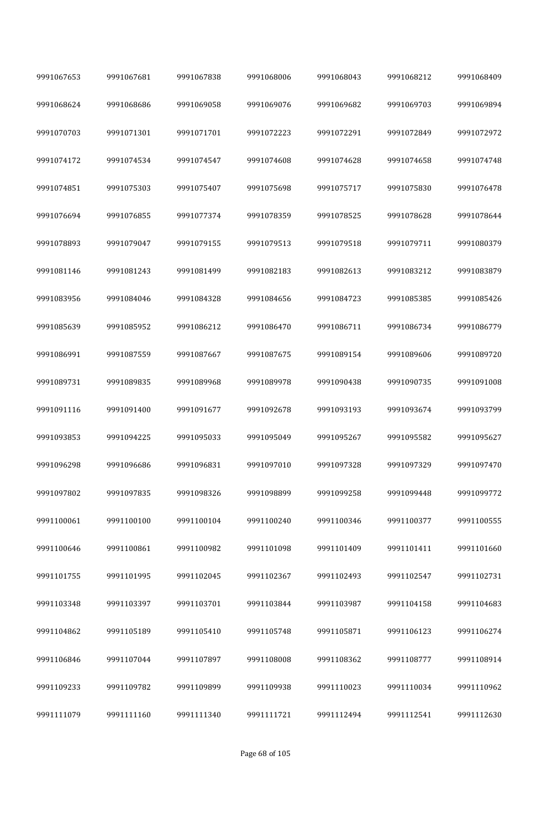| 9991067653 | 9991067681 | 9991067838 | 9991068006 | 9991068043 | 9991068212 | 9991068409 |
|------------|------------|------------|------------|------------|------------|------------|
| 9991068624 | 9991068686 | 9991069058 | 9991069076 | 9991069682 | 9991069703 | 9991069894 |
| 9991070703 | 9991071301 | 9991071701 | 9991072223 | 9991072291 | 9991072849 | 9991072972 |
| 9991074172 | 9991074534 | 9991074547 | 9991074608 | 9991074628 | 9991074658 | 9991074748 |
| 9991074851 | 9991075303 | 9991075407 | 9991075698 | 9991075717 | 9991075830 | 9991076478 |
| 9991076694 | 9991076855 | 9991077374 | 9991078359 | 9991078525 | 9991078628 | 9991078644 |
| 9991078893 | 9991079047 | 9991079155 | 9991079513 | 9991079518 | 9991079711 | 9991080379 |
| 9991081146 | 9991081243 | 9991081499 | 9991082183 | 9991082613 | 9991083212 | 9991083879 |
| 9991083956 | 9991084046 | 9991084328 | 9991084656 | 9991084723 | 9991085385 | 9991085426 |
| 9991085639 | 9991085952 | 9991086212 | 9991086470 | 9991086711 | 9991086734 | 9991086779 |
| 9991086991 | 9991087559 | 9991087667 | 9991087675 | 9991089154 | 9991089606 | 9991089720 |
| 9991089731 | 9991089835 | 9991089968 | 9991089978 | 9991090438 | 9991090735 | 9991091008 |
| 9991091116 | 9991091400 | 9991091677 | 9991092678 | 9991093193 | 9991093674 | 9991093799 |
| 9991093853 | 9991094225 | 9991095033 | 9991095049 | 9991095267 | 9991095582 | 9991095627 |
| 9991096298 | 9991096686 | 9991096831 | 9991097010 | 9991097328 | 9991097329 | 9991097470 |
| 9991097802 | 9991097835 | 9991098326 | 9991098899 | 9991099258 | 9991099448 | 9991099772 |
| 9991100061 | 9991100100 | 9991100104 | 9991100240 | 9991100346 | 9991100377 | 9991100555 |
| 9991100646 | 9991100861 | 9991100982 | 9991101098 | 9991101409 | 9991101411 | 9991101660 |
| 9991101755 | 9991101995 | 9991102045 | 9991102367 | 9991102493 | 9991102547 | 9991102731 |
| 9991103348 | 9991103397 | 9991103701 | 9991103844 | 9991103987 | 9991104158 | 9991104683 |
| 9991104862 | 9991105189 | 9991105410 | 9991105748 | 9991105871 | 9991106123 | 9991106274 |
| 9991106846 | 9991107044 | 9991107897 | 9991108008 | 9991108362 | 9991108777 | 9991108914 |
| 9991109233 | 9991109782 | 9991109899 | 9991109938 | 9991110023 | 9991110034 | 9991110962 |
| 9991111079 | 9991111160 | 9991111340 | 9991111721 | 9991112494 | 9991112541 | 9991112630 |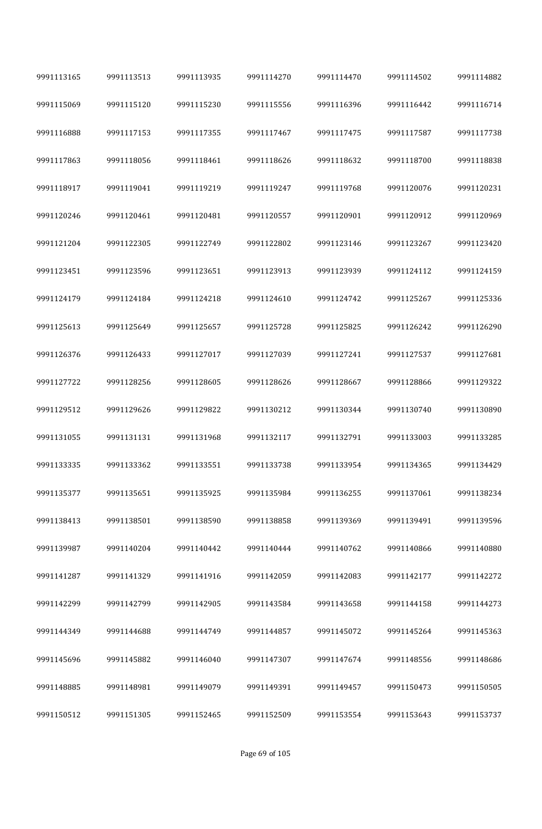| 9991113165 | 9991113513 | 9991113935 | 9991114270 | 9991114470 | 9991114502 | 9991114882 |  |
|------------|------------|------------|------------|------------|------------|------------|--|
| 9991115069 | 9991115120 | 9991115230 | 9991115556 | 9991116396 | 9991116442 | 9991116714 |  |
| 9991116888 | 9991117153 | 9991117355 | 9991117467 | 9991117475 | 9991117587 | 9991117738 |  |
| 9991117863 | 9991118056 | 9991118461 | 9991118626 | 9991118632 | 9991118700 | 9991118838 |  |
| 9991118917 | 9991119041 | 9991119219 | 9991119247 | 9991119768 | 9991120076 | 9991120231 |  |
| 9991120246 | 9991120461 | 9991120481 | 9991120557 | 9991120901 | 9991120912 | 9991120969 |  |
| 9991121204 | 9991122305 | 9991122749 | 9991122802 | 9991123146 | 9991123267 | 9991123420 |  |
| 9991123451 | 9991123596 | 9991123651 | 9991123913 | 9991123939 | 9991124112 | 9991124159 |  |
| 9991124179 | 9991124184 | 9991124218 | 9991124610 | 9991124742 | 9991125267 | 9991125336 |  |
| 9991125613 | 9991125649 | 9991125657 | 9991125728 | 9991125825 | 9991126242 | 9991126290 |  |
| 9991126376 | 9991126433 | 9991127017 | 9991127039 | 9991127241 | 9991127537 | 9991127681 |  |
| 9991127722 | 9991128256 | 9991128605 | 9991128626 | 9991128667 | 9991128866 | 9991129322 |  |
| 9991129512 | 9991129626 | 9991129822 | 9991130212 | 9991130344 | 9991130740 | 9991130890 |  |
| 9991131055 | 9991131131 | 9991131968 | 9991132117 | 9991132791 | 9991133003 | 9991133285 |  |
| 9991133335 | 9991133362 | 9991133551 | 9991133738 | 9991133954 | 9991134365 | 9991134429 |  |
| 9991135377 | 9991135651 | 9991135925 | 9991135984 | 9991136255 | 9991137061 | 9991138234 |  |
| 9991138413 | 9991138501 | 9991138590 | 9991138858 | 9991139369 | 9991139491 | 9991139596 |  |
| 9991139987 | 9991140204 | 9991140442 | 9991140444 | 9991140762 | 9991140866 | 9991140880 |  |
| 9991141287 | 9991141329 | 9991141916 | 9991142059 | 9991142083 | 9991142177 | 9991142272 |  |
| 9991142299 | 9991142799 | 9991142905 | 9991143584 | 9991143658 | 9991144158 | 9991144273 |  |
| 9991144349 | 9991144688 | 9991144749 | 9991144857 | 9991145072 | 9991145264 | 9991145363 |  |
| 9991145696 | 9991145882 | 9991146040 | 9991147307 | 9991147674 | 9991148556 | 9991148686 |  |
| 9991148885 | 9991148981 | 9991149079 | 9991149391 | 9991149457 | 9991150473 | 9991150505 |  |
| 9991150512 | 9991151305 | 9991152465 | 9991152509 | 9991153554 | 9991153643 | 9991153737 |  |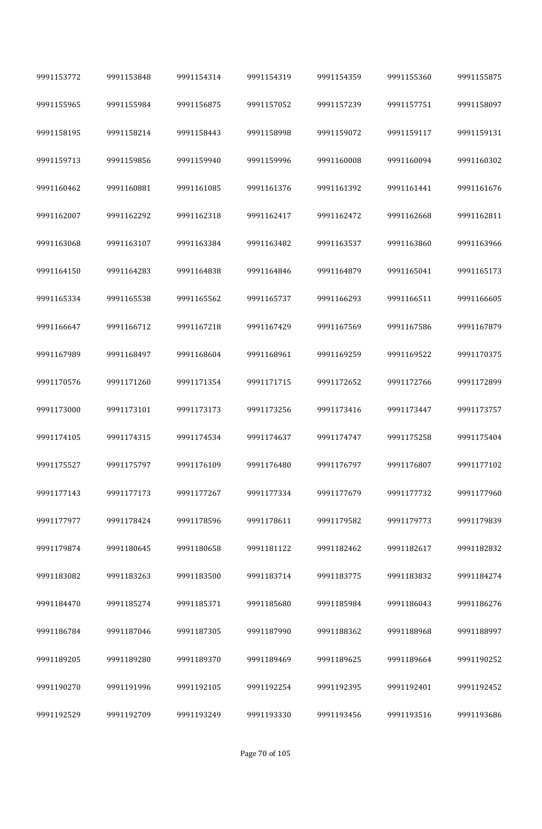| 9991153772 | 9991153848 | 9991154314 | 9991154319 | 9991154359 | 9991155360 | 9991155875 |
|------------|------------|------------|------------|------------|------------|------------|
| 9991155965 | 9991155984 | 9991156875 | 9991157052 | 9991157239 | 9991157751 | 9991158097 |
| 9991158195 | 9991158214 | 9991158443 | 9991158998 | 9991159072 | 9991159117 | 9991159131 |
| 9991159713 | 9991159856 | 9991159940 | 9991159996 | 9991160008 | 9991160094 | 9991160302 |
| 9991160462 | 9991160881 | 9991161085 | 9991161376 | 9991161392 | 9991161441 | 9991161676 |
| 9991162007 | 9991162292 | 9991162318 | 9991162417 | 9991162472 | 9991162668 | 9991162811 |
| 9991163068 | 9991163107 | 9991163384 | 9991163482 | 9991163537 | 9991163860 | 9991163966 |
| 9991164150 | 9991164283 | 9991164838 | 9991164846 | 9991164879 | 9991165041 | 9991165173 |
| 9991165334 | 9991165538 | 9991165562 | 9991165737 | 9991166293 | 9991166511 | 9991166605 |
| 9991166647 | 9991166712 | 9991167218 | 9991167429 | 9991167569 | 9991167586 | 9991167879 |
| 9991167989 | 9991168497 | 9991168604 | 9991168961 | 9991169259 | 9991169522 | 9991170375 |
| 9991170576 | 9991171260 | 9991171354 | 9991171715 | 9991172652 | 9991172766 | 9991172899 |
| 9991173000 | 9991173101 | 9991173173 | 9991173256 | 9991173416 | 9991173447 | 9991173757 |
| 9991174105 | 9991174315 | 9991174534 | 9991174637 | 9991174747 | 9991175258 | 9991175404 |
| 9991175527 | 9991175797 | 9991176109 | 9991176480 | 9991176797 | 9991176807 | 9991177102 |
| 9991177143 | 9991177173 | 9991177267 | 9991177334 | 9991177679 | 9991177732 | 9991177960 |
| 9991177977 | 9991178424 | 9991178596 | 9991178611 | 9991179582 | 9991179773 | 9991179839 |
| 9991179874 | 9991180645 | 9991180658 | 9991181122 | 9991182462 | 9991182617 | 9991182832 |
| 9991183082 | 9991183263 | 9991183500 | 9991183714 | 9991183775 | 9991183832 | 9991184274 |
| 9991184470 | 9991185274 | 9991185371 | 9991185680 | 9991185984 | 9991186043 | 9991186276 |
| 9991186784 | 9991187046 | 9991187305 | 9991187990 | 9991188362 | 9991188968 | 9991188997 |
| 9991189205 | 9991189280 | 9991189370 | 9991189469 | 9991189625 | 9991189664 | 9991190252 |
| 9991190270 | 9991191996 | 9991192105 | 9991192254 | 9991192395 | 9991192401 | 9991192452 |
| 9991192529 | 9991192709 | 9991193249 | 9991193330 | 9991193456 | 9991193516 | 9991193686 |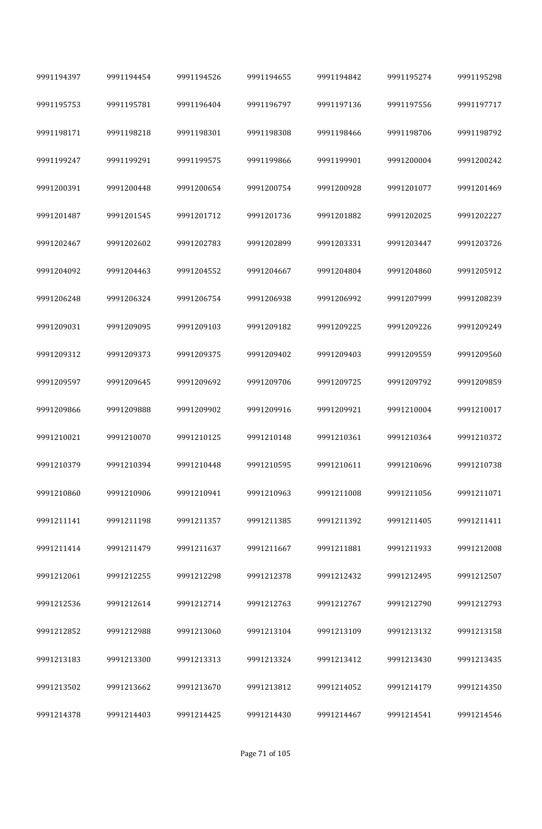| 9991194397 | 9991194454 | 9991194526 | 9991194655 | 9991194842 | 9991195274 | 9991195298 |
|------------|------------|------------|------------|------------|------------|------------|
| 9991195753 | 9991195781 | 9991196404 | 9991196797 | 9991197136 | 9991197556 | 9991197717 |
| 9991198171 | 9991198218 | 9991198301 | 9991198308 | 9991198466 | 9991198706 | 9991198792 |
| 9991199247 | 9991199291 | 9991199575 | 9991199866 | 9991199901 | 9991200004 | 9991200242 |
| 9991200391 | 9991200448 | 9991200654 | 9991200754 | 9991200928 | 9991201077 | 9991201469 |
| 9991201487 | 9991201545 | 9991201712 | 9991201736 | 9991201882 | 9991202025 | 9991202227 |
| 9991202467 | 9991202602 | 9991202783 | 9991202899 | 9991203331 | 9991203447 | 9991203726 |
| 9991204092 | 9991204463 | 9991204552 | 9991204667 | 9991204804 | 9991204860 | 9991205912 |
| 9991206248 | 9991206324 | 9991206754 | 9991206938 | 9991206992 | 9991207999 | 9991208239 |
| 9991209031 | 9991209095 | 9991209103 | 9991209182 | 9991209225 | 9991209226 | 9991209249 |
| 9991209312 | 9991209373 | 9991209375 | 9991209402 | 9991209403 | 9991209559 | 9991209560 |
| 9991209597 | 9991209645 | 9991209692 | 9991209706 | 9991209725 | 9991209792 | 9991209859 |
| 9991209866 | 9991209888 | 9991209902 | 9991209916 | 9991209921 | 9991210004 | 9991210017 |
| 9991210021 | 9991210070 | 9991210125 | 9991210148 | 9991210361 | 9991210364 | 9991210372 |
| 9991210379 | 9991210394 | 9991210448 | 9991210595 | 9991210611 | 9991210696 | 9991210738 |
| 9991210860 | 9991210906 | 9991210941 | 9991210963 | 9991211008 | 9991211056 | 9991211071 |
| 9991211141 | 9991211198 | 9991211357 | 9991211385 | 9991211392 | 9991211405 | 9991211411 |
| 9991211414 | 9991211479 | 9991211637 | 9991211667 | 9991211881 | 9991211933 | 9991212008 |
| 9991212061 | 9991212255 | 9991212298 | 9991212378 | 9991212432 | 9991212495 | 9991212507 |
| 9991212536 | 9991212614 | 9991212714 | 9991212763 | 9991212767 | 9991212790 | 9991212793 |
| 9991212852 | 9991212988 | 9991213060 | 9991213104 | 9991213109 | 9991213132 | 9991213158 |
| 9991213183 | 9991213300 | 9991213313 | 9991213324 | 9991213412 | 9991213430 | 9991213435 |
| 9991213502 | 9991213662 | 9991213670 | 9991213812 | 9991214052 | 9991214179 | 9991214350 |
| 9991214378 | 9991214403 | 9991214425 | 9991214430 | 9991214467 | 9991214541 | 9991214546 |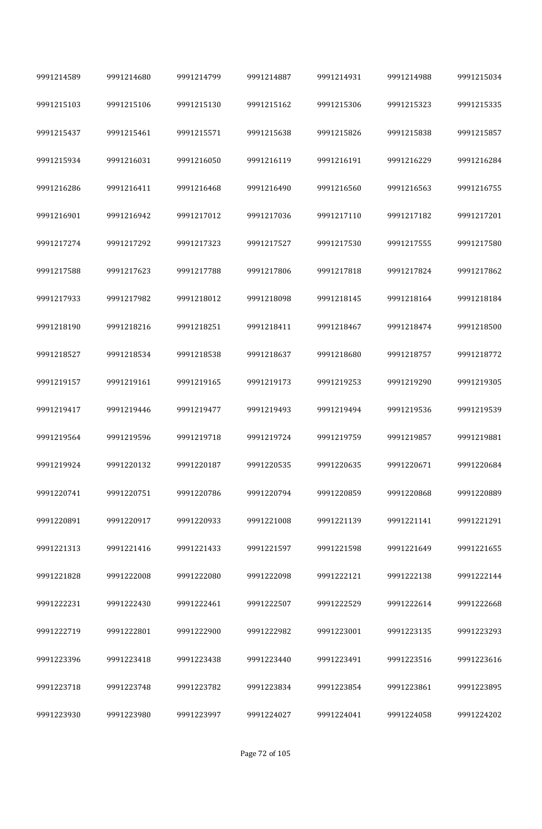| 9991214589 | 9991214680 | 9991214799 | 9991214887 | 9991214931 | 9991214988 | 9991215034 |
|------------|------------|------------|------------|------------|------------|------------|
| 9991215103 | 9991215106 | 9991215130 | 9991215162 | 9991215306 | 9991215323 | 9991215335 |
| 9991215437 | 9991215461 | 9991215571 | 9991215638 | 9991215826 | 9991215838 | 9991215857 |
| 9991215934 | 9991216031 | 9991216050 | 9991216119 | 9991216191 | 9991216229 | 9991216284 |
| 9991216286 | 9991216411 | 9991216468 | 9991216490 | 9991216560 | 9991216563 | 9991216755 |
| 9991216901 | 9991216942 | 9991217012 | 9991217036 | 9991217110 | 9991217182 | 9991217201 |
| 9991217274 | 9991217292 | 9991217323 | 9991217527 | 9991217530 | 9991217555 | 9991217580 |
| 9991217588 | 9991217623 | 9991217788 | 9991217806 | 9991217818 | 9991217824 | 9991217862 |
| 9991217933 | 9991217982 | 9991218012 | 9991218098 | 9991218145 | 9991218164 | 9991218184 |
| 9991218190 | 9991218216 | 9991218251 | 9991218411 | 9991218467 | 9991218474 | 9991218500 |
| 9991218527 | 9991218534 | 9991218538 | 9991218637 | 9991218680 | 9991218757 | 9991218772 |
| 9991219157 | 9991219161 | 9991219165 | 9991219173 | 9991219253 | 9991219290 | 9991219305 |
| 9991219417 | 9991219446 | 9991219477 | 9991219493 | 9991219494 | 9991219536 | 9991219539 |
| 9991219564 | 9991219596 | 9991219718 | 9991219724 | 9991219759 | 9991219857 | 9991219881 |
| 9991219924 | 9991220132 | 9991220187 | 9991220535 | 9991220635 | 9991220671 | 9991220684 |
| 9991220741 | 9991220751 | 9991220786 | 9991220794 | 9991220859 | 9991220868 | 9991220889 |
| 9991220891 | 9991220917 | 9991220933 | 9991221008 | 9991221139 | 9991221141 | 9991221291 |
| 9991221313 | 9991221416 | 9991221433 | 9991221597 | 9991221598 | 9991221649 | 9991221655 |
| 9991221828 | 9991222008 | 9991222080 | 9991222098 | 9991222121 | 9991222138 | 9991222144 |
| 9991222231 | 9991222430 | 9991222461 | 9991222507 | 9991222529 | 9991222614 | 9991222668 |
| 9991222719 | 9991222801 | 9991222900 | 9991222982 | 9991223001 | 9991223135 | 9991223293 |
| 9991223396 | 9991223418 | 9991223438 | 9991223440 | 9991223491 | 9991223516 | 9991223616 |
| 9991223718 | 9991223748 | 9991223782 | 9991223834 | 9991223854 | 9991223861 | 9991223895 |
| 9991223930 | 9991223980 | 9991223997 | 9991224027 | 9991224041 | 9991224058 | 9991224202 |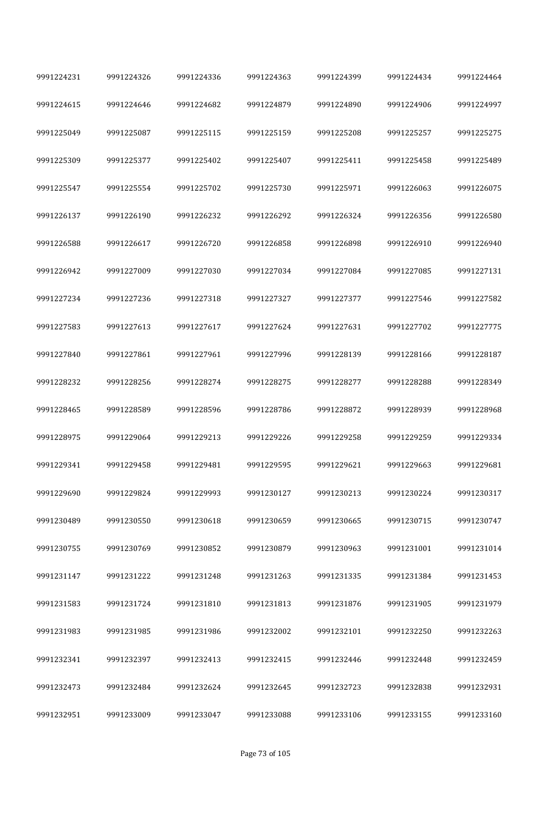| 9991224231 | 9991224326 | 9991224336 | 9991224363 | 9991224399 | 9991224434 | 9991224464 |
|------------|------------|------------|------------|------------|------------|------------|
| 9991224615 | 9991224646 | 9991224682 | 9991224879 | 9991224890 | 9991224906 | 9991224997 |
| 9991225049 | 9991225087 | 9991225115 | 9991225159 | 9991225208 | 9991225257 | 9991225275 |
| 9991225309 | 9991225377 | 9991225402 | 9991225407 | 9991225411 | 9991225458 | 9991225489 |
| 9991225547 | 9991225554 | 9991225702 | 9991225730 | 9991225971 | 9991226063 | 9991226075 |
| 9991226137 | 9991226190 | 9991226232 | 9991226292 | 9991226324 | 9991226356 | 9991226580 |
| 9991226588 | 9991226617 | 9991226720 | 9991226858 | 9991226898 | 9991226910 | 9991226940 |
| 9991226942 | 9991227009 | 9991227030 | 9991227034 | 9991227084 | 9991227085 | 9991227131 |
| 9991227234 | 9991227236 | 9991227318 | 9991227327 | 9991227377 | 9991227546 | 9991227582 |
| 9991227583 | 9991227613 | 9991227617 | 9991227624 | 9991227631 | 9991227702 | 9991227775 |
| 9991227840 | 9991227861 | 9991227961 | 9991227996 | 9991228139 | 9991228166 | 9991228187 |
| 9991228232 | 9991228256 | 9991228274 | 9991228275 | 9991228277 | 9991228288 | 9991228349 |
| 9991228465 | 9991228589 | 9991228596 | 9991228786 | 9991228872 | 9991228939 | 9991228968 |
| 9991228975 | 9991229064 | 9991229213 | 9991229226 | 9991229258 | 9991229259 | 9991229334 |
| 9991229341 | 9991229458 | 9991229481 | 9991229595 | 9991229621 | 9991229663 | 9991229681 |
| 9991229690 | 9991229824 | 9991229993 | 9991230127 | 9991230213 | 9991230224 | 9991230317 |
| 9991230489 | 9991230550 | 9991230618 | 9991230659 | 9991230665 | 9991230715 | 9991230747 |
| 9991230755 | 9991230769 | 9991230852 | 9991230879 | 9991230963 | 9991231001 | 9991231014 |
| 9991231147 | 9991231222 | 9991231248 | 9991231263 | 9991231335 | 9991231384 | 9991231453 |
| 9991231583 | 9991231724 | 9991231810 | 9991231813 | 9991231876 | 9991231905 | 9991231979 |
| 9991231983 | 9991231985 | 9991231986 | 9991232002 | 9991232101 | 9991232250 | 9991232263 |
| 9991232341 | 9991232397 | 9991232413 | 9991232415 | 9991232446 | 9991232448 | 9991232459 |
| 9991232473 | 9991232484 | 9991232624 | 9991232645 | 9991232723 | 9991232838 | 9991232931 |
| 9991232951 | 9991233009 | 9991233047 | 9991233088 | 9991233106 | 9991233155 | 9991233160 |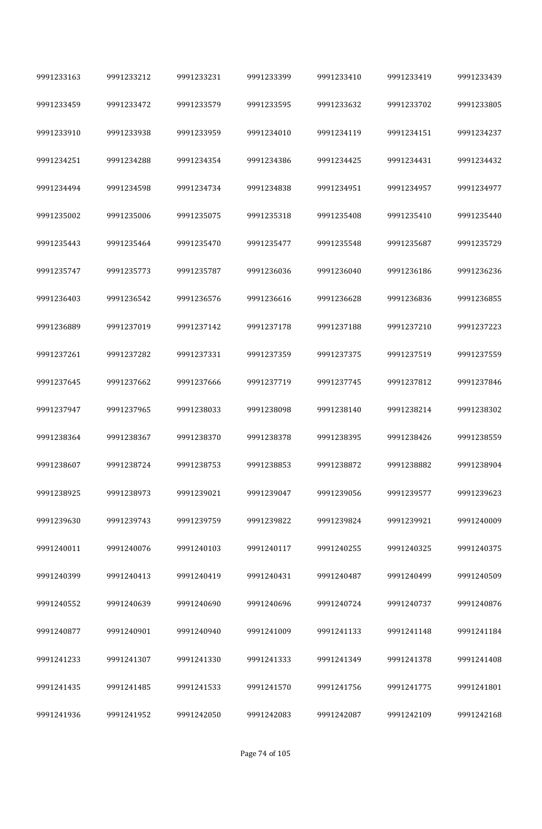| 9991233163 | 9991233212 | 9991233231 | 9991233399 | 9991233410 | 9991233419 | 9991233439 |
|------------|------------|------------|------------|------------|------------|------------|
| 9991233459 | 9991233472 | 9991233579 | 9991233595 | 9991233632 | 9991233702 | 9991233805 |
| 9991233910 | 9991233938 | 9991233959 | 9991234010 | 9991234119 | 9991234151 | 9991234237 |
| 9991234251 | 9991234288 | 9991234354 | 9991234386 | 9991234425 | 9991234431 | 9991234432 |
| 9991234494 | 9991234598 | 9991234734 | 9991234838 | 9991234951 | 9991234957 | 9991234977 |
| 9991235002 | 9991235006 | 9991235075 | 9991235318 | 9991235408 | 9991235410 | 9991235440 |
| 9991235443 | 9991235464 | 9991235470 | 9991235477 | 9991235548 | 9991235687 | 9991235729 |
| 9991235747 | 9991235773 | 9991235787 | 9991236036 | 9991236040 | 9991236186 | 9991236236 |
| 9991236403 | 9991236542 | 9991236576 | 9991236616 | 9991236628 | 9991236836 | 9991236855 |
| 9991236889 | 9991237019 | 9991237142 | 9991237178 | 9991237188 | 9991237210 | 9991237223 |
| 9991237261 | 9991237282 | 9991237331 | 9991237359 | 9991237375 | 9991237519 | 9991237559 |
| 9991237645 | 9991237662 | 9991237666 | 9991237719 | 9991237745 | 9991237812 | 9991237846 |
| 9991237947 | 9991237965 | 9991238033 | 9991238098 | 9991238140 | 9991238214 | 9991238302 |
| 9991238364 | 9991238367 | 9991238370 | 9991238378 | 9991238395 | 9991238426 | 9991238559 |
| 9991238607 | 9991238724 | 9991238753 | 9991238853 | 9991238872 | 9991238882 | 9991238904 |
| 9991238925 | 9991238973 | 9991239021 | 9991239047 | 9991239056 | 9991239577 | 9991239623 |
| 9991239630 | 9991239743 | 9991239759 | 9991239822 | 9991239824 | 9991239921 | 9991240009 |
| 9991240011 | 9991240076 | 9991240103 | 9991240117 | 9991240255 | 9991240325 | 9991240375 |
| 9991240399 | 9991240413 | 9991240419 | 9991240431 | 9991240487 | 9991240499 | 9991240509 |
| 9991240552 | 9991240639 | 9991240690 | 9991240696 | 9991240724 | 9991240737 | 9991240876 |
| 9991240877 | 9991240901 | 9991240940 | 9991241009 | 9991241133 | 9991241148 | 9991241184 |
| 9991241233 | 9991241307 | 9991241330 | 9991241333 | 9991241349 | 9991241378 | 9991241408 |
| 9991241435 | 9991241485 | 9991241533 | 9991241570 | 9991241756 | 9991241775 | 9991241801 |
| 9991241936 | 9991241952 | 9991242050 | 9991242083 | 9991242087 | 9991242109 | 9991242168 |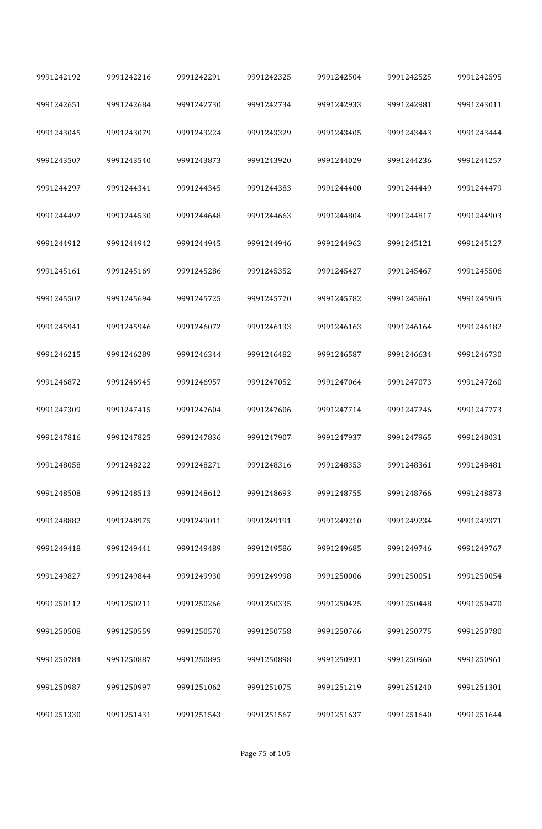| 9991242192 | 9991242216 | 9991242291 | 9991242325 | 9991242504 | 9991242525 | 9991242595 |
|------------|------------|------------|------------|------------|------------|------------|
| 9991242651 | 9991242684 | 9991242730 | 9991242734 | 9991242933 | 9991242981 | 9991243011 |
| 9991243045 | 9991243079 | 9991243224 | 9991243329 | 9991243405 | 9991243443 | 9991243444 |
| 9991243507 | 9991243540 | 9991243873 | 9991243920 | 9991244029 | 9991244236 | 9991244257 |
| 9991244297 | 9991244341 | 9991244345 | 9991244383 | 9991244400 | 9991244449 | 9991244479 |
| 9991244497 | 9991244530 | 9991244648 | 9991244663 | 9991244804 | 9991244817 | 9991244903 |
| 9991244912 | 9991244942 | 9991244945 | 9991244946 | 9991244963 | 9991245121 | 9991245127 |
| 9991245161 | 9991245169 | 9991245286 | 9991245352 | 9991245427 | 9991245467 | 9991245506 |
| 9991245507 | 9991245694 | 9991245725 | 9991245770 | 9991245782 | 9991245861 | 9991245905 |
| 9991245941 | 9991245946 | 9991246072 | 9991246133 | 9991246163 | 9991246164 | 9991246182 |
| 9991246215 | 9991246289 | 9991246344 | 9991246482 | 9991246587 | 9991246634 | 9991246730 |
| 9991246872 | 9991246945 | 9991246957 | 9991247052 | 9991247064 | 9991247073 | 9991247260 |
| 9991247309 | 9991247415 | 9991247604 | 9991247606 | 9991247714 | 9991247746 | 9991247773 |
| 9991247816 | 9991247825 | 9991247836 | 9991247907 | 9991247937 | 9991247965 | 9991248031 |
| 9991248058 | 9991248222 | 9991248271 | 9991248316 | 9991248353 | 9991248361 | 9991248481 |
| 9991248508 | 9991248513 | 9991248612 | 9991248693 | 9991248755 | 9991248766 | 9991248873 |
| 9991248882 | 9991248975 | 9991249011 | 9991249191 | 9991249210 | 9991249234 | 9991249371 |
| 9991249418 | 9991249441 | 9991249489 | 9991249586 | 9991249685 | 9991249746 | 9991249767 |
| 9991249827 | 9991249844 | 9991249930 | 9991249998 | 9991250006 | 9991250051 | 9991250054 |
| 9991250112 | 9991250211 | 9991250266 | 9991250335 | 9991250425 | 9991250448 | 9991250470 |
| 9991250508 | 9991250559 | 9991250570 | 9991250758 | 9991250766 | 9991250775 | 9991250780 |
| 9991250784 | 9991250887 | 9991250895 | 9991250898 | 9991250931 | 9991250960 | 9991250961 |
| 9991250987 | 9991250997 | 9991251062 | 9991251075 | 9991251219 | 9991251240 | 9991251301 |
| 9991251330 | 9991251431 | 9991251543 | 9991251567 | 9991251637 | 9991251640 | 9991251644 |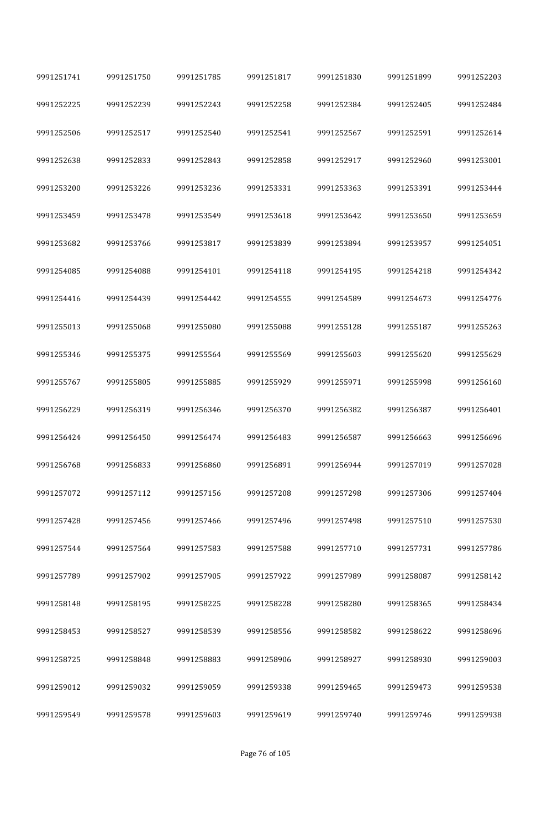| 9991251741 | 9991251750 | 9991251785 | 9991251817 | 9991251830 | 9991251899 | 9991252203 |
|------------|------------|------------|------------|------------|------------|------------|
| 9991252225 | 9991252239 | 9991252243 | 9991252258 | 9991252384 | 9991252405 | 9991252484 |
| 9991252506 | 9991252517 | 9991252540 | 9991252541 | 9991252567 | 9991252591 | 9991252614 |
| 9991252638 | 9991252833 | 9991252843 | 9991252858 | 9991252917 | 9991252960 | 9991253001 |
| 9991253200 | 9991253226 | 9991253236 | 9991253331 | 9991253363 | 9991253391 | 9991253444 |
| 9991253459 | 9991253478 | 9991253549 | 9991253618 | 9991253642 | 9991253650 | 9991253659 |
| 9991253682 | 9991253766 | 9991253817 | 9991253839 | 9991253894 | 9991253957 | 9991254051 |
| 9991254085 | 9991254088 | 9991254101 | 9991254118 | 9991254195 | 9991254218 | 9991254342 |
| 9991254416 | 9991254439 | 9991254442 | 9991254555 | 9991254589 | 9991254673 | 9991254776 |
| 9991255013 | 9991255068 | 9991255080 | 9991255088 | 9991255128 | 9991255187 | 9991255263 |
| 9991255346 | 9991255375 | 9991255564 | 9991255569 | 9991255603 | 9991255620 | 9991255629 |
| 9991255767 | 9991255805 | 9991255885 | 9991255929 | 9991255971 | 9991255998 | 9991256160 |
| 9991256229 | 9991256319 | 9991256346 | 9991256370 | 9991256382 | 9991256387 | 9991256401 |
| 9991256424 | 9991256450 | 9991256474 | 9991256483 | 9991256587 | 9991256663 | 9991256696 |
| 9991256768 | 9991256833 | 9991256860 | 9991256891 | 9991256944 | 9991257019 | 9991257028 |
| 9991257072 | 9991257112 | 9991257156 | 9991257208 | 9991257298 | 9991257306 | 9991257404 |
| 9991257428 | 9991257456 | 9991257466 | 9991257496 | 9991257498 | 9991257510 | 9991257530 |
| 9991257544 | 9991257564 | 9991257583 | 9991257588 | 9991257710 | 9991257731 | 9991257786 |
| 9991257789 | 9991257902 | 9991257905 | 9991257922 | 9991257989 | 9991258087 | 9991258142 |
| 9991258148 | 9991258195 | 9991258225 | 9991258228 | 9991258280 | 9991258365 | 9991258434 |
| 9991258453 | 9991258527 | 9991258539 | 9991258556 | 9991258582 | 9991258622 | 9991258696 |
| 9991258725 | 9991258848 | 9991258883 | 9991258906 | 9991258927 | 9991258930 | 9991259003 |
| 9991259012 | 9991259032 | 9991259059 | 9991259338 | 9991259465 | 9991259473 | 9991259538 |
| 9991259549 | 9991259578 | 9991259603 | 9991259619 | 9991259740 | 9991259746 | 9991259938 |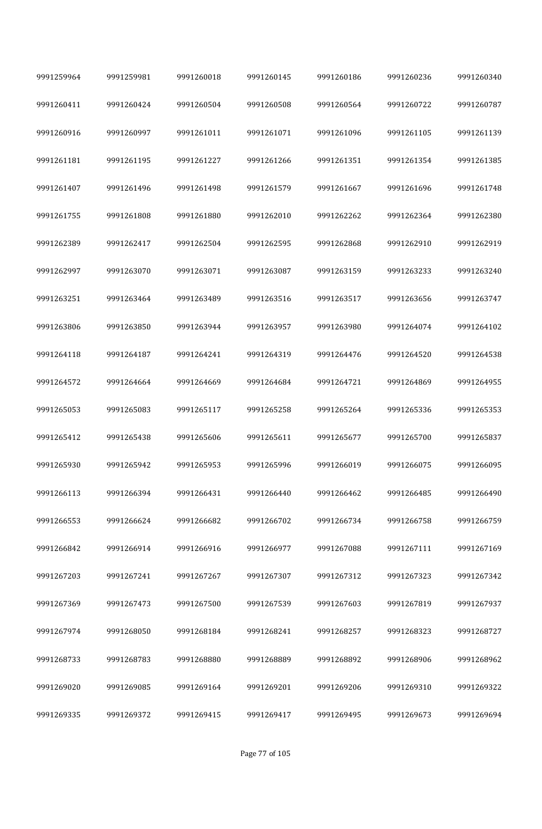| 9991259964 | 9991259981 | 9991260018 | 9991260145 | 9991260186 | 9991260236 | 9991260340 |
|------------|------------|------------|------------|------------|------------|------------|
| 9991260411 | 9991260424 | 9991260504 | 9991260508 | 9991260564 | 9991260722 | 9991260787 |
| 9991260916 | 9991260997 | 9991261011 | 9991261071 | 9991261096 | 9991261105 | 9991261139 |
| 9991261181 | 9991261195 | 9991261227 | 9991261266 | 9991261351 | 9991261354 | 9991261385 |
| 9991261407 | 9991261496 | 9991261498 | 9991261579 | 9991261667 | 9991261696 | 9991261748 |
| 9991261755 | 9991261808 | 9991261880 | 9991262010 | 9991262262 | 9991262364 | 9991262380 |
| 9991262389 | 9991262417 | 9991262504 | 9991262595 | 9991262868 | 9991262910 | 9991262919 |
| 9991262997 | 9991263070 | 9991263071 | 9991263087 | 9991263159 | 9991263233 | 9991263240 |
| 9991263251 | 9991263464 | 9991263489 | 9991263516 | 9991263517 | 9991263656 | 9991263747 |
| 9991263806 | 9991263850 | 9991263944 | 9991263957 | 9991263980 | 9991264074 | 9991264102 |
| 9991264118 | 9991264187 | 9991264241 | 9991264319 | 9991264476 | 9991264520 | 9991264538 |
| 9991264572 | 9991264664 | 9991264669 | 9991264684 | 9991264721 | 9991264869 | 9991264955 |
| 9991265053 | 9991265083 | 9991265117 | 9991265258 | 9991265264 | 9991265336 | 9991265353 |
| 9991265412 | 9991265438 | 9991265606 | 9991265611 | 9991265677 | 9991265700 | 9991265837 |
| 9991265930 | 9991265942 | 9991265953 | 9991265996 | 9991266019 | 9991266075 | 9991266095 |
| 9991266113 | 9991266394 | 9991266431 | 9991266440 | 9991266462 | 9991266485 | 9991266490 |
| 9991266553 | 9991266624 | 9991266682 | 9991266702 | 9991266734 | 9991266758 | 9991266759 |
| 9991266842 | 9991266914 | 9991266916 | 9991266977 | 9991267088 | 9991267111 | 9991267169 |
| 9991267203 | 9991267241 | 9991267267 | 9991267307 | 9991267312 | 9991267323 | 9991267342 |
| 9991267369 | 9991267473 | 9991267500 | 9991267539 | 9991267603 | 9991267819 | 9991267937 |
| 9991267974 | 9991268050 | 9991268184 | 9991268241 | 9991268257 | 9991268323 | 9991268727 |
| 9991268733 | 9991268783 | 9991268880 | 9991268889 | 9991268892 | 9991268906 | 9991268962 |
| 9991269020 | 9991269085 | 9991269164 | 9991269201 | 9991269206 | 9991269310 | 9991269322 |
| 9991269335 | 9991269372 | 9991269415 | 9991269417 | 9991269495 | 9991269673 | 9991269694 |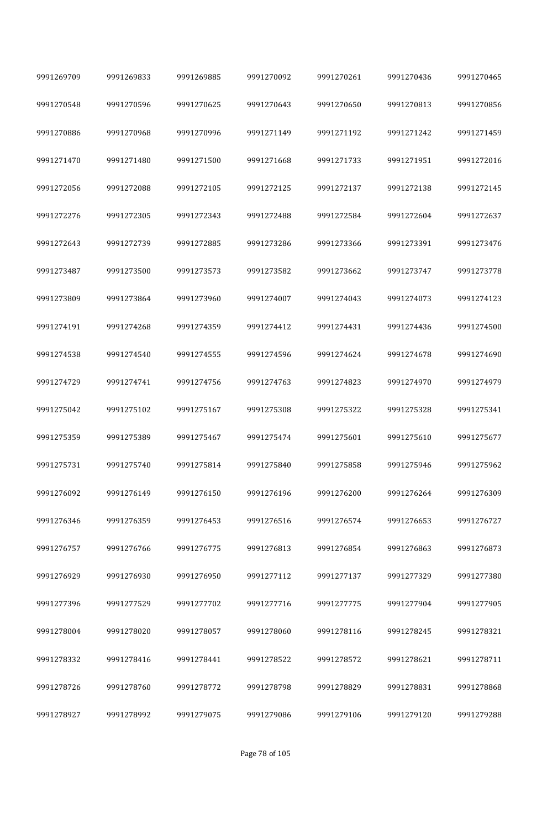| 9991269709 | 9991269833 | 9991269885 | 9991270092 | 9991270261 | 9991270436 | 9991270465 |
|------------|------------|------------|------------|------------|------------|------------|
| 9991270548 | 9991270596 | 9991270625 | 9991270643 | 9991270650 | 9991270813 | 9991270856 |
| 9991270886 | 9991270968 | 9991270996 | 9991271149 | 9991271192 | 9991271242 | 9991271459 |
| 9991271470 | 9991271480 | 9991271500 | 9991271668 | 9991271733 | 9991271951 | 9991272016 |
| 9991272056 | 9991272088 | 9991272105 | 9991272125 | 9991272137 | 9991272138 | 9991272145 |
| 9991272276 | 9991272305 | 9991272343 | 9991272488 | 9991272584 | 9991272604 | 9991272637 |
| 9991272643 | 9991272739 | 9991272885 | 9991273286 | 9991273366 | 9991273391 | 9991273476 |
| 9991273487 | 9991273500 | 9991273573 | 9991273582 | 9991273662 | 9991273747 | 9991273778 |
| 9991273809 | 9991273864 | 9991273960 | 9991274007 | 9991274043 | 9991274073 | 9991274123 |
| 9991274191 | 9991274268 | 9991274359 | 9991274412 | 9991274431 | 9991274436 | 9991274500 |
| 9991274538 | 9991274540 | 9991274555 | 9991274596 | 9991274624 | 9991274678 | 9991274690 |
| 9991274729 | 9991274741 | 9991274756 | 9991274763 | 9991274823 | 9991274970 | 9991274979 |
| 9991275042 | 9991275102 | 9991275167 | 9991275308 | 9991275322 | 9991275328 | 9991275341 |
| 9991275359 | 9991275389 | 9991275467 | 9991275474 | 9991275601 | 9991275610 | 9991275677 |
| 9991275731 | 9991275740 | 9991275814 | 9991275840 | 9991275858 | 9991275946 | 9991275962 |
| 9991276092 | 9991276149 | 9991276150 | 9991276196 | 9991276200 | 9991276264 | 9991276309 |
| 9991276346 | 9991276359 | 9991276453 | 9991276516 | 9991276574 | 9991276653 | 9991276727 |
| 9991276757 | 9991276766 | 9991276775 | 9991276813 | 9991276854 | 9991276863 | 9991276873 |
| 9991276929 | 9991276930 | 9991276950 | 9991277112 | 9991277137 | 9991277329 | 9991277380 |
| 9991277396 | 9991277529 | 9991277702 | 9991277716 | 9991277775 | 9991277904 | 9991277905 |
| 9991278004 | 9991278020 | 9991278057 | 9991278060 | 9991278116 | 9991278245 | 9991278321 |
| 9991278332 | 9991278416 | 9991278441 | 9991278522 | 9991278572 | 9991278621 | 9991278711 |
| 9991278726 | 9991278760 | 9991278772 | 9991278798 | 9991278829 | 9991278831 | 9991278868 |
| 9991278927 | 9991278992 | 9991279075 | 9991279086 | 9991279106 | 9991279120 | 9991279288 |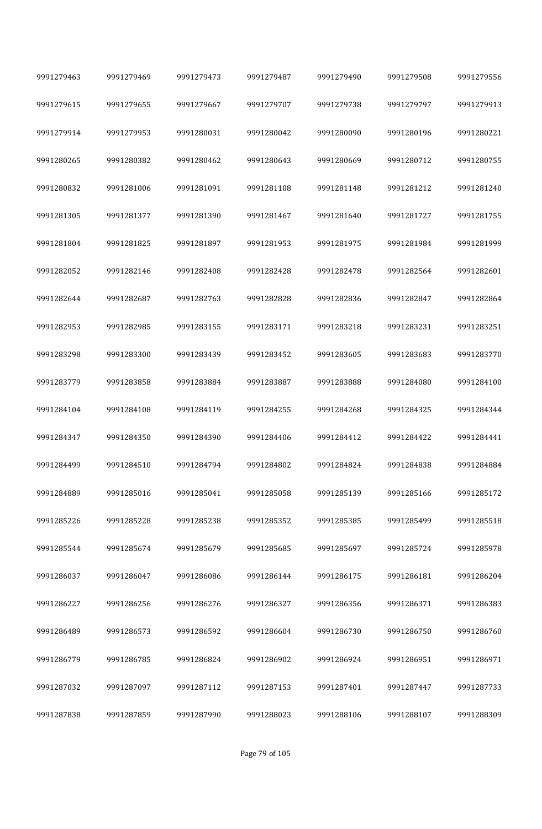| 9991279463 | 9991279469 | 9991279473 | 9991279487 | 9991279490 | 9991279508 | 9991279556 |
|------------|------------|------------|------------|------------|------------|------------|
| 9991279615 | 9991279655 | 9991279667 | 9991279707 | 9991279738 | 9991279797 | 9991279913 |
| 9991279914 | 9991279953 | 9991280031 | 9991280042 | 9991280090 | 9991280196 | 9991280221 |
| 9991280265 | 9991280382 | 9991280462 | 9991280643 | 9991280669 | 9991280712 | 9991280755 |
| 9991280832 | 9991281006 | 9991281091 | 9991281108 | 9991281148 | 9991281212 | 9991281240 |
| 9991281305 | 9991281377 | 9991281390 | 9991281467 | 9991281640 | 9991281727 | 9991281755 |
| 9991281804 | 9991281825 | 9991281897 | 9991281953 | 9991281975 | 9991281984 | 9991281999 |
| 9991282052 | 9991282146 | 9991282408 | 9991282428 | 9991282478 | 9991282564 | 9991282601 |
| 9991282644 | 9991282687 | 9991282763 | 9991282828 | 9991282836 | 9991282847 | 9991282864 |
| 9991282953 | 9991282985 | 9991283155 | 9991283171 | 9991283218 | 9991283231 | 9991283251 |
| 9991283298 | 9991283300 | 9991283439 | 9991283452 | 9991283605 | 9991283683 | 9991283770 |
| 9991283779 | 9991283858 | 9991283884 | 9991283887 | 9991283888 | 9991284080 | 9991284100 |
| 9991284104 | 9991284108 | 9991284119 | 9991284255 | 9991284268 | 9991284325 | 9991284344 |
| 9991284347 | 9991284350 | 9991284390 | 9991284406 | 9991284412 | 9991284422 | 9991284441 |
| 9991284499 | 9991284510 | 9991284794 | 9991284802 | 9991284824 | 9991284838 | 9991284884 |
| 9991284889 | 9991285016 | 9991285041 | 9991285058 | 9991285139 | 9991285166 | 9991285172 |
| 9991285226 | 9991285228 | 9991285238 | 9991285352 | 9991285385 | 9991285499 | 9991285518 |
| 9991285544 | 9991285674 | 9991285679 | 9991285685 | 9991285697 | 9991285724 | 9991285978 |
| 9991286037 | 9991286047 | 9991286086 | 9991286144 | 9991286175 | 9991286181 | 9991286204 |
| 9991286227 | 9991286256 | 9991286276 | 9991286327 | 9991286356 | 9991286371 | 9991286383 |
| 9991286489 | 9991286573 | 9991286592 | 9991286604 | 9991286730 | 9991286750 | 9991286760 |
| 9991286779 | 9991286785 | 9991286824 | 9991286902 | 9991286924 | 9991286951 | 9991286971 |
| 9991287032 | 9991287097 | 9991287112 | 9991287153 | 9991287401 | 9991287447 | 9991287733 |
| 9991287838 | 9991287859 | 9991287990 | 9991288023 | 9991288106 | 9991288107 | 9991288309 |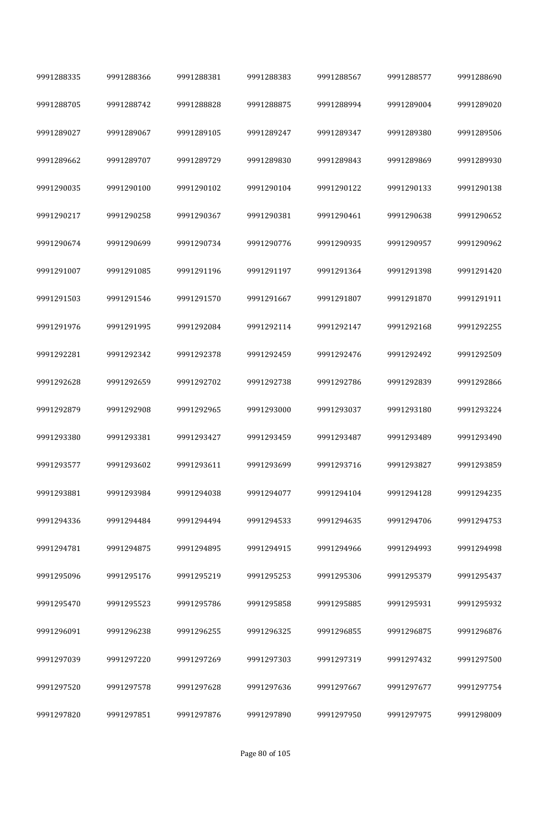| 9991288335 | 9991288366 | 9991288381 | 9991288383 | 9991288567 | 9991288577 | 9991288690 |
|------------|------------|------------|------------|------------|------------|------------|
| 9991288705 | 9991288742 | 9991288828 | 9991288875 | 9991288994 | 9991289004 | 9991289020 |
| 9991289027 | 9991289067 | 9991289105 | 9991289247 | 9991289347 | 9991289380 | 9991289506 |
| 9991289662 | 9991289707 | 9991289729 | 9991289830 | 9991289843 | 9991289869 | 9991289930 |
| 9991290035 | 9991290100 | 9991290102 | 9991290104 | 9991290122 | 9991290133 | 9991290138 |
| 9991290217 | 9991290258 | 9991290367 | 9991290381 | 9991290461 | 9991290638 | 9991290652 |
| 9991290674 | 9991290699 | 9991290734 | 9991290776 | 9991290935 | 9991290957 | 9991290962 |
| 9991291007 | 9991291085 | 9991291196 | 9991291197 | 9991291364 | 9991291398 | 9991291420 |
| 9991291503 | 9991291546 | 9991291570 | 9991291667 | 9991291807 | 9991291870 | 9991291911 |
| 9991291976 | 9991291995 | 9991292084 | 9991292114 | 9991292147 | 9991292168 | 9991292255 |
| 9991292281 | 9991292342 | 9991292378 | 9991292459 | 9991292476 | 9991292492 | 9991292509 |
| 9991292628 | 9991292659 | 9991292702 | 9991292738 | 9991292786 | 9991292839 | 9991292866 |
| 9991292879 | 9991292908 | 9991292965 | 9991293000 | 9991293037 | 9991293180 | 9991293224 |
| 9991293380 | 9991293381 | 9991293427 | 9991293459 | 9991293487 | 9991293489 | 9991293490 |
| 9991293577 | 9991293602 | 9991293611 | 9991293699 | 9991293716 | 9991293827 | 9991293859 |
| 9991293881 | 9991293984 | 9991294038 | 9991294077 | 9991294104 | 9991294128 | 9991294235 |
| 9991294336 | 9991294484 | 9991294494 | 9991294533 | 9991294635 | 9991294706 | 9991294753 |
| 9991294781 | 9991294875 | 9991294895 | 9991294915 | 9991294966 | 9991294993 | 9991294998 |
| 9991295096 | 9991295176 | 9991295219 | 9991295253 | 9991295306 | 9991295379 | 9991295437 |
| 9991295470 | 9991295523 | 9991295786 | 9991295858 | 9991295885 | 9991295931 | 9991295932 |
| 9991296091 | 9991296238 | 9991296255 | 9991296325 | 9991296855 | 9991296875 | 9991296876 |
| 9991297039 | 9991297220 | 9991297269 | 9991297303 | 9991297319 | 9991297432 | 9991297500 |
| 9991297520 | 9991297578 | 9991297628 | 9991297636 | 9991297667 | 9991297677 | 9991297754 |
| 9991297820 | 9991297851 | 9991297876 | 9991297890 | 9991297950 | 9991297975 | 9991298009 |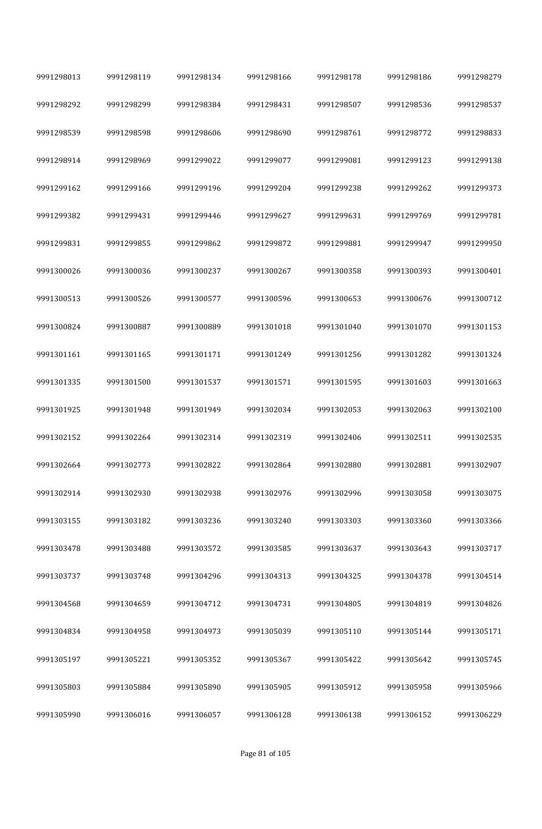| 9991298013 | 9991298119 | 9991298134 | 9991298166 | 9991298178 | 9991298186 | 9991298279 |
|------------|------------|------------|------------|------------|------------|------------|
| 9991298292 | 9991298299 | 9991298384 | 9991298431 | 9991298507 | 9991298536 | 9991298537 |
| 9991298539 | 9991298598 | 9991298606 | 9991298690 | 9991298761 | 9991298772 | 9991298833 |
| 9991298914 | 9991298969 | 9991299022 | 9991299077 | 9991299081 | 9991299123 | 9991299138 |
| 9991299162 | 9991299166 | 9991299196 | 9991299204 | 9991299238 | 9991299262 | 9991299373 |
| 9991299382 | 9991299431 | 9991299446 | 9991299627 | 9991299631 | 9991299769 | 9991299781 |
| 9991299831 | 9991299855 | 9991299862 | 9991299872 | 9991299881 | 9991299947 | 9991299950 |
| 9991300026 | 9991300036 | 9991300237 | 9991300267 | 9991300358 | 9991300393 | 9991300401 |
| 9991300513 | 9991300526 | 9991300577 | 9991300596 | 9991300653 | 9991300676 | 9991300712 |
| 9991300824 | 9991300887 | 9991300889 | 9991301018 | 9991301040 | 9991301070 | 9991301153 |
| 9991301161 | 9991301165 | 9991301171 | 9991301249 | 9991301256 | 9991301282 | 9991301324 |
| 9991301335 | 9991301500 | 9991301537 | 9991301571 | 9991301595 | 9991301603 | 9991301663 |
| 9991301925 | 9991301948 | 9991301949 | 9991302034 | 9991302053 | 9991302063 | 9991302100 |
| 9991302152 | 9991302264 | 9991302314 | 9991302319 | 9991302406 | 9991302511 | 9991302535 |
| 9991302664 | 9991302773 | 9991302822 | 9991302864 | 9991302880 | 9991302881 | 9991302907 |
| 9991302914 | 9991302930 | 9991302938 | 9991302976 | 9991302996 | 9991303058 | 9991303075 |
| 9991303155 | 9991303182 | 9991303236 | 9991303240 | 9991303303 | 9991303360 | 9991303366 |
| 9991303478 | 9991303488 | 9991303572 | 9991303585 | 9991303637 | 9991303643 | 9991303717 |
| 9991303737 | 9991303748 | 9991304296 | 9991304313 | 9991304325 | 9991304378 | 9991304514 |
| 9991304568 | 9991304659 | 9991304712 | 9991304731 | 9991304805 | 9991304819 | 9991304826 |
| 9991304834 | 9991304958 | 9991304973 | 9991305039 | 9991305110 | 9991305144 | 9991305171 |
| 9991305197 | 9991305221 | 9991305352 | 9991305367 | 9991305422 | 9991305642 | 9991305745 |
| 9991305803 | 9991305884 | 9991305890 | 9991305905 | 9991305912 | 9991305958 | 9991305966 |
| 9991305990 | 9991306016 | 9991306057 | 9991306128 | 9991306138 | 9991306152 | 9991306229 |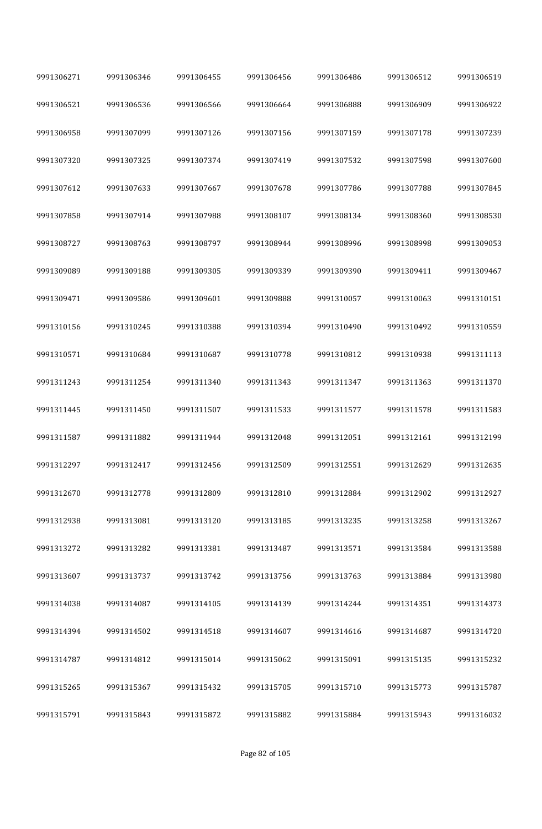| 9991306271 | 9991306346 | 9991306455 | 9991306456 | 9991306486 | 9991306512 | 9991306519 |
|------------|------------|------------|------------|------------|------------|------------|
| 9991306521 | 9991306536 | 9991306566 | 9991306664 | 9991306888 | 9991306909 | 9991306922 |
| 9991306958 | 9991307099 | 9991307126 | 9991307156 | 9991307159 | 9991307178 | 9991307239 |
| 9991307320 | 9991307325 | 9991307374 | 9991307419 | 9991307532 | 9991307598 | 9991307600 |
| 9991307612 | 9991307633 | 9991307667 | 9991307678 | 9991307786 | 9991307788 | 9991307845 |
| 9991307858 | 9991307914 | 9991307988 | 9991308107 | 9991308134 | 9991308360 | 9991308530 |
| 9991308727 | 9991308763 | 9991308797 | 9991308944 | 9991308996 | 9991308998 | 9991309053 |
| 9991309089 | 9991309188 | 9991309305 | 9991309339 | 9991309390 | 9991309411 | 9991309467 |
| 9991309471 | 9991309586 | 9991309601 | 9991309888 | 9991310057 | 9991310063 | 9991310151 |
| 9991310156 | 9991310245 | 9991310388 | 9991310394 | 9991310490 | 9991310492 | 9991310559 |
| 9991310571 | 9991310684 | 9991310687 | 9991310778 | 9991310812 | 9991310938 | 9991311113 |
| 9991311243 | 9991311254 | 9991311340 | 9991311343 | 9991311347 | 9991311363 | 9991311370 |
| 9991311445 | 9991311450 | 9991311507 | 9991311533 | 9991311577 | 9991311578 | 9991311583 |
| 9991311587 | 9991311882 | 9991311944 | 9991312048 | 9991312051 | 9991312161 | 9991312199 |
| 9991312297 | 9991312417 | 9991312456 | 9991312509 | 9991312551 | 9991312629 | 9991312635 |
| 9991312670 | 9991312778 | 9991312809 | 9991312810 | 9991312884 | 9991312902 | 9991312927 |
| 9991312938 | 9991313081 | 9991313120 | 9991313185 | 9991313235 | 9991313258 | 9991313267 |
| 9991313272 | 9991313282 | 9991313381 | 9991313487 | 9991313571 | 9991313584 | 9991313588 |
| 9991313607 | 9991313737 | 9991313742 | 9991313756 | 9991313763 | 9991313884 | 9991313980 |
| 9991314038 | 9991314087 | 9991314105 | 9991314139 | 9991314244 | 9991314351 | 9991314373 |
| 9991314394 | 9991314502 | 9991314518 | 9991314607 | 9991314616 | 9991314687 | 9991314720 |
| 9991314787 | 9991314812 | 9991315014 | 9991315062 | 9991315091 | 9991315135 | 9991315232 |
| 9991315265 | 9991315367 | 9991315432 | 9991315705 | 9991315710 | 9991315773 | 9991315787 |
| 9991315791 | 9991315843 | 9991315872 | 9991315882 | 9991315884 | 9991315943 | 9991316032 |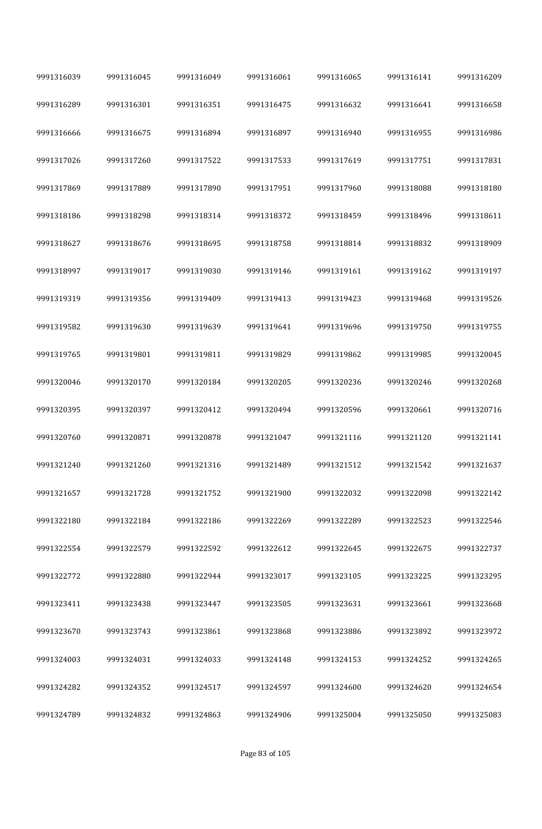| 9991316039 | 9991316045 | 9991316049 | 9991316061 | 9991316065 | 9991316141 | 9991316209 |
|------------|------------|------------|------------|------------|------------|------------|
| 9991316289 | 9991316301 | 9991316351 | 9991316475 | 9991316632 | 9991316641 | 9991316658 |
| 9991316666 | 9991316675 | 9991316894 | 9991316897 | 9991316940 | 9991316955 | 9991316986 |
| 9991317026 | 9991317260 | 9991317522 | 9991317533 | 9991317619 | 9991317751 | 9991317831 |
| 9991317869 | 9991317889 | 9991317890 | 9991317951 | 9991317960 | 9991318088 | 9991318180 |
| 9991318186 | 9991318298 | 9991318314 | 9991318372 | 9991318459 | 9991318496 | 9991318611 |
| 9991318627 | 9991318676 | 9991318695 | 9991318758 | 9991318814 | 9991318832 | 9991318909 |
| 9991318997 | 9991319017 | 9991319030 | 9991319146 | 9991319161 | 9991319162 | 9991319197 |
| 9991319319 | 9991319356 | 9991319409 | 9991319413 | 9991319423 | 9991319468 | 9991319526 |
| 9991319582 | 9991319630 | 9991319639 | 9991319641 | 9991319696 | 9991319750 | 9991319755 |
| 9991319765 | 9991319801 | 9991319811 | 9991319829 | 9991319862 | 9991319985 | 9991320045 |
| 9991320046 | 9991320170 | 9991320184 | 9991320205 | 9991320236 | 9991320246 | 9991320268 |
| 9991320395 | 9991320397 | 9991320412 | 9991320494 | 9991320596 | 9991320661 | 9991320716 |
| 9991320760 | 9991320871 | 9991320878 | 9991321047 | 9991321116 | 9991321120 | 9991321141 |
| 9991321240 | 9991321260 | 9991321316 | 9991321489 | 9991321512 | 9991321542 | 9991321637 |
| 9991321657 | 9991321728 | 9991321752 | 9991321900 | 9991322032 | 9991322098 | 9991322142 |
| 9991322180 | 9991322184 | 9991322186 | 9991322269 | 9991322289 | 9991322523 | 9991322546 |
| 9991322554 | 9991322579 | 9991322592 | 9991322612 | 9991322645 | 9991322675 | 9991322737 |
| 9991322772 | 9991322880 | 9991322944 | 9991323017 | 9991323105 | 9991323225 | 9991323295 |
| 9991323411 | 9991323438 | 9991323447 | 9991323505 | 9991323631 | 9991323661 | 9991323668 |
| 9991323670 | 9991323743 | 9991323861 | 9991323868 | 9991323886 | 9991323892 | 9991323972 |
| 9991324003 | 9991324031 | 9991324033 | 9991324148 | 9991324153 | 9991324252 | 9991324265 |
| 9991324282 | 9991324352 | 9991324517 | 9991324597 | 9991324600 | 9991324620 | 9991324654 |
| 9991324789 | 9991324832 | 9991324863 | 9991324906 | 9991325004 | 9991325050 | 9991325083 |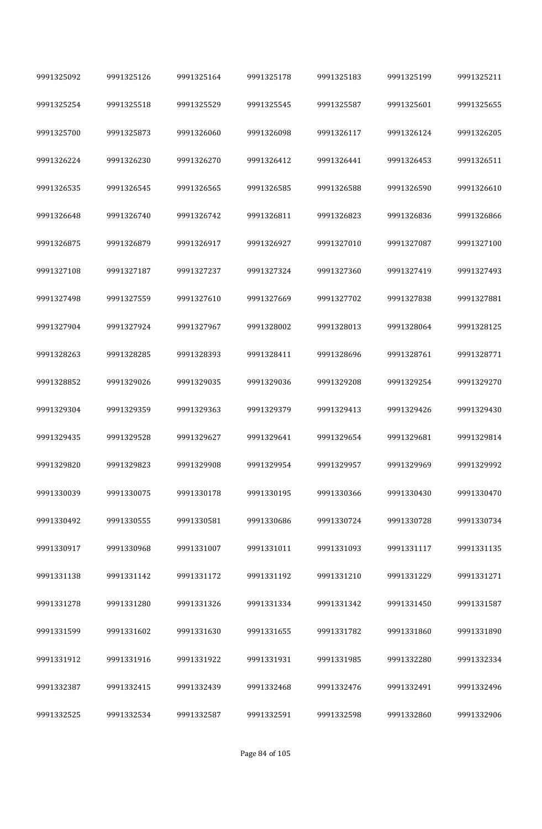| 9991325092 | 9991325126 | 9991325164 | 9991325178 | 9991325183 | 9991325199 | 9991325211 |
|------------|------------|------------|------------|------------|------------|------------|
| 9991325254 | 9991325518 | 9991325529 | 9991325545 | 9991325587 | 9991325601 | 9991325655 |
| 9991325700 | 9991325873 | 9991326060 | 9991326098 | 9991326117 | 9991326124 | 9991326205 |
| 9991326224 | 9991326230 | 9991326270 | 9991326412 | 9991326441 | 9991326453 | 9991326511 |
| 9991326535 | 9991326545 | 9991326565 | 9991326585 | 9991326588 | 9991326590 | 9991326610 |
| 9991326648 | 9991326740 | 9991326742 | 9991326811 | 9991326823 | 9991326836 | 9991326866 |
| 9991326875 | 9991326879 | 9991326917 | 9991326927 | 9991327010 | 9991327087 | 9991327100 |
| 9991327108 | 9991327187 | 9991327237 | 9991327324 | 9991327360 | 9991327419 | 9991327493 |
| 9991327498 | 9991327559 | 9991327610 | 9991327669 | 9991327702 | 9991327838 | 9991327881 |
| 9991327904 | 9991327924 | 9991327967 | 9991328002 | 9991328013 | 9991328064 | 9991328125 |
| 9991328263 | 9991328285 | 9991328393 | 9991328411 | 9991328696 | 9991328761 | 9991328771 |
| 9991328852 | 9991329026 | 9991329035 | 9991329036 | 9991329208 | 9991329254 | 9991329270 |
| 9991329304 | 9991329359 | 9991329363 | 9991329379 | 9991329413 | 9991329426 | 9991329430 |
| 9991329435 | 9991329528 | 9991329627 | 9991329641 | 9991329654 | 9991329681 | 9991329814 |
| 9991329820 | 9991329823 | 9991329908 | 9991329954 | 9991329957 | 9991329969 | 9991329992 |
| 9991330039 | 9991330075 | 9991330178 | 9991330195 | 9991330366 | 9991330430 | 9991330470 |
| 9991330492 | 9991330555 | 9991330581 | 9991330686 | 9991330724 | 9991330728 | 9991330734 |
| 9991330917 | 9991330968 | 9991331007 | 9991331011 | 9991331093 | 9991331117 | 9991331135 |
| 9991331138 | 9991331142 | 9991331172 | 9991331192 | 9991331210 | 9991331229 | 9991331271 |
| 9991331278 | 9991331280 | 9991331326 | 9991331334 | 9991331342 | 9991331450 | 9991331587 |
| 9991331599 | 9991331602 | 9991331630 | 9991331655 | 9991331782 | 9991331860 | 9991331890 |
| 9991331912 | 9991331916 | 9991331922 | 9991331931 | 9991331985 | 9991332280 | 9991332334 |
| 9991332387 | 9991332415 | 9991332439 | 9991332468 | 9991332476 | 9991332491 | 9991332496 |
| 9991332525 | 9991332534 | 9991332587 | 9991332591 | 9991332598 | 9991332860 | 9991332906 |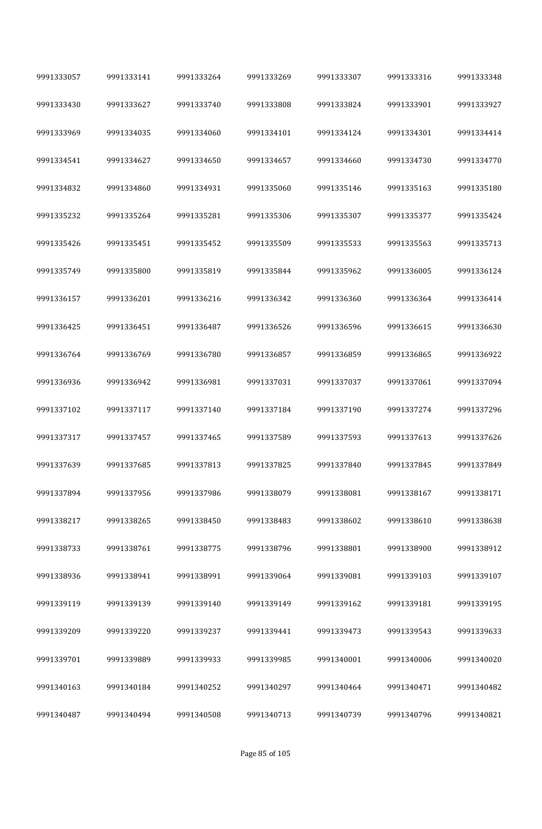| 9991333057 | 9991333141 | 9991333264 | 9991333269 | 9991333307 | 9991333316 | 9991333348 |
|------------|------------|------------|------------|------------|------------|------------|
| 9991333430 | 9991333627 | 9991333740 | 9991333808 | 9991333824 | 9991333901 | 9991333927 |
| 9991333969 | 9991334035 | 9991334060 | 9991334101 | 9991334124 | 9991334301 | 9991334414 |
| 9991334541 | 9991334627 | 9991334650 | 9991334657 | 9991334660 | 9991334730 | 9991334770 |
| 9991334832 | 9991334860 | 9991334931 | 9991335060 | 9991335146 | 9991335163 | 9991335180 |
| 9991335232 | 9991335264 | 9991335281 | 9991335306 | 9991335307 | 9991335377 | 9991335424 |
| 9991335426 | 9991335451 | 9991335452 | 9991335509 | 9991335533 | 9991335563 | 9991335713 |
| 9991335749 | 9991335800 | 9991335819 | 9991335844 | 9991335962 | 9991336005 | 9991336124 |
| 9991336157 | 9991336201 | 9991336216 | 9991336342 | 9991336360 | 9991336364 | 9991336414 |
| 9991336425 | 9991336451 | 9991336487 | 9991336526 | 9991336596 | 9991336615 | 9991336630 |
| 9991336764 | 9991336769 | 9991336780 | 9991336857 | 9991336859 | 9991336865 | 9991336922 |
| 9991336936 | 9991336942 | 9991336981 | 9991337031 | 9991337037 | 9991337061 | 9991337094 |
| 9991337102 | 9991337117 | 9991337140 | 9991337184 | 9991337190 | 9991337274 | 9991337296 |
| 9991337317 | 9991337457 | 9991337465 | 9991337589 | 9991337593 | 9991337613 | 9991337626 |
| 9991337639 | 9991337685 | 9991337813 | 9991337825 | 9991337840 | 9991337845 | 9991337849 |
| 9991337894 | 9991337956 | 9991337986 | 9991338079 | 9991338081 | 9991338167 | 9991338171 |
| 9991338217 | 9991338265 | 9991338450 | 9991338483 | 9991338602 | 9991338610 | 9991338638 |
| 9991338733 | 9991338761 | 9991338775 | 9991338796 | 9991338801 | 9991338900 | 9991338912 |
| 9991338936 | 9991338941 | 9991338991 | 9991339064 | 9991339081 | 9991339103 | 9991339107 |
| 9991339119 | 9991339139 | 9991339140 | 9991339149 | 9991339162 | 9991339181 | 9991339195 |
| 9991339209 | 9991339220 | 9991339237 | 9991339441 | 9991339473 | 9991339543 | 9991339633 |
| 9991339701 | 9991339889 | 9991339933 | 9991339985 | 9991340001 | 9991340006 | 9991340020 |
| 9991340163 | 9991340184 | 9991340252 | 9991340297 | 9991340464 | 9991340471 | 9991340482 |
| 9991340487 | 9991340494 | 9991340508 | 9991340713 | 9991340739 | 9991340796 | 9991340821 |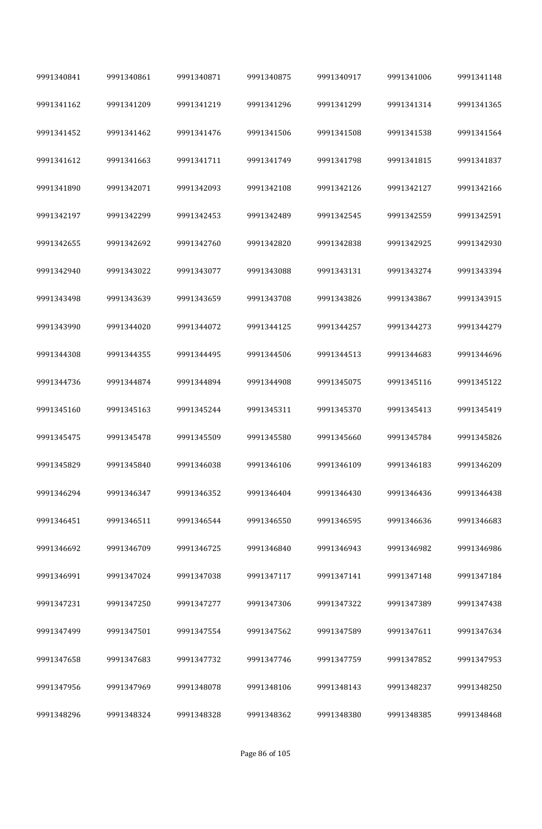| 9991340841 | 9991340861 | 9991340871 | 9991340875 | 9991340917 | 9991341006 | 9991341148 |
|------------|------------|------------|------------|------------|------------|------------|
| 9991341162 | 9991341209 | 9991341219 | 9991341296 | 9991341299 | 9991341314 | 9991341365 |
| 9991341452 | 9991341462 | 9991341476 | 9991341506 | 9991341508 | 9991341538 | 9991341564 |
| 9991341612 | 9991341663 | 9991341711 | 9991341749 | 9991341798 | 9991341815 | 9991341837 |
| 9991341890 | 9991342071 | 9991342093 | 9991342108 | 9991342126 | 9991342127 | 9991342166 |
| 9991342197 | 9991342299 | 9991342453 | 9991342489 | 9991342545 | 9991342559 | 9991342591 |
| 9991342655 | 9991342692 | 9991342760 | 9991342820 | 9991342838 | 9991342925 | 9991342930 |
| 9991342940 | 9991343022 | 9991343077 | 9991343088 | 9991343131 | 9991343274 | 9991343394 |
| 9991343498 | 9991343639 | 9991343659 | 9991343708 | 9991343826 | 9991343867 | 9991343915 |
| 9991343990 | 9991344020 | 9991344072 | 9991344125 | 9991344257 | 9991344273 | 9991344279 |
| 9991344308 | 9991344355 | 9991344495 | 9991344506 | 9991344513 | 9991344683 | 9991344696 |
| 9991344736 | 9991344874 | 9991344894 | 9991344908 | 9991345075 | 9991345116 | 9991345122 |
| 9991345160 | 9991345163 | 9991345244 | 9991345311 | 9991345370 | 9991345413 | 9991345419 |
| 9991345475 | 9991345478 | 9991345509 | 9991345580 | 9991345660 | 9991345784 | 9991345826 |
| 9991345829 | 9991345840 | 9991346038 | 9991346106 | 9991346109 | 9991346183 | 9991346209 |
| 9991346294 | 9991346347 | 9991346352 | 9991346404 | 9991346430 | 9991346436 | 9991346438 |
| 9991346451 | 9991346511 | 9991346544 | 9991346550 | 9991346595 | 9991346636 | 9991346683 |
| 9991346692 | 9991346709 | 9991346725 | 9991346840 | 9991346943 | 9991346982 | 9991346986 |
| 9991346991 | 9991347024 | 9991347038 | 9991347117 | 9991347141 | 9991347148 | 9991347184 |
| 9991347231 | 9991347250 | 9991347277 | 9991347306 | 9991347322 | 9991347389 | 9991347438 |
| 9991347499 | 9991347501 | 9991347554 | 9991347562 | 9991347589 | 9991347611 | 9991347634 |
| 9991347658 | 9991347683 | 9991347732 | 9991347746 | 9991347759 | 9991347852 | 9991347953 |
| 9991347956 | 9991347969 | 9991348078 | 9991348106 | 9991348143 | 9991348237 | 9991348250 |
| 9991348296 | 9991348324 | 9991348328 | 9991348362 | 9991348380 | 9991348385 | 9991348468 |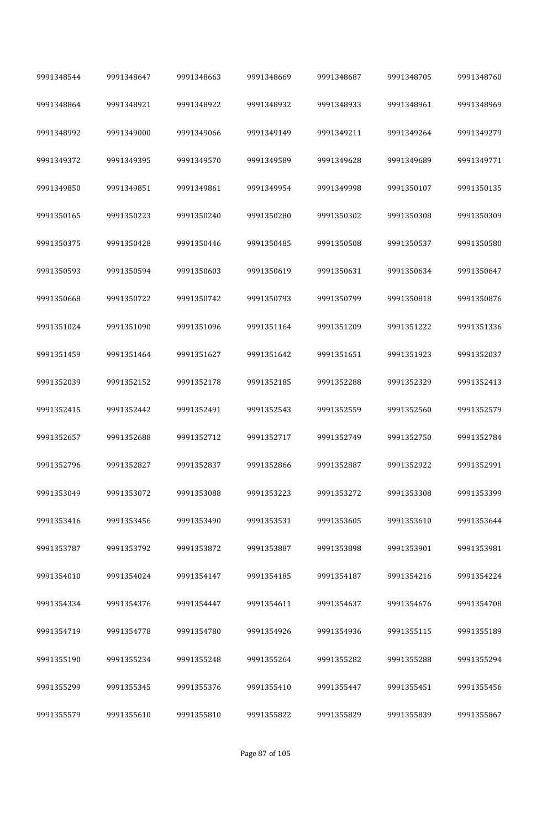| 9991348544 | 9991348647 | 9991348663 | 9991348669 | 9991348687 | 9991348705 | 9991348760 |
|------------|------------|------------|------------|------------|------------|------------|
| 9991348864 | 9991348921 | 9991348922 | 9991348932 | 9991348933 | 9991348961 | 9991348969 |
| 9991348992 | 9991349000 | 9991349066 | 9991349149 | 9991349211 | 9991349264 | 9991349279 |
| 9991349372 | 9991349395 | 9991349570 | 9991349589 | 9991349628 | 9991349689 | 9991349771 |
| 9991349850 | 9991349851 | 9991349861 | 9991349954 | 9991349998 | 9991350107 | 9991350135 |
| 9991350165 | 9991350223 | 9991350240 | 9991350280 | 9991350302 | 9991350308 | 9991350309 |
| 9991350375 | 9991350428 | 9991350446 | 9991350485 | 9991350508 | 9991350537 | 9991350580 |
| 9991350593 | 9991350594 | 9991350603 | 9991350619 | 9991350631 | 9991350634 | 9991350647 |
| 9991350668 | 9991350722 | 9991350742 | 9991350793 | 9991350799 | 9991350818 | 9991350876 |
| 9991351024 | 9991351090 | 9991351096 | 9991351164 | 9991351209 | 9991351222 | 9991351336 |
| 9991351459 | 9991351464 | 9991351627 | 9991351642 | 9991351651 | 9991351923 | 9991352037 |
| 9991352039 | 9991352152 | 9991352178 | 9991352185 | 9991352288 | 9991352329 | 9991352413 |
| 9991352415 | 9991352442 | 9991352491 | 9991352543 | 9991352559 | 9991352560 | 9991352579 |
| 9991352657 | 9991352688 | 9991352712 | 9991352717 | 9991352749 | 9991352750 | 9991352784 |
| 9991352796 | 9991352827 | 9991352837 | 9991352866 | 9991352887 | 9991352922 | 9991352991 |
| 9991353049 | 9991353072 | 9991353088 | 9991353223 | 9991353272 | 9991353308 | 9991353399 |
| 9991353416 | 9991353456 | 9991353490 | 9991353531 | 9991353605 | 9991353610 | 9991353644 |
| 9991353787 | 9991353792 | 9991353872 | 9991353887 | 9991353898 | 9991353901 | 9991353981 |
| 9991354010 | 9991354024 | 9991354147 | 9991354185 | 9991354187 | 9991354216 | 9991354224 |
| 9991354334 | 9991354376 | 9991354447 | 9991354611 | 9991354637 | 9991354676 | 9991354708 |
| 9991354719 | 9991354778 | 9991354780 | 9991354926 | 9991354936 | 9991355115 | 9991355189 |
| 9991355190 | 9991355234 | 9991355248 | 9991355264 | 9991355282 | 9991355288 | 9991355294 |
| 9991355299 | 9991355345 | 9991355376 | 9991355410 | 9991355447 | 9991355451 | 9991355456 |
| 9991355579 | 9991355610 | 9991355810 | 9991355822 | 9991355829 | 9991355839 | 9991355867 |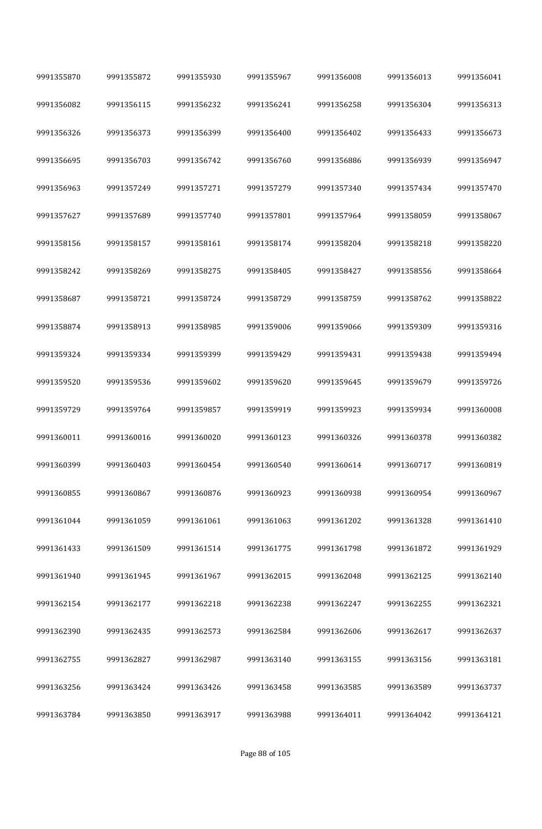| 9991355870 | 9991355872 | 9991355930 | 9991355967 | 9991356008 | 9991356013 | 9991356041 |
|------------|------------|------------|------------|------------|------------|------------|
| 9991356082 | 9991356115 | 9991356232 | 9991356241 | 9991356258 | 9991356304 | 9991356313 |
| 9991356326 | 9991356373 | 9991356399 | 9991356400 | 9991356402 | 9991356433 | 9991356673 |
| 9991356695 | 9991356703 | 9991356742 | 9991356760 | 9991356886 | 9991356939 | 9991356947 |
| 9991356963 | 9991357249 | 9991357271 | 9991357279 | 9991357340 | 9991357434 | 9991357470 |
| 9991357627 | 9991357689 | 9991357740 | 9991357801 | 9991357964 | 9991358059 | 9991358067 |
| 9991358156 | 9991358157 | 9991358161 | 9991358174 | 9991358204 | 9991358218 | 9991358220 |
| 9991358242 | 9991358269 | 9991358275 | 9991358405 | 9991358427 | 9991358556 | 9991358664 |
| 9991358687 | 9991358721 | 9991358724 | 9991358729 | 9991358759 | 9991358762 | 9991358822 |
| 9991358874 | 9991358913 | 9991358985 | 9991359006 | 9991359066 | 9991359309 | 9991359316 |
| 9991359324 | 9991359334 | 9991359399 | 9991359429 | 9991359431 | 9991359438 | 9991359494 |
| 9991359520 | 9991359536 | 9991359602 | 9991359620 | 9991359645 | 9991359679 | 9991359726 |
| 9991359729 | 9991359764 | 9991359857 | 9991359919 | 9991359923 | 9991359934 | 9991360008 |
| 9991360011 | 9991360016 | 9991360020 | 9991360123 | 9991360326 | 9991360378 | 9991360382 |
| 9991360399 | 9991360403 | 9991360454 | 9991360540 | 9991360614 | 9991360717 | 9991360819 |
| 9991360855 | 9991360867 | 9991360876 | 9991360923 | 9991360938 | 9991360954 | 9991360967 |
| 9991361044 | 9991361059 | 9991361061 | 9991361063 | 9991361202 | 9991361328 | 9991361410 |
| 9991361433 | 9991361509 | 9991361514 | 9991361775 | 9991361798 | 9991361872 | 9991361929 |
| 9991361940 | 9991361945 | 9991361967 | 9991362015 | 9991362048 | 9991362125 | 9991362140 |
| 9991362154 | 9991362177 | 9991362218 | 9991362238 | 9991362247 | 9991362255 | 9991362321 |
| 9991362390 | 9991362435 | 9991362573 | 9991362584 | 9991362606 | 9991362617 | 9991362637 |
| 9991362755 | 9991362827 | 9991362987 | 9991363140 | 9991363155 | 9991363156 | 9991363181 |
| 9991363256 | 9991363424 | 9991363426 | 9991363458 | 9991363585 | 9991363589 | 9991363737 |
| 9991363784 | 9991363850 | 9991363917 | 9991363988 | 9991364011 | 9991364042 | 9991364121 |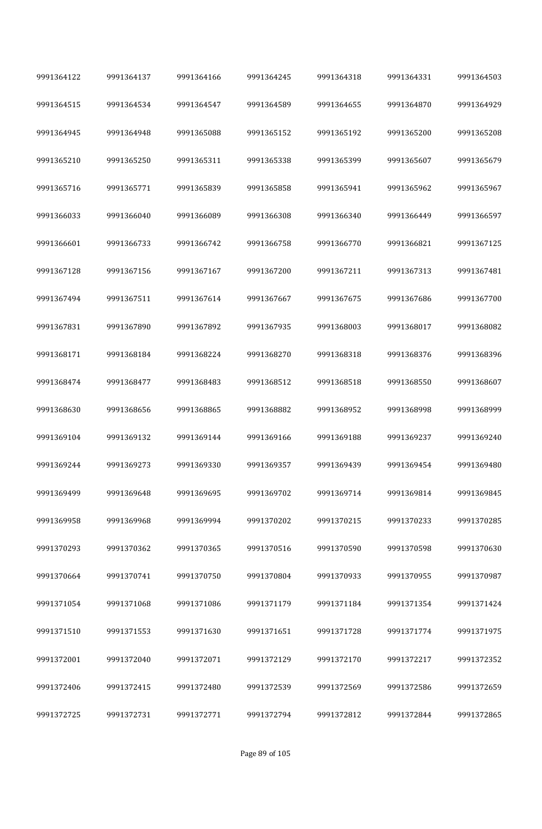| 9991364122 | 9991364137 | 9991364166 | 9991364245 | 9991364318 | 9991364331 | 9991364503 |
|------------|------------|------------|------------|------------|------------|------------|
| 9991364515 | 9991364534 | 9991364547 | 9991364589 | 9991364655 | 9991364870 | 9991364929 |
| 9991364945 | 9991364948 | 9991365088 | 9991365152 | 9991365192 | 9991365200 | 9991365208 |
| 9991365210 | 9991365250 | 9991365311 | 9991365338 | 9991365399 | 9991365607 | 9991365679 |
| 9991365716 | 9991365771 | 9991365839 | 9991365858 | 9991365941 | 9991365962 | 9991365967 |
| 9991366033 | 9991366040 | 9991366089 | 9991366308 | 9991366340 | 9991366449 | 9991366597 |
| 9991366601 | 9991366733 | 9991366742 | 9991366758 | 9991366770 | 9991366821 | 9991367125 |
| 9991367128 | 9991367156 | 9991367167 | 9991367200 | 9991367211 | 9991367313 | 9991367481 |
| 9991367494 | 9991367511 | 9991367614 | 9991367667 | 9991367675 | 9991367686 | 9991367700 |
| 9991367831 | 9991367890 | 9991367892 | 9991367935 | 9991368003 | 9991368017 | 9991368082 |
| 9991368171 | 9991368184 | 9991368224 | 9991368270 | 9991368318 | 9991368376 | 9991368396 |
| 9991368474 | 9991368477 | 9991368483 | 9991368512 | 9991368518 | 9991368550 | 9991368607 |
| 9991368630 | 9991368656 | 9991368865 | 9991368882 | 9991368952 | 9991368998 | 9991368999 |
| 9991369104 | 9991369132 | 9991369144 | 9991369166 | 9991369188 | 9991369237 | 9991369240 |
| 9991369244 | 9991369273 | 9991369330 | 9991369357 | 9991369439 | 9991369454 | 9991369480 |
| 9991369499 | 9991369648 | 9991369695 | 9991369702 | 9991369714 | 9991369814 | 9991369845 |
| 9991369958 | 9991369968 | 9991369994 | 9991370202 | 9991370215 | 9991370233 | 9991370285 |
| 9991370293 | 9991370362 | 9991370365 | 9991370516 | 9991370590 | 9991370598 | 9991370630 |
| 9991370664 | 9991370741 | 9991370750 | 9991370804 | 9991370933 | 9991370955 | 9991370987 |
| 9991371054 | 9991371068 | 9991371086 | 9991371179 | 9991371184 | 9991371354 | 9991371424 |
| 9991371510 | 9991371553 | 9991371630 | 9991371651 | 9991371728 | 9991371774 | 9991371975 |
| 9991372001 | 9991372040 | 9991372071 | 9991372129 | 9991372170 | 9991372217 | 9991372352 |
| 9991372406 | 9991372415 | 9991372480 | 9991372539 | 9991372569 | 9991372586 | 9991372659 |
| 9991372725 | 9991372731 | 9991372771 | 9991372794 | 9991372812 | 9991372844 | 9991372865 |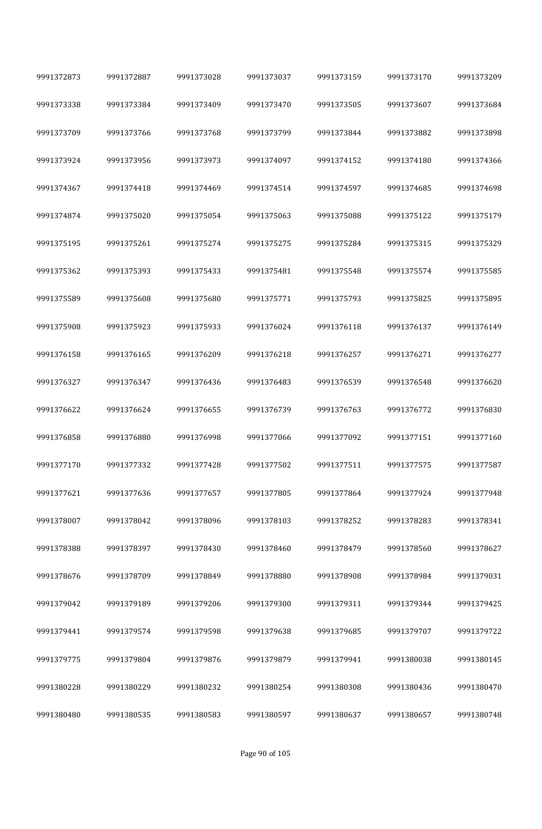| 9991372873 | 9991372887 | 9991373028 | 9991373037 | 9991373159 | 9991373170 | 9991373209 |  |
|------------|------------|------------|------------|------------|------------|------------|--|
| 9991373338 | 9991373384 | 9991373409 | 9991373470 | 9991373505 | 9991373607 | 9991373684 |  |
| 9991373709 | 9991373766 | 9991373768 | 9991373799 | 9991373844 | 9991373882 | 9991373898 |  |
| 9991373924 | 9991373956 | 9991373973 | 9991374097 | 9991374152 | 9991374180 | 9991374366 |  |
| 9991374367 | 9991374418 | 9991374469 | 9991374514 | 9991374597 | 9991374685 | 9991374698 |  |
| 9991374874 | 9991375020 | 9991375054 | 9991375063 | 9991375088 | 9991375122 | 9991375179 |  |
| 9991375195 | 9991375261 | 9991375274 | 9991375275 | 9991375284 | 9991375315 | 9991375329 |  |
| 9991375362 | 9991375393 | 9991375433 | 9991375481 | 9991375548 | 9991375574 | 9991375585 |  |
| 9991375589 | 9991375608 | 9991375680 | 9991375771 | 9991375793 | 9991375825 | 9991375895 |  |
| 9991375908 | 9991375923 | 9991375933 | 9991376024 | 9991376118 | 9991376137 | 9991376149 |  |
| 9991376158 | 9991376165 | 9991376209 | 9991376218 | 9991376257 | 9991376271 | 9991376277 |  |
| 9991376327 | 9991376347 | 9991376436 | 9991376483 | 9991376539 | 9991376548 | 9991376620 |  |
| 9991376622 | 9991376624 | 9991376655 | 9991376739 | 9991376763 | 9991376772 | 9991376830 |  |
| 9991376858 | 9991376880 | 9991376998 | 9991377066 | 9991377092 | 9991377151 | 9991377160 |  |
| 9991377170 | 9991377332 | 9991377428 | 9991377502 | 9991377511 | 9991377575 | 9991377587 |  |
| 9991377621 | 9991377636 | 9991377657 | 9991377805 | 9991377864 | 9991377924 | 9991377948 |  |
| 9991378007 | 9991378042 | 9991378096 | 9991378103 | 9991378252 | 9991378283 | 9991378341 |  |
| 9991378388 | 9991378397 | 9991378430 | 9991378460 | 9991378479 | 9991378560 | 9991378627 |  |
| 9991378676 | 9991378709 | 9991378849 | 9991378880 | 9991378908 | 9991378984 | 9991379031 |  |
| 9991379042 | 9991379189 | 9991379206 | 9991379300 | 9991379311 | 9991379344 | 9991379425 |  |
| 9991379441 | 9991379574 | 9991379598 | 9991379638 | 9991379685 | 9991379707 | 9991379722 |  |
| 9991379775 | 9991379804 | 9991379876 | 9991379879 | 9991379941 | 9991380038 | 9991380145 |  |
| 9991380228 | 9991380229 | 9991380232 | 9991380254 | 9991380308 | 9991380436 | 9991380470 |  |
| 9991380480 | 9991380535 | 9991380583 | 9991380597 | 9991380637 | 9991380657 | 9991380748 |  |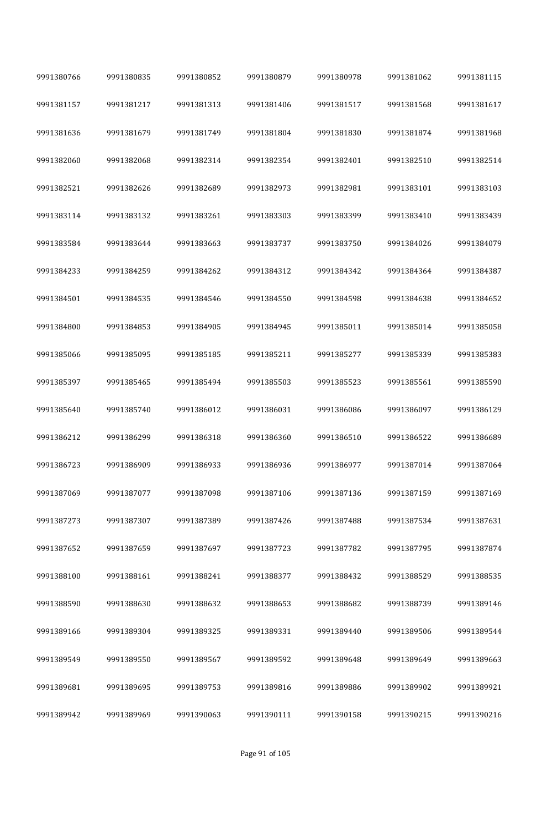| 9991380766 | 9991380835 | 9991380852 | 9991380879 | 9991380978 | 9991381062 | 9991381115 |
|------------|------------|------------|------------|------------|------------|------------|
| 9991381157 | 9991381217 | 9991381313 | 9991381406 | 9991381517 | 9991381568 | 9991381617 |
| 9991381636 | 9991381679 | 9991381749 | 9991381804 | 9991381830 | 9991381874 | 9991381968 |
| 9991382060 | 9991382068 | 9991382314 | 9991382354 | 9991382401 | 9991382510 | 9991382514 |
| 9991382521 | 9991382626 | 9991382689 | 9991382973 | 9991382981 | 9991383101 | 9991383103 |
| 9991383114 | 9991383132 | 9991383261 | 9991383303 | 9991383399 | 9991383410 | 9991383439 |
| 9991383584 | 9991383644 | 9991383663 | 9991383737 | 9991383750 | 9991384026 | 9991384079 |
| 9991384233 | 9991384259 | 9991384262 | 9991384312 | 9991384342 | 9991384364 | 9991384387 |
| 9991384501 | 9991384535 | 9991384546 | 9991384550 | 9991384598 | 9991384638 | 9991384652 |
| 9991384800 | 9991384853 | 9991384905 | 9991384945 | 9991385011 | 9991385014 | 9991385058 |
| 9991385066 | 9991385095 | 9991385185 | 9991385211 | 9991385277 | 9991385339 | 9991385383 |
| 9991385397 | 9991385465 | 9991385494 | 9991385503 | 9991385523 | 9991385561 | 9991385590 |
| 9991385640 | 9991385740 | 9991386012 | 9991386031 | 9991386086 | 9991386097 | 9991386129 |
| 9991386212 | 9991386299 | 9991386318 | 9991386360 | 9991386510 | 9991386522 | 9991386689 |
| 9991386723 | 9991386909 | 9991386933 | 9991386936 | 9991386977 | 9991387014 | 9991387064 |
| 9991387069 | 9991387077 | 9991387098 | 9991387106 | 9991387136 | 9991387159 | 9991387169 |
| 9991387273 | 9991387307 | 9991387389 | 9991387426 | 9991387488 | 9991387534 | 9991387631 |
| 9991387652 | 9991387659 | 9991387697 | 9991387723 | 9991387782 | 9991387795 | 9991387874 |
| 9991388100 | 9991388161 | 9991388241 | 9991388377 | 9991388432 | 9991388529 | 9991388535 |
| 9991388590 | 9991388630 | 9991388632 | 9991388653 | 9991388682 | 9991388739 | 9991389146 |
| 9991389166 | 9991389304 | 9991389325 | 9991389331 | 9991389440 | 9991389506 | 9991389544 |
| 9991389549 | 9991389550 | 9991389567 | 9991389592 | 9991389648 | 9991389649 | 9991389663 |
| 9991389681 | 9991389695 | 9991389753 | 9991389816 | 9991389886 | 9991389902 | 9991389921 |
| 9991389942 | 9991389969 | 9991390063 | 9991390111 | 9991390158 | 9991390215 | 9991390216 |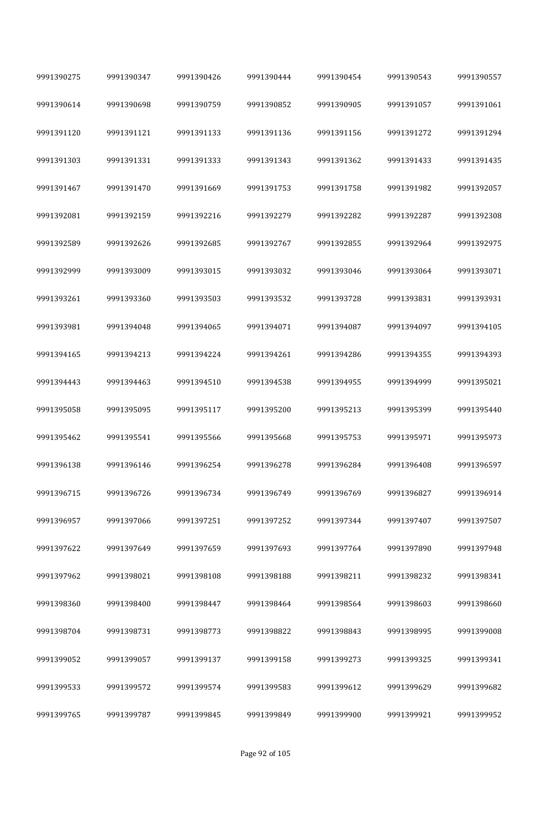| 9991390275 | 9991390347 | 9991390426 | 9991390444 | 9991390454 | 9991390543 | 9991390557 |
|------------|------------|------------|------------|------------|------------|------------|
| 9991390614 | 9991390698 | 9991390759 | 9991390852 | 9991390905 | 9991391057 | 9991391061 |
| 9991391120 | 9991391121 | 9991391133 | 9991391136 | 9991391156 | 9991391272 | 9991391294 |
| 9991391303 | 9991391331 | 9991391333 | 9991391343 | 9991391362 | 9991391433 | 9991391435 |
| 9991391467 | 9991391470 | 9991391669 | 9991391753 | 9991391758 | 9991391982 | 9991392057 |
| 9991392081 | 9991392159 | 9991392216 | 9991392279 | 9991392282 | 9991392287 | 9991392308 |
| 9991392589 | 9991392626 | 9991392685 | 9991392767 | 9991392855 | 9991392964 | 9991392975 |
| 9991392999 | 9991393009 | 9991393015 | 9991393032 | 9991393046 | 9991393064 | 9991393071 |
| 9991393261 | 9991393360 | 9991393503 | 9991393532 | 9991393728 | 9991393831 | 9991393931 |
| 9991393981 | 9991394048 | 9991394065 | 9991394071 | 9991394087 | 9991394097 | 9991394105 |
| 9991394165 | 9991394213 | 9991394224 | 9991394261 | 9991394286 | 9991394355 | 9991394393 |
| 9991394443 | 9991394463 | 9991394510 | 9991394538 | 9991394955 | 9991394999 | 9991395021 |
| 9991395058 | 9991395095 | 9991395117 | 9991395200 | 9991395213 | 9991395399 | 9991395440 |
| 9991395462 | 9991395541 | 9991395566 | 9991395668 | 9991395753 | 9991395971 | 9991395973 |
| 9991396138 | 9991396146 | 9991396254 | 9991396278 | 9991396284 | 9991396408 | 9991396597 |
| 9991396715 | 9991396726 | 9991396734 | 9991396749 | 9991396769 | 9991396827 | 9991396914 |
| 9991396957 | 9991397066 | 9991397251 | 9991397252 | 9991397344 | 9991397407 | 9991397507 |
| 9991397622 | 9991397649 | 9991397659 | 9991397693 | 9991397764 | 9991397890 | 9991397948 |
| 9991397962 | 9991398021 | 9991398108 | 9991398188 | 9991398211 | 9991398232 | 9991398341 |
| 9991398360 | 9991398400 | 9991398447 | 9991398464 | 9991398564 | 9991398603 | 9991398660 |
| 9991398704 | 9991398731 | 9991398773 | 9991398822 | 9991398843 | 9991398995 | 9991399008 |
| 9991399052 | 9991399057 | 9991399137 | 9991399158 | 9991399273 | 9991399325 | 9991399341 |
| 9991399533 | 9991399572 | 9991399574 | 9991399583 | 9991399612 | 9991399629 | 9991399682 |
| 9991399765 | 9991399787 | 9991399845 | 9991399849 | 9991399900 | 9991399921 | 9991399952 |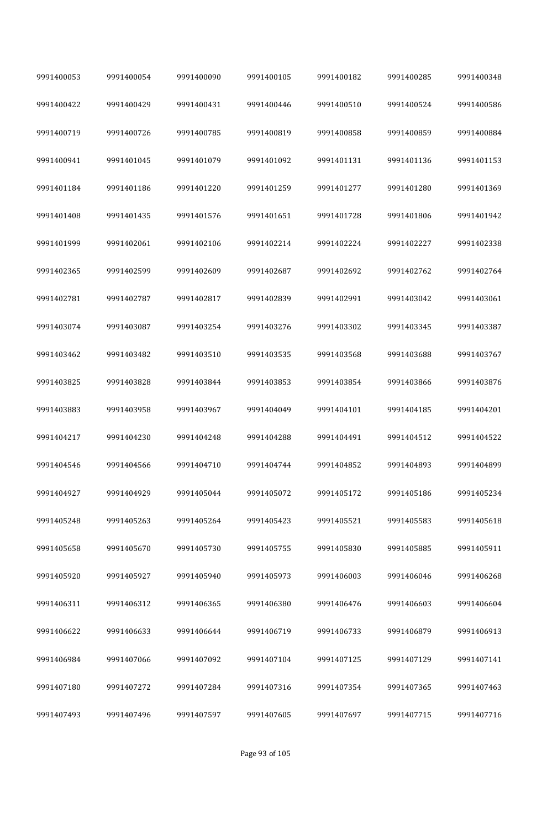| 9991400053 | 9991400054 | 9991400090 | 9991400105 | 9991400182 | 9991400285 | 9991400348 |
|------------|------------|------------|------------|------------|------------|------------|
| 9991400422 | 9991400429 | 9991400431 | 9991400446 | 9991400510 | 9991400524 | 9991400586 |
| 9991400719 | 9991400726 | 9991400785 | 9991400819 | 9991400858 | 9991400859 | 9991400884 |
| 9991400941 | 9991401045 | 9991401079 | 9991401092 | 9991401131 | 9991401136 | 9991401153 |
| 9991401184 | 9991401186 | 9991401220 | 9991401259 | 9991401277 | 9991401280 | 9991401369 |
| 9991401408 | 9991401435 | 9991401576 | 9991401651 | 9991401728 | 9991401806 | 9991401942 |
| 9991401999 | 9991402061 | 9991402106 | 9991402214 | 9991402224 | 9991402227 | 9991402338 |
| 9991402365 | 9991402599 | 9991402609 | 9991402687 | 9991402692 | 9991402762 | 9991402764 |
| 9991402781 | 9991402787 | 9991402817 | 9991402839 | 9991402991 | 9991403042 | 9991403061 |
| 9991403074 | 9991403087 | 9991403254 | 9991403276 | 9991403302 | 9991403345 | 9991403387 |
| 9991403462 | 9991403482 | 9991403510 | 9991403535 | 9991403568 | 9991403688 | 9991403767 |
| 9991403825 | 9991403828 | 9991403844 | 9991403853 | 9991403854 | 9991403866 | 9991403876 |
| 9991403883 | 9991403958 | 9991403967 | 9991404049 | 9991404101 | 9991404185 | 9991404201 |
| 9991404217 | 9991404230 | 9991404248 | 9991404288 | 9991404491 | 9991404512 | 9991404522 |
| 9991404546 | 9991404566 | 9991404710 | 9991404744 | 9991404852 | 9991404893 | 9991404899 |
| 9991404927 | 9991404929 | 9991405044 | 9991405072 | 9991405172 | 9991405186 | 9991405234 |
| 9991405248 | 9991405263 | 9991405264 | 9991405423 | 9991405521 | 9991405583 | 9991405618 |
| 9991405658 | 9991405670 | 9991405730 | 9991405755 | 9991405830 | 9991405885 | 9991405911 |
| 9991405920 | 9991405927 | 9991405940 | 9991405973 | 9991406003 | 9991406046 | 9991406268 |
| 9991406311 | 9991406312 | 9991406365 | 9991406380 | 9991406476 | 9991406603 | 9991406604 |
| 9991406622 | 9991406633 | 9991406644 | 9991406719 | 9991406733 | 9991406879 | 9991406913 |
| 9991406984 | 9991407066 | 9991407092 | 9991407104 | 9991407125 | 9991407129 | 9991407141 |
| 9991407180 | 9991407272 | 9991407284 | 9991407316 | 9991407354 | 9991407365 | 9991407463 |
| 9991407493 | 9991407496 | 9991407597 | 9991407605 | 9991407697 | 9991407715 | 9991407716 |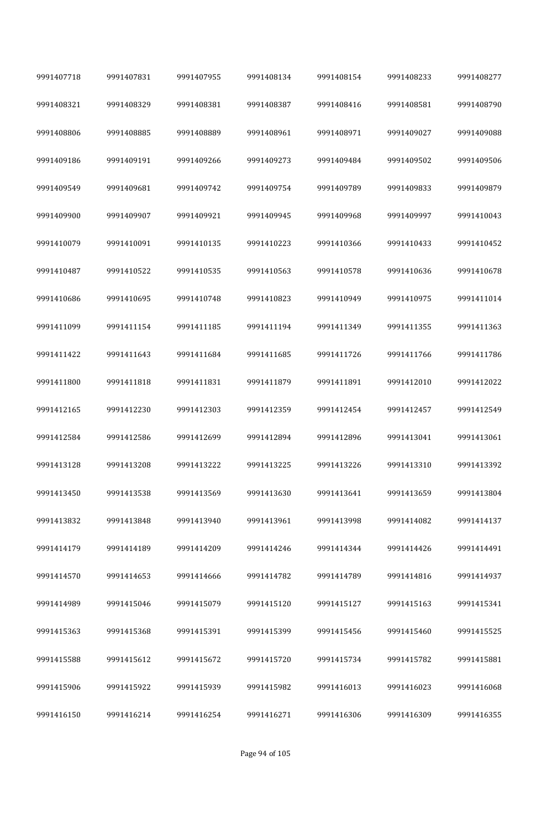| 9991407718 | 9991407831 | 9991407955 | 9991408134 | 9991408154 | 9991408233 | 9991408277 |
|------------|------------|------------|------------|------------|------------|------------|
| 9991408321 | 9991408329 | 9991408381 | 9991408387 | 9991408416 | 9991408581 | 9991408790 |
| 9991408806 | 9991408885 | 9991408889 | 9991408961 | 9991408971 | 9991409027 | 9991409088 |
| 9991409186 | 9991409191 | 9991409266 | 9991409273 | 9991409484 | 9991409502 | 9991409506 |
| 9991409549 | 9991409681 | 9991409742 | 9991409754 | 9991409789 | 9991409833 | 9991409879 |
| 9991409900 | 9991409907 | 9991409921 | 9991409945 | 9991409968 | 9991409997 | 9991410043 |
| 9991410079 | 9991410091 | 9991410135 | 9991410223 | 9991410366 | 9991410433 | 9991410452 |
| 9991410487 | 9991410522 | 9991410535 | 9991410563 | 9991410578 | 9991410636 | 9991410678 |
| 9991410686 | 9991410695 | 9991410748 | 9991410823 | 9991410949 | 9991410975 | 9991411014 |
| 9991411099 | 9991411154 | 9991411185 | 9991411194 | 9991411349 | 9991411355 | 9991411363 |
| 9991411422 | 9991411643 | 9991411684 | 9991411685 | 9991411726 | 9991411766 | 9991411786 |
| 9991411800 | 9991411818 | 9991411831 | 9991411879 | 9991411891 | 9991412010 | 9991412022 |
| 9991412165 | 9991412230 | 9991412303 | 9991412359 | 9991412454 | 9991412457 | 9991412549 |
| 9991412584 | 9991412586 | 9991412699 | 9991412894 | 9991412896 | 9991413041 | 9991413061 |
| 9991413128 | 9991413208 | 9991413222 | 9991413225 | 9991413226 | 9991413310 | 9991413392 |
| 9991413450 | 9991413538 | 9991413569 | 9991413630 | 9991413641 | 9991413659 | 9991413804 |
| 9991413832 | 9991413848 | 9991413940 | 9991413961 | 9991413998 | 9991414082 | 9991414137 |
| 9991414179 | 9991414189 | 9991414209 | 9991414246 | 9991414344 | 9991414426 | 9991414491 |
| 9991414570 | 9991414653 | 9991414666 | 9991414782 | 9991414789 | 9991414816 | 9991414937 |
| 9991414989 | 9991415046 | 9991415079 | 9991415120 | 9991415127 | 9991415163 | 9991415341 |
| 9991415363 | 9991415368 | 9991415391 | 9991415399 | 9991415456 | 9991415460 | 9991415525 |
| 9991415588 | 9991415612 | 9991415672 | 9991415720 | 9991415734 | 9991415782 | 9991415881 |
| 9991415906 | 9991415922 | 9991415939 | 9991415982 | 9991416013 | 9991416023 | 9991416068 |
| 9991416150 | 9991416214 | 9991416254 | 9991416271 | 9991416306 | 9991416309 | 9991416355 |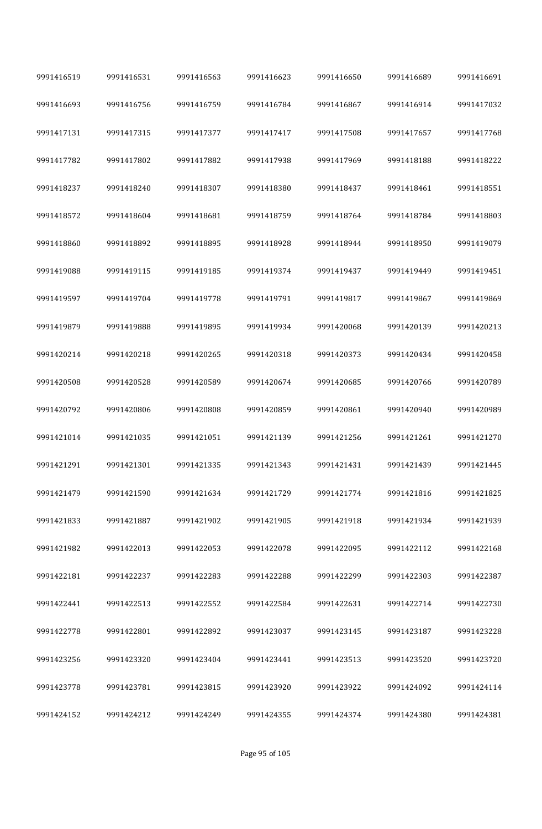| 9991416519 | 9991416531 | 9991416563 | 9991416623 | 9991416650 | 9991416689 | 9991416691 |
|------------|------------|------------|------------|------------|------------|------------|
| 9991416693 | 9991416756 | 9991416759 | 9991416784 | 9991416867 | 9991416914 | 9991417032 |
| 9991417131 | 9991417315 | 9991417377 | 9991417417 | 9991417508 | 9991417657 | 9991417768 |
| 9991417782 | 9991417802 | 9991417882 | 9991417938 | 9991417969 | 9991418188 | 9991418222 |
| 9991418237 | 9991418240 | 9991418307 | 9991418380 | 9991418437 | 9991418461 | 9991418551 |
| 9991418572 | 9991418604 | 9991418681 | 9991418759 | 9991418764 | 9991418784 | 9991418803 |
| 9991418860 | 9991418892 | 9991418895 | 9991418928 | 9991418944 | 9991418950 | 9991419079 |
| 9991419088 | 9991419115 | 9991419185 | 9991419374 | 9991419437 | 9991419449 | 9991419451 |
| 9991419597 | 9991419704 | 9991419778 | 9991419791 | 9991419817 | 9991419867 | 9991419869 |
| 9991419879 | 9991419888 | 9991419895 | 9991419934 | 9991420068 | 9991420139 | 9991420213 |
| 9991420214 | 9991420218 | 9991420265 | 9991420318 | 9991420373 | 9991420434 | 9991420458 |
| 9991420508 | 9991420528 | 9991420589 | 9991420674 | 9991420685 | 9991420766 | 9991420789 |
| 9991420792 | 9991420806 | 9991420808 | 9991420859 | 9991420861 | 9991420940 | 9991420989 |
| 9991421014 | 9991421035 | 9991421051 | 9991421139 | 9991421256 | 9991421261 | 9991421270 |
| 9991421291 | 9991421301 | 9991421335 | 9991421343 | 9991421431 | 9991421439 | 9991421445 |
| 9991421479 | 9991421590 | 9991421634 | 9991421729 | 9991421774 | 9991421816 | 9991421825 |
| 9991421833 | 9991421887 | 9991421902 | 9991421905 | 9991421918 | 9991421934 | 9991421939 |
| 9991421982 | 9991422013 | 9991422053 | 9991422078 | 9991422095 | 9991422112 | 9991422168 |
| 9991422181 | 9991422237 | 9991422283 | 9991422288 | 9991422299 | 9991422303 | 9991422387 |
| 9991422441 | 9991422513 | 9991422552 | 9991422584 | 9991422631 | 9991422714 | 9991422730 |
| 9991422778 | 9991422801 | 9991422892 | 9991423037 | 9991423145 | 9991423187 | 9991423228 |
| 9991423256 | 9991423320 | 9991423404 | 9991423441 | 9991423513 | 9991423520 | 9991423720 |
| 9991423778 | 9991423781 | 9991423815 | 9991423920 | 9991423922 | 9991424092 | 9991424114 |
| 9991424152 | 9991424212 | 9991424249 | 9991424355 | 9991424374 | 9991424380 | 9991424381 |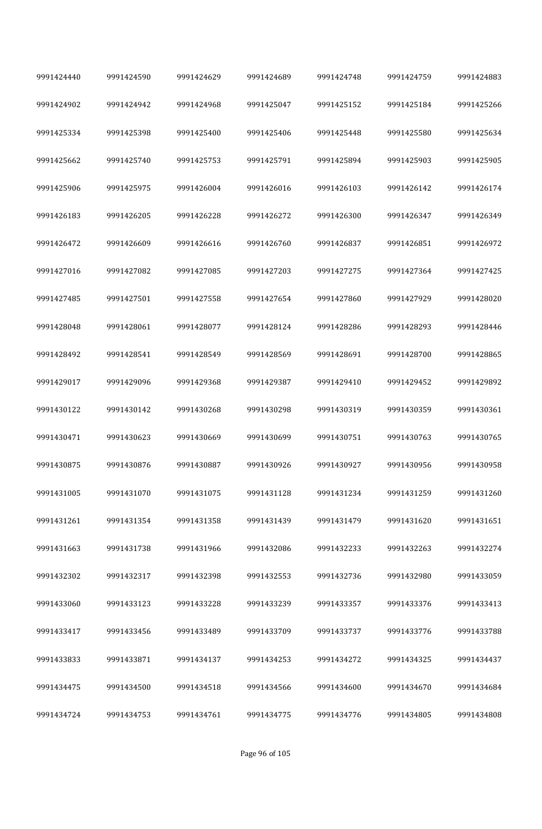| 9991424440 | 9991424590 | 9991424629 | 9991424689 | 9991424748 | 9991424759 | 9991424883 |
|------------|------------|------------|------------|------------|------------|------------|
| 9991424902 | 9991424942 | 9991424968 | 9991425047 | 9991425152 | 9991425184 | 9991425266 |
| 9991425334 | 9991425398 | 9991425400 | 9991425406 | 9991425448 | 9991425580 | 9991425634 |
| 9991425662 | 9991425740 | 9991425753 | 9991425791 | 9991425894 | 9991425903 | 9991425905 |
| 9991425906 | 9991425975 | 9991426004 | 9991426016 | 9991426103 | 9991426142 | 9991426174 |
| 9991426183 | 9991426205 | 9991426228 | 9991426272 | 9991426300 | 9991426347 | 9991426349 |
| 9991426472 | 9991426609 | 9991426616 | 9991426760 | 9991426837 | 9991426851 | 9991426972 |
| 9991427016 | 9991427082 | 9991427085 | 9991427203 | 9991427275 | 9991427364 | 9991427425 |
| 9991427485 | 9991427501 | 9991427558 | 9991427654 | 9991427860 | 9991427929 | 9991428020 |
| 9991428048 | 9991428061 | 9991428077 | 9991428124 | 9991428286 | 9991428293 | 9991428446 |
| 9991428492 | 9991428541 | 9991428549 | 9991428569 | 9991428691 | 9991428700 | 9991428865 |
| 9991429017 | 9991429096 | 9991429368 | 9991429387 | 9991429410 | 9991429452 | 9991429892 |
| 9991430122 | 9991430142 | 9991430268 | 9991430298 | 9991430319 | 9991430359 | 9991430361 |
| 9991430471 | 9991430623 | 9991430669 | 9991430699 | 9991430751 | 9991430763 | 9991430765 |
| 9991430875 | 9991430876 | 9991430887 | 9991430926 | 9991430927 | 9991430956 | 9991430958 |
| 9991431005 | 9991431070 | 9991431075 | 9991431128 | 9991431234 | 9991431259 | 9991431260 |
| 9991431261 | 9991431354 | 9991431358 | 9991431439 | 9991431479 | 9991431620 | 9991431651 |
| 9991431663 | 9991431738 | 9991431966 | 9991432086 | 9991432233 | 9991432263 | 9991432274 |
| 9991432302 | 9991432317 | 9991432398 | 9991432553 | 9991432736 | 9991432980 | 9991433059 |
| 9991433060 | 9991433123 | 9991433228 | 9991433239 | 9991433357 | 9991433376 | 9991433413 |
| 9991433417 | 9991433456 | 9991433489 | 9991433709 | 9991433737 | 9991433776 | 9991433788 |
| 9991433833 | 9991433871 | 9991434137 | 9991434253 | 9991434272 | 9991434325 | 9991434437 |
| 9991434475 | 9991434500 | 9991434518 | 9991434566 | 9991434600 | 9991434670 | 9991434684 |
| 9991434724 | 9991434753 | 9991434761 | 9991434775 | 9991434776 | 9991434805 | 9991434808 |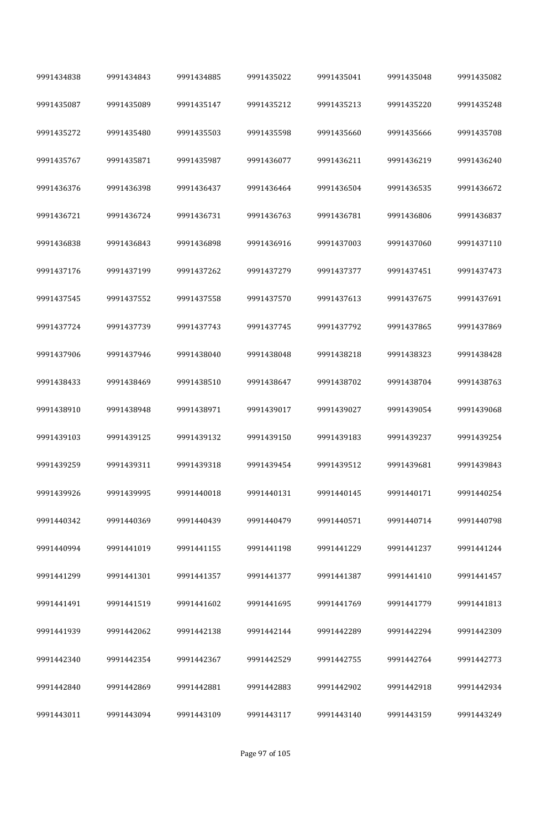| 9991434838 | 9991434843 | 9991434885 | 9991435022 | 9991435041 | 9991435048 | 9991435082 |
|------------|------------|------------|------------|------------|------------|------------|
| 9991435087 | 9991435089 | 9991435147 | 9991435212 | 9991435213 | 9991435220 | 9991435248 |
| 9991435272 | 9991435480 | 9991435503 | 9991435598 | 9991435660 | 9991435666 | 9991435708 |
| 9991435767 | 9991435871 | 9991435987 | 9991436077 | 9991436211 | 9991436219 | 9991436240 |
| 9991436376 | 9991436398 | 9991436437 | 9991436464 | 9991436504 | 9991436535 | 9991436672 |
| 9991436721 | 9991436724 | 9991436731 | 9991436763 | 9991436781 | 9991436806 | 9991436837 |
| 9991436838 | 9991436843 | 9991436898 | 9991436916 | 9991437003 | 9991437060 | 9991437110 |
| 9991437176 | 9991437199 | 9991437262 | 9991437279 | 9991437377 | 9991437451 | 9991437473 |
| 9991437545 | 9991437552 | 9991437558 | 9991437570 | 9991437613 | 9991437675 | 9991437691 |
| 9991437724 | 9991437739 | 9991437743 | 9991437745 | 9991437792 | 9991437865 | 9991437869 |
| 9991437906 | 9991437946 | 9991438040 | 9991438048 | 9991438218 | 9991438323 | 9991438428 |
| 9991438433 | 9991438469 | 9991438510 | 9991438647 | 9991438702 | 9991438704 | 9991438763 |
| 9991438910 | 9991438948 | 9991438971 | 9991439017 | 9991439027 | 9991439054 | 9991439068 |
| 9991439103 | 9991439125 | 9991439132 | 9991439150 | 9991439183 | 9991439237 | 9991439254 |
| 9991439259 | 9991439311 | 9991439318 | 9991439454 | 9991439512 | 9991439681 | 9991439843 |
| 9991439926 | 9991439995 | 9991440018 | 9991440131 | 9991440145 | 9991440171 | 9991440254 |
| 9991440342 | 9991440369 | 9991440439 | 9991440479 | 9991440571 | 9991440714 | 9991440798 |
| 9991440994 | 9991441019 | 9991441155 | 9991441198 | 9991441229 | 9991441237 | 9991441244 |
| 9991441299 | 9991441301 | 9991441357 | 9991441377 | 9991441387 | 9991441410 | 9991441457 |
| 9991441491 | 9991441519 | 9991441602 | 9991441695 | 9991441769 | 9991441779 | 9991441813 |
| 9991441939 | 9991442062 | 9991442138 | 9991442144 | 9991442289 | 9991442294 | 9991442309 |
| 9991442340 | 9991442354 | 9991442367 | 9991442529 | 9991442755 | 9991442764 | 9991442773 |
| 9991442840 | 9991442869 | 9991442881 | 9991442883 | 9991442902 | 9991442918 | 9991442934 |
| 9991443011 | 9991443094 | 9991443109 | 9991443117 | 9991443140 | 9991443159 | 9991443249 |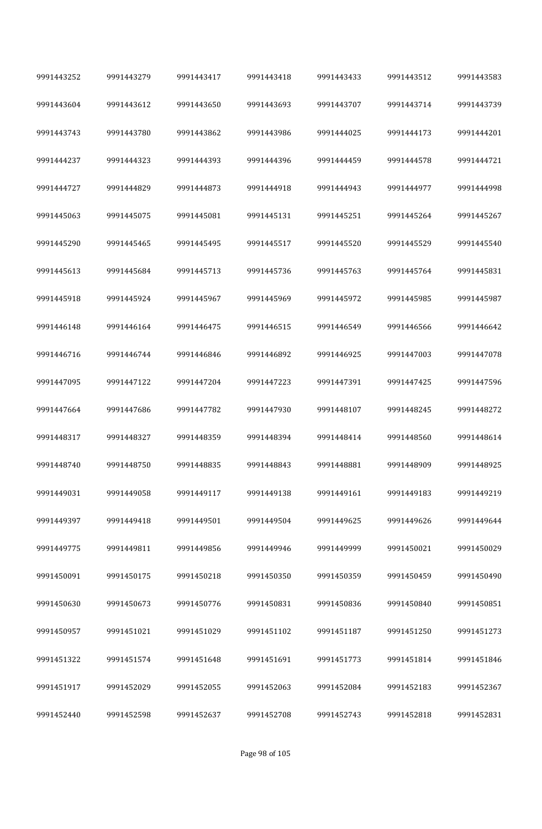| 9991443252 | 9991443279 | 9991443417 | 9991443418 | 9991443433 | 9991443512 | 9991443583 |  |
|------------|------------|------------|------------|------------|------------|------------|--|
| 9991443604 | 9991443612 | 9991443650 | 9991443693 | 9991443707 | 9991443714 | 9991443739 |  |
| 9991443743 | 9991443780 | 9991443862 | 9991443986 | 9991444025 | 9991444173 | 9991444201 |  |
| 9991444237 | 9991444323 | 9991444393 | 9991444396 | 9991444459 | 9991444578 | 9991444721 |  |
| 9991444727 | 9991444829 | 9991444873 | 9991444918 | 9991444943 | 9991444977 | 9991444998 |  |
| 9991445063 | 9991445075 | 9991445081 | 9991445131 | 9991445251 | 9991445264 | 9991445267 |  |
| 9991445290 | 9991445465 | 9991445495 | 9991445517 | 9991445520 | 9991445529 | 9991445540 |  |
| 9991445613 | 9991445684 | 9991445713 | 9991445736 | 9991445763 | 9991445764 | 9991445831 |  |
| 9991445918 | 9991445924 | 9991445967 | 9991445969 | 9991445972 | 9991445985 | 9991445987 |  |
| 9991446148 | 9991446164 | 9991446475 | 9991446515 | 9991446549 | 9991446566 | 9991446642 |  |
| 9991446716 | 9991446744 | 9991446846 | 9991446892 | 9991446925 | 9991447003 | 9991447078 |  |
| 9991447095 | 9991447122 | 9991447204 | 9991447223 | 9991447391 | 9991447425 | 9991447596 |  |
| 9991447664 | 9991447686 | 9991447782 | 9991447930 | 9991448107 | 9991448245 | 9991448272 |  |
| 9991448317 | 9991448327 | 9991448359 | 9991448394 | 9991448414 | 9991448560 | 9991448614 |  |
| 9991448740 | 9991448750 | 9991448835 | 9991448843 | 9991448881 | 9991448909 | 9991448925 |  |
| 9991449031 | 9991449058 | 9991449117 | 9991449138 | 9991449161 | 9991449183 | 9991449219 |  |
| 9991449397 | 9991449418 | 9991449501 | 9991449504 | 9991449625 | 9991449626 | 9991449644 |  |
| 9991449775 | 9991449811 | 9991449856 | 9991449946 | 9991449999 | 9991450021 | 9991450029 |  |
| 9991450091 | 9991450175 | 9991450218 | 9991450350 | 9991450359 | 9991450459 | 9991450490 |  |
| 9991450630 | 9991450673 | 9991450776 | 9991450831 | 9991450836 | 9991450840 | 9991450851 |  |
| 9991450957 | 9991451021 | 9991451029 | 9991451102 | 9991451187 | 9991451250 | 9991451273 |  |
| 9991451322 | 9991451574 | 9991451648 | 9991451691 | 9991451773 | 9991451814 | 9991451846 |  |
| 9991451917 | 9991452029 | 9991452055 | 9991452063 | 9991452084 | 9991452183 | 9991452367 |  |
| 9991452440 | 9991452598 | 9991452637 | 9991452708 | 9991452743 | 9991452818 | 9991452831 |  |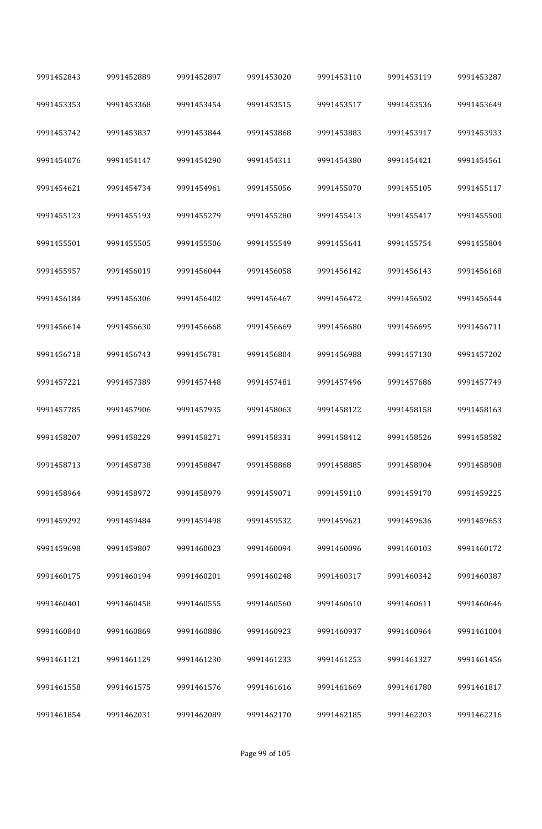| 9991452843 | 9991452889 | 9991452897 | 9991453020 | 9991453110 | 9991453119 | 9991453287 |
|------------|------------|------------|------------|------------|------------|------------|
| 9991453353 | 9991453368 | 9991453454 | 9991453515 | 9991453517 | 9991453536 | 9991453649 |
| 9991453742 | 9991453837 | 9991453844 | 9991453868 | 9991453883 | 9991453917 | 9991453933 |
| 9991454076 | 9991454147 | 9991454290 | 9991454311 | 9991454380 | 9991454421 | 9991454561 |
| 9991454621 | 9991454734 | 9991454961 | 9991455056 | 9991455070 | 9991455105 | 9991455117 |
| 9991455123 | 9991455193 | 9991455279 | 9991455280 | 9991455413 | 9991455417 | 9991455500 |
| 9991455501 | 9991455505 | 9991455506 | 9991455549 | 9991455641 | 9991455754 | 9991455804 |
| 9991455957 | 9991456019 | 9991456044 | 9991456058 | 9991456142 | 9991456143 | 9991456168 |
| 9991456184 | 9991456306 | 9991456402 | 9991456467 | 9991456472 | 9991456502 | 9991456544 |
| 9991456614 | 9991456630 | 9991456668 | 9991456669 | 9991456680 | 9991456695 | 9991456711 |
| 9991456718 | 9991456743 | 9991456781 | 9991456804 | 9991456988 | 9991457130 | 9991457202 |
| 9991457221 | 9991457389 | 9991457448 | 9991457481 | 9991457496 | 9991457686 | 9991457749 |
| 9991457785 | 9991457906 | 9991457935 | 9991458063 | 9991458122 | 9991458158 | 9991458163 |
| 9991458207 | 9991458229 | 9991458271 | 9991458331 | 9991458412 | 9991458526 | 9991458582 |
| 9991458713 | 9991458738 | 9991458847 | 9991458868 | 9991458885 | 9991458904 | 9991458908 |
| 9991458964 | 9991458972 | 9991458979 | 9991459071 | 9991459110 | 9991459170 | 9991459225 |
| 9991459292 | 9991459484 | 9991459498 | 9991459532 | 9991459621 | 9991459636 | 9991459653 |
| 9991459698 | 9991459807 | 9991460023 | 9991460094 | 9991460096 | 9991460103 | 9991460172 |
| 9991460175 | 9991460194 | 9991460201 | 9991460248 | 9991460317 | 9991460342 | 9991460387 |
| 9991460401 | 9991460458 | 9991460555 | 9991460560 | 9991460610 | 9991460611 | 9991460646 |
| 9991460840 | 9991460869 | 9991460886 | 9991460923 | 9991460937 | 9991460964 | 9991461004 |
| 9991461121 | 9991461129 | 9991461230 | 9991461233 | 9991461253 | 9991461327 | 9991461456 |
| 9991461558 | 9991461575 | 9991461576 | 9991461616 | 9991461669 | 9991461780 | 9991461817 |
| 9991461854 | 9991462031 | 9991462089 | 9991462170 | 9991462185 | 9991462203 | 9991462216 |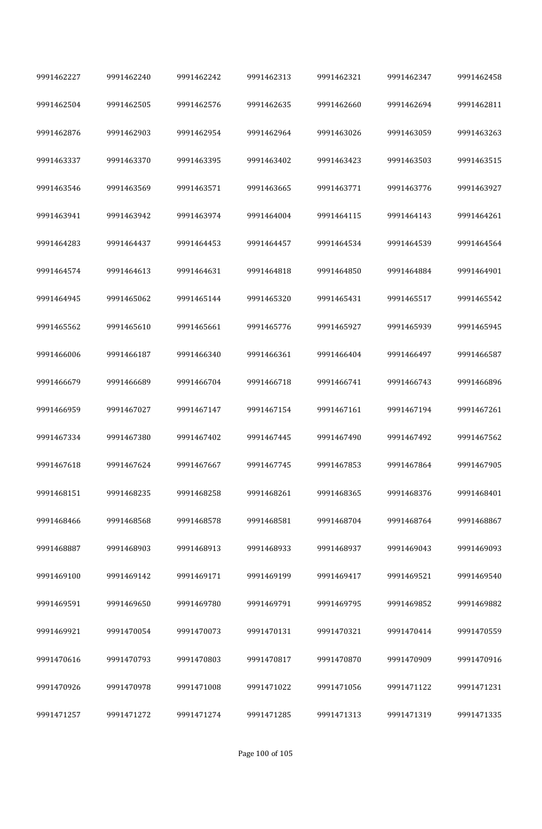| 9991462227 | 9991462240 | 9991462242 | 9991462313 | 9991462321 | 9991462347 | 9991462458 |  |
|------------|------------|------------|------------|------------|------------|------------|--|
| 9991462504 | 9991462505 | 9991462576 | 9991462635 | 9991462660 | 9991462694 | 9991462811 |  |
| 9991462876 | 9991462903 | 9991462954 | 9991462964 | 9991463026 | 9991463059 | 9991463263 |  |
| 9991463337 | 9991463370 | 9991463395 | 9991463402 | 9991463423 | 9991463503 | 9991463515 |  |
| 9991463546 | 9991463569 | 9991463571 | 9991463665 | 9991463771 | 9991463776 | 9991463927 |  |
| 9991463941 | 9991463942 | 9991463974 | 9991464004 | 9991464115 | 9991464143 | 9991464261 |  |
| 9991464283 | 9991464437 | 9991464453 | 9991464457 | 9991464534 | 9991464539 | 9991464564 |  |
| 9991464574 | 9991464613 | 9991464631 | 9991464818 | 9991464850 | 9991464884 | 9991464901 |  |
| 9991464945 | 9991465062 | 9991465144 | 9991465320 | 9991465431 | 9991465517 | 9991465542 |  |
| 9991465562 | 9991465610 | 9991465661 | 9991465776 | 9991465927 | 9991465939 | 9991465945 |  |
| 9991466006 | 9991466187 | 9991466340 | 9991466361 | 9991466404 | 9991466497 | 9991466587 |  |
| 9991466679 | 9991466689 | 9991466704 | 9991466718 | 9991466741 | 9991466743 | 9991466896 |  |
| 9991466959 | 9991467027 | 9991467147 | 9991467154 | 9991467161 | 9991467194 | 9991467261 |  |
| 9991467334 | 9991467380 | 9991467402 | 9991467445 | 9991467490 | 9991467492 | 9991467562 |  |
| 9991467618 | 9991467624 | 9991467667 | 9991467745 | 9991467853 | 9991467864 | 9991467905 |  |
| 9991468151 | 9991468235 | 9991468258 | 9991468261 | 9991468365 | 9991468376 | 9991468401 |  |
| 9991468466 | 9991468568 | 9991468578 | 9991468581 | 9991468704 | 9991468764 | 9991468867 |  |
| 9991468887 | 9991468903 | 9991468913 | 9991468933 | 9991468937 | 9991469043 | 9991469093 |  |
| 9991469100 | 9991469142 | 9991469171 | 9991469199 | 9991469417 | 9991469521 | 9991469540 |  |
| 9991469591 | 9991469650 | 9991469780 | 9991469791 | 9991469795 | 9991469852 | 9991469882 |  |
| 9991469921 | 9991470054 | 9991470073 | 9991470131 | 9991470321 | 9991470414 | 9991470559 |  |
| 9991470616 | 9991470793 | 9991470803 | 9991470817 | 9991470870 | 9991470909 | 9991470916 |  |
| 9991470926 | 9991470978 | 9991471008 | 9991471022 | 9991471056 | 9991471122 | 9991471231 |  |
| 9991471257 | 9991471272 | 9991471274 | 9991471285 | 9991471313 | 9991471319 | 9991471335 |  |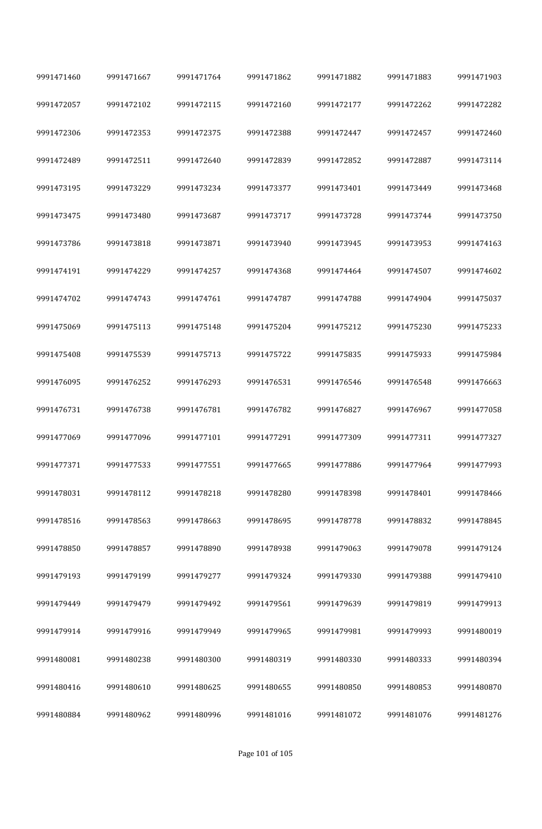| 9991471460 | 9991471667 | 9991471764 | 9991471862 | 9991471882 | 9991471883 | 9991471903 |
|------------|------------|------------|------------|------------|------------|------------|
| 9991472057 | 9991472102 | 9991472115 | 9991472160 | 9991472177 | 9991472262 | 9991472282 |
| 9991472306 | 9991472353 | 9991472375 | 9991472388 | 9991472447 | 9991472457 | 9991472460 |
| 9991472489 | 9991472511 | 9991472640 | 9991472839 | 9991472852 | 9991472887 | 9991473114 |
| 9991473195 | 9991473229 | 9991473234 | 9991473377 | 9991473401 | 9991473449 | 9991473468 |
| 9991473475 | 9991473480 | 9991473687 | 9991473717 | 9991473728 | 9991473744 | 9991473750 |
| 9991473786 | 9991473818 | 9991473871 | 9991473940 | 9991473945 | 9991473953 | 9991474163 |
| 9991474191 | 9991474229 | 9991474257 | 9991474368 | 9991474464 | 9991474507 | 9991474602 |
| 9991474702 | 9991474743 | 9991474761 | 9991474787 | 9991474788 | 9991474904 | 9991475037 |
| 9991475069 | 9991475113 | 9991475148 | 9991475204 | 9991475212 | 9991475230 | 9991475233 |
| 9991475408 | 9991475539 | 9991475713 | 9991475722 | 9991475835 | 9991475933 | 9991475984 |
| 9991476095 | 9991476252 | 9991476293 | 9991476531 | 9991476546 | 9991476548 | 9991476663 |
| 9991476731 | 9991476738 | 9991476781 | 9991476782 | 9991476827 | 9991476967 | 9991477058 |
| 9991477069 | 9991477096 | 9991477101 | 9991477291 | 9991477309 | 9991477311 | 9991477327 |
| 9991477371 | 9991477533 | 9991477551 | 9991477665 | 9991477886 | 9991477964 | 9991477993 |
| 9991478031 | 9991478112 | 9991478218 | 9991478280 | 9991478398 | 9991478401 | 9991478466 |
| 9991478516 | 9991478563 | 9991478663 | 9991478695 | 9991478778 | 9991478832 | 9991478845 |
| 9991478850 | 9991478857 | 9991478890 | 9991478938 | 9991479063 | 9991479078 | 9991479124 |
| 9991479193 | 9991479199 | 9991479277 | 9991479324 | 9991479330 | 9991479388 | 9991479410 |
| 9991479449 | 9991479479 | 9991479492 | 9991479561 | 9991479639 | 9991479819 | 9991479913 |
| 9991479914 | 9991479916 | 9991479949 | 9991479965 | 9991479981 | 9991479993 | 9991480019 |
| 9991480081 | 9991480238 | 9991480300 | 9991480319 | 9991480330 | 9991480333 | 9991480394 |
| 9991480416 | 9991480610 | 9991480625 | 9991480655 | 9991480850 | 9991480853 | 9991480870 |
| 9991480884 | 9991480962 | 9991480996 | 9991481016 | 9991481072 | 9991481076 | 9991481276 |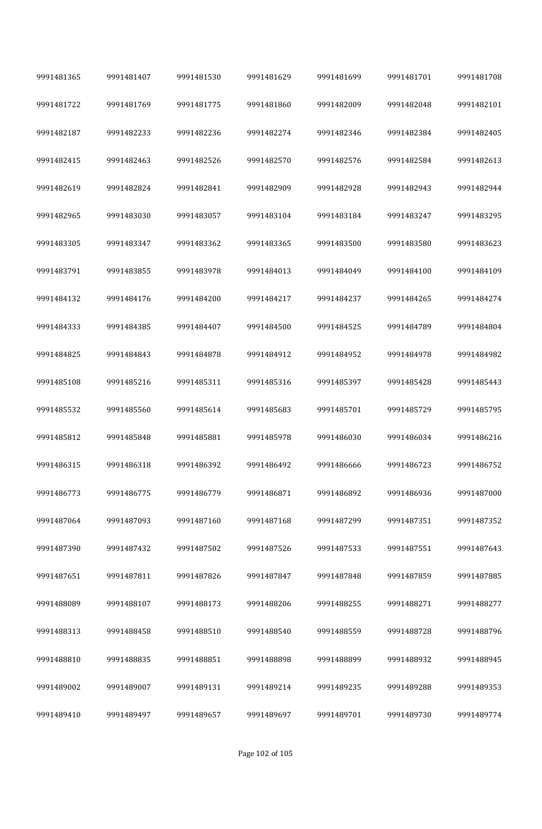| 9991481365 | 9991481407 | 9991481530 | 9991481629 | 9991481699 | 9991481701 | 9991481708 |
|------------|------------|------------|------------|------------|------------|------------|
| 9991481722 | 9991481769 | 9991481775 | 9991481860 | 9991482009 | 9991482048 | 9991482101 |
| 9991482187 | 9991482233 | 9991482236 | 9991482274 | 9991482346 | 9991482384 | 9991482405 |
| 9991482415 | 9991482463 | 9991482526 | 9991482570 | 9991482576 | 9991482584 | 9991482613 |
| 9991482619 | 9991482824 | 9991482841 | 9991482909 | 9991482928 | 9991482943 | 9991482944 |
| 9991482965 | 9991483030 | 9991483057 | 9991483104 | 9991483184 | 9991483247 | 9991483295 |
| 9991483305 | 9991483347 | 9991483362 | 9991483365 | 9991483500 | 9991483580 | 9991483623 |
| 9991483791 | 9991483855 | 9991483978 | 9991484013 | 9991484049 | 9991484100 | 9991484109 |
| 9991484132 | 9991484176 | 9991484200 | 9991484217 | 9991484237 | 9991484265 | 9991484274 |
| 9991484333 | 9991484385 | 9991484407 | 9991484500 | 9991484525 | 9991484789 | 9991484804 |
| 9991484825 | 9991484843 | 9991484878 | 9991484912 | 9991484952 | 9991484978 | 9991484982 |
| 9991485108 | 9991485216 | 9991485311 | 9991485316 | 9991485397 | 9991485428 | 9991485443 |
| 9991485532 | 9991485560 | 9991485614 | 9991485683 | 9991485701 | 9991485729 | 9991485795 |
| 9991485812 | 9991485848 | 9991485881 | 9991485978 | 9991486030 | 9991486034 | 9991486216 |
| 9991486315 | 9991486318 | 9991486392 | 9991486492 | 9991486666 | 9991486723 | 9991486752 |
| 9991486773 | 9991486775 | 9991486779 | 9991486871 | 9991486892 | 9991486936 | 9991487000 |
| 9991487064 | 9991487093 | 9991487160 | 9991487168 | 9991487299 | 9991487351 | 9991487352 |
| 9991487390 | 9991487432 | 9991487502 | 9991487526 | 9991487533 | 9991487551 | 9991487643 |
| 9991487651 | 9991487811 | 9991487826 | 9991487847 | 9991487848 | 9991487859 | 9991487885 |
| 9991488089 | 9991488107 | 9991488173 | 9991488206 | 9991488255 | 9991488271 | 9991488277 |
| 9991488313 | 9991488458 | 9991488510 | 9991488540 | 9991488559 | 9991488728 | 9991488796 |
| 9991488810 | 9991488835 | 9991488851 | 9991488898 | 9991488899 | 9991488932 | 9991488945 |
| 9991489002 | 9991489007 | 9991489131 | 9991489214 | 9991489235 | 9991489288 | 9991489353 |
| 9991489410 | 9991489497 | 9991489657 | 9991489697 | 9991489701 | 9991489730 | 9991489774 |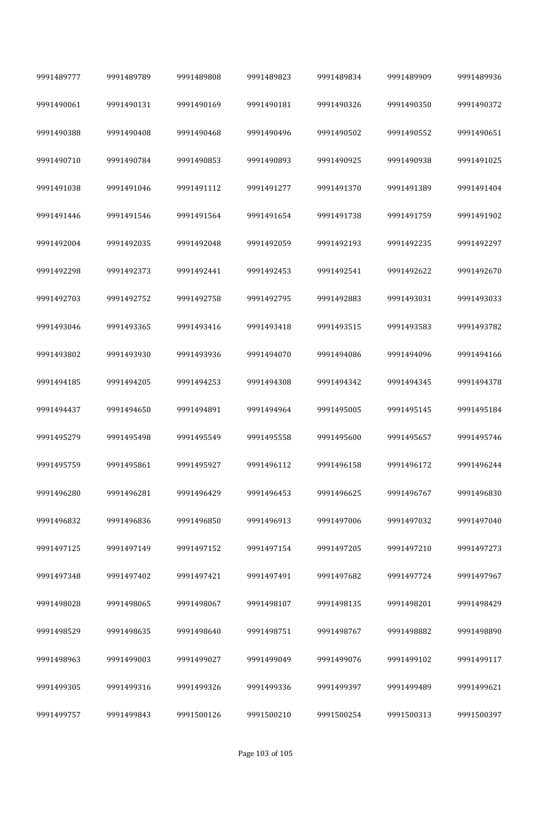| 9991489777 | 9991489789 | 9991489808 | 9991489823 | 9991489834 | 9991489909 | 9991489936 |  |
|------------|------------|------------|------------|------------|------------|------------|--|
| 9991490061 | 9991490131 | 9991490169 | 9991490181 | 9991490326 | 9991490350 | 9991490372 |  |
| 9991490388 | 9991490408 | 9991490468 | 9991490496 | 9991490502 | 9991490552 | 9991490651 |  |
| 9991490710 | 9991490784 | 9991490853 | 9991490893 | 9991490925 | 9991490938 | 9991491025 |  |
| 9991491038 | 9991491046 | 9991491112 | 9991491277 | 9991491370 | 9991491389 | 9991491404 |  |
| 9991491446 | 9991491546 | 9991491564 | 9991491654 | 9991491738 | 9991491759 | 9991491902 |  |
| 9991492004 | 9991492035 | 9991492048 | 9991492059 | 9991492193 | 9991492235 | 9991492297 |  |
| 9991492298 | 9991492373 | 9991492441 | 9991492453 | 9991492541 | 9991492622 | 9991492670 |  |
| 9991492703 | 9991492752 | 9991492758 | 9991492795 | 9991492883 | 9991493031 | 9991493033 |  |
| 9991493046 | 9991493365 | 9991493416 | 9991493418 | 9991493515 | 9991493583 | 9991493782 |  |
| 9991493802 | 9991493930 | 9991493936 | 9991494070 | 9991494086 | 9991494096 | 9991494166 |  |
| 9991494185 | 9991494205 | 9991494253 | 9991494308 | 9991494342 | 9991494345 | 9991494378 |  |
| 9991494437 | 9991494650 | 9991494891 | 9991494964 | 9991495005 | 9991495145 | 9991495184 |  |
| 9991495279 | 9991495498 | 9991495549 | 9991495558 | 9991495600 | 9991495657 | 9991495746 |  |
| 9991495759 | 9991495861 | 9991495927 | 9991496112 | 9991496158 | 9991496172 | 9991496244 |  |
| 9991496280 | 9991496281 | 9991496429 | 9991496453 | 9991496625 | 9991496767 | 9991496830 |  |
| 9991496832 | 9991496836 | 9991496850 | 9991496913 | 9991497006 | 9991497032 | 9991497040 |  |
| 9991497125 | 9991497149 | 9991497152 | 9991497154 | 9991497205 | 9991497210 | 9991497273 |  |
| 9991497348 | 9991497402 | 9991497421 | 9991497491 | 9991497682 | 9991497724 | 9991497967 |  |
| 9991498028 | 9991498065 | 9991498067 | 9991498107 | 9991498135 | 9991498201 | 9991498429 |  |
| 9991498529 | 9991498635 | 9991498640 | 9991498751 | 9991498767 | 9991498882 | 9991498890 |  |
| 9991498963 | 9991499003 | 9991499027 | 9991499049 | 9991499076 | 9991499102 | 9991499117 |  |
| 9991499305 | 9991499316 | 9991499326 | 9991499336 | 9991499397 | 9991499489 | 9991499621 |  |
| 9991499757 | 9991499843 | 9991500126 | 9991500210 | 9991500254 | 9991500313 | 9991500397 |  |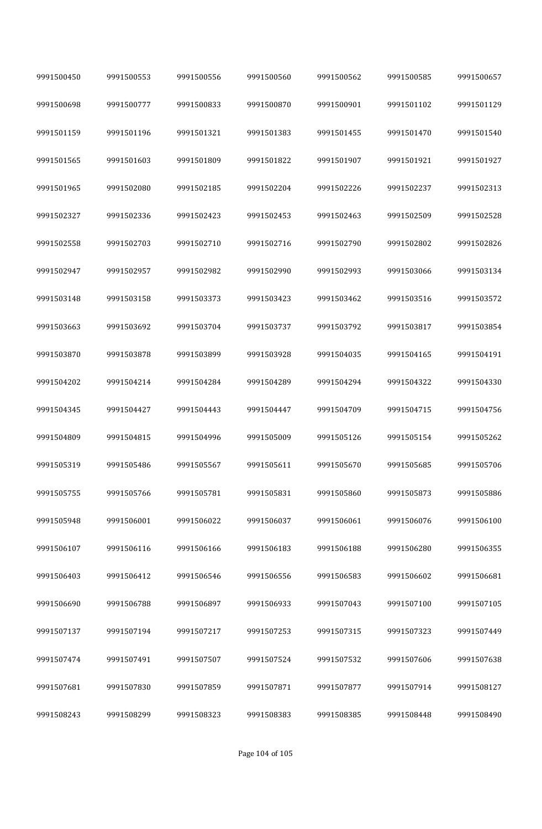| 9991500450 | 9991500553 | 9991500556 | 9991500560 | 9991500562 | 9991500585 | 9991500657 |
|------------|------------|------------|------------|------------|------------|------------|
| 9991500698 | 9991500777 | 9991500833 | 9991500870 | 9991500901 | 9991501102 | 9991501129 |
| 9991501159 | 9991501196 | 9991501321 | 9991501383 | 9991501455 | 9991501470 | 9991501540 |
| 9991501565 | 9991501603 | 9991501809 | 9991501822 | 9991501907 | 9991501921 | 9991501927 |
| 9991501965 | 9991502080 | 9991502185 | 9991502204 | 9991502226 | 9991502237 | 9991502313 |
| 9991502327 | 9991502336 | 9991502423 | 9991502453 | 9991502463 | 9991502509 | 9991502528 |
| 9991502558 | 9991502703 | 9991502710 | 9991502716 | 9991502790 | 9991502802 | 9991502826 |
| 9991502947 | 9991502957 | 9991502982 | 9991502990 | 9991502993 | 9991503066 | 9991503134 |
| 9991503148 | 9991503158 | 9991503373 | 9991503423 | 9991503462 | 9991503516 | 9991503572 |
| 9991503663 | 9991503692 | 9991503704 | 9991503737 | 9991503792 | 9991503817 | 9991503854 |
| 9991503870 | 9991503878 | 9991503899 | 9991503928 | 9991504035 | 9991504165 | 9991504191 |
| 9991504202 | 9991504214 | 9991504284 | 9991504289 | 9991504294 | 9991504322 | 9991504330 |
| 9991504345 | 9991504427 | 9991504443 | 9991504447 | 9991504709 | 9991504715 | 9991504756 |
| 9991504809 | 9991504815 | 9991504996 | 9991505009 | 9991505126 | 9991505154 | 9991505262 |
| 9991505319 | 9991505486 | 9991505567 | 9991505611 | 9991505670 | 9991505685 | 9991505706 |
| 9991505755 | 9991505766 | 9991505781 | 9991505831 | 9991505860 | 9991505873 | 9991505886 |
| 9991505948 | 9991506001 | 9991506022 | 9991506037 | 9991506061 | 9991506076 | 9991506100 |
| 9991506107 | 9991506116 | 9991506166 | 9991506183 | 9991506188 | 9991506280 | 9991506355 |
| 9991506403 | 9991506412 | 9991506546 | 9991506556 | 9991506583 | 9991506602 | 9991506681 |
| 9991506690 | 9991506788 | 9991506897 | 9991506933 | 9991507043 | 9991507100 | 9991507105 |
| 9991507137 | 9991507194 | 9991507217 | 9991507253 | 9991507315 | 9991507323 | 9991507449 |
| 9991507474 | 9991507491 | 9991507507 | 9991507524 | 9991507532 | 9991507606 | 9991507638 |
| 9991507681 | 9991507830 | 9991507859 | 9991507871 | 9991507877 | 9991507914 | 9991508127 |
| 9991508243 | 9991508299 | 9991508323 | 9991508383 | 9991508385 | 9991508448 | 9991508490 |